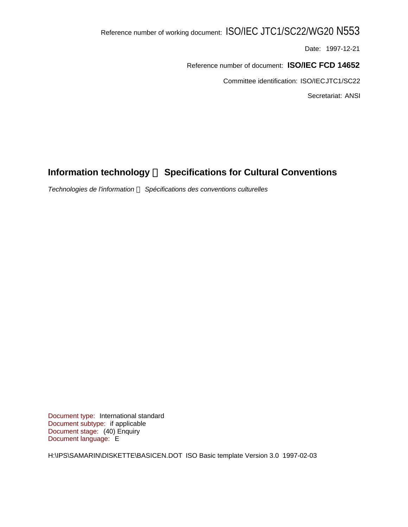# Reference number of working document: ISO/IEC JTC1/SC22/WG20 N553

Date: 1997-12-21

Reference number of document: **ISO/IEC FCD 14652**

Committee identification: ISO/IEC JTC1/SC22

Secretariat: ANSI

# **Information technology - Specifications for Cultural Conventions**

*Technologies de l'information ¾ Spécifications des conventions culturelles*

Document type: International standard Document subtype: if applicable Document stage: (40) Enquiry Document language: E

H:\IPS\SAMARIN\DISKETTE\BASICEN.DOT ISO Basic template Version 3.0 1997-02-03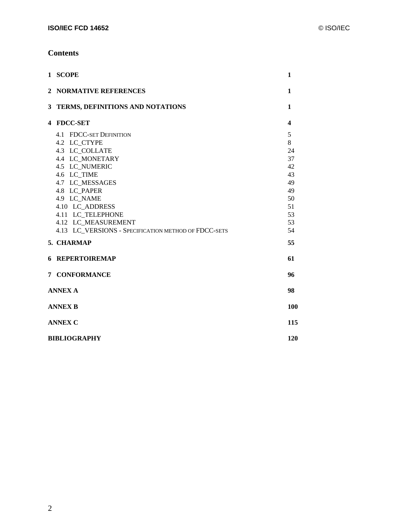## **Contents**

| 1 SCOPE                                                                                                                                                                                                                                                                                       | 1                                                                        |
|-----------------------------------------------------------------------------------------------------------------------------------------------------------------------------------------------------------------------------------------------------------------------------------------------|--------------------------------------------------------------------------|
| 2 NORMATIVE REFERENCES                                                                                                                                                                                                                                                                        | $\mathbf{1}$                                                             |
| 3 TERMS, DEFINITIONS AND NOTATIONS                                                                                                                                                                                                                                                            | $\mathbf{1}$                                                             |
| 4 FDCC-SET                                                                                                                                                                                                                                                                                    | $\boldsymbol{4}$                                                         |
| 4.1 FDCC-SET DEFINITION<br>4.2 LC_CTYPE<br>4.3 LC_COLLATE<br><b>4.4 LC MONETARY</b><br>4.5 LC NUMERIC<br>4.6 LC TIME<br>4.7 LC_MESSAGES<br>4.8 LC_PAPER<br>4.9 LC_NAME<br>4.10 LC ADDRESS<br>4.11 LC TELEPHONE<br>4.12 LC MEASUREMENT<br>4.13 LC VERSIONS - SPECIFICATION METHOD OF FDCC-SETS | 5<br>8<br>24<br>37<br>42<br>43<br>49<br>49<br>50<br>51<br>53<br>53<br>54 |
| 5. CHARMAP                                                                                                                                                                                                                                                                                    | 55                                                                       |
| <b>6 REPERTOIREMAP</b>                                                                                                                                                                                                                                                                        | 61                                                                       |
| 7 CONFORMANCE                                                                                                                                                                                                                                                                                 | 96                                                                       |
| <b>ANNEX A</b>                                                                                                                                                                                                                                                                                | 98                                                                       |
| <b>ANNEX B</b>                                                                                                                                                                                                                                                                                | 100                                                                      |
| <b>ANNEX C</b>                                                                                                                                                                                                                                                                                | 115                                                                      |
| <b>BIBLIOGRAPHY</b>                                                                                                                                                                                                                                                                           | 120                                                                      |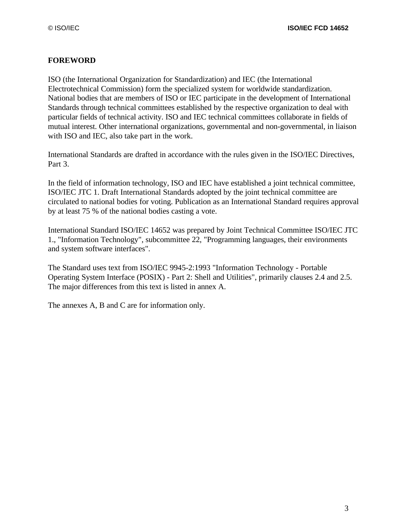## **FOREWORD**

ISO (the International Organization for Standardization) and IEC (the International Electrotechnical Commission) form the specialized system for worldwide standardization. National bodies that are members of ISO or IEC participate in the development of International Standards through technical committees established by the respective organization to deal with particular fields of technical activity. ISO and IEC technical committees collaborate in fields of mutual interest. Other international organizations, governmental and non-governmental, in liaison with ISO and IEC, also take part in the work.

International Standards are drafted in accordance with the rules given in the ISO/IEC Directives, Part 3.

In the field of information technology, ISO and IEC have established a joint technical committee, ISO/IEC JTC 1. Draft International Standards adopted by the joint technical committee are circulated to national bodies for voting. Publication as an International Standard requires approval by at least 75 % of the national bodies casting a vote.

International Standard ISO/IEC 14652 was prepared by Joint Technical Committee ISO/IEC JTC 1., "Information Technology", subcommittee 22, "Programming languages, their environments and system software interfaces".

The Standard uses text from ISO/IEC 9945-2:1993 "Information Technology - Portable Operating System Interface (POSIX) - Part 2: Shell and Utilities", primarily clauses 2.4 and 2.5. The major differences from this text is listed in annex A.

The annexes A, B and C are for information only.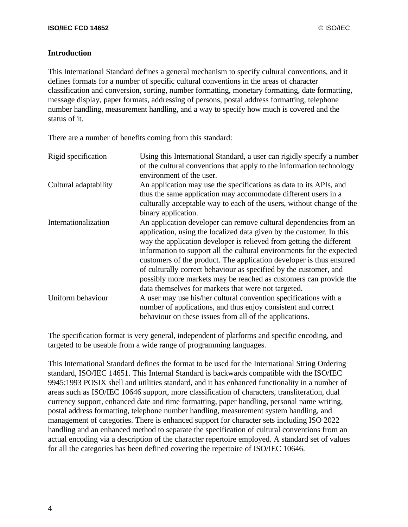#### **Introduction**

This International Standard defines a general mechanism to specify cultural conventions, and it defines formats for a number of specific cultural conventions in the areas of character classification and conversion, sorting, number formatting, monetary formatting, date formatting, message display, paper formats, addressing of persons, postal address formatting, telephone number handling, measurement handling, and a way to specify how much is covered and the status of it.

There are a number of benefits coming from this standard:

| Rigid specification   | Using this International Standard, a user can rigidly specify a number<br>of the cultural conventions that apply to the information technology<br>environment of the user.                                                                                                                                                                                                                                                                                                                                                                                         |
|-----------------------|--------------------------------------------------------------------------------------------------------------------------------------------------------------------------------------------------------------------------------------------------------------------------------------------------------------------------------------------------------------------------------------------------------------------------------------------------------------------------------------------------------------------------------------------------------------------|
| Cultural adaptability | An application may use the specifications as data to its APIs, and<br>thus the same application may accommodate different users in a<br>culturally acceptable way to each of the users, without change of the<br>binary application.                                                                                                                                                                                                                                                                                                                               |
| Internationalization  | An application developer can remove cultural dependencies from an<br>application, using the localized data given by the customer. In this<br>way the application developer is relieved from getting the different<br>information to support all the cultural environments for the expected<br>customers of the product. The application developer is thus ensured<br>of culturally correct behaviour as specified by the customer, and<br>possibly more markets may be reached as customers can provide the<br>data themselves for markets that were not targeted. |
| Uniform behaviour     | A user may use his/her cultural convention specifications with a<br>number of applications, and thus enjoy consistent and correct<br>behaviour on these issues from all of the applications.                                                                                                                                                                                                                                                                                                                                                                       |

The specification format is very general, independent of platforms and specific encoding, and targeted to be useable from a wide range of programming languages.

This International Standard defines the format to be used for the International String Ordering standard, ISO/IEC 14651. This Internal Standard is backwards compatible with the ISO/IEC 9945:1993 POSIX shell and utilities standard, and it has enhanced functionality in a number of areas such as ISO/IEC 10646 support, more classification of characters, transliteration, dual currency support, enhanced date and time formatting, paper handling, personal name writing, postal address formatting, telephone number handling, measurement system handling, and management of categories. There is enhanced support for character sets including ISO 2022 handling and an enhanced method to separate the specification of cultural conventions from an actual encoding via a description of the character repertoire employed. A standard set of values for all the categories has been defined covering the repertoire of ISO/IEC 10646.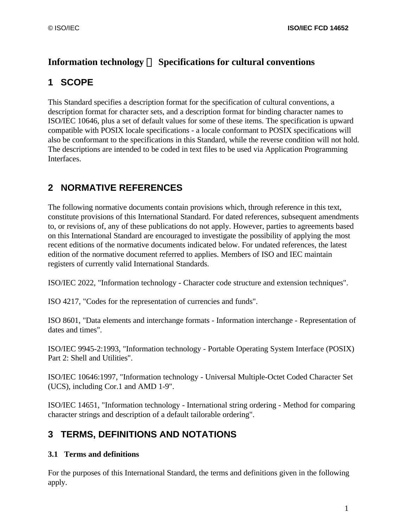## Information technology — Specifications for cultural conventions

# **1 SCOPE**

This Standard specifies a description format for the specification of cultural conventions, a description format for character sets, and a description format for binding character names to ISO/IEC 10646, plus a set of default values for some of these items. The specification is upward compatible with POSIX locale specifications - a locale conformant to POSIX specifications will also be conformant to the specifications in this Standard, while the reverse condition will not hold. The descriptions are intended to be coded in text files to be used via Application Programming Interfaces.

# **2 NORMATIVE REFERENCES**

The following normative documents contain provisions which, through reference in this text, constitute provisions of this International Standard. For dated references, subsequent amendments to, or revisions of, any of these publications do not apply. However, parties to agreements based on this International Standard are encouraged to investigate the possibility of applying the most recent editions of the normative documents indicated below. For undated references, the latest edition of the normative document referred to applies. Members of ISO and IEC maintain registers of currently valid International Standards.

ISO/IEC 2022, "Information technology - Character code structure and extension techniques".

ISO 4217, "Codes for the representation of currencies and funds".

ISO 8601, "Data elements and interchange formats - Information interchange - Representation of dates and times".

ISO/IEC 9945-2:1993, "Information technology - Portable Operating System Interface (POSIX) Part 2: Shell and Utilities".

ISO/IEC 10646:1997, "Information technology - Universal Multiple-Octet Coded Character Set (UCS), including Cor.1 and AMD 1-9".

ISO/IEC 14651, "Information technology - International string ordering - Method for comparing character strings and description of a default tailorable ordering".

# **3 TERMS, DEFINITIONS AND NOTATIONS**

## **3.1 Terms and definitions**

For the purposes of this International Standard, the terms and definitions given in the following apply.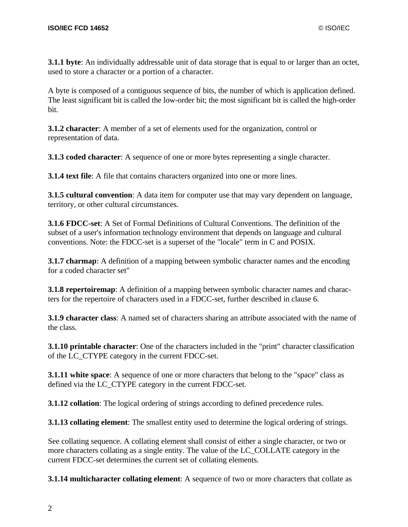**3.1.1 byte**: An individually addressable unit of data storage that is equal to or larger than an octet, used to store a character or a portion of a character.

A byte is composed of a contiguous sequence of bits, the number of which is application defined. The least significant bit is called the low-order bit; the most significant bit is called the high-order bit.

**3.1.2 character**: A member of a set of elements used for the organization, control or representation of data.

**3.1.3 coded character**: A sequence of one or more bytes representing a single character.

**3.1.4 text file**: A file that contains characters organized into one or more lines.

**3.1.5 cultural convention**: A data item for computer use that may vary dependent on language, territory, or other cultural circumstances.

**3.1.6 FDCC-set**: A Set of Formal Definitions of Cultural Conventions. The definition of the subset of a user's information technology environment that depends on language and cultural conventions. Note: the FDCC-set is a superset of the "locale" term in C and POSIX.

**3.1.7 charmap**: A definition of a mapping between symbolic character names and the encoding for a coded character set"

**3.1.8 repertoiremap**: A definition of a mapping between symbolic character names and characters for the repertoire of characters used in a FDCC-set, further described in clause 6.

**3.1.9 character class**: A named set of characters sharing an attribute associated with the name of the class.

**3.1.10 printable character**: One of the characters included in the "print" character classification of the LC\_CTYPE category in the current FDCC-set.

**3.1.11 white space**: A sequence of one or more characters that belong to the "space" class as defined via the LC\_CTYPE category in the current FDCC-set.

**3.1.12 collation**: The logical ordering of strings according to defined precedence rules.

**3.1.13 collating element**: The smallest entity used to determine the logical ordering of strings.

See collating sequence. A collating element shall consist of either a single character, or two or more characters collating as a single entity. The value of the LC\_COLLATE category in the current FDCC-set determines the current set of collating elements.

**3.1.14 multicharacter collating element**: A sequence of two or more characters that collate as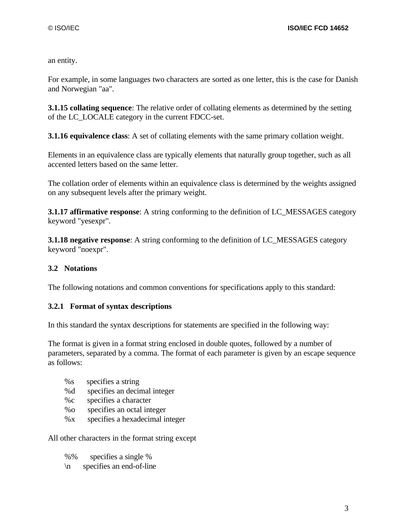an entity.

For example, in some languages two characters are sorted as one letter, this is the case for Danish and Norwegian "aa".

**3.1.15 collating sequence**: The relative order of collating elements as determined by the setting of the LC\_LOCALE category in the current FDCC-set.

**3.1.16 equivalence class**: A set of collating elements with the same primary collation weight.

Elements in an equivalence class are typically elements that naturally group together, such as all accented letters based on the same letter.

The collation order of elements within an equivalence class is determined by the weights assigned on any subsequent levels after the primary weight.

**3.1.17 affirmative response**: A string conforming to the definition of LC\_MESSAGES category keyword "yesexpr".

**3.1.18 negative response**: A string conforming to the definition of LC\_MESSAGES category keyword "noexpr".

## **3.2 Notations**

The following notations and common conventions for specifications apply to this standard:

## **3.2.1 Format of syntax descriptions**

In this standard the syntax descriptions for statements are specified in the following way:

The format is given in a format string enclosed in double quotes, followed by a number of parameters, separated by a comma. The format of each parameter is given by an escape sequence as follows:

- %s specifies a string
- %d specifies an decimal integer
- %c specifies a character
- %o specifies an octal integer
- %x specifies a hexadecimal integer

All other characters in the format string except

- %% specifies a single %
- \n specifies an end-of-line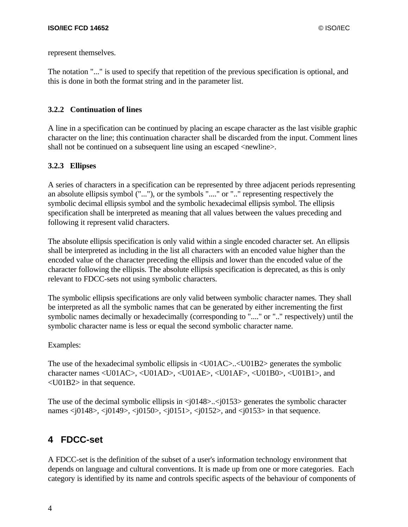represent themselves.

The notation "..." is used to specify that repetition of the previous specification is optional, and this is done in both the format string and in the parameter list.

## **3.2.2 Continuation of lines**

A line in a specification can be continued by placing an escape character as the last visible graphic character on the line; this continuation character shall be discarded from the input. Comment lines shall not be continued on a subsequent line using an escaped  $\leq$ newline $\geq$ .

## **3.2.3 Ellipses**

A series of characters in a specification can be represented by three adjacent periods representing an absolute ellipsis symbol ("..."), or the symbols "...." or ".." representing respectively the symbolic decimal ellipsis symbol and the symbolic hexadecimal ellipsis symbol. The ellipsis specification shall be interpreted as meaning that all values between the values preceding and following it represent valid characters.

The absolute ellipsis specification is only valid within a single encoded character set. An ellipsis shall be interpreted as including in the list all characters with an encoded value higher than the encoded value of the character preceding the ellipsis and lower than the encoded value of the character following the ellipsis. The absolute ellipsis specification is deprecated, as this is only relevant to FDCC-sets not using symbolic characters.

The symbolic ellipsis specifications are only valid between symbolic character names. They shall be interpreted as all the symbolic names that can be generated by either incrementing the first symbolic names decimally or hexadecimally (corresponding to "...." or ".." respectively) until the symbolic character name is less or equal the second symbolic character name.

## Examples:

The use of the hexadecimal symbolic ellipsis in <U01AC>..<U01B2> generates the symbolic character names <U01AC>, <U01AD>, <U01AE>, <U01AF>, <U01B0>, <U01B1>, and <U01B2> in that sequence.

The use of the decimal symbolic ellipsis in  $\langle j0148 \rangle$ ... $\langle j0153 \rangle$  generates the symbolic character names <j0148>, <j0149>, <j0150>, <j0151>, <j0152>, and <j0153> in that sequence.

# **4 FDCC-set**

A FDCC-set is the definition of the subset of a user's information technology environment that depends on language and cultural conventions. It is made up from one or more categories. Each category is identified by its name and controls specific aspects of the behaviour of components of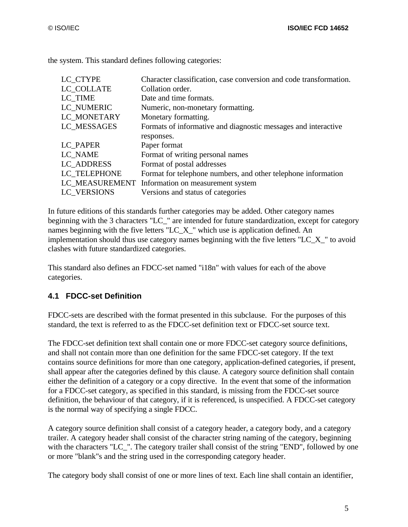the system. This standard defines following categories:

| LC CTYPE     | Character classification, case conversion and code transformation. |
|--------------|--------------------------------------------------------------------|
| LC COLLATE   | Collation order.                                                   |
| LC_TIME      | Date and time formats.                                             |
| LC NUMERIC   | Numeric, non-monetary formatting.                                  |
| LC_MONETARY  | Monetary formatting.                                               |
| LC MESSAGES  | Formats of informative and diagnostic messages and interactive     |
|              | responses.                                                         |
| LC_PAPER     | Paper format                                                       |
| LC_NAME      | Format of writing personal names                                   |
| LC ADDRESS   | Format of postal addresses                                         |
| LC TELEPHONE | Format for telephone numbers, and other telephone information      |
|              | LC_MEASUREMENT Information on measurement system                   |
| LC VERSIONS  | Versions and status of categories                                  |

In future editions of this standards further categories may be added. Other category names beginning with the 3 characters "LC\_" are intended for future standardization, except for category names beginning with the five letters "LC\_X\_" which use is application defined. An implementation should thus use category names beginning with the five letters "LC\_X\_" to avoid clashes with future standardized categories.

This standard also defines an FDCC-set named "i18n" with values for each of the above categories.

## **4.1 FDCC-set Definition**

FDCC-sets are described with the format presented in this subclause. For the purposes of this standard, the text is referred to as the FDCC-set definition text or FDCC-set source text.

The FDCC-set definition text shall contain one or more FDCC-set category source definitions, and shall not contain more than one definition for the same FDCC-set category. If the text contains source definitions for more than one category, application-defined categories, if present, shall appear after the categories defined by this clause. A category source definition shall contain either the definition of a category or a copy directive. In the event that some of the information for a FDCC-set category, as specified in this standard, is missing from the FDCC-set source definition, the behaviour of that category, if it is referenced, is unspecified. A FDCC-set category is the normal way of specifying a single FDCC.

A category source definition shall consist of a category header, a category body, and a category trailer. A category header shall consist of the character string naming of the category, beginning with the characters "LC ". The category trailer shall consist of the string "END", followed by one or more "blank"s and the string used in the corresponding category header.

The category body shall consist of one or more lines of text. Each line shall contain an identifier,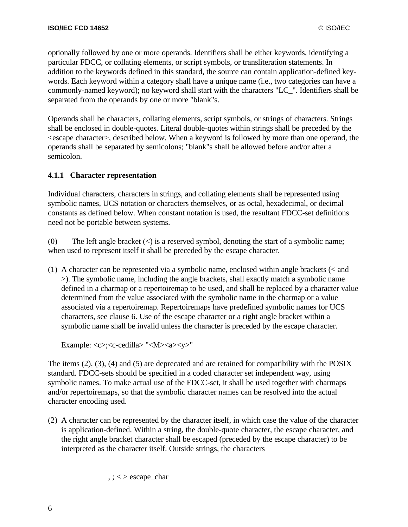optionally followed by one or more operands. Identifiers shall be either keywords, identifying a particular FDCC, or collating elements, or script symbols, or transliteration statements. In addition to the keywords defined in this standard, the source can contain application-defined keywords. Each keyword within a category shall have a unique name (i.e., two categories can have a commonly-named keyword); no keyword shall start with the characters "LC\_". Identifiers shall be separated from the operands by one or more "blank"s.

Operands shall be characters, collating elements, script symbols, or strings of characters. Strings shall be enclosed in double-quotes. Literal double-quotes within strings shall be preceded by the <escape character>, described below. When a keyword is followed by more than one operand, the operands shall be separated by semicolons; "blank"s shall be allowed before and/or after a semicolon.

#### **4.1.1 Character representation**

Individual characters, characters in strings, and collating elements shall be represented using symbolic names, UCS notation or characters themselves, or as octal, hexadecimal, or decimal constants as defined below. When constant notation is used, the resultant FDCC-set definitions need not be portable between systems.

(0) The left angle bracket  $\langle \langle \rangle$  is a reserved symbol, denoting the start of a symbolic name; when used to represent itself it shall be preceded by the escape character.

(1) A character can be represented via a symbolic name, enclosed within angle brackets (< and >). The symbolic name, including the angle brackets, shall exactly match a symbolic name defined in a charmap or a repertoiremap to be used, and shall be replaced by a character value determined from the value associated with the symbolic name in the charmap or a value associated via a repertoiremap. Repertoiremaps have predefined symbolic names for UCS characters, see clause 6. Use of the escape character or a right angle bracket within a symbolic name shall be invalid unless the character is preceded by the escape character.

Example: <c>;<c-cedilla> "<M><a><y>"

The items (2), (3), (4) and (5) are deprecated and are retained for compatibility with the POSIX standard. FDCC-sets should be specified in a coded character set independent way, using symbolic names. To make actual use of the FDCC-set, it shall be used together with charmaps and/or repertoiremaps, so that the symbolic character names can be resolved into the actual character encoding used.

(2) A character can be represented by the character itself, in which case the value of the character is application-defined. Within a string, the double-quote character, the escape character, and the right angle bracket character shall be escaped (preceded by the escape character) to be interpreted as the character itself. Outside strings, the characters

 $,$ ;  $\lt$   $>$  escape\_char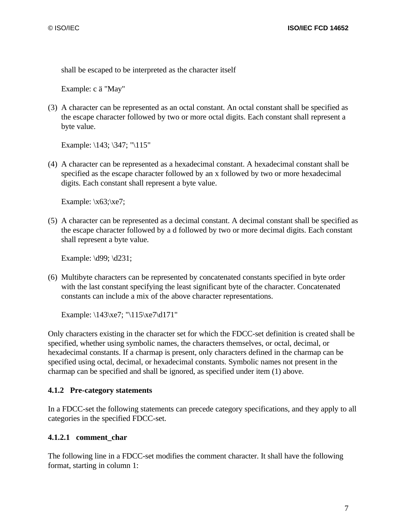shall be escaped to be interpreted as the character itself

Example: c ä "May"

(3) A character can be represented as an octal constant. An octal constant shall be specified as the escape character followed by two or more octal digits. Each constant shall represent a byte value.

Example: \143; \347; "\115"

(4) A character can be represented as a hexadecimal constant. A hexadecimal constant shall be specified as the escape character followed by an x followed by two or more hexadecimal digits. Each constant shall represent a byte value.

Example:  $x63$ ;  $xe7$ ;

(5) A character can be represented as a decimal constant. A decimal constant shall be specified as the escape character followed by a d followed by two or more decimal digits. Each constant shall represent a byte value.

Example: \d99; \d231;

(6) Multibyte characters can be represented by concatenated constants specified in byte order with the last constant specifying the least significant byte of the character. Concatenated constants can include a mix of the above character representations.

Example: \143\xe7; "\115\xe7\d171"

Only characters existing in the character set for which the FDCC-set definition is created shall be specified, whether using symbolic names, the characters themselves, or octal, decimal, or hexadecimal constants. If a charmap is present, only characters defined in the charmap can be specified using octal, decimal, or hexadecimal constants. Symbolic names not present in the charmap can be specified and shall be ignored, as specified under item (1) above.

#### **4.1.2 Pre-category statements**

In a FDCC-set the following statements can precede category specifications, and they apply to all categories in the specified FDCC-set.

#### **4.1.2.1 comment\_char**

The following line in a FDCC-set modifies the comment character. It shall have the following format, starting in column 1: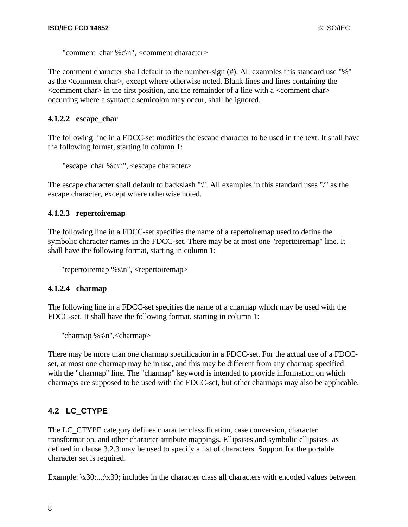"comment\_char %c\n", <comment character>

The comment character shall default to the number-sign (#). All examples this standard use "%" as the <comment char>, except where otherwise noted. Blank lines and lines containing the  $\alpha$  <comment char $>$  in the first position, and the remainder of a line with a  $\alpha$  comment char $>$ occurring where a syntactic semicolon may occur, shall be ignored.

#### **4.1.2.2 escape\_char**

The following line in a FDCC-set modifies the escape character to be used in the text. It shall have the following format, starting in column 1:

```
"escape_char %c\n", <escape character>
```
The escape character shall default to backslash "\". All examples in this standard uses "/" as the escape character, except where otherwise noted.

#### **4.1.2.3 repertoiremap**

The following line in a FDCC-set specifies the name of a repertoiremap used to define the symbolic character names in the FDCC-set. There may be at most one "repertoiremap" line. It shall have the following format, starting in column 1:

```
"repertoiremap %s\n", <repertoiremap>
```
#### **4.1.2.4 charmap**

The following line in a FDCC-set specifies the name of a charmap which may be used with the FDCC-set. It shall have the following format, starting in column 1:

```
"charmap %s\n",<charmap>
```
There may be more than one charmap specification in a FDCC-set. For the actual use of a FDCCset, at most one charmap may be in use, and this may be different from any charmap specified with the "charmap" line. The "charmap" keyword is intended to provide information on which charmaps are supposed to be used with the FDCC-set, but other charmaps may also be applicable.

## **4.2 LC\_CTYPE**

The LC\_CTYPE category defines character classification, case conversion, character transformation, and other character attribute mappings. Ellipsises and symbolic ellipsises as defined in clause 3.2.3 may be used to specify a list of characters. Support for the portable character set is required.

Example:  $x30...x39$ ; includes in the character class all characters with encoded values between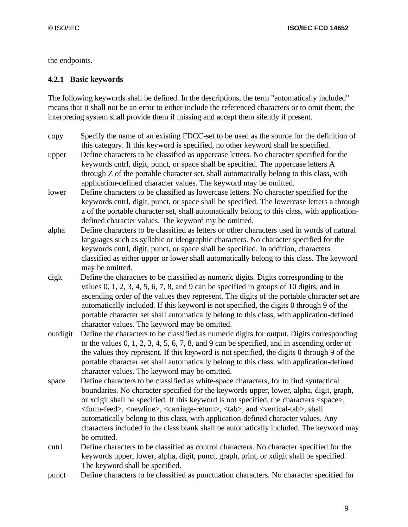the endpoints.

## **4.2.1 Basic keywords**

The following keywords shall be defined. In the descriptions, the term "automatically included" means that it shall not be an error to either include the referenced characters or to omit them; the interpreting system shall provide them if missing and accept them silently if present.

- copy Specify the name of an existing FDCC-set to be used as the source for the definition of this category. If this keyword is specified, no other keyword shall be specified.
- upper Define characters to be classified as uppercase letters. No character specified for the keywords cntrl, digit, punct, or space shall be specified. The uppercase letters A through Z of the portable character set, shall automatically belong to this class, with application-defined character values. The keyword may be omitted.
- lower Define characters to be classified as lowercase letters. No character specified for the keywords cntrl, digit, punct, or space shall be specified. The lowercase letters a through z of the portable character set, shall automatically belong to this class, with applicationdefined character values. The keyword my be omitted.
- alpha Define characters to be classified as letters or other characters used in words of natural languages such as syllabic or ideographic characters. No character specified for the keywords cntrl, digit, punct, or space shall be specified. In addition, characters classified as either upper or lower shall automatically belong to this class. The keyword may be omitted.
- digit Define the characters to be classified as numeric digits. Digits corresponding to the values  $0, 1, 2, 3, 4, 5, 6, 7, 8,$  and 9 can be specified in groups of 10 digits, and in ascending order of the values they represent. The digits of the portable character set are automatically included. If this keyword is not specified, the digits 0 through 9 of the portable character set shall automatically belong to this class, with application-defined character values. The keyword may be omitted.
- outdigit Define the characters to be classified as numeric digits for output. Digits corresponding to the values 0, 1, 2, 3, 4, 5, 6, 7, 8, and 9 can be specified, and in ascending order of the values they represent. If this keyword is not specified, the digits 0 through 9 of the portable character set shall automatically belong to this class, with application-defined character values. The keyword may be omitted.
- space Define characters to be classified as white-space characters, for to find syntactical boundaries. No character specified for the keywords upper, lower, alpha, digit, graph, or xdigit shall be specified. If this keyword is not specified, the characters <space>, <form-feed>, <newline>, <carriage-return>, <tab>, and <vertical-tab>, shall automatically belong to this class, with application-defined character values. Any characters included in the class blank shall be automatically included. The keyword may be omitted.
- cntrl Define characters to be classified as control characters. No character specified for the keywords upper, lower, alpha, digit, punct, graph, print, or xdigit shall be specified. The keyword shall be specified.
- punct Define characters to be classified as punctuation characters. No character specified for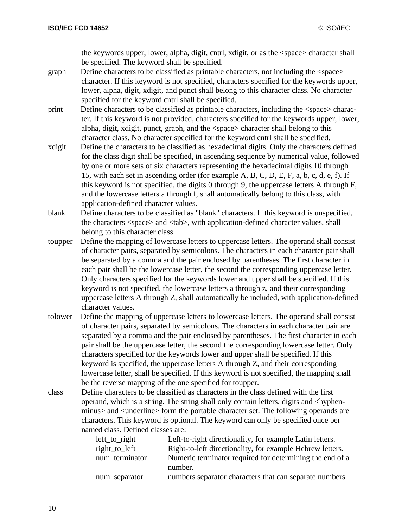the keywords upper, lower, alpha, digit, cntrl, xdigit, or as the <space> character shall be specified. The keyword shall be specified.

- graph Define characters to be classified as printable characters, not including the <space> character. If this keyword is not specified, characters specified for the keywords upper, lower, alpha, digit, xdigit, and punct shall belong to this character class. No character specified for the keyword cntrl shall be specified.
- print Define characters to be classified as printable characters, including the <space> character. If this keyword is not provided, characters specified for the keywords upper, lower, alpha, digit, xdigit, punct, graph, and the <space> character shall belong to this character class. No character specified for the keyword cntrl shall be specified.
- xdigit Define the characters to be classified as hexadecimal digits. Only the characters defined for the class digit shall be specified, in ascending sequence by numerical value, followed by one or more sets of six characters representing the hexadecimal digits 10 through 15, with each set in ascending order (for example A, B, C, D, E, F, a, b, c, d, e, f). If this keyword is not specified, the digits 0 through 9, the uppercase letters A through F, and the lowercase letters a through f, shall automatically belong to this class, with application-defined character values.
- blank Define characters to be classified as "blank" characters. If this keyword is unspecified, the characters <space> and <tab>, with application-defined character values, shall belong to this character class.
- toupper Define the mapping of lowercase letters to uppercase letters. The operand shall consist of character pairs, separated by semicolons. The characters in each character pair shall be separated by a comma and the pair enclosed by parentheses. The first character in each pair shall be the lowercase letter, the second the corresponding uppercase letter. Only characters specified for the keywords lower and upper shall be specified. If this keyword is not specified, the lowercase letters a through z, and their corresponding uppercase letters A through Z, shall automatically be included, with application-defined character values.
- tolower Define the mapping of uppercase letters to lowercase letters. The operand shall consist of character pairs, separated by semicolons. The characters in each character pair are separated by a comma and the pair enclosed by parentheses. The first character in each pair shall be the uppercase letter, the second the corresponding lowercase letter. Only characters specified for the keywords lower and upper shall be specified. If this keyword is specified, the uppercase letters A through Z, and their corresponding lowercase letter, shall be specified. If this keyword is not specified, the mapping shall be the reverse mapping of the one specified for toupper.
- class Define characters to be classified as characters in the class defined with the first operand, which is a string. The string shall only contain letters, digits and <hyphenminus> and <underline> form the portable character set. The following operands are characters. This keyword is optional. The keyword can only be specified once per named class. Defined classes are:

| $left_to$ right | Left-to-right directionality, for example Latin letters.  |
|-----------------|-----------------------------------------------------------|
| right_to_left   | Right-to-left directionality, for example Hebrew letters. |
| num terminator  | Numeric terminator required for determining the end of a  |
|                 | number.                                                   |
| num_separator   | numbers separator characters that can separate numbers    |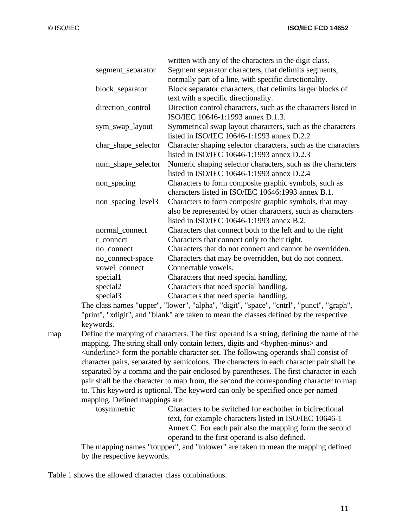| written with any of the characters in the digit class.                           |
|----------------------------------------------------------------------------------|
| Segment separator characters, that delimits segments,                            |
| normally part of a line, with specific directionality.                           |
| Block separator characters, that delimits larger blocks of                       |
| text with a specific directionality.                                             |
| Direction control characters, such as the characters listed in                   |
| ISO/IEC 10646-1:1993 annex D.1.3.                                                |
| Symmetrical swap layout characters, such as the characters                       |
| listed in ISO/IEC 10646-1:1993 annex D.2.2                                       |
| Character shaping selector characters, such as the characters                    |
| listed in ISO/IEC 10646-1:1993 annex D.2.3                                       |
| Numeric shaping selector characters, such as the characters                      |
| listed in ISO/IEC 10646-1:1993 annex D.2.4                                       |
| Characters to form composite graphic symbols, such as                            |
| characters listed in ISO/IEC 10646:1993 annex B.1.                               |
| Characters to form composite graphic symbols, that may                           |
| also be represented by other characters, such as characters                      |
| listed in ISO/IEC 10646-1:1993 annex B.2.                                        |
| Characters that connect both to the left and to the right                        |
| Characters that connect only to their right.                                     |
|                                                                                  |
| Characters that do not connect and cannot be overridden.                         |
| Characters that may be overridden, but do not connect.                           |
| Connectable vowels.                                                              |
| Characters that need special handling.                                           |
| Characters that need special handling.<br>Characters that need special handling. |
|                                                                                  |

The class names "upper", "lower", "alpha", "digit", "space", "cntrl", "punct", "graph", "print", "xdigit", and "blank" are taken to mean the classes defined by the respective keywords.

map Define the mapping of characters. The first operand is a string, defining the name of the mapping. The string shall only contain letters, digits and <hyphen-minus> and <underline> form the portable character set. The following operands shall consist of character pairs, separated by semicolons. The characters in each character pair shall be separated by a comma and the pair enclosed by parentheses. The first character in each pair shall be the character to map from, the second the corresponding character to map to. This keyword is optional. The keyword can only be specified once per named mapping. Defined mappings are:

tosymmetric Characters to be switched for eachother in bidirectional text, for example characters listed in ISO/IEC 10646-1 Annex C. For each pair also the mapping form the second operand to the first operand is also defined.

The mapping names "toupper", and "tolower" are taken to mean the mapping defined by the respective keywords.

Table 1 shows the allowed character class combinations.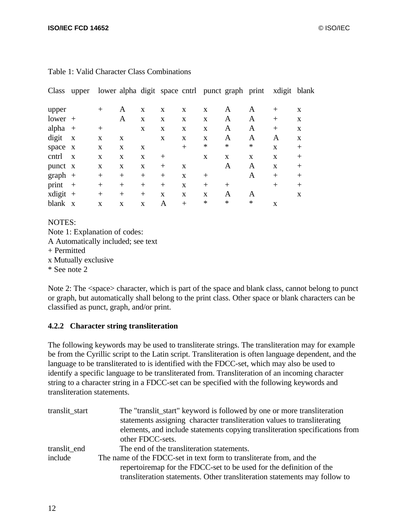| Class       | upper        |              |             |              |        |        |        | lower alpha digit space cntrl punct graph print |              | xdigit blank |        |
|-------------|--------------|--------------|-------------|--------------|--------|--------|--------|-------------------------------------------------|--------------|--------------|--------|
| upper       |              | $^{+}$       | A           | X            | X      | X      | X      | A                                               | A            | $^{+}$       | X      |
| $lower +$   |              |              | A           | X            | X      | X      | X      | A                                               | A            | $^{+}$       | X      |
| alpha       | $+$          | $^{+}$       |             | X            | X      | X      | X      | A                                               | A            | $^{+}$       | X      |
| digit       | $\mathbf{X}$ | X            | X           |              | X      | X      | X      | A                                               | A            | A            | X      |
| space x     |              | X            | X           | X            |        | $^{+}$ | ∗      | $\ast$                                          | *            | $\mathbf{x}$ | $^{+}$ |
| cntrl       | $\mathbf{X}$ | $\mathbf{x}$ | $\mathbf x$ | X            | $^{+}$ |        | X      | X                                               | $\mathbf{x}$ | $\mathbf{x}$ | $^{+}$ |
| punct x     |              | X            | X           | X            | $^{+}$ | X      |        | Α                                               | A            | $\mathbf{x}$ | $^{+}$ |
| $graph +$   |              | $^{+}$       | $^{+}$      | $^{+}$       | $^{+}$ | X      | $^{+}$ |                                                 | A            | $^{+}$       | $^{+}$ |
| print       | $+$          | $^{+}$       | $^{+}$      | $^{+}$       | $^{+}$ | X      | $^{+}$ | $^{+}$                                          |              | $+$          | $^{+}$ |
| $x$ digit + |              | $^{+}$       | $^{+}$      | $^{+}$       | X      | X      | X      | A                                               | A            |              | X      |
| blank       | $\mathbf{X}$ | $\mathbf{x}$ | X           | $\mathbf{x}$ | A      | $^{+}$ | ∗      | ∗                                               | ∗            | $\mathbf x$  |        |

#### Table 1: Valid Character Class Combinations

#### NOTES:

Note 1: Explanation of codes: A Automatically included; see text + Permitted x Mutually exclusive

\* See note 2

Note 2: The  $\langle$ space> character, which is part of the space and blank class, cannot belong to punct or graph, but automatically shall belong to the print class. Other space or blank characters can be classified as punct, graph, and/or print.

## **4.2.2 Character string transliteration**

The following keywords may be used to transliterate strings. The transliteration may for example be from the Cyrillic script to the Latin script. Transliteration is often language dependent, and the language to be transliterated to is identified with the FDCC-set, which may also be used to identify a specific language to be transliterated from. Transliteration of an incoming character string to a character string in a FDCC-set can be specified with the following keywords and transliteration statements.

| translit_start | The "translit_start" keyword is followed by one or more transliteration<br>statements assigning character transliteration values to transliterating<br>elements, and include statements copying transliteration specifications from<br>other FDCC-sets. |
|----------------|---------------------------------------------------------------------------------------------------------------------------------------------------------------------------------------------------------------------------------------------------------|
| translit_end   | The end of the transliteration statements.                                                                                                                                                                                                              |
| include        | The name of the FDCC-set in text form to transliterate from, and the                                                                                                                                                                                    |
|                | repertoiremap for the FDCC-set to be used for the definition of the<br>transliteration statements. Other transliteration statements may follow to                                                                                                       |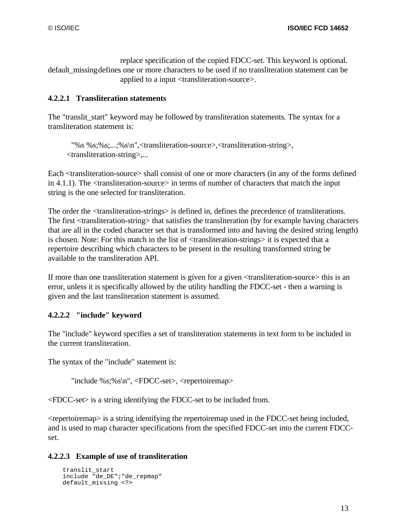replace specification of the copied FDCC-set. This keyword is optional. default missing defines one or more characters to be used if no transliteration statement can be applied to a input <transliteration-source>.

### **4.2.2.1 Transliteration statements**

The "translit\_start" keyword may be followed by transliteration statements. The syntax for a transliteration statement is:

"%s %s;%s;...;%s\n",<transliteration-source>,<transliteration-string>, <transliteration-string>,...

Each <transliteration-source> shall consist of one or more characters (in any of the forms defined in 4.1.1). The <transliteration-source> in terms of number of characters that match the input string is the one selected for transliteration.

The order the <transliteration-strings> is defined in, defines the precedence of transliterations. The first <transliteration-string> that satisfies the transliteration (by for example having characters that are all in the coded character set that is transformed into and having the desired string length) is chosen. Note: For this match in the list of <transliteration-strings> it is expected that a repertoire describing which characters to be present in the resulting transformed string be available to the transliteration API.

If more than one transliteration statement is given for a given <transliteration-source> this is an error, unless it is specifically allowed by the utility handling the FDCC-set - then a warning is given and the last transliteration statement is assumed.

#### **4.2.2.2 "include" keyword**

The "include" keyword specifies a set of transliteration statements in text form to be included in the current transliteration.

The syntax of the "include" statement is:

"include %s;%s\n", <FDCC-set>, <repertoiremap>

<FDCC-set> is a string identifying the FDCC-set to be included from.

<repertoiremap> is a string identifying the repertoiremap used in the FDCC-set being included, and is used to map character specifications from the specified FDCC-set into the current FDCCset.

## **4.2.2.3 Example of use of transliteration**

```
 translit_start
 include "de_DE";"de_repmap"
 default_missing <?>
```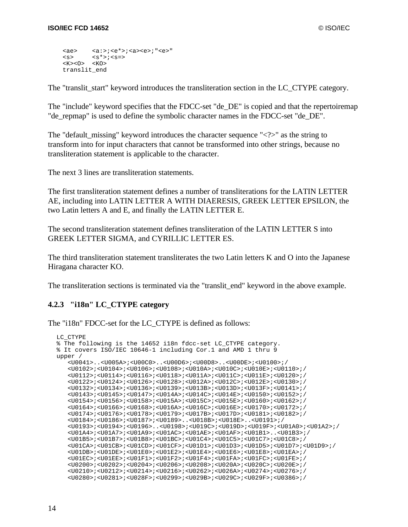```
 <ae> <a:>;<e*>;<a><e>;"<e>"
\langles> \langles*>;\langles=>
 <K><O> <KO>
 translit_end
```
The "translit\_start" keyword introduces the transliteration section in the LC\_CTYPE category.

The "include" keyword specifies that the FDCC-set "de DE" is copied and that the repertoiremap "de repmap" is used to define the symbolic character names in the FDCC-set "de DE".

The "default\_missing" keyword introduces the character sequence " $\langle \cdot \rangle$ " as the string to transform into for input characters that cannot be transformed into other strings, because no transliteration statement is applicable to the character.

The next 3 lines are transliteration statements.

The first transliteration statement defines a number of transliterations for the LATIN LETTER AE, including into LATIN LETTER A WITH DIAERESIS, GREEK LETTER EPSILON, the two Latin letters A and E, and finally the LATIN LETTER E.

The second transliteration statement defines transliteration of the LATIN LETTER S into GREEK LETTER SIGMA, and CYRILLIC LETTER ES.

The third transliteration statement transliterates the two Latin letters K and O into the Japanese Hiragana character KO.

The transliteration sections is terminated via the "translit\_end" keyword in the above example.

#### **4.2.3 "i18n" LC\_CTYPE category**

The "i18n" FDCC-set for the LC\_CTYPE is defined as follows:

```
LC_CTYPE
% The following is the 14652 i18n fdcc-set LC_CTYPE category.
% It covers ISO/IEC 10646-1 including Cor.1 and AMD 1 thru 9
upper /
    <U0041>..<U005A>;<U00C0>..<U00D6>;<U00D8>..<U00DE>;<U0100>;/
    <U0102>;<U0104>;<U0106>;<U0108>;<U010A>;<U010C>;<U010E>;<U0110>;/
    <U0112>;<U0114>;<U0116>;<U0118>;<U011A>;<U011C>;<U011E>;<U0120>;/
    <U0122>;<U0124>;<U0126>;<U0128>;<U012A>;<U012C>;<U012E>;<U0130>;/
    <U0132>;<U0134>;<U0136>;<U0139>;<U013B>;<U013D>;<U013F>;<U0141>;/
    <U0143>;<U0145>;<U0147>;<U014A>;<U014C>;<U014E>;<U0150>;<U0152>;/
    <U0154>;<U0156>;<U0158>;<U015A>;<U015C>;<U015E>;<U0160>;<U0162>;/
    <U0164>;<U0166>;<U0168>;<U016A>;<U016C>;<U016E>;<U0170>;<U0172>;/
    <U0174>;<U0176>;<U0178>;<U0179>;<U017B>;<U017D>;<U0181>;<U0182>;/
    <U0184>;<U0186>;<U0187>;<U0189>..<U018B>;<U018E>..<U0191>;/
    <U0193>;<U0194>;<U0196>..<U0198>;<U019C>;<U019D>;<U019F>;<U01A0>;<U01A2>;/
    <U01A4>;<U01A7>;<U01A9>;<U01AC>;<U01AE>;<U01AF>;<U01B1>..<U01B3>;/
    <U01B5>;<U01B7>;<U01B8>;<U01BC>;<U01C4>;<U01C5>;<U01C7>;<U01C8>;/
    <U01CA>;<U01CB>;<U01CD>;<U01CF>;<U01D1>;<U01D3>;<U01D5>;<U01D7>;<U01D9>;/
    <U01DB>;<U01DE>;<U01E0>;<U01E2>;<U01E4>;<U01E6>;<U01E8>;<U01EA>;/
    <U01EC>;<U01EE>;<U01F1>;<U01F2>;<U01F4>;<U01FA>;<U01FC>;<U01FE>;/
    <U0200>;<U0202>;<U0204>;<U0206>;<U0208>;<U020A>;<U020C>;<U020E>;/
    <U0210>;<U0212>;<U0214>;<U0216>;<U0262>;<U026A>;<U0274>;<U0276>;/
    <U0280>;<U0281>;<U028F>;<U0299>;<U029B>;<U029C>;<U029F>;<U0386>;/
```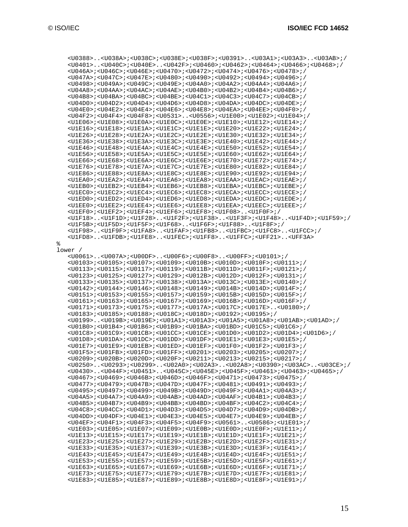%

 <U0388>..<U038A>;<U038C>;<U038E>;<U038F>;<U0391>..<U03A1>;<U03A3>..<U03AB>;/ <U0401>..<U040C>;<U040E>..<U042F>;<U0460>;<U0462>;<U0464>;<U0466>;<U0468>;/ <U046A>;<U046C>;<U046E>;<U0470>;<U0472>;<U0474>;<U0476>;<U0478>;/ <U047A>;<U047C>;<U047E>;<U0480>;<U0490>;<U0492>;<U0494>;<U0496>;/ <U0498>;<U049A>;<U049C>;<U049E>;<U04A0>;<U04A2>;<U04A4>;<U04A6>;/ <U04A8>;<U04AA>;<U04AC>;<U04AE>;<U04B0>;<U04B2>;<U04B4>;<U04B6>;/ <U04B8>;<U04BA>;<U04BC>;<U04BE>;<U04C1>;<U04C3>;<U04C7>;<U04CB>;/ <U04D0>;<U04D2>;<U04D4>;<U04D6>;<U04D8>;<U04DA>;<U04DC>;<U04DE>;/ <U04E0>;<U04E2>;<U04E4>;<U04E6>;<U04E8>;<U04EA>;<U04EE>;<U04F0>;/ <U04F2>;<U04F4>;<U04F8>;<U0531>..<U0556>;<U1E00>;<U1E02>;<U1E04>;/ <U1E06>;<U1E08>;<U1E0A>;<U1E0C>;<U1E0E>;<U1E10>;<U1E12>;<U1E14>;/  $<\!\!ULE16\!\!>_i<\!\!ULE18\!\!>_i<\!\!ULE1A\!\!>_i<\!\!ULE1C\!\!>_i<\!\!ULE1E\!\!>_i<\!\!ULE20\!\!>_i<\!\!ULE22\!\!>_i<\!\!ULE24\!\!>_i/$  <U1E26>;<U1E28>;<U1E2A>;<U1E2C>;<U1E2E>;<U1E30>;<U1E32>;<U1E34>;/  $<\!\!ULES6\!\!>_i<\!\!ULES8\!\!>_i<\!\!ULESA\!\!>_i<\!\!ULESC\!\!>_i<\!\!ULESE\!\!>_i<\!\!ULE40\!\!>_i<\!\!ULE42\!\!>_i<\!\!ULE44\!\!>_i/$  <U1E46>;<U1E48>;<U1E4A>;<U1E4C>;<U1E4E>;<U1E50>;<U1E52>;<U1E54>;/ <U1E56>;<U1E58>;<U1E5A>;<U1E5C>;<U1E5E>;<U1E60>;<U1E62>;<U1E64>;/ <U1E66>;<U1E68>;<U1E6A>;<U1E6C>;<U1E6E>;<U1E70>;<U1E72>;<U1E74>;/ <U1E76>;<U1E78>;<U1E7A>;<U1E7C>;<U1E7E>;<U1E80>;<U1E82>;<U1E84>;/ <U1E86>;<U1E88>;<U1E8A>;<U1E8C>;<U1E8E>;<U1E90>;<U1E92>;<U1E94>;/ <U1EA0>;<U1EA2>;<U1EA4>;<U1EA6>;<U1EA8>;<U1EAA>;<U1EAC>;<U1EAE>;/ <U1EB0>;<U1EB2>;<U1EB4>;<U1EB6>;<U1EB8>;<U1EBA>;<U1EBC>;<U1EBE>;/ <U1EC0>;<U1EC2>;<U1EC4>;<U1EC6>;<U1EC8>;<U1ECA>;<U1ECC>;<U1ECE>;/ <U1ED0>;<U1ED2>;<U1ED4>;<U1ED6>;<U1ED8>;<U1EDA>;<U1EDC>;<U1EDE>;/ <U1EE0>;<U1EE2>;<U1EE4>;<U1EE6>;<U1EE8>;<U1EEA>;<U1EEC>;<U1EEE>;/ <U1EF0>;<U1EF2>;<U1EF4>;<U1EF6>;<U1EF8>;<U1F08>..<U1F0F>;/ <U1F18>..<U1F1D>;<U1F28>..<U1F2F>;<U1F38>..<U1F3F>;<U1F48>..<U1F4D>;<U1F59>;/ <U1F5B>;<U1F5D>;<U1F5F>;<U1F68>..<U1F6F>;<U1F88>..<U1F8F>;/ <U1F98>..<U1F9F>;<U1FA8>..<U1FAF>;<U1FB8>..<U1FBC>;<U1FC8>..<U1FCC>;/ <U1FD8>..<U1FDB>;<U1FE8>..<U1FEC>;<U1FF8>..<U1FFC>;<UFF21>..<UFF3A> lower / <U0061>..<U007A>;<U00DF>..<U00F6>;<U00F8>..<U00FF>;<U0101>;/ <U0103>;<U0105>;<U0107>;<U0109>;<U010B>;<U010D>;<U010F>;<U0111>;/ <U0113>;<U0115>;<U0117>;<U0119>;<U011B>;<U011D>;<U011F>;<U0121>;/ <U0123>;<U0125>;<U0127>;<U0129>;<U012B>;<U012D>;<U012F>;<U0131>;/ <U0133>;<U0135>;<U0137>;<U0138>;<U013A>;<U013C>;<U013E>;<U0140>;/ <U0142>;<U0144>;<U0146>;<U0148>;<U0149>;<U014B>;<U014D>;<U014F>;/ <U0151>;<U0153>;<U0155>;<U0157>;<U0159>;<U015B>;<U015D>;<U015F>;/ <U0161>;<U0163>;<U0165>;<U0167>;<U0169>;<U016B>;<U016D>;<U016F>;/ <U0171>;<U0173>;<U0175>;<U0177>;<U017A>;<U017C>;<U017E>..<U0180>;/ <U0183>;<U0185>;<U0188>;<U018C>;<U018D>;<U0192>;<U0195>;/ <U0199>..<U019B>;<U019E>;<U01A1>;<U01A3>;<U01A5>;<U01A8>;<U01AB>;<U01AD>;/ <U01B0>;<U01B4>;<U01B6>;<U01B9>;<U01BA>;<U01BD>;<U01C5>;<U01C6>;/ <U01C8>;<U01C9>;<U01CB>;<U01CC>;<U01CE>;<U01D0>;<U01D2>;<U01D4>;<U01D6>;/ <U01D8>;<U01DA>;<U01DC>;<U01DD>;<U01DF>;<U01E1>;<U01E3>;<U01E5>;/ <U01E7>;<U01E9>;<U01EB>;<U01ED>;<U01EF>;<U01F0>;<U01F2>;<U01F3>;/ <U01F5>;<U01FB>;<U01FD>;<U01FF>;<U0201>;<U0203>;<U0205>;<U0207>;/ <U0209>;<U020B>;<U020D>;<U020F>;<U0211>;<U0213>;<U0215>;<U0217>;/ <U0250>..<U0293>;<U0299>..<U02A0>;<U02A3>..<U02A8>;<U0390>;<U03AC>..<U03CE>;/ <U0430>..<U044F>;<U0451>..<U045C>;<U045E>;<U045F>;<U0461>;<U0463>;<U0465>;/ <U0467>;<U0469>;<U046B>;<U046D>;<U046F>;<U0471>;<U0473>;<U0475>;/ <U0477>;<U0479>;<U047B>;<U047D>;<U047F>;<U0481>;<U0491>;<U0493>;/ <U0495>;<U0497>;<U0499>;<U049B>;<U049D>;<U049F>;<U04A1>;<U04A3>;/ <U04A5>;<U04A7>;<U04A9>;<U04AB>;<U04AD>;<U04AF>;<U04B1>;<U04B3>;/ <U04B5>;<U04B7>;<U04B9>;<U04BB>;<U04BD>;<U04BF>;<U04C2>;<U04C4>;/ <U04C8>;<U04CC>;<U04D1>;<U04D3>;<U04D5>;<U04D7>;<U04D9>;<U04DB>;/ <U04DD>;<U04DF>;<U04E1>;<U04E3>;<U04E5>;<U04E7>;<U04E9>;<U04EB>;/ <U04EF>;<U04F1>;<U04F3>;<U04F5>;<U04F9>;<U0561>..<U0586>;<U1E01>;/ <U1E03>;<U1E05>;<U1E07>;<U1E09>;<U1E0B>;<U1E0D>;<U1E0F>;<U1E11>;/ <U1E13>;<U1E15>;<U1E17>;<U1E19>;<U1E1B>;<U1E1D>;<U1E1F>;<U1E21>;/ <U1E23>;<U1E25>;<U1E27>;<U1E29>;<U1E2B>;<U1E2D>;<U1E2F>;<U1E31>;/ <U1E33>;<U1E35>;<U1E37>;<U1E39>;<U1E3B>;<U1E3D>;<U1E3F>;<U1E41>;/ <U1E43>;<U1E45>;<U1E47>;<U1E49>;<U1E4B>;<U1E4D>;<U1E4F>;<U1E51>;/ <U1E53>;<U1E55>;<U1E57>;<U1E59>;<U1E5B>;<U1E5D>;<U1E5F>;<U1E61>;/ <U1E63>;<U1E65>;<U1E67>;<U1E69>;<U1E6B>;<U1E6D>;<U1E6F>;<U1E71>;/ <U1E73>;<U1E75>;<U1E77>;<U1E79>;<U1E7B>;<U1E7D>;<U1E7F>;<U1E81>;/ <U1E83>;<U1E85>;<U1E87>;<U1E89>;<U1E8B>;<U1E8D>;<U1E8F>;<U1E91>;/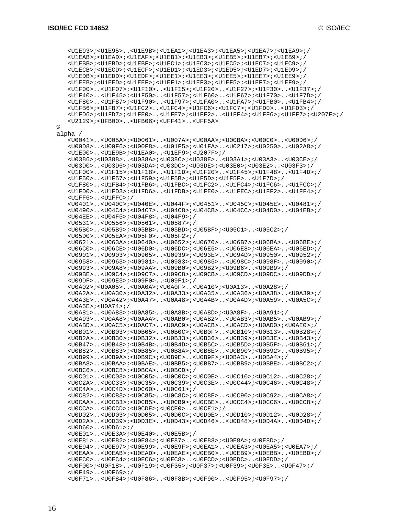%

```
 <U1E93>;<U1E95>..<U1E9B>;<U1EA1>;<U1EA3>;<U1EA5>;<U1EA7>;<U1EA9>;/
    <U1EAB>;<U1EAD>;<U1EAF>;<U1EB1>;<U1EB3>;<U1EB5>;<U1EB7>;<U1EB9>;/
    <U1EBB>;<U1EBD>;<U1EBF>;<U1EC1>;<U1EC3>;<U1EC5>;<U1EC7>;<U1EC9>;/
    <U1ECB>;<U1ECD>;<U1ECF>;<U1ED1>;<U1ED3>;<U1ED5>;<U1ED7>;<U1ED9>;/
    <U1EDB>;<U1EDD>;<U1EDF>;<U1EE1>;<U1EE3>;<U1EE5>;<U1EE7>;<U1EE9>;/
    <U1EEB>;<U1EED>;<U1EEF>;<U1EF1>;<U1EF3>;<U1EF5>;<U1EF7>;<U1EF9>;/
    <U1F00>..<U1F07>;<U1F10>..<U1F15>;<U1F20>..<U1F27>;<U1F30>..<U1F37>;/
    <U1F40>..<U1F45>;<U1F50>..<U1F57>;<U1F60>..<U1F67>;<U1F70>..<U1F7D>;/
    <U1F80>..<U1F87>;<U1F90>..<U1F97>;<U1FA0>..<U1FA7>;<U1FB0>..<U1FB4>;/
    <U1FB6>;<U1FB7>;<U1FC2>..<U1FC4>;<U1FC6>;<U1FC7>;<U1FD0>..<U1FD3>;/
    <U1FD6>;<U1FD7>;<U1FE0>..<U1FE7>;<U1FF2>..<U1FF4>;<U1FF6>;<U1FF7>;<U207F>;/
    <U2129>;<UFB00>..<UFB06>;<UFF41>..<UFF5A>
alpha /
    <U0041>..<U005A>;<U0061>..<U007A>;<U00AA>;<U00BA>;<U00C0>..<U00D6>;/
    <U00D8>..<U00F6>;<U00F8>..<U01F5>;<U01FA>..<U0217>;<U0250>..<U02A8>;/
    <U1E00>..<U1E9B>;<U1EA0>..<U1EF9>;<U207F>;/
    <U0386>;<U0388>..<U038A>;<U038C>;<U038E>..<U03A1>;<U03A3>..<U03CE>;/
    <U03D0>..<U03D6>;<U03DA>;<U03DC>;<U03DE>;<U03E0>;<U03E2>..<U03F3>;/
    <U1F00>..<U1F15>;<U1F18>..<U1F1D>;<U1F20>..<U1F45>;<U1F48>..<U1F4D>;/
    <U1F50>..<U1F57>;<U1F59>;<U1F5B>;<U1F5D>;<U1F5F>..<U1F7D>;/
    <U1F80>..<U1FB4>;<U1FB6>..<U1FBC>;<U1FC2>..<U1FC4>;<U1FC6>..<U1FCC>;/
    <U1FD0>..<U1FD3>;<U1FD6>..<U1FDB>;<U1FE0>..<U1FEC>;<U1FF2>..<U1FF4>;/
    <U1FF6>..<U1FFC>;/
    <U0401>..<U040C>;<U040E>..<U044F>;<U0451>..<U045C>;<U045E>..<U0481>;/
    <U0490>..<U04C4>;<U04C7>..<U04C8>;<U04CB>..<U04CC>;<U04D0>..<U04EB>;/
    <U04EE>..<U04F5>;<U04F8>..<U04F9>;/
    <U0531>..<U0556>;<U0561>..<U0587>;/
    <U05B0>..<U05B9>;<U05BB>..<U05BD>;<U05BF>;<U05C1>..<U05C2>;/
    <U05D0>..<U05EA>;<U05F0>..<U05F2>;/
    <U0621>..<U063A>;<U0640>..<U0652>;<U0670>..<U06B7>;<U06BA>..<U06BE>;/
    <U06C0>..<U06CE>;<U06D0>..<U06DC>;<U06E5>..<U06E8>;<U06EA>..<U06ED>;/
    <U0901>..<U0903>;<U0905>..<U0939>;<U093E>..<U094D>;<U0950>..<U0952>;/
    <U0958>..<U0963>;<U0981>..<U0983>;<U0985>..<U098C>;<U098F>..<U0990>;/
    <U0993>..<U09A8>;<U09AA>..<U09B0>;<U09B2>;<U09B6>..<U09B9>;/
    <U09BE>..<U09C4>;<U09C7>..<U09C8>;<U09CB>..<U09CD>;<U09DC>..<U09DD>;/
    <U09DF>..<U09E3>;<U09F0>..<U09F1>;/
    <U0A02>;<U0A05>..<U0A0A>;<U0A0F>..<U0A10>;<U0A13>..<U0A28>;/
    <U0A2A>..<U0A30>;<U0A32>..<U0A33>;<U0A35>..<U0A36>;<U0A38>..<U0A39>;/
    <U0A3E>..<U0A42>;<U0A47>..<U0A48>;<U0A4B>..<U0A4D>;<U0A59>..<U0A5C>;/
    <U0A5E>;<U0A74>;/
    <U0A81>..<U0A83>;<U0A85>..<U0A8B>;<U0A8D>;<U0A8F>..<U0A91>;/
    <U0A93>..<U0AA8>;<U0AAA>..<U0AB0>;<U0AB2>..<U0AB3>;<U0AB5>..<U0AB9>;/
    <U0ABD>..<U0AC5>;<U0AC7>..<U0AC9>;<U0ACB>..<U0ACD>;<U0AD0>;<U0AE0>;/
    <U0B01>..<U0B03>;<U0B05>..<U0B0C>;<U0B0F>..<U0B10>;<U0B13>..<U0B28>;/
    <U0B2A>..<U0B30>;<U0B32>..<U0B33>;<U0B36>..<U0B39>;<U0B3E>..<U0B43>;/
    <U0B47>..<U0B48>;<U0B4B>..<U0B4D>;<U0B5C>..<U0B5D>;<U0B5F>..<U0B61>;/
    <U0B82>..<U0B83>;<U0B85>..<U0B8A>;<U0B8E>..<U0B90>;<U0B92>..<U0B95>;/
    <U0B99>..<U0B9A>;<U0B9C>;<U0B9E>..<U0B9F>;<U0BA3>..<U0BA4>;/
    <U0BA8>..<U0BAA>;<U0BAE>..<U0BB5>;<U0BB7>..<U0BB9>;<U0BBE>..<U0BC2>;/
    <U0BC6>..<U0BC8>;<U0BCA>..<U0BCD>;/
    <U0C01>..<U0C03>;<U0C05>..<U0C0C>;<U0C0E>..<U0C10>;<U0C12>..<U0C28>;/
    <U0C2A>..<U0C33>;<U0C35>..<U0C39>;<U0C3E>..<U0C44>;<U0C46>..<U0C48>;/
    <U0C4A>..<U0C4D>;<U0C60>..<U0C61>;/
    <U0C82>..<U0C83>;<U0C85>..<U0C8C>;<U0C8E>..<U0C90>;<U0C92>..<U0CA8>;/
    <U0CAA>..<U0CB3>;<U0CB5>..<U0CB9>;<U0CBE>..<U0CC4>;<U0CC6>..<U0CC8>;/
    <U0CCA>..<U0CCD>;<U0CDE>;<U0CE0>..<U0CE1>;/
    <U0D02>..<U0D03>;<U0D05>..<U0D0C>;<U0D0E>..<U0D10>;<U0D12>..<U0D28>;/
    <U0D2A>..<U0D39>;<U0D3E>..<U0D43>;<U0D46>..<U0D48>;<U0D4A>..<U0D4D>;/
    <U0D60>..<U0D61>;/
    <U0E01>..<U0E3A>;<U0E40>..<U0E5B>;/
    <U0E81>..<U0E82>;<U0E84>;<U0E87>..<U0E88>;<U0E8A>;<U0E8D>;/
    <U0E94>..<U0E97>;<U0E99>..<U0E9F>;<U0EA1>..<U0EA3>;<U0EA5>;<U0EA7>;/
    <U0EAA>..<U0EAB>;<U0EAD>..<U0EAE>;<U0EB0>..<U0EB9>;<U0EBB>..<U0EBD>;/
    <U0EC0>..<U0EC4>;<U0EC6>;<U0EC8>..<U0ECD>;<U0EDC>..<U0EDD>;/
    <U0F00>;<U0F18>..<U0F19>;<U0F35>;<U0F37>;<U0F39>;<U0F3E>..<U0F47>;/
    <U0F49>..<U0F69>;/
    <U0F71>..<U0F84>;<U0F86>..<U0F8B>;<U0F90>..<U0F95>;<U0F97>;/
```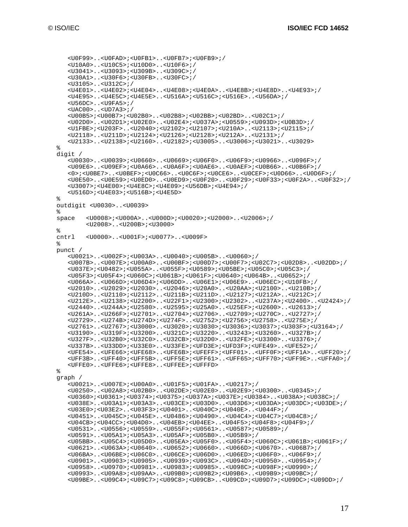```
 <U0F99>..<U0FAD>;<U0FB1>..<U0FB7>;<U0FB9>;/
    <U10A0>..<U10C5>;<U10D0>..<U10F6>;/
    <U3041>..<U3093>;<U309B>..<U309C>;/
    <U30A1>..<U30F6>;<U30FB>..<U30FC>;/
    <U3105>..<U312C>;/
    <U4E01>..<U4E02>;<U4E04>..<U4E08>;<U4E0A>..<U4E8B>;<U4E8D>..<U4E93>;/
    <U4E95>..<U4E5C>;<U4E5E>..<U516A>;<U516C>;<U516E>..<U56DA>;/
    <U56DC>..<U9FA5>;/
    <UAC00>..<UD7A3>;/
    <U00B5>;<U00B7>;<U02B0>..<U02B8>;<U02BB>;<U02BD>..<U02C1>;/
    <U02D0>..<U02D1>;<U02E0>..<U02E4>;<U037A>;<U0559>;<U093D>;<U0B3D>;/
    <U1FBE>;<U203F>..<U2040>;<U2102>;<U2107>;<U210A>..<U2113>;<U2115>;/
    <U2118>..<U211D>;<U2124>;<U2126>;<U2128>;<U212A>..<U2131>;/
    <U2133>..<U2138>;<U2160>..<U2182>;<U3005>..<U3006>;<U3021>..<U3029>
%
digit /
    <U0030>..<U0039>;<U0660>..<U0669>;<U06F0>..<U06F9>;<U0966>..<U096F>;/
    <U09E6>..<U09EF>;<U0A66>..<U0A6F>;<U0AE6>..<U0AEF>;<U0B66>..<U0B6F>;/
    <0>;<U0BE7>..<U0BEF>;<U0C66>..<U0C6F>;<U0CE6>..<U0CEF>;<U0D66>..<U0D6F>;/
    <U0E50>..<U0E59>;<U0ED0>..<U0ED9>;<U0F20>..<U0F29>;<U0F33>;<U0F2A>..<U0F32>;/
    <U3007>;<U4E00>;<U4E8C>;<U4E09>;<U56DB>;<U4E94>;/
    <U516D>;<U4E03>;<U516B>;<U4E5D>
\approxoutdigit <U0030>..<U0039>
%
space <U0008>;<U000A>..<U000D>;<U0020>;<U2000>..<U2006>;/
         <U2008>..<U200B>;<U3000>
%<br>cntrl
        cntrl <U0000>..<U001F>;<U0077>..<U009F>
%
punct /
    <U0021>..<U002F>;<U003A>..<U0040>;<U005B>..<U0060>;/
    <U007B>..<U007E>;<U00A0>..<U00BF>;<U00D7>;<U00F7>;<U02C7>;<U02D8>..<U02DD>;/
    <U037E>;<U0482>;<U055A>..<U055F>;<U0589>;<U05BE>;<U05C0>;<U05C3>;/
    <U05F3>;<U05F4>;<U060C>;<U061B>;<U061F>;<U0640>;<U064B>..<U0652>;/
    <U066A>..<U066D>;<U06D4>;<U06DD>..<U06E1>;<U06E9>..<U06EC>;<U10FB>;/
    <U2010>..<U2029>;<U2030>..<U2046>;<U20A0>..<U20AA>;<U2100>..<U210B>;/
    <U210D>..<U2110>;<U2112>..<U211B>;<U211D>..<U2127>;<U212A>..<U212C>;/
    <U212E>..<U2138>;<U2200>..<U22F1>;<U2300>;<U2302>..<U237A>;<U2400>..<U2424>;/
    <U2440>..<U244A>;<U2580>..<U2595>;<U25A0>..<U25EF>;<U2600>..<U2613>;/
    <U261A>..<U266F>;<U2701>..<U2704>;<U2706>..<U2709>;<U270C>..<U2727>;/
    <U2729>..<U274B>;<U274D>;<U274F>..<U2752>;<U2756>;<U2758>..<U275E>;/
    <U2761>..<U2767>;<U3000>..<U3020>;<U3030>;<U3036>;<U3037>;<U303F>;<U3164>;/
    <U3190>..<U319F>;<U3200>..<U321C>;<U3220>..<U3243>;<U3260>..<U327B>;/
    <U327F>..<U32B0>;<U32C0>..<U32CB>;<U32D0>..<U32FE>;<U3300>..<U3376>;/
    <U337B>..<U33DD>;<U33E0>..<U33FE>;<UFD3E>;<UFD3F>;<UFE49>..<UFE52>;/
    <UFE54>..<UFE66>;<UFE68>..<UFE6B>;<UFEFF>;<UFF01>..<UFF0F>;<UFF1A>..<UFF20>;/
    <UFF3B>..<UFF40>;<UFF5B>..<UFF5E>;<UFF61>..<UFF65>;<UFF70>;<UFF9E>..<UFFA0>;/
    <UFFE0>..<UFFE6>;<UFFE8>..<UFFEE>;<UFFFD>
%
graph /
    <U0021>..<U007E>;<U00A0>..<U01F5>;<U01FA>..<U0217>;/
    <U0250>..<U02A8>;<U02B0>..<U02DE>;<U02E0>..<U02E9>;<U0300>..<U0345>;/
    <U0360>;<U0361>;<U0374>;<U0375>;<U037A>;<U037E>;<U0384>..<U038A>;<U038C>;/
    <U038E>..<U03A1>;<U03A3>..<U03CE>;<U03D0>..<U03D6>;<U03DA>;<U03DC>;<U03DE>;/
    <U03E0>;<U03E2>..<U03F3>;<U0401>..<U040C>;<U040E>..<U044F>;/
    <U0451>..<U045C>;<U045E>..<U0486>;<U0490>..<U04C4>;<U04C7>;<U04C8>;/
    <U04CB>;<U04CC>;<U04D0>..<U04EB>;<U04EE>..<U04F5>;<U04F8>;<U04F9>;/
    <U0531>..<U0556>;<U0559>..<U055F>;<U0561>..<U0587>;<U0589>;/
    <U0591>..<U05A1>;<U05A3>..<U05AF>;<U05B0>..<U05B9>;/
    <U05BB>..<U05C4>;<U05D0>..<U05EA>;<U05F0>..<U05F4>;<U060C>;<U061B>;<U061F>;/
    <U0621>..<U063A>;<U0640>..<U0652>;<U0660>..<U066D>;<U0670>..<U06B7>;/
    <U06BA>..<U06BE>;<U06C0>..<U06CE>;<U06D0>..<U06ED>;<U06F0>..<U06F9>;/
    <U0901>..<U0903>;<U0905>..<U0939>;<U093C>..<U094D>;<U0950>..<U0954>;/
    <U0958>..<U0970>;<U0981>..<U0983>;<U0985>..<U098C>;<U098F>;<U0990>;/
    <U0993>..<U09A8>;<U09AA>..<U09B0>;<U09B2>;<U09B6>..<U09B9>;<U09BC>;/
    <U09BE>..<U09C4>;<U09C7>;<U09C8>;<U09CB>..<U09CD>;<U09D7>;<U09DC>;<U09DD>;/
```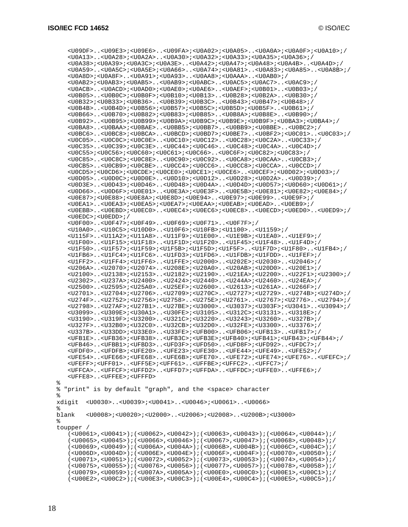<U09DF>..<U09E3>;<U09E6>..<U09FA>;<U0A02>;<U0A05>..<U0A0A>;<U0A0F>;<U0A10>;/ <U0A13>..<U0A28>;<U0A2A>..<U0A30>;<U0A32>;<U0A33>;<U0A35>;<U0A36>;/ <U0A38>;<U0A39>;<U0A3C>;<U0A3E>..<U0A42>;<U0A47>;<U0A48>;<U0A4B>..<U0A4D>;/ <U0A59>..<U0A5C>;<U0A5E>;<U0A66>..<U0A74>;<U0A81>..<U0A83>;<U0A85>..<U0A8B>;/ <U0A8D>;<U0A8F>..<U0A91>;<U0A93>..<U0AA8>;<U0AAA>..<U0AB0>;/ <U0AB2>;<U0AB3>;<U0AB5>..<U0AB9>;<U0ABC>..<U0AC5>;<U0AC7>..<U0AC9>;/ <U0ACB>..<U0ACD>;<U0AD0>;<U0AE0>;<U0AE6>..<U0AEF>;<U0B01>..<U0B03>;/ <U0B05>..<U0B0C>;<U0B0F>;<U0B10>;<U0B13>..<U0B28>;<U0B2A>..<U0B30>;/ <U0B32>;<U0B33>;<U0B36>..<U0B39>;<U0B3C>..<U0B43>;<U0B47>;<U0B48>;/ <U0B4B>..<U0B4D>;<U0B56>;<U0B57>;<U0B5C>;<U0B5D>;<U0B5F>..<U0B61>;/ <U0B66>..<U0B70>;<U0B82>;<U0B83>;<U0B85>..<U0B8A>;<U0B8E>..<U0B90>;/ <U0B92>..<U0B95>;<U0B99>;<U0B9A>;<U0B9C>;<U0B9E>;<U0B9F>;<U0BA3>;<U0BA4>;/ <U0BA8>..<U0BAA>;<U0BAE>..<U0BB5>;<U0BB7>..<U0BB9>;<U0BBE>..<U0BC2>;/ <U0BC6>..<U0BC8>;<U0BCA>..<U0BCD>;<U0BD7>;<U0BE7>..<U0BF2>;<U0C01>..<U0C03>;/ <U0C05>..<U0C0C>;<U0C0E>..<U0C10>;<U0C12>..<U0C28>;<U0C2A>..<U0C33>;/ <U0C35>..<U0C39>;<U0C3E>..<U0C44>;<U0C46>..<U0C48>;<U0C4A>..<U0C4D>;/ <U0C55>;<U0C56>;<U0C60>;<U0C61>;<U0C66>..<U0C6F>;<U0C82>;<U0C83>;/ <U0C85>..<U0C8C>;<U0C8E>..<U0C90>;<U0C92>..<U0CA8>;<U0CAA>..<U0CB3>;/ <U0CB5>..<U0CB9>;<U0CBE>..<U0CC4>;<U0CC6>..<U0CC8>;<U0CCA>..<U0CCD>;/ <U0CD5>;<U0CD6>;<U0CDE>;<U0CE0>;<U0CE1>;<U0CE6>..<U0CEF>;<U0D02>;<U0D03>;/ <U0D05>..<U0D0C>;<U0D0E>..<U0D10>;<U0D12>..<U0D28>;<U0D2A>..<U0D39>;/ <U0D3E>..<U0D43>;<U0D46>..<U0D48>;<U0D4A>..<U0D4D>;<U0D57>;<U0D60>;<U0D61>;/ <U0D66>..<U0D6F>;<U0E01>..<U0E3A>;<U0E3F>..<U0E5B>;<U0E81>;<U0E82>;<U0E84>;/ <U0E87>;<U0E88>;<U0E8A>;<U0E8D>;<U0E94>..<U0E97>;<U0E99>..<U0E9F>;/ <U0EA1>..<U0EA3>;<U0EA5>;<U0EA7>;<U0EAA>;<U0EAB>;<U0EAD>..<U0EB9>;/ <U0EBB>..<U0EBD>;<U0EC0>..<U0EC4>;<U0EC6>;<U0EC8>..<U0ECD>;<U0ED0>..<U0ED9>;/  $\times$ UIOEDC $>$ ;  $\times$ UOEDD $>$ ; / <U0F00>..<U0F47>;<U0F49>..<U0F69>;<U0F71>..<U0F7F>;/ <U10A0>..<U10C5>;<U10D0>..<U10F6>;<U10FB>;<U1100>..<U1159>;/ <U115F>..<U11A2>;<U11A8>..<U11F9>;<U1E00>..<U1E9B>;<U1EA0>..<U1EF9>;/ <U1F00>..<U1F15>;<U1F18>..<U1F1D>;<U1F20>..<U1F45>;<U1F48>..<U1F4D>;/ <U1F50>..<U1F57>;<U1F59>;<U1F5B>;<U1F5D>;<U1F5F>..<U1F7D>;<U1F80>..<U1FB4>;/ <U1FB6>..<U1FC4>;<U1FC6>..<U1FD3>;<U1FD6>..<U1FDB>;<U1FDD>..<U1FEF>;/ <U1FF2>..<U1FF4>;<U1FF6>..<U1FFE>;<U2000>..<U202E>;<U2030>..<U2046>;/ <U206A>..<U2070>;<U2074>..<U208E>;<U20A0>..<U20AB>;<U20D0>..<U20E1>;/ <U2100>..<U2138>;<U2153>..<U2182>;<U2190>..<U21EA>;<U2200>..<U22F1>;<U2300>;/ <U2302>..<U237A>;<U2400>..<U2424>;<U2440>..<U244A>;<U2460>..<U24EA>;/ <U2500>..<U2595>;<U25A0>..<U25EF>;<U2600>..<U2613>;<U261A>..<U266F>;/ <U2701>..<U2704>;<U2706>..<U2709>;<U270C>..<U2727>;<U2729>..<U274B>;<U274D>;/ <U274F>..<U2752>;<U2756>;<U2758>..<U275E>;<U2761>..<U2767>;<U2776>..<U2794>;/ <U2798>..<U27AF>;<U27B1>..<U27BE>;<U3000>..<U3037>;<U303F>;<U3041>..<U3094>;/ <U3099>..<U309E>;<U30A1>..<U30FE>;<U3105>..<U312C>;<U3131>..<U318E>;/ <U3190>..<U319F>;<U3200>..<U321C>;<U3220>..<U3243>;<U3260>..<U327B>;/ <U327F>..<U32B0>;<U32C0>..<U32CB>;<U32D0>..<U32FE>;<U3300>..<U3376>;/ <U337B>..<U33DD>;<U33E0>..<U33FE>;<UFB00>..<UFB06>;<UFB13>..<UFB17>;/ <UFB1E>..<UFB36>;<UFB38>..<UFB3C>;<UFB3E>;<UFB40>;<UFB41>;<UFB43>;<UFB44>;/ <UFB46>..<UFBB1>;<UFBD3>..<UFD3F>;<UFD50>..<UFD8F>;<UFD92>..<UFDC7>;/ <UFDF0>..<UFDFB>;<UFE20>..<UFE23>;<UFE30>..<UFE44>;<UFE49>..<UFE52>;/ <UFE54>..<UFE66>;<UFE68>..<UFE6B>;<UFE70>..<UFE72>;<UFE74>;<UFE76>..<UFEFC>;/ <UFEFF>;<UFF01>..<UFF5E>;<UFF61>..<UFFBE>;<UFFC2>..<UFFC7>;/ <UFFCA>..<UFFCF>;<UFFD2>..<UFFD7>;<UFFDA>..<UFFDC>;<UFFE0>..<UFFE6>;/ <UFFE8>..<UFFEE>;<UFFFD> % "print" is by default "graph", and the <space> character xdigit <U0030>..<U0039>;<U0041>..<U0046>;<U0061>..<U0066> %<br>blank blank <U0008>;<U0020>;<U2000>..<U2006>;<U2008>..<U200B>;<U3000> toupper / (<U0061>,<U0041>);(<U0062>,<U0042>);(<U0063>,<U0043>);(<U0064>,<U0044>);/ (<U0065>,<U0045>);(<U0066>,<U0046>);(<U0067>,<U0047>);(<U0068>,<U0048>);/ (<U0069>,<U0049>);(<U006A>,<U004A>);(<U006B>,<U004B>);(<U006C>,<U004C>);/ (<U006D>,<U004D>);(<U006E>,<U004E>);(<U006F>,<U004F>);(<U0070>,<U0050>);/ (<U0071>,<U0051>);(<U0072>,<U0052>);(<U0073>,<U0053>);(<U0074>,<U0054>);/ (<U0075>,<U0055>);(<U0076>,<U0056>);(<U0077>,<U0057>);(<U0078>,<U0058>);/ (<U0079>,<U0059>);(<U007A>,<U005A>);(<U00E0>,<U00C0>);(<U00E1>,<U00C1>);/ (<U00E2>,<U00C2>);(<U00E3>,<U00C3>);(<U00E4>,<U00C4>);(<U00E5>,<U00C5>);/

%

%

%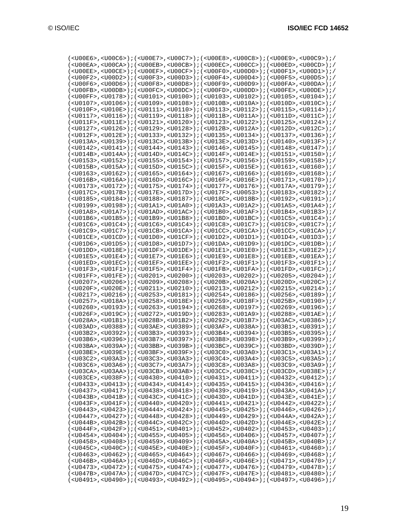| ( <u00e6>,<u00c6>);(<u00e7>,<u00c7>);(<u00e8>,<u00c8>);(<u00e9>,<u00c9>);/</u00c9></u00e9></u00c8></u00e8></u00c7></u00e7></u00c6></u00e6>                                                                                                                                                                                                                   |  |  |
|--------------------------------------------------------------------------------------------------------------------------------------------------------------------------------------------------------------------------------------------------------------------------------------------------------------------------------------------------------------|--|--|
| ( <u00ea>,<u00ca>);(<u00eb>,<u00cb>);(<u00ec>,<u00cc>);(<u00ed>,<u00cd>);/</u00cd></u00ed></u00cc></u00ec></u00cb></u00eb></u00ca></u00ea>                                                                                                                                                                                                                   |  |  |
| ( <u00ee>,<u00ce>);(<u00ef>,<u00cf>);(<u00f>);(<u00f0>,<u00d0>);(<u00f1>,<u00d1>);/</u00d1></u00f1></u00d0></u00f0></u00f></u00cf></u00ef></u00ce></u00ee>                                                                                                                                                                                                   |  |  |
| ( <u00f2>,<u00d2>);(<u00f3>,<u00d3>);(<u00f4>,<u00d4>);(<u00f5>,<u00d5>);/</u00d5></u00f5></u00d4></u00f4></u00d3></u00f3></u00d2></u00f2>                                                                                                                                                                                                                   |  |  |
| ( <u00f6>,<u00d6>);(<u00f8>,<u00d8>);(<u00f9>,<u00d9>);(<u00pa>,<u00fa>);/</u00fa></u00pa></u00d9></u00f9></u00d8></u00f8></u00d6></u00f6>                                                                                                                                                                                                                   |  |  |
| $(<0.00\textrm{PE}>, <0.00\textrm{DE}>); ( <0.00\textrm{PE}>, <0.00\textrm{DE}>); ( <0.00\textrm{PE}>, <0.00\textrm{DE}>); ( <0.00\textrm{PE}>, <0.00\textrm{DE}>).$                                                                                                                                                                                         |  |  |
| ( <u00ff>,<u0178>);(<u0101>,<u0100>);(<u0103>,<u0102>);(<u0105>,<u0104>);/</u0104></u0105></u0102></u0103></u0100></u0101></u0178></u00ff>                                                                                                                                                                                                                   |  |  |
| ( <u0107>,<u0106>);(<u0109>,<u0108>);(<u010b>,<u010a>);(<u010d>,<u010c>);/</u010c></u010d></u010a></u010b></u0108></u0109></u0106></u0107>                                                                                                                                                                                                                   |  |  |
| ( <u010f>,<u010e>);(<u0111>,<u0110>);(<u0113>,<u0112>);(<u0115>,<u0114>);/</u0114></u0115></u0112></u0113></u0110></u0111></u010e></u010f>                                                                                                                                                                                                                   |  |  |
| $(<00117> , <00116> ) \; ; \; (<00119> , <00118> ) \; ; \; (<0011B> , <0011A> ) \; ; \; (<0011D> , <0011C> ) \; ; \; / \; (<0011C> , <0011C> , <0011C> , <0011C> , <0011C> , <0011C> , <0011C> , <0011C> , <0011C> , <0011C> , <0011C> , <0011C> , <0011C> , <0011C> , <0011C> , <0011C> , <0011$                                                            |  |  |
| $(<0011F> , <0011E> ) ; ( <00121> , <00120> ) ; ( <00123> , <00122> ) ; ( <00125> , <00124> ) ; /$                                                                                                                                                                                                                                                           |  |  |
| $(<0.0127>$ , $<0.0126>$ ); $(<0.0129>$ , $<0.0128>$ ; $(<0.0128>$ , $<0.0128>$ ; $(<0.0120>$ , $<0.0120>$                                                                                                                                                                                                                                                   |  |  |
| $(U012F>, U012E)$ ; $(U0133>, U0132)$ ; $(U0135>, U0134)$ ; $(U0137$ , $(U0136)$ ;/                                                                                                                                                                                                                                                                          |  |  |
| ( <u013a>,<u0139>);(<u013c>,<u013b>);(<u013e>,<u013e>);(<u014d>,;(<u014f>);/</u014f></u014d></u013e></u013e></u013b></u013c></u0139></u013a>                                                                                                                                                                                                                 |  |  |
| $(<00142> , <00141>); (-00144> , <00143> ); (-00146> , <00145> ); (<00148> , <00147> ); /($                                                                                                                                                                                                                                                                  |  |  |
| $($ <u014b> , <u014a> ) ; ( <u014d> , <u014c> ) ; ( <u014f> , <u014e> ) ; ( <u0151> , <u0150> ) ; /</u0150></u0151></u014e></u014f></u014c></u014d></u014a></u014b>                                                                                                                                                                                          |  |  |
| $(<$ U0153>, $<$ U0152>); $(<$ U0155>, $<$ U0154>); $(<$ U0157>, $<$ U0156>); $(<$ U0159>, $<$ U0158>);/                                                                                                                                                                                                                                                     |  |  |
| $(<0015B> , <0015A> ) ; (<0015D> , <0015C> ) ; (<0015F> , <0015E> ) ; (<00161> , <00160> ) ; /$                                                                                                                                                                                                                                                              |  |  |
| ( <u0163>,<u0162>);(<u0165>,<u0164>);(<u0167>,<u0166>);(<u0169>,<u0168>);/</u0168></u0169></u0166></u0167></u0164></u0165></u0162></u0163>                                                                                                                                                                                                                   |  |  |
| $($ <u016b> , <u016a> ) ; ( <u016d> , <u016c> ) ; ( <u016f> , <u016e> ) ; ( <u0171> , <u0170> ) ; /</u0170></u0171></u016e></u016f></u016c></u016d></u016a></u016b>                                                                                                                                                                                          |  |  |
| $(U0173>, U0172)$ ; $(U0175$ , $(U0174)$ ; $(U0177$ , $(U0176)$ ; $(U017A$ , $U0179)$ ; /                                                                                                                                                                                                                                                                    |  |  |
| $(<$ U017C>, <u017b>);<math>(&lt;</math>U017E&gt;,<u017d>);<math>(&lt;</math>U017F&gt;,<u0053>);<math>(&lt;</math>U0183&gt;,<u0182>);/</u0182></u0053></u017d></u017b>                                                                                                                                                                                       |  |  |
| $(<0.0185> , <0.0184> ) ; (<0.0188> , <0.0187> ) ; (<0.0186> , <0.0188> ) ; (<0.0192> , <0.0191> ) ; /$                                                                                                                                                                                                                                                      |  |  |
|                                                                                                                                                                                                                                                                                                                                                              |  |  |
| ////00149>, //00148>) / / // // // // // // // // // // /// /// /// /// /// /// /// /// /// /// /// /// // ///<br>$(<\!\! 001A8\!\! >\!\! ,<\!\! 001A7\!\! >\!\! )\;;\; (<\!\! 001A\!\! D\!\! >\!\! ,<\!\! 001A\!\! C\!\! >\!\! )\;;\; (<\!\! 001B0\!\! >\!\! ,<\!\! 001A\!\! F\!\! >\!\! )\;;\; (<\!\! 001B4\!\! >\!\! ,<\!\! 001B3\!\! >\!\! )\;;\; /\;\!$ |  |  |
| $(<001B6>, <001B5>); (<001B9>, <001B8>); (<001B0>, <001B0>); (<001B0>); (<001C5>, <001C4>); (<001C4, <001C4, <001C4, <001C4, <001C4, <001C4, <001C4, <001C4, <001C4, <001C4, <001C4, <001C4, <001C4, <001C4, <001C4, <001C4, <001C4, <001C4, <001C4, <001C4, <001C4, <001C$                                                                                  |  |  |
| $(<0.0106$ , $<0.0104$ ); $(<0.0106$ , $<0.0104$ ); $(<0.0108$ , $<0.0107$ ); $(<0.010109$ , $<0.0107$ ); $/$                                                                                                                                                                                                                                                |  |  |
| $($ <u01c9>,<u01c7>);<math>(</math><u01cb>,<u01ca>);<math>(</math><u01ca>);<math>(</math><u01cc>,<u01ca>);<math>(</math><u01cc>,<u01cc>);<math>/</math></u01cc></u01cc></u01ca></u01cc></u01ca></u01ca></u01cb></u01c7></u01c9>                                                                                                                              |  |  |
| $(<$ U $01$ CE>, <u<math>01CD&gt;);<math>(&lt;</math>U<math>01</math>D<math>0</math>&gt;,<u<math>01CF&gt;);<math>(&lt;</math>U<math>01</math>D<math>2</math>&gt;,<u<math>01D<math>1</math>&gt;);<math>(&lt;</math>U<math>01</math>D<math>4</math>&gt;,<u<math>01D<math>3</math>&gt;);/</u<math></u<math></u<math></u<math>                                   |  |  |
| ( <u01d6>,<u01d5>);(<u01d8>,<u01d7>);(<u01da>,<u01d9>);(<u01d9>,<u01dc>,<u01db>);/</u01db></u01dc></u01d9></u01d9></u01da></u01d7></u01d8></u01d5></u01d6>                                                                                                                                                                                                   |  |  |
| $(<\!\! 001\!\!D\!\!D\!\!> \; ,<\!\! 0018\!\!E\!\!> \; )\;;\; (<\!\! 001\!\!D\!\!F\!\!> \; ,<\!\! 001\!\!D\!\!E\!\!> \; )\;;\; (<\!\! 001\!\!E\!\!1\!\! > \; ,<\!\! 001\!\!E\!\!1\!\! > \; )\;;\; (<\!\! 001\!\!E\!\!1\!\!> \; )\;;\; (<\!\! 001\!\!E\!\!1\!\!> \; )\;;\; (<\!\! 001\!\!E\!\!2\!\!$                                                          |  |  |
| $(<$ U01E5>, <u01e4>);<math>(&lt;</math>U01E7&gt;,<u01e6>);<math>(&lt;</math>U01E9&gt;,<u01e8>);<math>(&lt;</math>U01E8&gt;);<math>(&lt;</math>U01EB&gt;,<math>&lt;</math>U01EA&gt;);/</u01e8></u01e6></u01e4>                                                                                                                                               |  |  |
| ( <u01ed>,<u01ec>);(<u01ef>,<u01ee>);(<u01f2>,<u01f1>);(<u01f1>,(<u01f3>,<u01f1>);/</u01f1></u01f3></u01f1></u01f1></u01f2></u01ee></u01ef></u01ec></u01ed>                                                                                                                                                                                                  |  |  |
| /( <u01f3>,<u01f1>);(<u01f5>,<u01f4>);(<u01fb>,<u01fa>);(<u01fd>,<u01fc>);</u01fc></u01fd></u01fa></u01fb></u01f4></u01f5></u01f1></u01f3>                                                                                                                                                                                                                   |  |  |
| $($ <u01ff> , <u01fe> ) ; ( <u0201> , <u0200> ) ; ( <u0203> , <u0202> ) ; ( <u0205> , <u0204> ) ; /</u0204></u0205></u0202></u0203></u0200></u0201></u01fe></u01ff>                                                                                                                                                                                          |  |  |
| $(500207)$ , $500206$ , $(500209)$ , $500208$ , $(500208)$ , $(500208)$ , $(500200)$ , $(500200)$ , $(500200)$                                                                                                                                                                                                                                               |  |  |
| $(<0.020F$ , $<0.020F$ ); $(<0.0211$ , $<0.0210$ ); $(<0.0213$ , $<0.0213$ ); $(<0.0215$ ); $(<0.0214$ ); $/$                                                                                                                                                                                                                                                |  |  |
| $(<0.0217> , <0.0216> ) ; (<0.0253> , <0.0181> ) ; (<0.0254> , <0.0186> ) ; (<0.0256> , <0.0189> ) ; /$                                                                                                                                                                                                                                                      |  |  |
| ( <u0257>,<u018a>);(<u0258>,<u018e>);(<u0259>,<u018f>);(<u025b>,<u0190>);/</u0190></u025b></u018f></u0259></u018e></u0258></u018a></u0257>                                                                                                                                                                                                                   |  |  |
| ( <u0260>,<u0193>);(<u0263>,<u0194>);(<u0268>,<u0197>);(<u0269>,<u0196>);/</u0196></u0269></u0197></u0268></u0194></u0263></u0193></u0260>                                                                                                                                                                                                                   |  |  |
| $(<0.026F> , <0.019C> ) ; (<0.0272> , <0.019D> ) ; (<0.0283> , <0.0189> ) ; (<0.0288> , <0.018E> ) ; /$                                                                                                                                                                                                                                                      |  |  |
| $(<$ U028A>, <u01b1>);<math>(&lt;</math>U028B&gt;,<u01b2>);<math>(&lt;</math>U0292&gt;,<u01b7>);<math>(&lt;</math>U03AC&gt;,<u0386>);/</u0386></u01b7></u01b2></u01b1>                                                                                                                                                                                       |  |  |
| $(U03AD$ , $U0388)$ ; $(U03AE$ , $U0389)$ ; $(U03AF$ , $U038A)$ ; $(U03B1$ , $U0391)$ ; $/$                                                                                                                                                                                                                                                                  |  |  |
| ( <u03b2>,<u0392>);(<u03b3>,<u0393>);(<u03b4>,<u0394>);(<u03b5>,<u0395>);/</u0395></u03b5></u0394></u03b4></u0393></u03b3></u0392></u03b2>                                                                                                                                                                                                                   |  |  |
| ( <u03b6>,<u0396>);(<u03b7>,<u0397>);(<u03b8>,<u0398>);(<u03b9>,<u0399>);/</u0399></u03b9></u0398></u03b8></u0397></u03b7></u0396></u03b6>                                                                                                                                                                                                                   |  |  |
| ( <u03ba>,<u039a>);(<u03bb>,<u039b>);(<u03bc>,<u039c>);(<u03bd>,<u039d>);/</u039d></u03bd></u039c></u03bc></u039b></u03bb></u039a></u03ba>                                                                                                                                                                                                                   |  |  |
| ( <u03be>,<u039e>);(<u03bf>,<u039f>);(<u03c0>,<u03a0>);(<u03c1>,<u03a1>);/</u03a1></u03c1></u03a0></u03c0></u039f></u03bf></u039e></u03be>                                                                                                                                                                                                                   |  |  |
| / ( <u03c2> , <u03a3> ) ; ( <u03c3> , <u03a3> ) ; ( <u03c4> , <u03a4> ) ; ( <u03c5> , <u03a5> ) ; /</u03a5></u03c5></u03a4></u03c4></u03a3></u03c3></u03a3></u03c2>                                                                                                                                                                                          |  |  |
| ( <u03c6>,<u03a6>);(<u03c7>,<u03a7>);(<u03c8>,<u03a8>);(<u03c9>,<u03a9>);/</u03a9></u03c9></u03a8></u03c8></u03a7></u03c7></u03a6></u03c6>                                                                                                                                                                                                                   |  |  |
| $(<$ U03CA>, <u03aa>);<math>(&lt;</math>U03CB&gt;,<u03ab>);<math>(&lt;</math>U03CC&gt;,<u03cc>);<math>(&lt;</math>U03CD&gt;);<math>(&lt;</math>U03CD&gt;,<math>&lt;</math>U038E&gt;);/</u03cc></u03ab></u03aa>                                                                                                                                               |  |  |
| $(<0.03CE> , <0.038Fs> ) ; (<0.0430> , <0.0410> ) ; (<0.0431> , <0.0411> ) ; (<0.0432> , <0.0412> ) ; /$                                                                                                                                                                                                                                                     |  |  |
| $(U0433>, U0413)$ ; $(U0434>, U0414)$ ; $(U0435>, U0415)$ ; $(U0436>, U0416)$ ; $/$                                                                                                                                                                                                                                                                          |  |  |
| $(<$ U0437>, <u0417>); <math>(&lt;</math>U0438&gt;, <u0418>); <math>(&lt;</math>U0439&gt;, <u0419>); <math>(&lt;</math>U043A&gt;, <u041a>); <math>/</math></u041a></u0419></u0418></u0417>                                                                                                                                                                   |  |  |
| $(U043B$ , $U041B)$ ; $(U043C$ , $U041C)$ ; $(U043D$ , $U041D)$ ; $(U043E$ , $U041E)$ ; $/$                                                                                                                                                                                                                                                                  |  |  |
| $(<$ U043F>, $<$ U041F>); $(<$ U0440>, $<$ U0420>); $(<$ U0441>, $<$ U0421>); $(<$ U0421>); $<$ U0442>, $<$ U0422>);/                                                                                                                                                                                                                                        |  |  |
| $(U0443>, U0423)$ ; $(U0444$ , $(U0424)$ ; $(U0445$ , $(U0425)$ ; $(U0446$ , $(U0426)$ ; $/$                                                                                                                                                                                                                                                                 |  |  |
| ( <u0447>,<u0427>);(<u0448>,<u0428>);(<u0449>,<u0429>);(<u044a>,<u042a>);/</u042a></u044a></u0429></u0449></u0428></u0448></u0427></u0447>                                                                                                                                                                                                                   |  |  |
| $(<$ U044B>, <u042b>);<math>(&lt;</math>U044C&gt;,<u042c>);<math>(&lt;</math>U044D&gt;,<u042d>);<math>(&lt;</math>U044E&gt;,<math>&lt;</math>U044E&gt;,<math>(&lt;</math>U042E&gt;);/</u042d></u042c></u042b>                                                                                                                                                |  |  |
| $(U044F>, U042F)$ ; $(U0451>, U0401)$ ; $(U0452>, U0402)$ ; $(U0453>, U0403)$ ; $/$                                                                                                                                                                                                                                                                          |  |  |
| $(U0454$ , $U0404$ ); $(U0455$ , $U0405$ ); $(U0456$ , $U0406$ ); $(U0457$ , $U0407$ ); $/$                                                                                                                                                                                                                                                                  |  |  |
| $(U0458$ , $U0408$ ); $(U0459$ , $(U0409)$ ; $(U045A$ , $U040A$ ); $(U045B$ , $U040B$ ); $/$                                                                                                                                                                                                                                                                 |  |  |
| $(<$ U045C>, <u040c>);<math>(&lt;</math>U045E&gt;,<u040e>);<math>(&lt;</math>U045E&gt;,<u045f>,<math>(</math>U046F&gt;);<math>(&lt;</math>U0461&gt;,<u0460>);/</u0460></u045f></u040e></u040c>                                                                                                                                                               |  |  |
| $(<$ U0463>, <u0462>);(<u0465>,<u0464>);(<u0467>,<u0466>);(<u0469>,<u0469>,<u0468>);/</u0468></u0469></u0469></u0466></u0467></u0464></u0465></u0462>                                                                                                                                                                                                        |  |  |
| $(xU046B>$ , $xU046A>$ ); $(xU046D>$ , $xU046C>$ ); $(xU046F>$ , $xU046E>$ ); $(xU0471>$ , $xU0470>$ ); $(yU0470)$                                                                                                                                                                                                                                           |  |  |
| $(<$ U0473> , <u0472>); (<u0475> , <u0474>); (<u0477> , <u0476>); (<u0479> , <u0478>); /</u0478></u0479></u0476></u0477></u0474></u0475></u0472>                                                                                                                                                                                                             |  |  |
| $(xU047B>$ , $xU047A>$ ); $(xU047D>$ , $xU047C>$ ); $(xU047F>$ , $xU047F>$ ); $(xU0481>$ , $xU0480>$ ); $(xU0480>$                                                                                                                                                                                                                                           |  |  |
| ( <u0491>,<u0490>);(<u0493>,<u0492>);(<u0495>,<u0494>);(<u0497>,<u0496>);/</u0496></u0497></u0494></u0495></u0492></u0493></u0490></u0491>                                                                                                                                                                                                                   |  |  |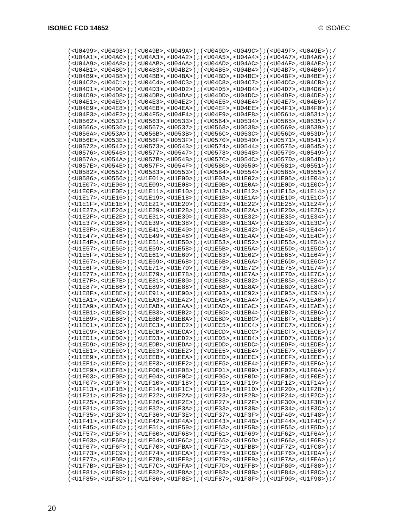| ( <u0499>,<u0498>);(<u049b>,<u049a>);(<u049a);(<u049d>,{U049C&gt;);(<u049f>,<u049e>);/</u049e></u049f></u049a);(<u049d></u049a></u049b></u0498></u0499>                                                                                                                                                                                                                                                                                             |  |                                                                                                                                             |  |  |
|-----------------------------------------------------------------------------------------------------------------------------------------------------------------------------------------------------------------------------------------------------------------------------------------------------------------------------------------------------------------------------------------------------------------------------------------------------|--|---------------------------------------------------------------------------------------------------------------------------------------------|--|--|
| ( <u04a1>,<u04a0>);(<u04a3>,<u04a2>);(<u04a5>,<u04a4>);(<u04a7>,<u04a6>);/</u04a6></u04a7></u04a4></u04a5></u04a2></u04a3></u04a0></u04a1>                                                                                                                                                                                                                                                                                                          |  |                                                                                                                                             |  |  |
| ( <u04a9>,<u04a8>);(<u04ab>,<u04aa>);(<u04ad>,<u04ad>,&gt;);(<u04ac+);(<u04af>,<u04ae+); <="" td=""><td></td><td></td><td></td><td></td></u04ae+);></u04ac+);(<u04af></u04ad></u04ad></u04aa></u04ab></u04a8></u04a9>                                                                                                                                                                                                                               |  |                                                                                                                                             |  |  |
| ( <u04b1>,<u04b0>);(<u04b3>,<u04b2>);(<u04b5>,<u04b4>);(<u04b7>,<u04b6>);/</u04b6></u04b7></u04b4></u04b5></u04b2></u04b3></u04b0></u04b1>                                                                                                                                                                                                                                                                                                          |  |                                                                                                                                             |  |  |
| ( <u04b9>,<u04b8>);(<u04bb>,<u04ba>);(<u04bd>,<u04bc>);(<u04bf>,<u04bf);(< td=""><td></td><td></td><td></td><td></td></u04bf);(<></u04bf></u04bc></u04bd></u04ba></u04bb></u04b8></u04b9>                                                                                                                                                                                                                                                           |  |                                                                                                                                             |  |  |
| ( <u04c2>,<u04c1>);(<u04c4>,<u04c3>);(<u04c8>,<u04c7>);(<u04c7>,(<u04c2+);(<u04c8>);/</u04c2+);(<u04c8></u04c7></u04c7></u04c8></u04c3></u04c4></u04c1></u04c2>                                                                                                                                                                                                                                                                                     |  |                                                                                                                                             |  |  |
| ( <u04d1>,<u04d0>);(<u04d3>,<u04d2>);(<u04d5>,<u04d5>);(<u04d4>);(<u04d7>,<u04d6>);/</u04d6></u04d7></u04d4></u04d5></u04d5></u04d2></u04d3></u04d0></u04d1>                                                                                                                                                                                                                                                                                        |  |                                                                                                                                             |  |  |
| $(<\!\! 004\!\!D9\!\!> \, ,<\!\! 004\!\!D8\!\!> \, )\; i\; (<\!\! 004\!\!D8\!\!> \, ,<\!\! 004\!\!D8\!\!> \, )\; i\; (<\!\! 004\!\!D0\!\!> \, ,<\!\! 004\!\!D0\!\!> \, )\; i\; (<\!\! 004\!\!D0\!\!P\!\!> \, ,<\!\! 004\!\!D0\!\!P\!\!> \, )\; i\; (<\!\! 004\!\!D0\!\!P\!\!> \, ,<\!\! 004$                                                                                                                                                        |  |                                                                                                                                             |  |  |
|                                                                                                                                                                                                                                                                                                                                                                                                                                                     |  |                                                                                                                                             |  |  |
| ( <u04e1>,<u04e0>);(<u04e3>,<u04e2>);(<u04e5>,<u04e4>);(<u04e7>,<u04e6>);/</u04e6></u04e7></u04e4></u04e5></u04e2></u04e3></u04e0></u04e1>                                                                                                                                                                                                                                                                                                          |  |                                                                                                                                             |  |  |
| $(<$ U04E9>, <u04e8>);<math>(&lt;</math>U04EB&gt;,<u04ea>);<math>(&lt;</math>U04EA);<math>(&lt;</math>U04EF&gt;,<u04ee>);<math>(&lt;</math>U04F1&gt;,<u04f0>);/</u04f0></u04ee></u04ea></u04e8>                                                                                                                                                                                                                                                     |  |                                                                                                                                             |  |  |
| ( <u04f3>,<u04f2>);(<u04f5>,<u04f4>);(<u04f9>,<u04f8>);(<u0561>,<u0531>);/</u0531></u0561></u04f8></u04f9></u04f4></u04f5></u04f2></u04f3>                                                                                                                                                                                                                                                                                                          |  |                                                                                                                                             |  |  |
| ( <u0562>,<u0532>);(<u0563>,<u0533>);(<u0564>,<u0534>);(<u0565>,<u0535>);/</u0535></u0565></u0534></u0564></u0533></u0563></u0532></u0562>                                                                                                                                                                                                                                                                                                          |  |                                                                                                                                             |  |  |
| ( <u0566>,<u0536>);(<u0567>,<u0537>);(<u0568>,<u0538>);(<u0569>,<u0539>);/</u0539></u0569></u0538></u0568></u0537></u0567></u0536></u0566>                                                                                                                                                                                                                                                                                                          |  |                                                                                                                                             |  |  |
| // ( <u056a>,<u053a>); (<u056b>,<u053b>); (<u056c>,<u053c>); (<u056d>,<u053d>); (</u053d></u056d></u053c></u056c></u053b></u056b></u053a></u056a>                                                                                                                                                                                                                                                                                                   |  |                                                                                                                                             |  |  |
| $(U056E>, U053E)$ ; $(U056F>, U053F)$ ; $(U0570>, U0540)$ ; $(U0571$ , $(U0541)$ ; $/$                                                                                                                                                                                                                                                                                                                                                              |  |                                                                                                                                             |  |  |
| ( <u0572>,<u0542>);(<u0573>,<u0543>);(<u0574>,<u0544>);(<u0575>,<u0545>);/</u0545></u0575></u0544></u0574></u0543></u0573></u0542></u0572>                                                                                                                                                                                                                                                                                                          |  |                                                                                                                                             |  |  |
| ( <u0576>,<u0546>);(<u0577>,<u0547>);(<u0578>,<u0548>);(<u0579>,<u0549>);/</u0549></u0579></u0548></u0578></u0547></u0577></u0546></u0576>                                                                                                                                                                                                                                                                                                          |  |                                                                                                                                             |  |  |
| ( <u057a>,<u054a>);(<u057b>,<u054b>);(<u057c>,<u054c>);(<u057d>,<u054d>);/</u054d></u057d></u054c></u057c></u054b></u057b></u054a></u057a>                                                                                                                                                                                                                                                                                                          |  |                                                                                                                                             |  |  |
| ( <u057e>,<u054e>);(<u057f>,<u054f>);(<u0580>,<u0550>);(<u0581>,<u0551>);/</u0551></u0581></u0550></u0580></u054f></u057f></u054e></u057e>                                                                                                                                                                                                                                                                                                          |  |                                                                                                                                             |  |  |
| (<00582>,<00552>);(<00583>,<00553>);(<00584>,<00554>);(<00585>,<00555>);/                                                                                                                                                                                                                                                                                                                                                                           |  |                                                                                                                                             |  |  |
| ( <u0586>,<u0556>);(<u1e01>,<u1e00>);(<u1e03>,<u1e02>);(<u1e05>,<u1e04>);/</u1e04></u1e05></u1e02></u1e03></u1e00></u1e01></u0556></u0586>                                                                                                                                                                                                                                                                                                          |  |                                                                                                                                             |  |  |
| $($ <u1e07>,<u1e06>);<math>(</math><u1e09>,<u1e08>);<math>(</math><u1e0b>,<u1e0a>);<math>(</math><u1e0d>,<u1e0c>);<math>(</math></u1e0c></u1e0d></u1e0a></u1e0b></u1e08></u1e09></u1e06></u1e07>                                                                                                                                                                                                                                                    |  |                                                                                                                                             |  |  |
| ( <u1e0f>,<u1e0e>);(<u1e11>,<u1e10>);(<u1e13>,<u1e12>);(<u1e15>,<u1e15>,<u1e14>);/</u1e14></u1e15></u1e15></u1e12></u1e13></u1e10></u1e11></u1e0e></u1e0f>                                                                                                                                                                                                                                                                                          |  |                                                                                                                                             |  |  |
| /( <u1e17>,<u1e16>);(<u1e19>,<u1e18>);(<u1e1b>,<u1e1a>);(<u1e1d>,<u1e1c>);</u1e1c></u1e1d></u1e1a></u1e1b></u1e18></u1e19></u1e16></u1e17>                                                                                                                                                                                                                                                                                                          |  |                                                                                                                                             |  |  |
| $(xU1E1F$ , $xU1E1E$ ); $(xU1E21)$ , $xU1E20$ ); $(xU1E23)$ , $xU1E22$ ); $(xU1E25)$ , $xU1E24$ );                                                                                                                                                                                                                                                                                                                                                  |  |                                                                                                                                             |  |  |
| $(\langle \texttt{CULE27>}, \langle \texttt{U1E26>}) i(\langle \texttt{U1E29>}, \langle \texttt{U1E28>}) i(\langle \texttt{U1E2B>}, \langle \texttt{U1E2A>}) i(\langle \texttt{U1E2D>}, \langle \texttt{U1E2C>}) i(\langle \texttt{U1E2B>}, \langle \texttt{U1E2C>}) i(\langle \texttt{U1E2C>}) i(\langle \texttt{U1E2B>}, \langle \texttt{U1E2C>}) i(\langle \texttt{U1E2B>}, \langle \texttt{U1E2C>}) i(\langle \texttt{U1E2B>}, \langle \texttt$ |  |                                                                                                                                             |  |  |
| /cU1E2F>,cU1E2E>);(cU1E31>,cU1E30>);(cU1E33>,cU1E32>);(cU1E35>,cU1E34>);/                                                                                                                                                                                                                                                                                                                                                                           |  |                                                                                                                                             |  |  |
| / ( <u1e37>,<u1e36>); (<u1e39>,<u1e38>); (<u1e3b>,<u1e3a>); (<u1e3d>,<u1e3c>); /</u1e3c></u1e3d></u1e3a></u1e3b></u1e38></u1e39></u1e36></u1e37>                                                                                                                                                                                                                                                                                                    |  |                                                                                                                                             |  |  |
| ( <u1e3f>,<u1e3e>);(<u1e41>,<u1e40>);(<u1e43>,<u1e42>);(<u1e45>,<u1e44>);/</u1e44></u1e45></u1e42></u1e43></u1e40></u1e41></u1e3e></u1e3f>                                                                                                                                                                                                                                                                                                          |  |                                                                                                                                             |  |  |
| $(U1E47$ , $(U1E46)$ ; $(U1E49$ , $(U1E48)$ ; $(U1E4B$ , $(U1E4A)$ ; $(U1E4D$ , $(U1E4C)$ ; $/$                                                                                                                                                                                                                                                                                                                                                     |  |                                                                                                                                             |  |  |
| ( <u1e4f>,<u1e4e>);(<u1e51>,<u1e50>);(<u1e53>,<u1e52>);(<u1e55>,<u1e55+); <="" td=""><td></td><td></td><td></td><td></td></u1e55+);></u1e55></u1e52></u1e53></u1e50></u1e51></u1e4e></u1e4f>                                                                                                                                                                                                                                                        |  |                                                                                                                                             |  |  |
| /cU1E57>, <u1e56>);(<u1e59>,<u1e58>);(<u1e5b>,<u1e5a>);(<u1e5d>,<u1e5d>);(</u1e5d></u1e5d></u1e5a></u1e5b></u1e58></u1e59></u1e56>                                                                                                                                                                                                                                                                                                                  |  |                                                                                                                                             |  |  |
| ( <u1e5f>,<u1e5e>);(<u1e61>,<u1e60>);(<u1e63>,<u1e62>);(<u1e65>,<u1e64>);/</u1e64></u1e65></u1e62></u1e63></u1e60></u1e61></u1e5e></u1e5f>                                                                                                                                                                                                                                                                                                          |  |                                                                                                                                             |  |  |
| ( <u1e67>,<u1e66>);(<u1e69>,<u1e68>);(<u1e6b>,<u1e6a>);(<u1e6d>,<u1e6d>);</u1e6d></u1e6d></u1e6a></u1e6b></u1e68></u1e69></u1e66></u1e67>                                                                                                                                                                                                                                                                                                           |  |                                                                                                                                             |  |  |
| $(xU1E6F$ , $xU1E6E$ ); $(xU1E71)$ , $xU1E70$ ); $(xU1E73)$ , $xU1E72$ ); $(xU1E75)$ , $xU1E74$ ); $y'$                                                                                                                                                                                                                                                                                                                                             |  |                                                                                                                                             |  |  |
| $(U1E77>$ , $U1E76>)$ ; $(U1E79>$ , $U1E78$ ); $(U1E7B>$ , $U1E7A$ ); $(U1E7D$ , $U1E7C$ ); $/$                                                                                                                                                                                                                                                                                                                                                     |  |                                                                                                                                             |  |  |
| $(U1E7F>$ , $U1E7E>$ ); $(U1E81>$ , $U1E80>$ ); $(U1E83>$ , $U1E82>$ ); $(U1E85>$ , $U1E84>$ ); $/$                                                                                                                                                                                                                                                                                                                                                 |  |                                                                                                                                             |  |  |
| $($ <u1e87>, <u1e86>); <math>(</math> <u1e89>, <u1e88>); <math>(</math> <u1e8b>, <u1e8a>); <math>(</math> <u1e8d>, <u1e8c>); <math>(</math></u1e8c></u1e8d></u1e8a></u1e8b></u1e88></u1e89></u1e86></u1e87>                                                                                                                                                                                                                                         |  |                                                                                                                                             |  |  |
|                                                                                                                                                                                                                                                                                                                                                                                                                                                     |  |                                                                                                                                             |  |  |
| $(xU1E8F>$ , <u<math>1E8E&gt;); <math>(xU1E91&gt;</math>, <u<math>1E90&gt;); <math>(xU1E93&gt;</math>, <u<math>1E92&gt;); <math>(xU1E95&gt;</math>, <u<math>1E94&gt;); <math>(yU1E94&gt;</math></u<math></u<math></u<math></u<math>                                                                                                                                                                                                                 |  |                                                                                                                                             |  |  |
| ( <u1ea1>,<u1ea0>);(<u1ea3>,<u1ea2>);(<u1ea5>,<u1ea4>);(<u1ea7>,<u1ea6>);/</u1ea6></u1ea7></u1ea4></u1ea5></u1ea2></u1ea3></u1ea0></u1ea1>                                                                                                                                                                                                                                                                                                          |  |                                                                                                                                             |  |  |
| ( <u1ea9>,<u1ea8>);(<u1eab>,<u1eaa>);(<u1ead>,<u1eac>);(<u1eaf>,<u1eaf>);/</u1eaf></u1eaf></u1eac></u1ead></u1eaa></u1eab></u1ea8></u1ea9>                                                                                                                                                                                                                                                                                                          |  |                                                                                                                                             |  |  |
| ( <u1eb1>,<u1eb0>);(<u1eb3>,<u1eb2>);(<u1eb5>,<u1eb4>);(<u1eb7>,<u1eb6>);/</u1eb6></u1eb7></u1eb4></u1eb5></u1eb2></u1eb3></u1eb0></u1eb1>                                                                                                                                                                                                                                                                                                          |  |                                                                                                                                             |  |  |
| ( <u1eb9>,<u1eb8>);(<u1ebb>,<u1eba>);(<u1ebd>,<u1ebc>);(<u1ebf>,<u1ebf); <="" td=""><td></td><td></td><td></td><td></td></u1ebf);></u1ebf></u1ebc></u1ebd></u1eba></u1ebb></u1eb8></u1eb9>                                                                                                                                                                                                                                                          |  |                                                                                                                                             |  |  |
| $(<\!\! \texttt{UIEC1}\!\!>~\!,<\!\! \texttt{UIEC0}\!\!>~\!):(<\!\! \texttt{VUEC3}\!\!>~\!,<\!\! \texttt{UIEC2}\!\!>~\!):(<\!\! \texttt{UIEC5}\!\!>~\!,<\!\! \texttt{UIEC4}\!\!>~\!):(<\!\! \texttt{UIEC7}\!\!>~\!,<\!\! \texttt{UIEC6}\!\!>~\!):$                                                                                                                                                                                                  |  |                                                                                                                                             |  |  |
| $(<\!\! \texttt{UIEC9}\!\!>~, <\!\! \texttt{UIEC8}\!\!>~) i ( <\!\! \texttt{UIECB}\!\!>~, <\!\! \texttt{UIECA}\!\!>) i ( <\!\! \texttt{UIECD}\!\!>~, <\!\! \texttt{UIECC}\!\!>) i ( <\!\! \texttt{UIECF}\!\!>~, <\!\! \texttt{UIECE}\!\!>) i/$                                                                                                                                                                                                      |  |                                                                                                                                             |  |  |
| $(U1ED1>, U1ED0)$ ; $(U1ED3$ , $U1ED2)$ ; $(U1ED5$ , $U1ED4)$ ; $(U1ED7$ , $U1ED6)$ ;/                                                                                                                                                                                                                                                                                                                                                              |  |                                                                                                                                             |  |  |
| $(<\!\! \texttt{UIED9}\!\!> \texttt{,} <\!\! \texttt{UIED8}\!\!> \texttt{) } i (<\!\! \texttt{UIEDB}\!\!> \texttt{,} <\!\! \texttt{UIEDA}\!\!> \texttt{) } i (<\!\! \texttt{UIEDD}\!\!> \texttt{,} <\!\! \texttt{UIEDC}\!\!> \texttt{) } i (<\!\! \texttt{UIEDF}\!\!> \texttt{,} <\!\! \texttt{UIEDE}\!\!> \texttt{) } i/$                                                                                                                          |  |                                                                                                                                             |  |  |
| ( <u1ee1>,<u1ee0>);(<u1ee3>,<u1ee2>);(<u1ee5>,<u1ee4>);(<u1ee7>,<u1ee7>,<u1ee6>);/</u1ee6></u1ee7></u1ee7></u1ee4></u1ee5></u1ee2></u1ee3></u1ee0></u1ee1>                                                                                                                                                                                                                                                                                          |  |                                                                                                                                             |  |  |
| ( <u1ee9>,<u1ee8>);(<u1eeb>,<u1eea>);(<u1eed>,<u1eec>);(<u1eec+);(<u1eef>,<u1eee>);/</u1eee></u1eec+);(<u1eef></u1eec></u1eed></u1eea></u1eeb></u1ee8></u1ee9>                                                                                                                                                                                                                                                                                      |  |                                                                                                                                             |  |  |
| ( <u1ef1>,<u1ef0>);(<u1ef3>,<u1ef2>);(<u1ef5>,<u1ef4>);(<u1ef7>,<u1ef6>);/</u1ef6></u1ef7></u1ef4></u1ef5></u1ef2></u1ef3></u1ef0></u1ef1>                                                                                                                                                                                                                                                                                                          |  |                                                                                                                                             |  |  |
| $(UIEF9>, GUIEF8)$ ; $(UIF00>, GUIF08)$ ; $(UIF01>, GUIF09)$ ; $(UIF02$ , $GUIF0A)$ ;                                                                                                                                                                                                                                                                                                                                                               |  |                                                                                                                                             |  |  |
| $(<\!\! \text{UIF03>},\!\! <\!\! \text{UIF0B>}):(\!\! <\!\!\! \text{UIF04>},\!\! <\!\! \text{UIF0C>}):(\!\! <\!\! \text{UIF05>},\!\! <\!\! \text{UIF0D>}):(\!\! <\!\! \text{UIF06>},\!\! <\!\! \text{UIF0E>}):/\!\!$                                                                                                                                                                                                                                |  |                                                                                                                                             |  |  |
| $(xU1F07$ , $xU1F0F$ ); $(xU1F10$ , $xU1F18$ ); $(xU1F11)$ , $xU1F19$ ); $(xU1F12)$ , $xU1F14$ );                                                                                                                                                                                                                                                                                                                                                   |  |                                                                                                                                             |  |  |
| $(xU1F13>$ , $xU1F1B>$ ; $(xU1F14>$ , $xU1F1C>$ ; $(xU1F15>$ , $xU1F1D>$ ; $(xU1F20>$ , $xU1F28>$ ; $i$                                                                                                                                                                                                                                                                                                                                             |  |                                                                                                                                             |  |  |
|                                                                                                                                                                                                                                                                                                                                                                                                                                                     |  |                                                                                                                                             |  |  |
|                                                                                                                                                                                                                                                                                                                                                                                                                                                     |  | /( <u1f21>,<u1f29>);(<u1f22>,<u1f2a>);(<u1f23>,<u1f2b>);(<u1f24>,<u1f2c>);/</u1f2c></u1f24></u1f2b></u1f23></u1f2a></u1f22></u1f29></u1f21> |  |  |
|                                                                                                                                                                                                                                                                                                                                                                                                                                                     |  | $(U1F25>, V1F2D)$ ; $(U1F26, V1F2E)$ ; $(U1F2F)$ ; $(U1F27, V2E)$ ; $(U1F30, V1F38)$ ;                                                      |  |  |
| $(xU1F31>$ , $xU1F39>$ ); $(xU1F32>$ , $xU1F3A>$ ); $(xU1F33>$ , $xU1F3B>$ ); $(xU1F34>$ , $xU1F3C>$ ); $(xU1F3C>$                                                                                                                                                                                                                                                                                                                                  |  |                                                                                                                                             |  |  |
| ( <u1f35>,<u1f3d>);(<u1f36>,<u1f3e>);(<u1f37>,<u1f3f>);(<u1f40>,<u1f48>);/</u1f48></u1f40></u1f3f></u1f37></u1f3e></u1f36></u1f3d></u1f35>                                                                                                                                                                                                                                                                                                          |  |                                                                                                                                             |  |  |
| $(xU1F41>$ , $xU1F49>$ ); $(xU1F42>$ , $xU1F4A>$ ); $(xU1F43>$ , $xU1F4B>$ ; $(xU1F44>$ , $xU1F4C>$ ); $(xU1F4C>$                                                                                                                                                                                                                                                                                                                                   |  |                                                                                                                                             |  |  |
| ( <u1f45>,<u1f4d>);(<u1f51>,<u1f59>);(<u1f53>,<u1f5b>);(<u1f55>,<u1f55););< td=""><td></td><td></td><td></td><td></td></u1f55););<></u1f55></u1f5b></u1f53></u1f59></u1f51></u1f4d></u1f45>                                                                                                                                                                                                                                                         |  |                                                                                                                                             |  |  |
| $(xU1F57>$ , $xU1F5F>$ ); $(xU1F60>$ , $xU1F68>$ ); $(xU1F61>$ , $xU1F69>$ ); $(xU1F62>$ , $xU1F6A>$ ); $(yU1F61>$                                                                                                                                                                                                                                                                                                                                  |  |                                                                                                                                             |  |  |
| $(UIF63)$ , $UIF6B)$ ; $(UIF64)$ , $UIF6C)$ ; $(UIF65)$ , $UIF6D)$ ; $(UIF66)$ , $UIF6E)$ ; $/$                                                                                                                                                                                                                                                                                                                                                     |  |                                                                                                                                             |  |  |
| $(xU1F67$ , $xU1F6F$ ) ; $(xU1F70$ , $xU1FBA$ ) ; $(xU1F71$ , $xU1FBB$ ) ; $(xU1F72$ , $xU1FC8$ ) ; $(yU1F67)$                                                                                                                                                                                                                                                                                                                                      |  |                                                                                                                                             |  |  |
| $(U1F73$ , $U1FCS$ ); $(U1F74$ , $U1FCA$ ); $(U1F75$ , $U1FCB$ ); $(U1F76$ , $U1FDA$ ); $/$                                                                                                                                                                                                                                                                                                                                                         |  |                                                                                                                                             |  |  |
| ( <u1f77>,<u1fdb>);(<u1f78>,<u1ff8>);(<u1f79>,<u1ff9>);(<u1f7a>,<u1fea>);/</u1fea></u1f7a></u1ff9></u1f79></u1ff8></u1f78></u1fdb></u1f77>                                                                                                                                                                                                                                                                                                          |  |                                                                                                                                             |  |  |
| $(xU1F7B>$ , $xU1FEB>$ ); $(xU1F7C>$ , $xU1FFA>$ ; $(xU1F7D>$ , $xU1FFB>$ ; $(xU1F80>$ , $xU1F88>$ ; $i \ne 0$                                                                                                                                                                                                                                                                                                                                      |  |                                                                                                                                             |  |  |
| $(xU1F81>$ , $xU1F89>$ ); $(xU1F82>$ , $xU1F8A>$ ); $(xU1F83>$ , $xU1F8B>$ ); $(xU1F84>$ , $xU1F8C>$ ); $(yU1F8C>$                                                                                                                                                                                                                                                                                                                                  |  |                                                                                                                                             |  |  |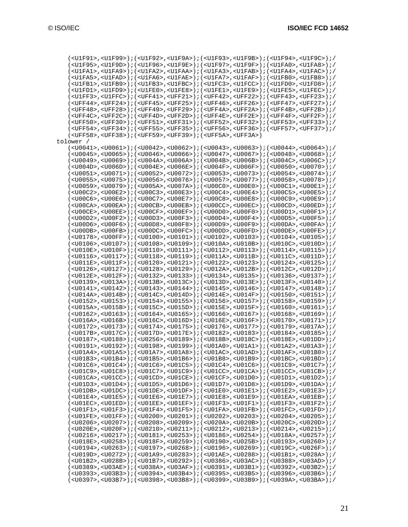|           | /cU1F91>, <u1f99>);(<u1f92>,<u1f9a>);(<u1f93>,<u1f9b>);(<u1f94>,<u1f9c>);</u1f9c></u1f94></u1f9b></u1f93></u1f9a></u1f92></u1f99>                                                                                                                                                                     |  |
|-----------|-------------------------------------------------------------------------------------------------------------------------------------------------------------------------------------------------------------------------------------------------------------------------------------------------------|--|
|           | ( <u1f95>,<u1f9d>);(<u1f96>,<u1f9e>);(<u1f97>,<u1f9f>);(<u1fao>,<u1fa8>);/</u1fa8></u1fao></u1f9f></u1f97></u1f9e></u1f96></u1f9d></u1f95>                                                                                                                                                            |  |
|           | / ( <u1fa1> , <u1fa9> ) ; ( <u1fa2> , <u1faa> ) ; ( <u1fa3> , <u1fab> ) ; ( <u1fa4> , <u1fac> ) ; /</u1fac></u1fa4></u1fab></u1fa3></u1faa></u1fa2></u1fa9></u1fa1>                                                                                                                                   |  |
|           | ( <u1fa5>,<u1fad>);(<u1fa6>,<u1fae>);(<u1fa7>,<u1faf>);(<u1fb0>,<u1fb8>);/</u1fb8></u1fb0></u1faf></u1fa7></u1fae></u1fa6></u1fad></u1fa5>                                                                                                                                                            |  |
|           | // ( <u1fb1>,<u1fb9>); (<u1fb3>,<u1fbc>); (<u1fc3>,<u1fcc>); (<u1fd0>,<u1fd8>);</u1fd8></u1fd0></u1fcc></u1fc3></u1fbc></u1fb3></u1fb9></u1fb1>                                                                                                                                                       |  |
|           | / ( <u1fd1> , <u1fd9> ) ; ( <u1fe0> , <u1fe8> ) ; ( <u1fe1> , <u1fe9> ) ; ( <u1fe5> , <u1fec> ) ; /</u1fec></u1fe5></u1fe9></u1fe1></u1fe8></u1fe0></u1fd9></u1fd1>                                                                                                                                   |  |
|           | ( <u1ff3>,<u1ffc>);(<uff41>,<uff21>);(<uff42>,<uff22>);(<uff43>,<uff23>);/</uff23></uff43></uff22></uff42></uff21></uff41></u1ffc></u1ff3>                                                                                                                                                            |  |
|           | / ( <uff44> , <uff24> ) ; ( <uff45> , <uff25> ) ; ( <uff46> , <uff26> ) ; ( <uff47> , <uff27> ) ; /</uff27></uff47></uff26></uff46></uff25></uff45></uff24></uff44>                                                                                                                                   |  |
|           | ( <uff48>,<uff28>);(<uff49>,<uff29>);(<uff4a>,<uff2a>);(<uff4b>,<uff2b>);/</uff2b></uff4b></uff2a></uff4a></uff29></uff49></uff28></uff48>                                                                                                                                                            |  |
|           | / ( <uff4c> , <uff2c> ) ; ( <uff4d> , <uff2d> ) ; ( <uff4e> , <uff2e> ) ; ( <uff4f> , <uff2f> ) ; /</uff2f></uff4f></uff2e></uff4e></uff2d></uff4d></uff2c></uff4c>                                                                                                                                   |  |
|           | / ( <uff50> , <uff30> ) ; ( <uff51> , <uff31> ) ; ( <uff52> , <uff32> ) ; ( <uff53> , <uff33> ) ; /</uff33></uff53></uff32></uff52></uff31></uff51></uff30></uff50>                                                                                                                                   |  |
|           | ( <uff54>,<uff34>);(<uff55>,<uff35>);(<uff56>,<uff36>);(<uff37>,<uff57>,</uff57></uff37></uff36></uff56></uff35></uff55></uff34></uff54>                                                                                                                                                              |  |
|           | ( <uff58>,<uff38>);(<uff59>,<uff39>);(<uff5a>,<uff3a>)</uff3a></uff5a></uff39></uff59></uff38></uff58>                                                                                                                                                                                                |  |
| tolower / |                                                                                                                                                                                                                                                                                                       |  |
|           | ( <u0041>,<u0061>);(<u0042>,<u0062>);(<u0043>,<u0063>);(<u0044>,<u0064>);/</u0064></u0044></u0063></u0043></u0062></u0042></u0061></u0041>                                                                                                                                                            |  |
|           | ( <u0045>,<u0065>);(<u0046>,<u0066>);(<u0047>,<u0067>);(<u0048>,<u0068>);/</u0068></u0048></u0067></u0047></u0066></u0046></u0065></u0045>                                                                                                                                                            |  |
|           | ( <u0049>,<u0069>);(<u004a>,<u006a>);(<u004b>,<u006b>);(<u004c>,<u006c>);/</u006c></u004c></u006b></u004b></u006a></u004a></u0069></u0049>                                                                                                                                                            |  |
|           | ( <u004d>,<u006d>);(<u004e>,<u006e>);(<u004f>,<u006f>);(<u005d>,<u0070>);/</u0070></u005d></u006f></u004f></u006e></u004e></u006d></u004d>                                                                                                                                                            |  |
|           | ( <u0051>,<u0071>);(<u0052>,<u0072>);(<u0053>,<u0073>);(<u0054>,<u0074>);/</u0074></u0054></u0073></u0053></u0072></u0052></u0071></u0051>                                                                                                                                                            |  |
|           | (< <code>U0055&gt;</code> , < <code>U0075&gt;</code> ) ; (< <code>U0056&gt;</code> , < <code>U0076&gt;</code> ) ; (< <code>U0057&gt;</code> , < <code>U0077&gt;</code> ) ; (< <code>U0058</code> > , < <code>U0078&gt;</code> ) ; /                                                                   |  |
|           | ( <u0059>,<u0079>);(<u005a>,<u007a>);(<u00c0>,<u00e0>);(<u00c1>,<u00e1>);/</u00e1></u00c1></u00e0></u00c0></u007a></u005a></u0079></u0059>                                                                                                                                                            |  |
|           | ( <u00c2>,<u00e2>);(<u00c3>,<u00e3>);(<u00c4>,<u00e4>);(<u00c5>,<u00e5>);/</u00e5></u00c5></u00e4></u00c4></u00e3></u00c3></u00e2></u00c2>                                                                                                                                                            |  |
|           | ( <u00c6>,<u00e6>);(<u00c7>,<u00e7>);(<u00c8>,<u00e8>);(<u00c9>,<u00c9>);/</u00c9></u00c9></u00e8></u00c8></u00e7></u00c7></u00e6></u00c6>                                                                                                                                                            |  |
|           | ( <u00ca>,<u00ea>);(<u00cb>,<u00eb>);(<u00cc>,<u00ec>);(<u00cd>,<u00ed>);/</u00ed></u00cd></u00ec></u00cc></u00eb></u00cb></u00ea></u00ca>                                                                                                                                                            |  |
|           | ( <u00ce>,<u00ee>);(<u00cf>,<u00ef>);(<u00d0>,<u00f0>);(<u00d1>,<u00f1>);/</u00f1></u00d1></u00f0></u00d0></u00ef></u00cf></u00ee></u00ce>                                                                                                                                                            |  |
|           | ( <u00d2>,<u00f2>);(<u00d3>,<u00f3>);(<u00d4>,<u00f4>);(<u00d5>,<u00f5>);/</u00f5></u00d5></u00f4></u00d4></u00f3></u00d3></u00f2></u00d2>                                                                                                                                                            |  |
|           | ( <u00d6>,<u00f6>);(<u00d8>,<u00f8>);(<u00d9>,<u00f9>);(<u00da>,<u00fa>);/</u00fa></u00da></u00f9></u00d9></u00f8></u00d8></u00f6></u00d6>                                                                                                                                                            |  |
|           | ( <u00db>,<u00fb>);(<u00dc>,<u00fc>);(<u00dd>,<u00fd>);(<u00de>,<u00de>,<u00fe>);/</u00fe></u00de></u00de></u00fd></u00dd></u00fc></u00dc></u00fb></u00db>                                                                                                                                            |  |
|           | ( <u0178>,<u00ff>);(<u0100>,<u0101>);(<u0102>,<u0103>);(<u0104>,<u0105>);/</u0105></u0104></u0103></u0102></u0101></u0100></u00ff></u0178>                                                                                                                                                            |  |
|           | ( <u0106>,<u0107>);(<u0108>,<u0109>);(<u010a>,<u010b>);(<u010c>,<u010d>);/</u010d></u010c></u010b></u010a></u0109></u0108></u0107></u0106>                                                                                                                                                            |  |
|           | ( <u010e>,<u010f>);(<u0110>,<u0111>);(<u0112>,<u0113>);(<u0114>,<u0115>);/</u0115></u0114></u0113></u0112></u0111></u0110></u010f></u010e>                                                                                                                                                            |  |
|           | ( <u0116>,<u0117>);(<u0118>,<u0119>);(<u011a>,<u011b>);(<u011c>,<u011d>);/</u011d></u011c></u011b></u011a></u0119></u0118></u0117></u0116>                                                                                                                                                            |  |
|           | ( <u011e>,<u011f>);(<u0120>,<u0121>);(<u0122>,<u0123>);(<u0124>,<u0125>);/</u0125></u0124></u0123></u0122></u0121></u0120></u011f></u011e>                                                                                                                                                            |  |
|           | ( <u0126>,<u0127>);(<u0128>,<u0129>);(<u012a>,<u012b>);(<u012c>,<u012d>);/</u012d></u012c></u012b></u012a></u0129></u0128></u0127></u0126>                                                                                                                                                            |  |
|           | ( <u012e>,<u012f>);(<u0132>,<u0133>);(<u0134>,<u0135>);(<u0136>,<u0137>);/</u0137></u0136></u0135></u0134></u0133></u0132></u012f></u012e>                                                                                                                                                            |  |
|           | /cU0139>, <u013a>);(<u013b>,<u013c>);(<u013d>,<u013e>);(<u013f>,<u0140>);/</u0140></u013f></u013e></u013d></u013c></u013b></u013a>                                                                                                                                                                    |  |
|           | ( <u0141>,<u0142>);(<u0143>,<u0144>);(<u0145>,<u0146>);(<u0147>,<u0148>);/</u0148></u0147></u0146></u0145></u0144></u0143></u0142></u0141>                                                                                                                                                            |  |
|           | ( <u014a>,<u014b>);(<u014c>,<u014d>);(<u014e>,<u014f>);(<u0150>,<u0151>);/</u0151></u0150></u014f></u014e></u014d></u014c></u014b></u014a>                                                                                                                                                            |  |
|           | ( <u0152>,<u0153>);(<u0154>,<u0155>);(<u0156>,<u0157>);(<u0158>,<u0159>);/</u0159></u0158></u0157></u0156></u0155></u0154></u0153></u0152>                                                                                                                                                            |  |
|           | ( <u015a>,<u015b>);(<u015c>,<u015d>);(<u015e>,<u015f>);(<u016o>,<u0161>);/</u0161></u016o></u015f></u015e></u015d></u015c></u015b></u015a>                                                                                                                                                            |  |
|           | ( <u0162>,<u0163>);(<u0164>,<u0165>);(<u0166>,<u0167>);(<u0168>,<u0169>);/</u0169></u0168></u0167></u0166></u0165></u0164></u0163></u0162>                                                                                                                                                            |  |
|           | ( <u016a>,<u016b>);(<u016c>,<u016d>);(<u016e>,<u016f>);(<u0170>,<u0171>);/</u0171></u0170></u016f></u016e></u016d></u016c></u016b></u016a>                                                                                                                                                            |  |
|           | ( <u0172>,<u0173>);(<u0174>,<u0175>);(<u0176>,<u0177>);(<u0179>,<u017a>);/</u017a></u0179></u0177></u0176></u0175></u0174></u0173></u0172>                                                                                                                                                            |  |
|           | ( <u017b>,<u017c>);(<u017d>,<u017e>);(<u0182>,<u0183>);(<u0184>,<u0185>);/</u0185></u0184></u0183></u0182></u017e></u017d></u017c></u017b>                                                                                                                                                            |  |
|           | ( <u0187>,<u0188>);(<u0256>,<u0189>);(<u018b>,<u018c>);(<u018e>,<u019d>);/</u019d></u018e></u018c></u018b></u0189></u0256></u0188></u0187>                                                                                                                                                            |  |
|           | ( <u0191>,<u0192>);(<u0198>,<u0199>);(<u01a0>,<u01a1>);(<u01a2>,<u01a3>);/</u01a3></u01a2></u01a1></u01a0></u0199></u0198></u0192></u0191>                                                                                                                                                            |  |
|           | ( <u01a4>,<u01a5>);(<u01a7>,<u01a8>);(<u01ac>,<u01ad>);(<u01af>,<u01b6>);/</u01b6></u01af></u01ad></u01ac></u01a8></u01a7></u01a5></u01a4>                                                                                                                                                            |  |
|           | ( <u01b3>,<u01b4>);(<u01b5>,<u01b6>);(<u01b8>,<u01b9>);(<u01b9>);(<u01bc>,<u01bd>);/</u01bd></u01bc></u01b9></u01b9></u01b8></u01b6></u01b5></u01b4></u01b3>                                                                                                                                          |  |
|           | $(<0.01C6>$ , $<0.01C4>$ ); $(<0.01C6>$ , $<0.01C5>$ ); $(<0.01C4>$ , $<0.01C6>$ ); $(<0.01C9>$ , $<0.01C7>$ ); $/$                                                                                                                                                                                   |  |
|           | $(<001C9> , <001C8> ) ; (<001C7> , <001C9> ) ; (<001C2> , <001C8> ) ; (<001C8> , <001C8> ) ; / (<001C9> , <001C8> ) ; / <001C8> , <001C8> , <001C8> , <001C8> , <001C8> , <001C8> , <001C8> , <001C8> , <001C8> , <001C8> , <001C8> , <001C8> , <001C8> , <001C8> , <001C8> , <001C8> , <001C$        |  |
|           | $(U01CA$ , $U01CC)$ ; $(U01CD$ , $U01CE)$ ; $(U01CF$ , $U01DD)$ ; $(U01DL$ , $U01D2)$ ; $/$                                                                                                                                                                                                           |  |
|           | ( <u01d3>,<u01d4>);(<u01d5>,<u01d6>);(<u01d7>,<u01d8>);(<u01d9>,<u01d9>,{U01DA&gt;);/</u01d9></u01d9></u01d8></u01d7></u01d6></u01d5></u01d4></u01d3>                                                                                                                                                 |  |
|           | $(<\!\! 001\!\!D\!\!B\!\!> ,<\!\! 001\!\!D\!\!C\!\! >\!\! )\;;\; (<\!\! 001\!\!D\!\!E\!\! > ,<\!\! 001\!\!D\!\!F\!\! >\!\! )\;;\; (<\!\! 001\!\!E\!\!O\!\! > ,<\!\! 001\!\!E\!\!O\!\! >\!\! )\;;\; (<\!\! 001\!\!E\!\!O\!\! >\!\! )\;;\; (<\!\! 001\!\!E\!\!O\!\! >\!\! )\;;\; (<\!\! 001\!\!E\!\!O\$ |  |
|           | $(<$ U01E4>, <u01e5>);<math>(&lt;</math>U01E6&gt;,<u01e7>);<math>(&lt;</math>U01E8&gt;,<u01e8>);<math>(&lt;</math>U01E8&gt;);<math>(&lt;</math>U01E8&gt;);/</u01e8></u01e7></u01e5>                                                                                                                   |  |
|           | ( <u01ec>,<u01ed>);(<u01ee>,<u01ef>);(<u01f3>,<u01f1>);(<u01f3>,<u01f3>);(</u01f3></u01f3></u01f1></u01f3></u01ef></u01ee></u01ed></u01ec>                                                                                                                                                            |  |
|           | $(<$ U01F1>, <u01f3>);<math>(&lt;</math>U01F4&gt;,<u01f5>);<math>(&lt;</math>U01FA&gt;,<u01fb>);<math>(&lt;</math>U01FB&gt;);<math>(&lt;</math>U01FC&gt;,<math>&lt;</math>U01FD&gt;);/</u01fb></u01f5></u01f3>                                                                                        |  |
|           | ( <u01fe>,<u01ff>);(<u0200>,<u0201>);(<u0202>,<u0203>);(<u0204>,<u0205>);/</u0205></u0204></u0203></u0202></u0201></u0200></u01ff></u01fe>                                                                                                                                                            |  |
|           | ( <u0206>,<u0207>);(<u0208>,<u0209>);(<u020a>,<u020b>);(<u020c>,<u020c>);/</u020c></u020c></u020b></u020a></u0209></u0208></u0207></u0206>                                                                                                                                                            |  |
|           | $(<0.020E>$ , $<0.020F>$ ; $(<0.0210>$ , $<0.0211>$ ; $(<0.0211>$ , $<0.0212>$ , $(<0.0213>$ ; $(<0.0214>$ , $<0.0215>$ ; $/$                                                                                                                                                                         |  |
|           | $(<$ U0216>, <u0217>);<math>(&lt;</math>U0181&gt;,<u0253>);<math>(&lt;</math>U0186&gt;,<u0254>);<math>(&lt;</math>U018A&gt;,<u0257>);/</u0257></u0254></u0253></u0217>                                                                                                                                |  |
|           | $(U018E>, U0258)$ ; $(U018F>, U0259)$ ; $(U0190>, U025B)$ ; $(U0193>, U0260)$ ;                                                                                                                                                                                                                       |  |
|           | ( <u0194>,<u0263>);(<u0197>,<u0268>);(<u0196>,<u0269>);(<u019c>,<u026f>);/</u026f></u019c></u0269></u0196></u0268></u0197></u0263></u0194>                                                                                                                                                            |  |
|           | $($ <u019d> , <u0272>); <math>(</math> <u01a9> , <u0283>); <math>(</math> <u01ae> , <u0288>); <math>(</math> <u01b1> , <u028a>); <math>/</math></u028a></u01b1></u0288></u01ae></u0283></u01a9></u0272></u019d>                                                                                       |  |
|           | $(U01B2$ , $U028B$ ); $(U01B7$ , $U0292$ ); $(U0386$ , $U03AC$ ); $(U0388$ , $U03AD$ ); $/$                                                                                                                                                                                                           |  |
|           | ( <u0389>,<u03ae>);(<u038a>,<u03af>);(<u0391>,<u03b1>);(<u0392>,<u03b2>);/</u03b2></u0392></u03b1></u0391></u03af></u038a></u03ae></u0389>                                                                                                                                                            |  |
|           | $(<$ U0393>, $<$ U03B3>); $(<$ U0394>, $<$ U03B4>); $(<$ U0395>, $<$ U03B5>); $(<$ U0396>, $<$ U03B6>);/                                                                                                                                                                                              |  |
|           | ( <u0397>,<u03b7>);(<u0398>,<u03b8>);(<u0399>,<u03b9>);(<u03b9>,<u039a>,<u03ba>);/</u03ba></u039a></u03b9></u03b9></u0399></u03b8></u0398></u03b7></u0397>                                                                                                                                            |  |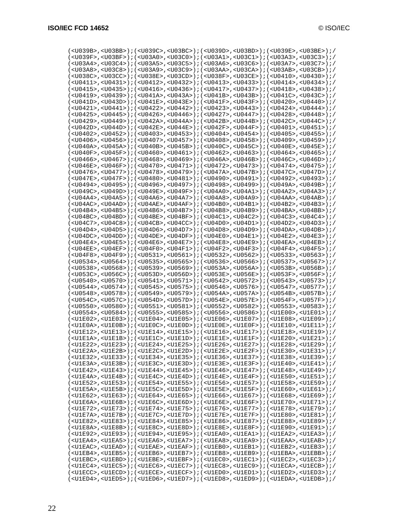| ( <u039b>,<u03bb>);(<u039c>,<u03bc>);(<u039d>,<u03bd>);(<u039e>,<u039e>,U03BE</u039e></u039e></u03bd></u039d></u03bc></u039c></u03bb></u039b>                                                                                                                                                              |  |  |  |
|------------------------------------------------------------------------------------------------------------------------------------------------------------------------------------------------------------------------------------------------------------------------------------------------------------|--|--|--|
| /cU039F>,cU03BF>);(cU03A0>,cU03C0>);(cU03A1>,cU03C1>);(cU03A3>,cU03C3>);)                                                                                                                                                                                                                                  |  |  |  |
|                                                                                                                                                                                                                                                                                                            |  |  |  |
| // ( <u03a8>,<u03c8>); (<u03a9>,<u03c9>); (<u03aa>,<u03ca>); (<u03ab>,<u03cb< td=""><td></td><td></td><td></td></u03cb<></u03ab></u03ca></u03aa></u03c9></u03a9></u03c8></u03a8>                                                                                                                           |  |  |  |
| $(<$ U038C>, <u03cc>);<math>(&lt;</math>U038E&gt;,<u03cd>);<math>(&lt;</math>U038F&gt;,<u038f>,<math>(</math>U038F&gt;);<math>(&lt;</math>U0410&gt;,<math>&lt;</math>U0430&gt;);/</u038f></u03cd></u03cc>                                                                                                  |  |  |  |
| ( <u0411>,<u0431>);(<u0412>,<u0432>);(<u0413>,<u0433>);(<u0414>,<u0434>);/</u0434></u0414></u0433></u0413></u0432></u0412></u0431></u0411>                                                                                                                                                                 |  |  |  |
| $(<$ U0415> , < <code>U0435&gt;</code> ); $(<$ U0416> , < <code>U0436&gt;</code> ); $(<$ U0417> , < <code>U0437&gt;</code> ); $(<$ U0418> , < <code>U0438&gt;</code> ); $/$                                                                                                                                |  |  |  |
| ( <u0419>,<u0439>);(<u041a>,<u043a>);(<u041b>,<u043b>);(<u041c>,<u043c>);/</u043c></u041c></u043b></u041b></u043a></u041a></u0439></u0419>                                                                                                                                                                 |  |  |  |
|                                                                                                                                                                                                                                                                                                            |  |  |  |
| ( <u041d>,<u043d>);(<u041e>,<u043e>);(<u041f>,<u043f>);(<u0420>,<u0440>);/</u0440></u0420></u043f></u041f></u043e></u041e></u043d></u041d>                                                                                                                                                                 |  |  |  |
| $(<$ U0421>, <u0441>);<math>(&lt;</math>U0422&gt;,<math>&lt;</math>U0442&gt;);<math>(&lt;</math>U0442&gt;);<math>(&lt;</math>U0423&gt;,<math>(&lt;</math>U0443&gt;);<math>(&lt;</math>U0424&gt;,<math>&lt;</math>U0444&gt;);/</u0441>                                                                      |  |  |  |
| ( <u0425>,<u0445>);(<u0426>,<u0446>);(<u0427>,<u0447>);(<u0428>,<u0448>);/</u0448></u0428></u0447></u0427></u0446></u0426></u0445></u0425>                                                                                                                                                                 |  |  |  |
| ( <u0429>,<u0449>);(<u042a>,<u044a>);(<u042b>,<u044b>);(<u042c>,<u044c>);/</u044c></u042c></u044b></u042b></u044a></u042a></u0449></u0429>                                                                                                                                                                 |  |  |  |
| $(xU042D>$ , $xU044D>$ ); $(xU042E>$ , $xU044E>$ ); $(xU042F>$ , $xU044F>$ ); $(xU0401>$ , $xU0451>$ ); $(yU045E>$                                                                                                                                                                                         |  |  |  |
| ( <u0402>,<u0452>);(<u0403>,<u0453>);(<u0404>,<u0454>);(<u0405>,<u0455>);/</u0455></u0405></u0454></u0404></u0453></u0403></u0452></u0402>                                                                                                                                                                 |  |  |  |
| $(<$ U0406>, <u0456>);<math>(&lt;</math>U0407&gt;,<math>&lt;</math>U0457&gt;);<math>(&lt;</math>U0408&gt;,<math>&lt;</math>U0408&gt;);<math>(&lt;</math>U0458&gt;);<math>(&lt;</math>U0409&gt;,<math>&lt;</math>U0459&gt;);/</u0456>                                                                       |  |  |  |
| ( <u040a>,<u045a>);(<u040b>,<u045b>);(<u040c>,<u045c>);(<u040e>,<u045e>);/</u045e></u040e></u045c></u040c></u045b></u040b></u045a></u040a>                                                                                                                                                                 |  |  |  |
| ( <u040f>,<u045f>);(<u0460>,<u0461>);(<u0462>,<u0463>);(<u0464>,<u0465>);/</u0465></u0464></u0463></u0462></u0461></u0460></u045f></u040f>                                                                                                                                                                 |  |  |  |
| ( <u0466>,<u0467>);(<u0468>,<u0469>);(<u046a>,<u046b>);(<u046c>,<u046d>);/</u046d></u046c></u046b></u046a></u0469></u0468></u0467></u0466>                                                                                                                                                                 |  |  |  |
| ( <u046e>,<u046f>);(<u0470>,<u0471>);(<u0472>,<u0473>);(<u0474>,<u0475>);/</u0475></u0474></u0473></u0472></u0471></u0470></u046f></u046e>                                                                                                                                                                 |  |  |  |
| ( <u0476>,<u0477>);(<u0478>,<u0479>);(<u0479>);(<u047a>,<u047b>);(<u047c>,<u047d>);/</u047d></u047c></u047b></u047a></u0479></u0479></u0478></u0477></u0476>                                                                                                                                               |  |  |  |
| ( <u047e>,<u047f>);(<u0480>,<u0481>);(<u0490>,<u0491>);(<u0492>,<u0492>,<u0493>);/</u0493></u0492></u0492></u0491></u0490></u0481></u0480></u047f></u047e>                                                                                                                                                 |  |  |  |
| ( <u0494>,<u0495>);(<u0496>,<u0497>);(<u0498>,<u0499>);(<u0498>,<u049a>,<u049b>);/</u049b></u049a></u0498></u0499></u0498></u0497></u0496></u0495></u0494>                                                                                                                                                 |  |  |  |
| ( <u049c>,<u049d>);(<u049e>,<u049f>);(<u04a0>,<u04a1>);(<u04a2>,<u04a3>);/</u04a3></u04a2></u04a1></u04a0></u049f></u049e></u049d></u049c>                                                                                                                                                                 |  |  |  |
| ( <u04a4>,<u04a5>);(<u04a6>,<u04a7>);(<u04a8>,<u04a9>);(<u04aa>,<u04a5); <="" td=""><td></td><td></td><td></td></u04a5);></u04aa></u04a9></u04a8></u04a7></u04a6></u04a5></u04a4>                                                                                                                          |  |  |  |
| $(<$ U04AC>, <u04ad>);<math>(&lt;</math>U04AE&gt;,<math>&lt;</math>U04AF&gt;);<math>(&lt;</math>U04AF&gt;);<math>(&lt;</math>U04B0&gt;,<math>&lt;</math>U04B1&gt;);<math>(&lt;</math>U04B2&gt;,<math>&lt;</math>U04B3&gt;);/</u04ad>                                                                       |  |  |  |
| ( <u04b4>,<u04b5>);(<u04b6>,<u04b7>);(<u04b8>,<u04b9>);(<u04b9>,;(<u04ba>,<u04bb>);/</u04bb></u04ba></u04b9></u04b9></u04b8></u04b7></u04b6></u04b5></u04b4>                                                                                                                                               |  |  |  |
| ( <u04bc>,<u04bd>);(<u04be>,<u04bf>);(<u04c1>,<u04c2>);(<u04c3>,<u04c4>);/</u04c4></u04c3></u04c2></u04c1></u04bf></u04be></u04bd></u04bc>                                                                                                                                                                 |  |  |  |
| $(<$ U04C7>, <u04c8>);<math>(&lt;</math>U04CB&gt;,<math>&lt;</math>U04CC&gt;);<math>(&lt;</math>U04D0&gt;,<math>&lt;</math>U04D1&gt;);<math>(&lt;</math>U04D2&gt;,<math>&lt;</math>U04D2&gt;);/</u04c8>                                                                                                    |  |  |  |
| ( <u04d4>,<u04d5>);(<u04d6>,<u04d7>);(<u04d8>,<u04d9>);(<u04da>,<u04db>);/</u04db></u04da></u04d9></u04d8></u04d7></u04d6></u04d5></u04d4>                                                                                                                                                                 |  |  |  |
| $(<$ U04DC>, <u04dd>);<math>(&lt;</math>U04DE&gt;,<math>&lt;</math>U04DE&gt;,<math>(&lt;</math>U04DF&gt;);<math>(&lt;</math>U04E0&gt;,<math>&lt;</math>U04E1&gt;);<math>(&lt;</math>U04E2&gt;,<math>&lt;</math>U04E3&gt;);/</u04dd>                                                                        |  |  |  |
| ( <u04e4>,<u04e5>);(<u04e6>,<u04e7>);(<u04e8>,<u04e8);(<u04e4>,<u04ea>,<u04e8>);/</u04e8></u04ea></u04e8);(<u04e4></u04e8></u04e7></u04e6></u04e5></u04e4>                                                                                                                                                 |  |  |  |
| ( <u04ee>,<u04ef>);(<u04f0>,<u04f1>);(<u04f2>,<u04f3>);(<u04f4>,<u04f5>);/</u04f5></u04f4></u04f3></u04f2></u04f1></u04f0></u04ef></u04ee>                                                                                                                                                                 |  |  |  |
| ( <u04f8>,<u04f9>);(<u0531>,<u0561>);(<u0532>,<u0562>);(<u0533>,<u0563>);/</u0563></u0533></u0562></u0532></u0561></u0531></u04f9></u04f8>                                                                                                                                                                 |  |  |  |
| ( <u0534>,<u0564>);(<u0535>,<u0565>);(<u0536>,<u0566>);(<u0537>,<u0567>);/</u0567></u0537></u0566></u0536></u0565></u0535></u0564></u0534>                                                                                                                                                                 |  |  |  |
| ( <u0538>,<u0568>);(<u0539>,<u0569>);(<u053a>,<u056a>);(<u053b>,<u056b>);/</u056b></u053b></u056a></u053a></u0569></u0539></u0568></u0538>                                                                                                                                                                 |  |  |  |
| ( <u053c>,<u056c>);(<u053d>,<u056d>);(<u053e>,<u056e>);(<u053f>,<u055f>););(</u055f></u053f></u056e></u053e></u056d></u053d></u056c></u053c>                                                                                                                                                               |  |  |  |
| ( <u0540>,<u0570>);(<u0541>,<u0571>);(<u0542>,<u0572>);(<u0543>,<u0573>);/</u0573></u0543></u0572></u0542></u0571></u0541></u0570></u0540>                                                                                                                                                                 |  |  |  |
|                                                                                                                                                                                                                                                                                                            |  |  |  |
| ( <u0544>,<u0574>);(<u0545>,<u0575>);(<u0546>,<u0576>);(<u0547>,<u0577>);/</u0577></u0547></u0576></u0546></u0575></u0545></u0574></u0544>                                                                                                                                                                 |  |  |  |
| ( <u0548>,<u0578>);(<u0549>,<u0579>);(<u054a>,<u057a>);(<u054b>,<u057b>);/</u057b></u054b></u057a></u054a></u0579></u0549></u0578></u0548>                                                                                                                                                                 |  |  |  |
| ( <u054c>,<u057c>);(<u054d>,<u057d>);(<u054e>,<u057e>);(<u054f>,<u057f>);/</u057f></u054f></u057e></u054e></u057d></u054d></u057c></u054c>                                                                                                                                                                 |  |  |  |
| ( <u0550>,<u0580>);(<u0551>,<u0581>);(<u0552>,<u0582>);(<u0553>,<u0583>);/</u0583></u0553></u0582></u0552></u0581></u0551></u0580></u0550>                                                                                                                                                                 |  |  |  |
| $($ <u0554> , <u0584>); <math>(</math> <u0555> , <u0585>); <math>(</math> <u0556> , <u0586>); <math>(</math> <u1e00> , <u1e01>); <math>/</math></u1e01></u1e00></u0586></u0556></u0585></u0555></u0584></u0554>                                                                                            |  |  |  |
| $(U1E02>, U1E03)$ ; $(U1E04$ , $U1E05)$ ; $(U1E06$ , $U1E07$ ); $(U1E08$ , $U1E09)$ ;                                                                                                                                                                                                                      |  |  |  |
| ( <u1e0a>,<u1e0b>);(<u1e0c>,<u1e0d>);(<u1e0e>,<u1e0f>);(<u1e10>,<u1e10>);/</u1e10></u1e10></u1e0f></u1e0e></u1e0d></u1e0c></u1e0b></u1e0a>                                                                                                                                                                 |  |  |  |
| /// ( <u1e12>,<u1e13>); // (<u1e14>,<u1e15>); // (<u1e16>,<u1e17>); // (<u1e18>,<u1e19>); /</u1e19></u1e18></u1e17></u1e16></u1e15></u1e14></u1e13></u1e12>                                                                                                                                                |  |  |  |
| ( <u1e1a>,<u1e1b>);(<u1e1c>,<u1e1d>);(<u1e1e>,<u1e1f>);(<u1e2o>,<u1e21>);/</u1e21></u1e2o></u1e1f></u1e1e></u1e1d></u1e1c></u1e1b></u1e1a>                                                                                                                                                                 |  |  |  |
| $(<\!\! \texttt{UIE22}> \; , \; <\!\! \texttt{UIE23}> \; \texttt{;} \; (<\!\! \texttt{UIE24}> \; , \; <\!\! \texttt{UIE25}> \; \texttt{;} \; (<\!\! \texttt{UIE26}> \; , \; <\!\! \texttt{UIE27}> \; \texttt{;} \; (<\!\! \texttt{UIE28}> \; , \; <\!\! \texttt{UIE29}> \; \texttt{;} \; \; \texttt{;} \;$ |  |  |  |
| $(xU1E2A>$ , $xU1E2B>$ ; $(xU1E2C>$ , $xU1E2D>$ ; $(xU1E2E>$ , $xU1E2F>$ ; $(xU1E30>$ , $xU1E31>$ ; $y \in U1E3D$                                                                                                                                                                                          |  |  |  |
| $(U1E32>, U1E33)$ ; $(U1E34>, U1E35)$ ; $(U1E36>, U1E37)$ ; $(U1E38>, U1E39)$ ; $/$                                                                                                                                                                                                                        |  |  |  |
| /( <u1e3a>,<u1e3b>);(<u1e3c>,<u1e3d>);(<u1e3e>,<u1e3f>);(<u1e40>,<u1e4);< td=""><td></td><td></td><td></td></u1e4);<></u1e40></u1e3f></u1e3e></u1e3d></u1e3c></u1e3b></u1e3a>                                                                                                                              |  |  |  |
| $(<$ U1E42>, <u1e43>);(<u1e44>,<u1e45>);(<u1e46>,<u1e47>);(<u1e48>,<u1e48>);/</u1e48></u1e48></u1e47></u1e46></u1e45></u1e44></u1e43>                                                                                                                                                                      |  |  |  |
| $(<\!\! \text{UIE4A>},\!\! <\!\! \text{UIE4B>}): \!\! \text{ }(\texttt{<\!\! \text{UIE4C>},\!\! <\!\! \text{UIE4D>})}: \!\! \text{ }(\texttt{<\!\! \text{UIE4E>},\text{<\!\! \text{UIE4F>})}:}(\texttt{<\!\! \text{UIE50>},\text{<\!\! \text{UIE51>})}:}$                                                  |  |  |  |
| $(xU1E52)$ , $xU1E53$ ); $(xU1E54)$ , $xU1E55$ ); $(xU1E56)$ , $xU1E57$ ); $(xU1E58)$ , $xU1E59$ ); $(yU1E54)$                                                                                                                                                                                             |  |  |  |
| $(xU1E5A>$ , $xU1E5B>$ ); $(xU1E5C>$ , $xU1E5D>$ ); $(xU1E5E>$ , $xU1E5F>$ ); $(xU1E60>$ , $xU1E61>$ ); $(xU1E61>$                                                                                                                                                                                         |  |  |  |
| $(<$ U1E62>, <u1e63>);(<u1e64>,<u1e65>);(<u1e66>,<u1e67>);(<u1e68>,<u1e68>);</u1e68></u1e68></u1e67></u1e66></u1e65></u1e64></u1e63>                                                                                                                                                                       |  |  |  |
| $(xU1E6A)$ , $xU1E6B$ ); $(xU1E6C)$ , $xU1E6D$ ); $(xU1E6E)$ , $xU1E6F$ ); $(xU1E70)$ , $xU1E71$ ); $yU1E71$                                                                                                                                                                                               |  |  |  |
| $(U1E72$ , $(U1E73)$ ; $(U1E74$ , $(U1E75)$ ; $(U1E76$ , $(U1E77)$ ; $(U1E78$ , $(U1E79)$ ; $/$                                                                                                                                                                                                            |  |  |  |
| $(<$ U1E7A>, <u1e7b>);<math>(&lt;</math>U1E7C&gt;,<u1e7d>);<math>(&lt;</math>U1E7E&gt;,<u1e7f>);<math>(&lt;</math>U1E80&gt;,<u1e81>);/</u1e81></u1e7f></u1e7d></u1e7b>                                                                                                                                     |  |  |  |
| $(<$ U1E82>, <u1e83>);(<u1e84>,<u1e85>);(<u1e86>,<u1e87>);(<u1e88>,<u1e88>,<u1e89>);/</u1e89></u1e88></u1e88></u1e87></u1e86></u1e85></u1e84></u1e83>                                                                                                                                                      |  |  |  |
| $(xU1E8A>$ , $xU1E8B>$ ); $(xU1E8C>$ , $xU1E8D>$ ); $(xU1E8E>$ , $xU1E8F>$ ); $(xU1E90>$ , $xU1E91>$ ); $(xU1E9E>$                                                                                                                                                                                         |  |  |  |
| $(xU1E92)$ , $xU1E93$ ); $(xU1E94)$ , $xU1E95$ ); $(xU1EA0)$ , $xU1EA1$ ); $(xU1EA2)$ , $xU1EA3$ ); $(yU1E04)$                                                                                                                                                                                             |  |  |  |
| ( <u1ea4>,<u1ea5>);(<u1ea6>,<u1ea7>);(<u1ea8>,<u1ea9>);(<u1eaa>,<u1eaa>,<u1eab>);/</u1eab></u1eaa></u1eaa></u1ea9></u1ea8></u1ea7></u1ea6></u1ea5></u1ea4>                                                                                                                                                 |  |  |  |
| ( <u1eac>,<u1ead>);(<u1eae>,<u1eaf>);(<u1eb0>,<u1eb1>);(<u1eb2>,<u1eb3>);/</u1eb3></u1eb2></u1eb1></u1eb0></u1eaf></u1eae></u1ead></u1eac>                                                                                                                                                                 |  |  |  |
| $(xU1EB4)$ , $xU1EB5$ ); $(xU1EB6)$ , $xU1EB7$ ); $(xU1EB8)$ , $xU1EB9$ ); $(xU1EBA)$ , $xU1EBB$ ); $y$                                                                                                                                                                                                    |  |  |  |
| ( <u1ebc>,<u1ebd>);(<u1ebe>,<u1ebf>);(<u1ec0>,<u1ec1>);(<u1ec2>,<u1ec3>);/</u1ec3></u1ec2></u1ec1></u1ec0></u1ebf></u1ebe></u1ebd></u1ebc>                                                                                                                                                                 |  |  |  |
| ( <u1ec4>,<u1ec5>);(<u1ec6>,<u1ec7>);(<u1ec8>,<u1ec9>);(<u1ec9>);(<u1eca>,<u1ecb>);/</u1ecb></u1eca></u1ec9></u1ec9></u1ec8></u1ec7></u1ec6></u1ec5></u1ec4>                                                                                                                                               |  |  |  |
| ( <u1ecc>,<u1ecd>);(<u1ece>,<u1ecf>);(<u1ed0>,<u1ed1>);(<u1ed2>,<u1ed3>);/</u1ed3></u1ed2></u1ed1></u1ed0></u1ecf></u1ece></u1ecd></u1ecc>                                                                                                                                                                 |  |  |  |
| ( <u1ed4>,<u1ed5>);(<u1ed6>,<u1ed7>);(<u1ed8>,<u1ed9>);(<u1eda>,<u1ed8>);/</u1ed8></u1eda></u1ed9></u1ed8></u1ed7></u1ed6></u1ed5></u1ed4>                                                                                                                                                                 |  |  |  |
|                                                                                                                                                                                                                                                                                                            |  |  |  |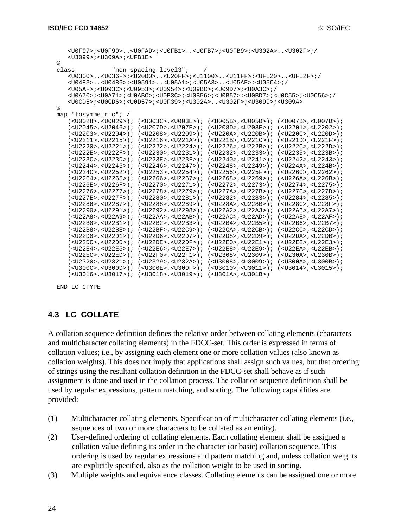|       |                                             |                                     | <u0f97>;<u0f99><u0fad>;<u0fb1><u0fb7>;<u0fb9>;<u302a><u302f>;/</u302f></u302a></u0fb9></u0fb7></u0fb1></u0fad></u0f99></u0f97>                                                                                          |                                     |
|-------|---------------------------------------------|-------------------------------------|-------------------------------------------------------------------------------------------------------------------------------------------------------------------------------------------------------------------------|-------------------------------------|
|       | $<$ U3099>; <u309a>;<ufb1e></ufb1e></u309a> |                                     |                                                                                                                                                                                                                         |                                     |
| နွ    |                                             |                                     |                                                                                                                                                                                                                         |                                     |
| class |                                             | "non spacing level3";               |                                                                                                                                                                                                                         |                                     |
|       |                                             |                                     | <u0300><u036f>;<u20d0><u20ff>;<u1100><u11ff>;<ufe20><ufe2f>;/</ufe2f></ufe20></u11ff></u1100></u20ff></u20d0></u036f></u0300>                                                                                           |                                     |
|       |                                             |                                     | $<$ U0483> $<$ U0486>; <u0591><math>&lt;</math>U05A1&gt;;<u05a3><math>&lt;</math>U05AE&gt;;<u05c4>;/</u05c4></u05a3></u0591>                                                                                            |                                     |
|       |                                             |                                     | $<$ UO5AF>; <uo93c>;<uo953>;<uo954>;<uo9bc>;<uo9d7>;<uoa3c>;/</uoa3c></uo9d7></uo9bc></uo954></uo953></uo93c>                                                                                                           |                                     |
|       |                                             |                                     | <u0a70>;<u0a71>;<u0abc>;<u0b3c>;<u0b56>;<u0b57>;<u0bd7>;<u0c55>;<u0c56>;/</u0c56></u0c55></u0bd7></u0b57></u0b56></u0b3c></u0abc></u0a71></u0a70>                                                                       |                                     |
|       |                                             |                                     | $\langle 110005 \rangle$ ; $\langle 1100006 \rangle$ ; $\langle 110057 \rangle$ ; $\langle 1100539 \rangle$ ; $\langle 113028 \rangle$ , $\langle 113028 \rangle$ ; $\langle 113099 \rangle$ ; $\langle 113098 \rangle$ |                                     |
| ి     |                                             |                                     |                                                                                                                                                                                                                         |                                     |
| map   | "tosymmetric"; /                            |                                     |                                                                                                                                                                                                                         |                                     |
|       | $(<0.0028>$ , $<0.0029>$ ;                  | $(<$ U003C>, <u003e>);</u003e>      | $(<$ U005B>, <u005d>);</u005d>                                                                                                                                                                                          | $(<$ U007B>, <u007d>);</u007d>      |
|       | $(<$ U2045>, <u2046>);</u2046>              | $(<$ U207D>, <u207e>);</u207e>      | $(<$ U208D>, <u208e>);</u208e>                                                                                                                                                                                          | $(<$ U2201>, <u2202>);</u2202>      |
|       | $(<$ U2203>, <u2204>);</u2204>              | $(<$ U2208>, <u2209>);</u2209>      | $(U220A>, U220B)$ ;                                                                                                                                                                                                     | $(U220C>, U220D)$ ;                 |
|       | $(U2211>, U2215)$ ;                         | $(U2216>, U221A)$ ;                 | $(U221B>, U221C)$ ;                                                                                                                                                                                                     | $(U221D>, U221F>)$ ;                |
|       | ( <u>U2220</u> >, <u>U2221</u> )            | ( <u2222>,<u2224>);</u2224></u2222> | $(<$ U2226>, <u222b>);</u222b>                                                                                                                                                                                          | $(<$ U222C>, <u222d>);</u222d>      |
|       | $(<$ U222E>, <u222f>);</u222f>              | ( <u2230>,<u2231>);</u2231></u2230> | $(<$ U2232>, <u2233>);</u2233>                                                                                                                                                                                          | $(<$ U2239>, <u223b>);</u223b>      |
|       | $(<$ U223C>, <u223d>);</u223d>              | ( <u223e>,<u223f>);</u223f></u223e> | ( <u2240>,<u2241>);</u2241></u2240>                                                                                                                                                                                     | $(<$ U2242>, <u2243>);</u2243>      |
|       | ( <u2244>,<u2245>);</u2245></u2244>         | ( <u2246>,<u2247>);</u2247></u2246> | ( <u2248>,<u2249>);</u2249></u2248>                                                                                                                                                                                     | ( <u224a>,<u224b>);</u224b></u224a> |
|       | $(<$ U224C>, <u2252>);</u2252>              | $(<$ U2253>, <u2254>);</u2254>      | ( <u2255>,<u225f>);</u225f></u2255>                                                                                                                                                                                     | ( <u2260>,<u2262>);</u2262></u2260> |
|       | $(<$ U2264>, <u2265>);</u2265>              | ( <u2266>,<u2267>);</u2267></u2266> | ( <u2268>,<u2269>);</u2269></u2268>                                                                                                                                                                                     | ( <u226a>,<u226b>);</u226b></u226a> |
|       | $(<$ U226E>, <u226f>);</u226f>              | ( <u2270>,<u2271>);</u2271></u2270> | $(<$ U2272>, <u2273>);</u2273>                                                                                                                                                                                          | $(<$ U2274>, <u2275>);</u2275>      |
|       | $(<$ U2276>, <u2277>);</u2277>              | $(<$ U2278>, <u2279>);</u2279>      | $(<$ U227A>, <u227b>);</u227b>                                                                                                                                                                                          | $(U227C>, U227D>) ;$                |
|       | $(<$ U227E>, <u227f>);</u227f>              | ( <u2280>,<u2281>);</u2281></u2280> | $(<$ U2282>, <u2283>);</u2283>                                                                                                                                                                                          | $(<$ U2284>, <u2285>);</u2285>      |
|       | $(<$ U2286>, <u2287>);</u2287>              | $(U2288>, U2289)$ ;                 | $(<$ U228A>, <u228b>);</u228b>                                                                                                                                                                                          | $(<$ U228C>, <u228f>);</u228f>      |
|       | $(<$ U2290>, <u2291>);</u2291>              | $(<$ U2292>, <u2298>);</u2298>      | $(<$ U22A2>, <u22a3>);</u22a3>                                                                                                                                                                                          | $(<$ U22A6>, <u22a7>);</u22a7>      |
|       | $(<$ U22A8>, <u22a9>);</u22a9>              | ( <u22aa>,<u22ab>);</u22ab></u22aa> | ( <u22ac>,<u22ad>);</u22ad></u22ac>                                                                                                                                                                                     | ( <u22ae>,<u22af>);</u22af></u22ae> |
|       | ( <b>U22B0</b> >, <b>U22B1</b> )            | ( <u22b2>,<u22b3>);</u22b3></u22b2> | ( <u22b4>,<u22b5>);</u22b5></u22b4>                                                                                                                                                                                     | ( <u22b6>,<u22b7>);</u22b7></u22b6> |
|       | $(<$ U22B8>, <u22be>);</u22be>              | $(<$ U22BF>, <u22c9>);</u22c9>      | ( <u22ca>,<u22cb>);</u22cb></u22ca>                                                                                                                                                                                     | ( <u22cc>,<u22cd>);</u22cd></u22cc> |
|       | $(U22D0, U22D1)$ ;                          | ( <u22d6>,<u22d7>);</u22d7></u22d6> | ( <u22d8>,<u22d9>);</u22d9></u22d8>                                                                                                                                                                                     | ( <u22da>,<u22db>);</u22db></u22da> |
|       | $(U22DC>, U22DD)$ ;                         | ( <u22de>,<u22df>);</u22df></u22de> | ( <u22e0>,<u22e1>);</u22e1></u22e0>                                                                                                                                                                                     | ( <u22e2>,<u22e3>);</u22e3></u22e2> |
|       | $(<$ U22E4>, <u22e5>);</u22e5>              | ( <u22e6>,<u22e7>);</u22e7></u22e6> | ( <u22e8>,<u22e9>);</u22e9></u22e8>                                                                                                                                                                                     | ( <u22ea>,<u22eb>);</u22eb></u22ea> |
|       | $(<$ U22EC>, <u22ed>);</u22ed>              | ( <u22f0>,<u22f1>);</u22f1></u22f0> | $(U2308, U2309)$ ;                                                                                                                                                                                                      | $(<$ U230A>, <u230b>);</u230b>      |
|       | $(<$ U2320>, <u2321>);</u2321>              | ( <u2329>,<u232a>);</u232a></u2329> | $(<$ U3008>, <u3009>);</u3009>                                                                                                                                                                                          | $(<$ U300A>, <u300b>);</u300b>      |
|       | $(<$ U300C>, <u300d>);</u300d>              | $(<$ U300E>, <u300f>);</u300f>      | $(U3010$ , $U3011)$ ;                                                                                                                                                                                                   | ( <u3014>,<u3015>);</u3015></u3014> |
|       | $(<$ U3016>, <u3017>);</u3017>              | $(<$ U3018>, <u3019>);</u3019>      | $(<$ U301A>, <u301b>)</u301b>                                                                                                                                                                                           |                                     |

```
END LC_CTYPE
```
## **4.3 LC\_COLLATE**

A collation sequence definition defines the relative order between collating elements (characters and multicharacter collating elements) in the FDCC-set. This order is expressed in terms of collation values; i.e., by assigning each element one or more collation values (also known as collation weights). This does not imply that applications shall assign such values, but that ordering of strings using the resultant collation definition in the FDCC-set shall behave as if such assignment is done and used in the collation process. The collation sequence definition shall be used by regular expressions, pattern matching, and sorting. The following capabilities are provided:

- (1) Multicharacter collating elements. Specification of multicharacter collating elements (i.e., sequences of two or more characters to be collated as an entity).
- (2) User-defined ordering of collating elements. Each collating element shall be assigned a collation value defining its order in the character (or basic) collation sequence. This ordering is used by regular expressions and pattern matching and, unless collation weights are explicitly specified, also as the collation weight to be used in sorting.
- (3) Multiple weights and equivalence classes. Collating elements can be assigned one or more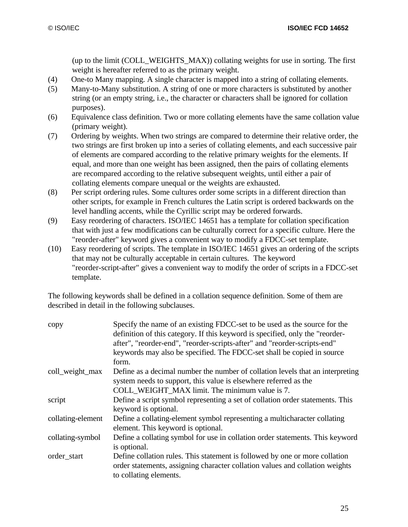(up to the limit (COLL\_WEIGHTS\_MAX)) collating weights for use in sorting. The first weight is hereafter referred to as the primary weight.

- (4) One-to Many mapping. A single character is mapped into a string of collating elements.
- (5) Many-to-Many substitution. A string of one or more characters is substituted by another string (or an empty string, i.e., the character or characters shall be ignored for collation purposes).
- (6) Equivalence class definition. Two or more collating elements have the same collation value (primary weight).
- (7) Ordering by weights. When two strings are compared to determine their relative order, the two strings are first broken up into a series of collating elements, and each successive pair of elements are compared according to the relative primary weights for the elements. If equal, and more than one weight has been assigned, then the pairs of collating elements are recompared according to the relative subsequent weights, until either a pair of collating elements compare unequal or the weights are exhausted.
- (8) Per script ordering rules. Some cultures order some scripts in a different direction than other scripts, for example in French cultures the Latin script is ordered backwards on the level handling accents, while the Cyrillic script may be ordered forwards.
- (9) Easy reordering of characters. ISO/IEC 14651 has a template for collation specification that with just a few modifications can be culturally correct for a specific culture. Here the "reorder-after" keyword gives a convenient way to modify a FDCC-set template.
- (10) Easy reordering of scripts. The template in ISO/IEC 14651 gives an ordering of the scripts that may not be culturally acceptable in certain cultures. The keyword "reorder-script-after" gives a convenient way to modify the order of scripts in a FDCC-set template.

The following keywords shall be defined in a collation sequence definition. Some of them are described in detail in the following subclauses.

| copy              | Specify the name of an existing FDCC-set to be used as the source for the<br>definition of this category. If this keyword is specified, only the "reorder-<br>after", "reorder-end", "reorder-scripts-after" and "reorder-scripts-end"<br>keywords may also be specified. The FDCC-set shall be copied in source |
|-------------------|------------------------------------------------------------------------------------------------------------------------------------------------------------------------------------------------------------------------------------------------------------------------------------------------------------------|
|                   | form.                                                                                                                                                                                                                                                                                                            |
| coll_weight_max   | Define as a decimal number the number of collation levels that an interpreting<br>system needs to support, this value is elsewhere referred as the                                                                                                                                                               |
|                   | COLL_WEIGHT_MAX limit. The minimum value is 7.                                                                                                                                                                                                                                                                   |
|                   |                                                                                                                                                                                                                                                                                                                  |
| script            | Define a script symbol representing a set of collation order statements. This                                                                                                                                                                                                                                    |
|                   | keyword is optional.                                                                                                                                                                                                                                                                                             |
| collating-element | Define a collating-element symbol representing a multicharacter collating<br>element. This keyword is optional.                                                                                                                                                                                                  |
| collating-symbol  | Define a collating symbol for use in collation order statements. This keyword                                                                                                                                                                                                                                    |
|                   | is optional.                                                                                                                                                                                                                                                                                                     |
| order_start       | Define collation rules. This statement is followed by one or more collation<br>order statements, assigning character collation values and collation weights<br>to collating elements.                                                                                                                            |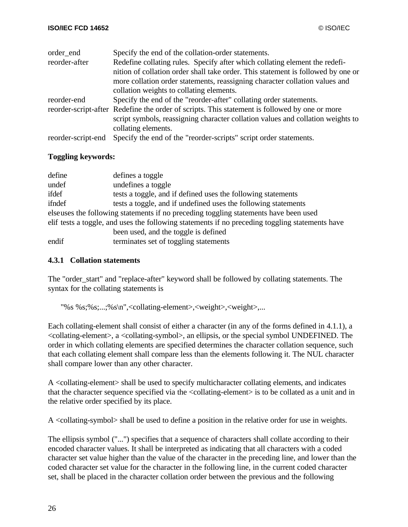| order end          | Specify the end of the collation-order statements.                                            |
|--------------------|-----------------------------------------------------------------------------------------------|
| reorder-after      | Redefine collating rules. Specify after which collating element the redefi-                   |
|                    | nition of collation order shall take order. This statement is followed by one or              |
|                    | more collation order statements, reassigning character collation values and                   |
|                    | collation weights to collating elements.                                                      |
| reorder-end        | Specify the end of the "reorder-after" collating order statements.                            |
|                    | reorder-script-after Redefine the order of scripts. This statement is followed by one or more |
|                    | script symbols, reassigning character collation values and collation weights to               |
|                    | collating elements.                                                                           |
| reorder-script-end | Specify the end of the "reorder-scripts" script order statements.                             |

#### **Toggling keywords:**

| define                                                                                          | defines a toggle                                               |  |
|-------------------------------------------------------------------------------------------------|----------------------------------------------------------------|--|
| undef                                                                                           | undefines a toggle                                             |  |
| ifdef                                                                                           | tests a toggle, and if defined uses the following statements   |  |
| ifndef                                                                                          | tests a toggle, and if undefined uses the following statements |  |
| elseuses the following statements if no preceding toggling statements have been used            |                                                                |  |
| elif tests a toggle, and uses the following statements if no preceding toggling statements have |                                                                |  |
|                                                                                                 | been used, and the toggle is defined                           |  |
| endif                                                                                           | terminates set of toggling statements                          |  |

#### **4.3.1 Collation statements**

The "order start" and "replace-after" keyword shall be followed by collating statements. The syntax for the collating statements is

```
"%s %s;%s;...;%s\n",<collating-element>,<weight>,<weight>,...
```
Each collating-element shall consist of either a character (in any of the forms defined in 4.1.1), a <collating-element>, a <collating-symbol>, an ellipsis, or the special symbol UNDEFINED. The order in which collating elements are specified determines the character collation sequence, such that each collating element shall compare less than the elements following it. The NUL character shall compare lower than any other character.

A <collating-element> shall be used to specify multicharacter collating elements, and indicates that the character sequence specified via the <collating-element> is to be collated as a unit and in the relative order specified by its place.

A <collating-symbol> shall be used to define a position in the relative order for use in weights.

The ellipsis symbol ("...") specifies that a sequence of characters shall collate according to their encoded character values. It shall be interpreted as indicating that all characters with a coded character set value higher than the value of the character in the preceding line, and lower than the coded character set value for the character in the following line, in the current coded character set, shall be placed in the character collation order between the previous and the following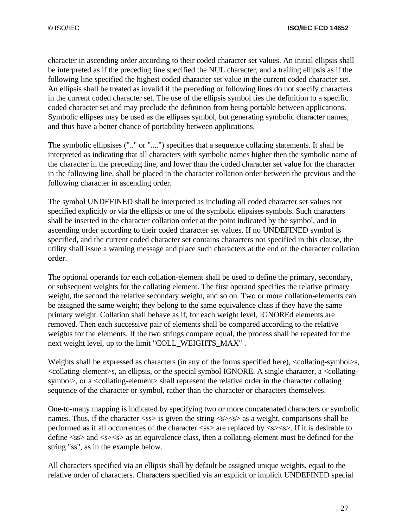character in ascending order according to their coded character set values. An initial ellipsis shall be interpreted as if the preceding line specified the NUL character, and a trailing ellipsis as if the following line specified the highest coded character set value in the current coded character set. An ellipsis shall be treated as invalid if the preceding or following lines do not specify characters in the current coded character set. The use of the ellipsis symbol ties the definition to a specific coded character set and may preclude the definition from being portable between applications. Symbolic ellipses may be used as the ellipses symbol, but generating symbolic character names, and thus have a better chance of portability between applications.

The symbolic ellipsises (".." or "....") specifies that a sequence collating statements. It shall be interpreted as indicating that all characters with symbolic names higher then the symbolic name of the character in the preceding line, and lower than the coded character set value for the character in the following line, shall be placed in the character collation order between the previous and the following character in ascending order.

The symbol UNDEFINED shall be interpreted as including all coded character set values not specified explicitly or via the ellipsis or one of the symbolic elipsises symbols. Such characters shall be inserted in the character collation order at the point indicated by the symbol, and in ascending order according to their coded character set values. If no UNDEFINED symbol is specified, and the current coded character set contains characters not specified in this clause, the utility shall issue a warning message and place such characters at the end of the character collation order.

The optional operands for each collation-element shall be used to define the primary, secondary, or subsequent weights for the collating element. The first operand specifies the relative primary weight, the second the relative secondary weight, and so on. Two or more collation-elements can be assigned the same weight; they belong to the same equivalence class if they have the same primary weight. Collation shall behave as if, for each weight level, IGNOREd elements are removed. Then each successive pair of elements shall be compared according to the relative weights for the elements. If the two strings compare equal, the process shall be repeated for the next weight level, up to the limit "COLL\_WEIGHTS\_MAX" .

Weights shall be expressed as characters (in any of the forms specified here),  $\leq$ collating-symbol>s, <collating-element>s, an ellipsis, or the special symbol IGNORE. A single character, a <collatingsymbol>, or a <collating-element> shall represent the relative order in the character collating sequence of the character or symbol, rather than the character or characters themselves.

One-to-many mapping is indicated by specifying two or more concatenated characters or symbolic names. Thus, if the character  $\langle$ ss $\rangle$  is given the string  $\langle$ s $\rangle$  $\langle$ s $\rangle$  as a weight, comparisons shall be performed as if all occurrences of the character  $\langle ss \rangle$  are replaced by  $\langle ss \rangle$ . If it is desirable to define  $\langle$ ss> and  $\langle$ s> $\langle$ s> as an equivalence class, then a collating-element must be defined for the string "ss", as in the example below.

All characters specified via an ellipsis shall by default be assigned unique weights, equal to the relative order of characters. Characters specified via an explicit or implicit UNDEFINED special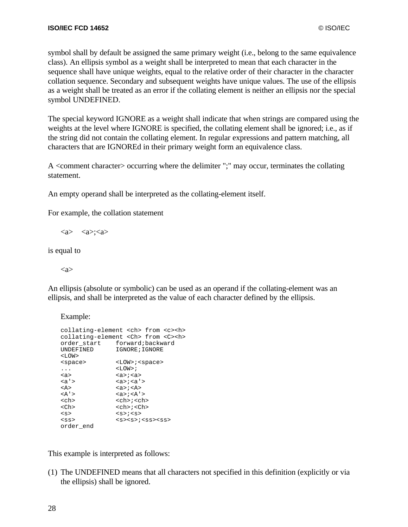symbol shall by default be assigned the same primary weight (i.e., belong to the same equivalence class). An ellipsis symbol as a weight shall be interpreted to mean that each character in the sequence shall have unique weights, equal to the relative order of their character in the character collation sequence. Secondary and subsequent weights have unique values. The use of the ellipsis as a weight shall be treated as an error if the collating element is neither an ellipsis nor the special symbol UNDEFINED.

The special keyword IGNORE as a weight shall indicate that when strings are compared using the weights at the level where IGNORE is specified, the collating element shall be ignored; i.e., as if the string did not contain the collating element. In regular expressions and pattern matching, all characters that are IGNOREd in their primary weight form an equivalence class.

A <comment character> occurring where the delimiter ";" may occur, terminates the collating statement.

An empty operand shall be interpreted as the collating-element itself.

For example, the collation statement

 $\langle a \rangle$   $\langle a \rangle$ ;  $\langle a \rangle$ 

is equal to

 $\langle$ a $\rangle$ 

An ellipsis (absolute or symbolic) can be used as an operand if the collating-element was an ellipsis, and shall be interpreted as the value of each character defined by the ellipsis.

Example:

```
collating-element <ch> from <c><h>
collating-element <Ch> from <C><h>
 order_start forward;backward
 UNDEFINED IGNORE; IGNORE
<LOW><space> <LOW>;<space>
 . . . \hfill\ensuremath{\mathsf{<}} \verb|<| \verb|<| \verb|<| \verb|<| \verb|<|<a> <a>;<a>
 <a'> <a>;<a'>
<A> <a>;<A>
\langle A' \rangle \langle A' \rangle<ch> <ch>;<ch>
<Ch> <ch>;<Ch>
\begin{array}{ccc} \langle S \rangle & \langle S \rangle & \langle S \rangle & \langle S \rangle & \langle S \rangle & \langle S \rangle & \langle S \rangle & \langle S \rangle & \langle S \rangle & \langle S \rangle & \langle S \rangle & \langle S \rangle & \langle S \rangle & \langle S \rangle & \langle S \rangle & \langle S \rangle & \langle S \rangle & \langle S \rangle & \langle S \rangle & \langle S \rangle & \langle S \rangle & \langle S \rangle & \langle S \rangle & \langle S \rangle & \langle S \rangle & \langle S \rangle & \langle S \rangle & \langle S \rangle & \langle S \rangle & \langle S \rangle & \langle S \rangle & \langle S \rangle & \langle S \rangle & \langle S \rangle & \langle S \rangle & \langle S<ss> <s><s>;<ss><ss>
order_end
```
This example is interpreted as follows:

(1) The UNDEFINED means that all characters not specified in this definition (explicitly or via the ellipsis) shall be ignored.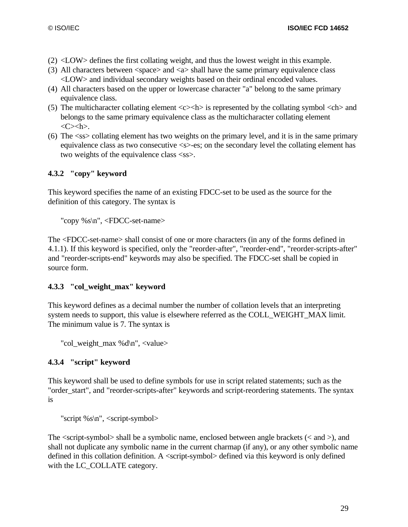- (2) <LOW> defines the first collating weight, and thus the lowest weight in this example.
- (3) All characters between  $\langle$ space $\rangle$  and  $\langle$ a $\rangle$  shall have the same primary equivalence class <LOW> and individual secondary weights based on their ordinal encoded values.
- (4) All characters based on the upper or lowercase character "a" belong to the same primary equivalence class.
- (5) The multicharacter collating element  $\langle c \rangle \langle h \rangle$  is represented by the collating symbol  $\langle ch \rangle$  and belongs to the same primary equivalence class as the multicharacter collating element  $\langle C \rangle \langle h \rangle$ .
- (6) The <ss> collating element has two weights on the primary level, and it is in the same primary equivalence class as two consecutive <s>-es; on the secondary level the collating element has two weights of the equivalence class  $\langle$ ss>.

## **4.3.2 "copy" keyword**

This keyword specifies the name of an existing FDCC-set to be used as the source for the definition of this category. The syntax is

"copy %s\n", <FDCC-set-name>

The <FDCC-set-name> shall consist of one or more characters (in any of the forms defined in 4.1.1). If this keyword is specified, only the "reorder-after", "reorder-end", "reorder-scripts-after" and "reorder-scripts-end" keywords may also be specified. The FDCC-set shall be copied in source form.

## **4.3.3 "col\_weight\_max" keyword**

This keyword defines as a decimal number the number of collation levels that an interpreting system needs to support, this value is elsewhere referred as the COLL\_WEIGHT\_MAX limit. The minimum value is 7. The syntax is

"col\_weight\_max %d\n", <value>

## **4.3.4 "script" keyword**

This keyword shall be used to define symbols for use in script related statements; such as the "order\_start", and "reorder-scripts-after" keywords and script-reordering statements. The syntax is

"script %s\n", <script-symbol>

The  $\le$ script-symbol $>$ shall be a symbolic name, enclosed between angle brackets ( $\le$  and  $>$ ), and shall not duplicate any symbolic name in the current charmap (if any), or any other symbolic name defined in this collation definition. A <script-symbol> defined via this keyword is only defined with the LC\_COLLATE category.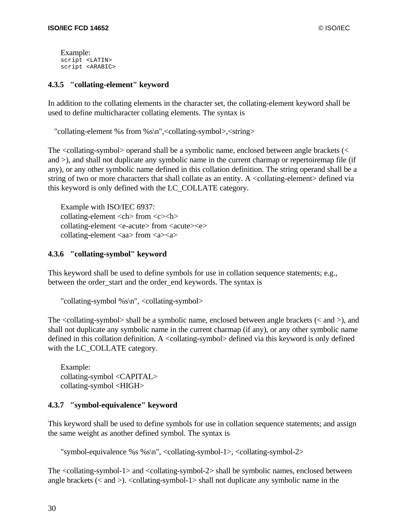Example: script <LATIN> script <ARABIC>

#### **4.3.5 "collating-element" keyword**

In addition to the collating elements in the character set, the collating-element keyword shall be used to define multicharacter collating elements. The syntax is

"collating-element %s from %s\n",<collating-symbol>,<string>

The <collating-symbol> operand shall be a symbolic name, enclosed between angle brackets (< and >), and shall not duplicate any symbolic name in the current charmap or repertoiremap file (if any), or any other symbolic name defined in this collation definition. The string operand shall be a string of two or more characters that shall collate as an entity. A <collating-element> defined via this keyword is only defined with the LC\_COLLATE category.

Example with ISO/IEC 6937:  $collating-element < **ch** from < < **ch**$ collating-element <e-acute> from <acute><e> collating-element <aa> from <a><a>

#### **4.3.6 "collating-symbol" keyword**

This keyword shall be used to define symbols for use in collation sequence statements; e.g., between the order start and the order end keywords. The syntax is

```
"collating-symbol %s\n", <collating-symbol>
```
The <collating-symbol> shall be a symbolic name, enclosed between angle brackets (< and >), and shall not duplicate any symbolic name in the current charmap (if any), or any other symbolic name defined in this collation definition. A <collating-symbol> defined via this keyword is only defined with the LC\_COLLATE category.

Example: collating-symbol <CAPITAL> collating-symbol <HIGH>

## **4.3.7 "symbol-equivalence" keyword**

This keyword shall be used to define symbols for use in collation sequence statements; and assign the same weight as another defined symbol. The syntax is

"symbol-equivalence %s %s\n", <collating-symbol-1>, <collating-symbol-2>

The <collating-symbol-1> and <collating-symbol-2> shall be symbolic names, enclosed between angle brackets  $(<$  and  $>$ ).  $<$ collating-symbol-1 $>$  shall not duplicate any symbolic name in the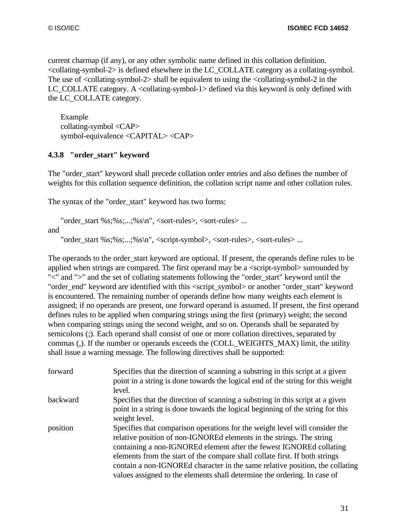current charmap (if any), or any other symbolic name defined in this collation definition. <collating-symbol-2> is defined elsewhere in the LC\_COLLATE category as a collating-symbol. The use of  $\ll$ collating-symbol-2 $>$  shall be equivalent to using the  $\ll$ collating-symbol-2 in the LC\_COLLATE category. A  $\leq$ collating-symbol-1 $>$  defined via this keyword is only defined with the LC\_COLLATE category.

Example collating-symbol <CAP> symbol-equivalence <CAPITAL> <CAP>

## **4.3.8 "order\_start" keyword**

The "order start" keyword shall precede collation order entries and also defines the number of weights for this collation sequence definition, the collation script name and other collation rules.

The syntax of the "order\_start" keyword has two forms:

```
"order start \frac{6s}{6s}: \frac{6s}{10}, \frac{s}{s}sin", <sort-rules>, <sort-rules> ...
and
```
"order\_start %s;%s;...;%s\n", <script-symbol>, <sort-rules>, <sort-rules> ...

The operands to the order start keyword are optional. If present, the operands define rules to be applied when strings are compared. The first operand may be a <script-symbol> surrounded by "<" and ">" and the set of collating statements following the "order\_start" keyword until the "order\_end" keyword are identified with this <script\_symbol> or another "order\_start" keyword is encountered. The remaining number of operands define how many weights each element is assigned; if no operands are present, one forward operand is assumed. If present, the first operand defines rules to be applied when comparing strings using the first (primary) weight; the second when comparing strings using the second weight, and so on. Operands shall be separated by semicolons (;). Each operand shall consist of one or more collation directives, separated by commas (,). If the number or operands exceeds the (COLL\_WEIGHTS\_MAX) limit, the utility shall issue a warning message. The following directives shall be supported:

| forward  | Specifies that the direction of scanning a substring in this script at a given<br>point in a string is done towards the logical end of the string for this weight<br>level.                                                                                                                                                                                                                                                                                           |
|----------|-----------------------------------------------------------------------------------------------------------------------------------------------------------------------------------------------------------------------------------------------------------------------------------------------------------------------------------------------------------------------------------------------------------------------------------------------------------------------|
| backward | Specifies that the direction of scanning a substring in this script at a given<br>point in a string is done towards the logical beginning of the string for this<br>weight level.                                                                                                                                                                                                                                                                                     |
| position | Specifies that comparison operations for the weight level will consider the<br>relative position of non-IGNOREd elements in the strings. The string<br>containing a non-IGNOREd element after the fewest IGNOREd collating<br>elements from the start of the compare shall collate first. If both strings<br>contain a non-IGNOREd character in the same relative position, the collating<br>values assigned to the elements shall determine the ordering. In case of |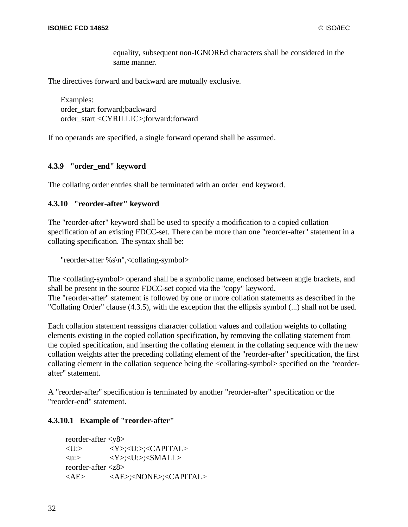equality, subsequent non-IGNOREd characters shall be considered in the same manner.

The directives forward and backward are mutually exclusive.

Examples: order\_start forward;backward order\_start <CYRILLIC>;forward;forward

If no operands are specified, a single forward operand shall be assumed.

#### **4.3.9 "order\_end" keyword**

The collating order entries shall be terminated with an order end keyword.

#### **4.3.10 "reorder-after" keyword**

The "reorder-after" keyword shall be used to specify a modification to a copied collation specification of an existing FDCC-set. There can be more than one "reorder-after" statement in a collating specification. The syntax shall be:

"reorder-after %s\n",<collating-symbol>

The <collating-symbol> operand shall be a symbolic name, enclosed between angle brackets, and shall be present in the source FDCC-set copied via the "copy" keyword. The "reorder-after" statement is followed by one or more collation statements as described in the "Collating Order" clause (4.3.5), with the exception that the ellipsis symbol (...) shall not be used.

Each collation statement reassigns character collation values and collation weights to collating elements existing in the copied collation specification, by removing the collating statement from the copied specification, and inserting the collating element in the collating sequence with the new collation weights after the preceding collating element of the "reorder-after" specification, the first collating element in the collation sequence being the <collating-symbol> specified on the "reorderafter" statement.

A "reorder-after" specification is terminated by another "reorder-after" specification or the "reorder-end" statement.

#### **4.3.10.1 Example of "reorder-after"**

reorder-after <y8> <U:> <Y>;<U:>;<CAPITAL>  $\langle U: \rangle$   $\langle Y: \langle U: \rangle: \langle \text{SMALL}\rangle$ reorder-after <z8> <AE> <AE>;<NONE>;<CAPITAL>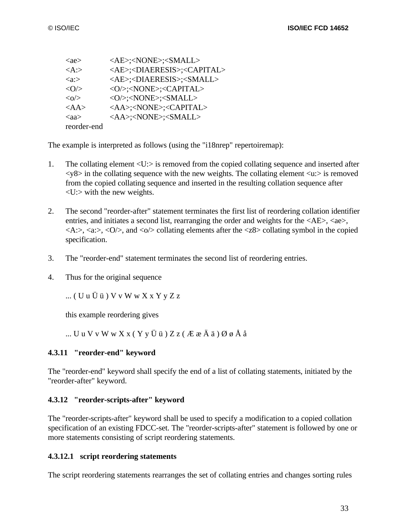| $\langle ae \rangle$   | <ae>;<none>;<small></small></none></ae>               |
|------------------------|-------------------------------------------------------|
| $\langle A: \rangle$   | <ae>;<diaeresis>;<capital></capital></diaeresis></ae> |
| $\langle a: \rangle$   | <ae>;<diaeresis>;<small></small></diaeresis></ae>     |
| $\langle$ O/ $>$       | <0/>: <none>;<capital></capital></none>               |
| $\langle 0 \rangle$    | <0/>: <none>;<small></small></none>                   |
| $<\!\!AA\!\!>$         | <aa>;<none>;<capital></capital></none></aa>           |
| $\langle$ aa $\rangle$ | <aa>;<none>;<small></small></none></aa>               |
| reorder-end            |                                                       |

The example is interpreted as follows (using the "i18nrep" repertoiremap):

- 1. The collating element <U:> is removed from the copied collating sequence and inserted after  $\langle \sqrt{8} \rangle$  in the collating sequence with the new weights. The collating element  $\langle u \rangle$  is removed from the copied collating sequence and inserted in the resulting collation sequence after <U:> with the new weights.
- 2. The second "reorder-after" statement terminates the first list of reordering collation identifier entries, and initiates a second list, rearranging the order and weights for the  $\langle AE \rangle$ ,  $\langle ae \rangle$ ,  $\langle A:\rangle$ ,  $\langle a:\rangle$ ,  $\langle 0/\rangle$ , and  $\langle 0/\rangle$  collating elements after the  $\langle 28 \rangle$  collating symbol in the copied specification.
- 3. The "reorder-end" statement terminates the second list of reordering entries.
- 4. Thus for the original sequence

... ( U u Ü ü ) V v W w X x Y y Z z

this example reordering gives

... U u V v W w X x ( Y y Ü ü ) Z z ( Æ æ Ä ä ) Ø ø Å å

### **4.3.11 "reorder-end" keyword**

The "reorder-end" keyword shall specify the end of a list of collating statements, initiated by the "reorder-after" keyword.

#### **4.3.12 "reorder-scripts-after" keyword**

The "reorder-scripts-after" keyword shall be used to specify a modification to a copied collation specification of an existing FDCC-set. The "reorder-scripts-after" statement is followed by one or more statements consisting of script reordering statements.

#### **4.3.12.1 script reordering statements**

The script reordering statements rearranges the set of collating entries and changes sorting rules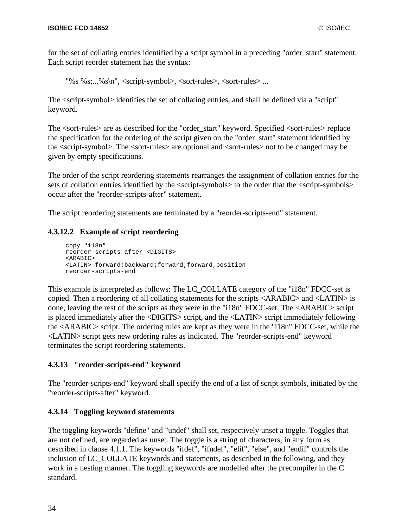for the set of collating entries identified by a script symbol in a preceding "order\_start" statement. Each script reorder statement has the syntax:

"%s %s;...%s\n", <script-symbol>, <sort-rules>, <sort-rules> ...

The <script-symbol> identifies the set of collating entries, and shall be defined via a "script" keyword.

The <sort-rules> are as described for the "order\_start" keyword. Specified <sort-rules> replace the specification for the ordering of the script given on the "order\_start" statement identified by the <script-symbol>. The <sort-rules> are optional and <sort-rules> not to be changed may be given by empty specifications.

The order of the script reordering statements rearranges the assignment of collation entries for the sets of collation entries identified by the  $\le$ script-symbols $>$  to the order that the  $\le$ script-symbols $>$ occur after the "reorder-scripts-after" statement.

The script reordering statements are terminated by a "reorder-scripts-end" statement.

### **4.3.12.2 Example of script reordering**

```
copy "i18n"
reorder-scripts-after <DIGITS>
<ARABIC>
<LATIN> forward;backward;forward;forward,position
reorder-scripts-end
```
This example is interpreted as follows: The LC\_COLLATE category of the "i18n" FDCC-set is copied. Then a reordering of all collating statements for the scripts <ARABIC> and <LATIN> is done, leaving the rest of the scripts as they were in the "i18n" FDCC-set. The <ARABIC> script is placed immediately after the <DIGITS> script, and the <LATIN> script immediately following the <ARABIC> script. The ordering rules are kept as they were in the "i18n" FDCC-set, while the <LATIN> script gets new ordering rules as indicated. The "reorder-scripts-end" keyword terminates the script reordering statements.

### **4.3.13 "reorder-scripts-end" keyword**

The "reorder-scripts-end" keyword shall specify the end of a list of script symbols, initiated by the "reorder-scripts-after" keyword.

### **4.3.14 Toggling keyword statements**

The toggling keywords "define" and "undef" shall set, respectively unset a toggle. Toggles that are not defined, are regarded as unset. The toggle is a string of characters, in any form as described in clause 4.1.1. The keywords "ifdef", "ifndef", "elif", "else", and "endif" controls the inclusion of LC\_COLLATE keywords and statements, as described in the following, and they work in a nesting manner. The toggling keywords are modelled after the precompiler in the C standard.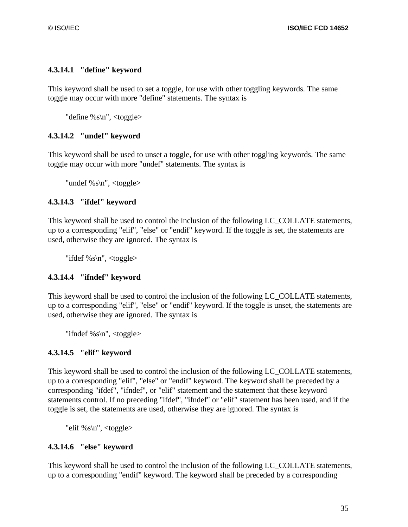### **4.3.14.1 "define" keyword**

This keyword shall be used to set a toggle, for use with other toggling keywords. The same toggle may occur with more "define" statements. The syntax is

"define  $\%$ s\n", <toggle>

## **4.3.14.2 "undef" keyword**

This keyword shall be used to unset a toggle, for use with other toggling keywords. The same toggle may occur with more "undef" statements. The syntax is

"undef %s $n$ ", <toggle>

### **4.3.14.3 "ifdef" keyword**

This keyword shall be used to control the inclusion of the following LC\_COLLATE statements, up to a corresponding "elif", "else" or "endif" keyword. If the toggle is set, the statements are used, otherwise they are ignored. The syntax is

"ifdef %s\n",  $ltt$ oggle $gt$ 

### **4.3.14.4 "ifndef" keyword**

This keyword shall be used to control the inclusion of the following LC\_COLLATE statements, up to a corresponding "elif", "else" or "endif" keyword. If the toggle is unset, the statements are used, otherwise they are ignored. The syntax is

"ifndef %s $n$ ", <toggle>

### **4.3.14.5 "elif" keyword**

This keyword shall be used to control the inclusion of the following LC\_COLLATE statements, up to a corresponding "elif", "else" or "endif" keyword. The keyword shall be preceded by a corresponding "ifdef", "ifndef", or "elif" statement and the statement that these keyword statements control. If no preceding "ifdef", "ifndef" or "elif" statement has been used, and if the toggle is set, the statements are used, otherwise they are ignored. The syntax is

"elif %s\n", <toggle>

### **4.3.14.6 "else" keyword**

This keyword shall be used to control the inclusion of the following LC\_COLLATE statements, up to a corresponding "endif" keyword. The keyword shall be preceded by a corresponding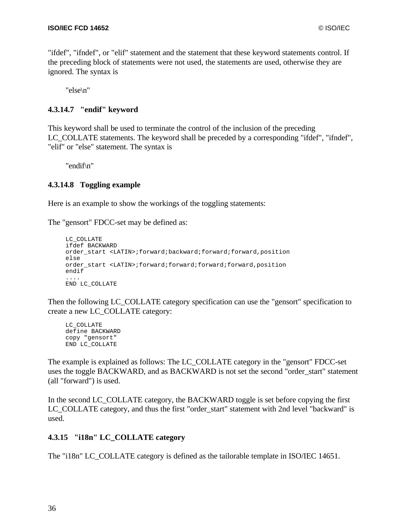"ifdef", "ifndef", or "elif" statement and the statement that these keyword statements control. If the preceding block of statements were not used, the statements are used, otherwise they are ignored. The syntax is

"else\n"

# **4.3.14.7 "endif" keyword**

This keyword shall be used to terminate the control of the inclusion of the preceding LC\_COLLATE statements. The keyword shall be preceded by a corresponding "ifdef", "ifndef", "elif" or "else" statement. The syntax is

"endif\n"

# **4.3.14.8 Toggling example**

Here is an example to show the workings of the toggling statements:

The "gensort" FDCC-set may be defined as:

```
LC_COLLATE
ifdef BACKWARD
order_start <LATIN>;forward;backward;forward;forward,position
else
order_start <LATIN>;forward;forward;forward;forward,position
endif
....
END LC_COLLATE
```
Then the following LC\_COLLATE category specification can use the "gensort" specification to create a new LC\_COLLATE category:

```
LC_COLLATE
define BACKWARD
copy "gensort"
END LC_COLLATE
```
The example is explained as follows: The LC\_COLLATE category in the "gensort" FDCC-set uses the toggle BACKWARD, and as BACKWARD is not set the second "order\_start" statement (all "forward") is used.

In the second LC\_COLLATE category, the BACKWARD toggle is set before copying the first LC\_COLLATE category, and thus the first "order\_start" statement with 2nd level "backward" is used.

# **4.3.15 "i18n" LC\_COLLATE category**

The "i18n" LC\_COLLATE category is defined as the tailorable template in ISO/IEC 14651.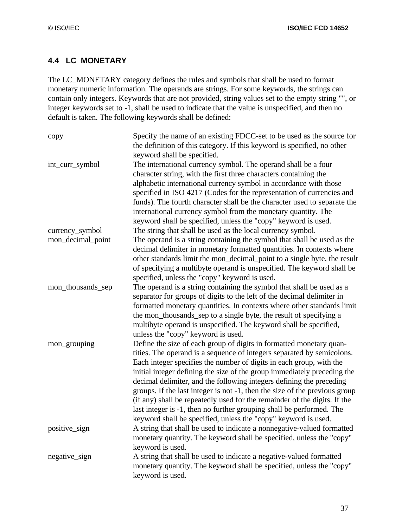# **4.4 LC\_MONETARY**

The LC\_MONETARY category defines the rules and symbols that shall be used to format monetary numeric information. The operands are strings. For some keywords, the strings can contain only integers. Keywords that are not provided, string values set to the empty string "", or integer keywords set to -1, shall be used to indicate that the value is unspecified, and then no default is taken. The following keywords shall be defined:

| copy              | Specify the name of an existing FDCC-set to be used as the source for      |
|-------------------|----------------------------------------------------------------------------|
|                   | the definition of this category. If this keyword is specified, no other    |
|                   | keyword shall be specified.                                                |
| int_curr_symbol   | The international currency symbol. The operand shall be a four             |
|                   | character string, with the first three characters containing the           |
|                   | alphabetic international currency symbol in accordance with those          |
|                   | specified in ISO 4217 (Codes for the representation of currencies and      |
|                   | funds). The fourth character shall be the character used to separate the   |
|                   | international currency symbol from the monetary quantity. The              |
|                   | keyword shall be specified, unless the "copy" keyword is used.             |
| currency_symbol   | The string that shall be used as the local currency symbol.                |
| mon_decimal_point | The operand is a string containing the symbol that shall be used as the    |
|                   | decimal delimiter in monetary formatted quantities. In contexts where      |
|                   | other standards limit the mon_decimal_point to a single byte, the result   |
|                   | of specifying a multibyte operand is unspecified. The keyword shall be     |
|                   | specified, unless the "copy" keyword is used.                              |
| mon_thousands_sep | The operand is a string containing the symbol that shall be used as a      |
|                   | separator for groups of digits to the left of the decimal delimiter in     |
|                   | formatted monetary quantities. In contexts where other standards limit     |
|                   | the mon_thousands_sep to a single byte, the result of specifying a         |
|                   | multibyte operand is unspecified. The keyword shall be specified,          |
|                   | unless the "copy" keyword is used.                                         |
| mon_grouping      | Define the size of each group of digits in formatted monetary quan-        |
|                   | tities. The operand is a sequence of integers separated by semicolons.     |
|                   | Each integer specifies the number of digits in each group, with the        |
|                   | initial integer defining the size of the group immediately preceding the   |
|                   | decimal delimiter, and the following integers defining the preceding       |
|                   | groups. If the last integer is not -1, then the size of the previous group |
|                   | (if any) shall be repeatedly used for the remainder of the digits. If the  |
|                   | last integer is -1, then no further grouping shall be performed. The       |
|                   | keyword shall be specified, unless the "copy" keyword is used.             |
| positive_sign     | A string that shall be used to indicate a nonnegative-valued formatted     |
|                   | monetary quantity. The keyword shall be specified, unless the "copy"       |
|                   | keyword is used.                                                           |
| negative_sign     | A string that shall be used to indicate a negative-valued formatted        |
|                   | monetary quantity. The keyword shall be specified, unless the "copy"       |
|                   | keyword is used.                                                           |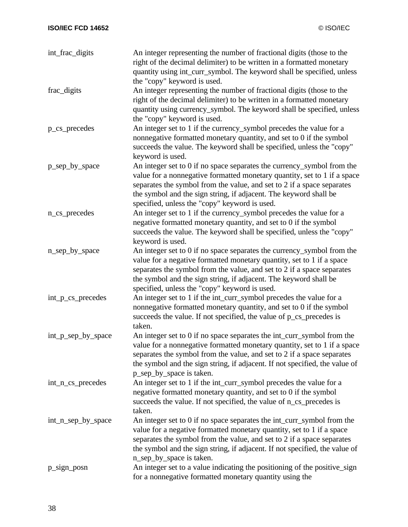| int_frac_digits    | An integer representing the number of fractional digits (those to the<br>right of the decimal delimiter) to be written in a formatted monetary<br>quantity using int_curr_symbol. The keyword shall be specified, unless |
|--------------------|--------------------------------------------------------------------------------------------------------------------------------------------------------------------------------------------------------------------------|
|                    | the "copy" keyword is used.                                                                                                                                                                                              |
| frac_digits        | An integer representing the number of fractional digits (those to the                                                                                                                                                    |
|                    | right of the decimal delimiter) to be written in a formatted monetary                                                                                                                                                    |
|                    | quantity using currency_symbol. The keyword shall be specified, unless                                                                                                                                                   |
|                    | the "copy" keyword is used.                                                                                                                                                                                              |
| p_cs_precedes      | An integer set to 1 if the currency_symbol precedes the value for a                                                                                                                                                      |
|                    | nonnegative formatted monetary quantity, and set to 0 if the symbol                                                                                                                                                      |
|                    | succeeds the value. The keyword shall be specified, unless the "copy"                                                                                                                                                    |
|                    | keyword is used.                                                                                                                                                                                                         |
| p_sep_by_space     | An integer set to 0 if no space separates the currency_symbol from the                                                                                                                                                   |
|                    | value for a nonnegative formatted monetary quantity, set to 1 if a space                                                                                                                                                 |
|                    | separates the symbol from the value, and set to 2 if a space separates                                                                                                                                                   |
|                    | the symbol and the sign string, if adjacent. The keyword shall be                                                                                                                                                        |
|                    | specified, unless the "copy" keyword is used.                                                                                                                                                                            |
| n_cs_precedes      | An integer set to 1 if the currency_symbol precedes the value for a                                                                                                                                                      |
|                    | negative formatted monetary quantity, and set to 0 if the symbol                                                                                                                                                         |
|                    | succeeds the value. The keyword shall be specified, unless the "copy"                                                                                                                                                    |
|                    | keyword is used.                                                                                                                                                                                                         |
| n_sep_by_space     | An integer set to 0 if no space separates the currency_symbol from the                                                                                                                                                   |
|                    | value for a negative formatted monetary quantity, set to 1 if a space                                                                                                                                                    |
|                    | separates the symbol from the value, and set to 2 if a space separates                                                                                                                                                   |
|                    | the symbol and the sign string, if adjacent. The keyword shall be                                                                                                                                                        |
|                    | specified, unless the "copy" keyword is used.                                                                                                                                                                            |
| int_p_cs_precedes  | An integer set to 1 if the int_curr_symbol precedes the value for a                                                                                                                                                      |
|                    | nonnegative formatted monetary quantity, and set to 0 if the symbol                                                                                                                                                      |
|                    | succeeds the value. If not specified, the value of p_cs_precedes is                                                                                                                                                      |
|                    | taken.                                                                                                                                                                                                                   |
| int_p_sep_by_space | An integer set to 0 if no space separates the int_curr_symbol from the                                                                                                                                                   |
|                    | value for a nonnegative formatted monetary quantity, set to 1 if a space                                                                                                                                                 |
|                    | separates the symbol from the value, and set to 2 if a space separates                                                                                                                                                   |
|                    | the symbol and the sign string, if adjacent. If not specified, the value of                                                                                                                                              |
|                    | p_sep_by_space is taken.                                                                                                                                                                                                 |
| int_n_cs_precedes  | An integer set to 1 if the int_curr_symbol precedes the value for a                                                                                                                                                      |
|                    | negative formatted monetary quantity, and set to 0 if the symbol                                                                                                                                                         |
|                    | succeeds the value. If not specified, the value of n_cs_precedes is                                                                                                                                                      |
|                    | taken.                                                                                                                                                                                                                   |
| int_n_sep_by_space | An integer set to 0 if no space separates the int_curr_symbol from the                                                                                                                                                   |
|                    | value for a negative formatted monetary quantity, set to 1 if a space                                                                                                                                                    |
|                    | separates the symbol from the value, and set to 2 if a space separates                                                                                                                                                   |
|                    | the symbol and the sign string, if adjacent. If not specified, the value of                                                                                                                                              |
|                    | n_sep_by_space is taken.                                                                                                                                                                                                 |
| p_sign_posn        | An integer set to a value indicating the positioning of the positive_sign                                                                                                                                                |
|                    | for a nonnegative formatted monetary quantity using the                                                                                                                                                                  |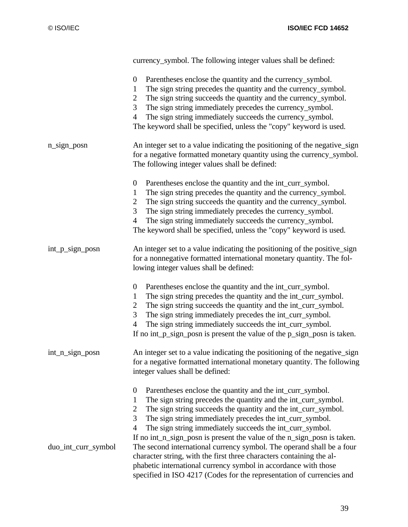|                     | currency_symbol. The following integer values shall be defined:                                                                                                                                                                                                                                                                                                                                                                                               |
|---------------------|---------------------------------------------------------------------------------------------------------------------------------------------------------------------------------------------------------------------------------------------------------------------------------------------------------------------------------------------------------------------------------------------------------------------------------------------------------------|
|                     | $\boldsymbol{0}$<br>Parentheses enclose the quantity and the currency_symbol.<br>The sign string precedes the quantity and the currency_symbol.<br>$\mathbf{1}$<br>The sign string succeeds the quantity and the currency_symbol.<br>$\overline{2}$<br>3<br>The sign string immediately precedes the currency_symbol.<br>The sign string immediately succeeds the currency_symbol.<br>4<br>The keyword shall be specified, unless the "copy" keyword is used. |
| $n$ _sign_posn      | An integer set to a value indicating the positioning of the negative_sign<br>for a negative formatted monetary quantity using the currency_symbol.<br>The following integer values shall be defined:                                                                                                                                                                                                                                                          |
|                     | Parentheses enclose the quantity and the int_curr_symbol.<br>$\boldsymbol{0}$<br>The sign string precedes the quantity and the currency_symbol.<br>1<br>The sign string succeeds the quantity and the currency_symbol.<br>2<br>3<br>The sign string immediately precedes the currency_symbol.<br>The sign string immediately succeeds the currency_symbol.<br>4<br>The keyword shall be specified, unless the "copy" keyword is used.                         |
| int_p_sign_posn     | An integer set to a value indicating the positioning of the positive_sign<br>for a nonnegative formatted international monetary quantity. The fol-<br>lowing integer values shall be defined:                                                                                                                                                                                                                                                                 |
|                     | Parentheses enclose the quantity and the int_curr_symbol.<br>$\boldsymbol{0}$<br>The sign string precedes the quantity and the int_curr_symbol.<br>1<br>The sign string succeeds the quantity and the int_curr_symbol.<br>2<br>3<br>The sign string immediately precedes the int_curr_symbol.<br>The sign string immediately succeeds the int_curr_symbol.<br>$\overline{4}$<br>If no int_p_sign_posn is present the value of the p_sign_posn is taken.       |
| int_n_sign_posn     | An integer set to a value indicating the positioning of the negative_sign<br>for a negative formatted international monetary quantity. The following<br>integer values shall be defined:                                                                                                                                                                                                                                                                      |
|                     | Parentheses enclose the quantity and the int_curr_symbol.<br>$\boldsymbol{0}$<br>The sign string precedes the quantity and the int_curr_symbol.<br>1<br>The sign string succeeds the quantity and the int_curr_symbol.<br>$\overline{2}$<br>3<br>The sign string immediately precedes the int_curr_symbol.<br>The sign string immediately succeeds the int_curr_symbol.<br>4<br>If no int_n_sign_posn is present the value of the n_sign_posn is taken.       |
| duo_int_curr_symbol | The second international currency symbol. The operand shall be a four<br>character string, with the first three characters containing the al-<br>phabetic international currency symbol in accordance with those<br>specified in ISO 4217 (Codes for the representation of currencies and                                                                                                                                                                     |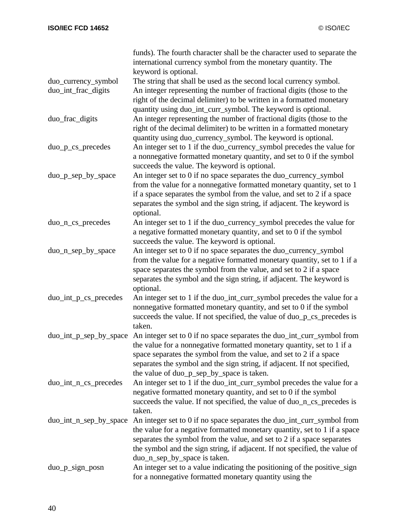|                        | funds). The fourth character shall be the character used to separate the<br>international currency symbol from the monetary quantity. The                                                                                                                                                                                                                              |
|------------------------|------------------------------------------------------------------------------------------------------------------------------------------------------------------------------------------------------------------------------------------------------------------------------------------------------------------------------------------------------------------------|
|                        | keyword is optional.                                                                                                                                                                                                                                                                                                                                                   |
| duo_currency_symbol    | The string that shall be used as the second local currency symbol.                                                                                                                                                                                                                                                                                                     |
| duo_int_frac_digits    | An integer representing the number of fractional digits (those to the<br>right of the decimal delimiter) to be written in a formatted monetary                                                                                                                                                                                                                         |
| duo_frac_digits        | quantity using duo_int_curr_symbol. The keyword is optional.<br>An integer representing the number of fractional digits (those to the                                                                                                                                                                                                                                  |
|                        | right of the decimal delimiter) to be written in a formatted monetary                                                                                                                                                                                                                                                                                                  |
| duo_p_cs_precedes      | quantity using duo_currency_symbol. The keyword is optional.<br>An integer set to 1 if the duo_currency_symbol precedes the value for<br>a nonnegative formatted monetary quantity, and set to 0 if the symbol<br>succeeds the value. The keyword is optional.                                                                                                         |
| duo_p_sep_by_space     | An integer set to 0 if no space separates the duo_currency_symbol                                                                                                                                                                                                                                                                                                      |
|                        | from the value for a nonnegative formatted monetary quantity, set to 1<br>if a space separates the symbol from the value, and set to 2 if a space<br>separates the symbol and the sign string, if adjacent. The keyword is<br>optional.                                                                                                                                |
| duo_n_cs_precedes      | An integer set to 1 if the duo_currency_symbol precedes the value for                                                                                                                                                                                                                                                                                                  |
|                        | a negative formatted monetary quantity, and set to 0 if the symbol<br>succeeds the value. The keyword is optional.                                                                                                                                                                                                                                                     |
| duo_n_sep_by_space     | An integer set to 0 if no space separates the duo_currency_symbol                                                                                                                                                                                                                                                                                                      |
|                        | from the value for a negative formatted monetary quantity, set to 1 if a<br>space separates the symbol from the value, and set to 2 if a space<br>separates the symbol and the sign string, if adjacent. The keyword is<br>optional.                                                                                                                                   |
| duo_int_p_cs_precedes  | An integer set to 1 if the duo_int_curr_symbol precedes the value for a<br>nonnegative formatted monetary quantity, and set to 0 if the symbol<br>succeeds the value. If not specified, the value of duo_p_cs_precedes is<br>taken.                                                                                                                                    |
|                        | duo_int_p_sep_by_space An integer set to 0 if no space separates the duo_int_curr_symbol from<br>the value for a nonnegative formatted monetary quantity, set to 1 if a<br>space separates the symbol from the value, and set to 2 if a space<br>separates the symbol and the sign string, if adjacent. If not specified,<br>the value of duo_p_sep_by_space is taken. |
| duo_int_n_cs_precedes  | An integer set to 1 if the duo_int_curr_symbol precedes the value for a<br>negative formatted monetary quantity, and set to 0 if the symbol<br>succeeds the value. If not specified, the value of duo_n_cs_precedes is<br>taken.                                                                                                                                       |
| duo_int_n_sep_by_space | An integer set to 0 if no space separates the duo_int_curr_symbol from<br>the value for a negative formatted monetary quantity, set to 1 if a space<br>separates the symbol from the value, and set to 2 if a space separates<br>the symbol and the sign string, if adjacent. If not specified, the value of<br>duo_n_sep_by_space is taken.                           |
| $duo_p\_sign\_posn$    | An integer set to a value indicating the positioning of the positive_sign<br>for a nonnegative formatted monetary quantity using the                                                                                                                                                                                                                                   |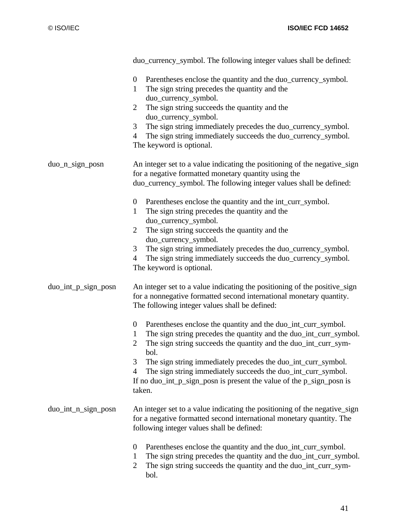|                     | duo_currency_symbol. The following integer values shall be defined:                                                                                                                                                                                                                                                                                                                                                                                                                                             |
|---------------------|-----------------------------------------------------------------------------------------------------------------------------------------------------------------------------------------------------------------------------------------------------------------------------------------------------------------------------------------------------------------------------------------------------------------------------------------------------------------------------------------------------------------|
|                     | Parentheses enclose the quantity and the duo_currency_symbol.<br>$\overline{0}$<br>The sign string precedes the quantity and the<br>$\mathbf{1}$<br>duo_currency_symbol.<br>The sign string succeeds the quantity and the<br>$\overline{2}$<br>duo_currency_symbol.<br>The sign string immediately precedes the duo_currency_symbol.<br>3<br>The sign string immediately succeeds the duo_currency_symbol.<br>$\overline{4}$<br>The keyword is optional.                                                        |
| $duo_n$ _sign_posn  | An integer set to a value indicating the positioning of the negative_sign<br>for a negative formatted monetary quantity using the<br>duo_currency_symbol. The following integer values shall be defined:                                                                                                                                                                                                                                                                                                        |
|                     | $\boldsymbol{0}$<br>Parentheses enclose the quantity and the int_curr_symbol.<br>The sign string precedes the quantity and the<br>$\mathbf{1}$<br>duo_currency_symbol.<br>The sign string succeeds the quantity and the<br>2<br>duo_currency_symbol.<br>The sign string immediately precedes the duo_currency_symbol.<br>3<br>The sign string immediately succeeds the duo_currency_symbol.<br>4<br>The keyword is optional.                                                                                    |
| duo_int_p_sign_posn | An integer set to a value indicating the positioning of the positive_sign<br>for a nonnegative formatted second international monetary quantity.<br>The following integer values shall be defined:                                                                                                                                                                                                                                                                                                              |
|                     | $\boldsymbol{0}$<br>Parentheses enclose the quantity and the duo_int_curr_symbol.<br>The sign string precedes the quantity and the duo_int_curr_symbol.<br>$\mathbf{1}$<br>The sign string succeeds the quantity and the duo_int_curr_sym-<br>$\overline{2}$<br>bol.<br>3<br>The sign string immediately precedes the duo_int_curr_symbol.<br>The sign string immediately succeeds the duo_int_curr_symbol.<br>$\overline{4}$<br>If no duo_int_p_sign_posn is present the value of the p_sign_posn is<br>taken. |
| duo_int_n_sign_posn | An integer set to a value indicating the positioning of the negative_sign<br>for a negative formatted second international monetary quantity. The<br>following integer values shall be defined:                                                                                                                                                                                                                                                                                                                 |
|                     | Parentheses enclose the quantity and the duo_int_curr_symbol.<br>$\theta$<br>The sign string precedes the quantity and the duo_int_curr_symbol.<br>1<br>The sign string succeeds the quantity and the duo_int_curr_sym-<br>$\overline{2}$<br>bol.                                                                                                                                                                                                                                                               |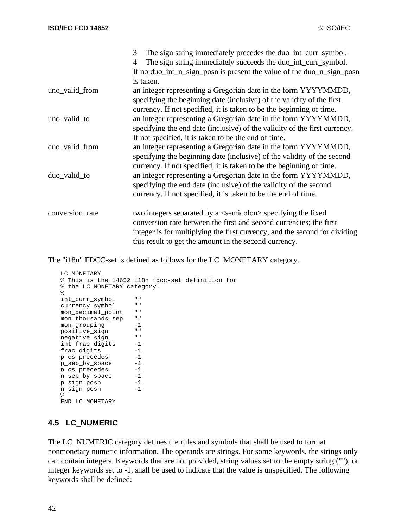|                 | The sign string immediately precedes the duo_int_curr_symbol.<br>3         |
|-----------------|----------------------------------------------------------------------------|
|                 | The sign string immediately succeeds the duo_int_curr_symbol.<br>4         |
|                 | If no duo_int_n_sign_posn is present the value of the duo_n_sign_posn      |
|                 | is taken.                                                                  |
| uno_valid_from  | an integer representing a Gregorian date in the form YYYYMMDD,             |
|                 | specifying the beginning date (inclusive) of the validity of the first     |
|                 | currency. If not specified, it is taken to be the beginning of time.       |
| uno_valid_to    | an integer representing a Gregorian date in the form YYYYMMDD,             |
|                 | specifying the end date (inclusive) of the validity of the first currency. |
|                 | If not specified, it is taken to be the end of time.                       |
| duo_valid_from  | an integer representing a Gregorian date in the form YYYYMMDD,             |
|                 | specifying the beginning date (inclusive) of the validity of the second    |
|                 | currency. If not specified, it is taken to be the beginning of time.       |
| duo_valid_to    | an integer representing a Gregorian date in the form YYYYMMDD,             |
|                 | specifying the end date (inclusive) of the validity of the second          |
|                 | currency. If not specified, it is taken to be the end of time.             |
| conversion_rate | two integers separated by a <semicolon> specifying the fixed</semicolon>   |
|                 | conversion rate between the first and second currencies; the first         |
|                 | integer is for multiplying the first currency, and the second for dividing |
|                 | this result to get the amount in the second currency.                      |

The "i18n" FDCC-set is defined as follows for the LC\_MONETARY category.

```
LC_MONETARY
 % This is the 14652 i18n fdcc-set definition for
% the LC_MONETARY category.
\frac{6}{6}int_curr_symbol ""
currency_symbol
mon_decimal_point ""
mon_thousands_sep ""<br>mon_grouping -1
mon_grouping -1<br>nositive_sign ""
positive_sign ""<br>negative sign ""
negative_sign ""<br>int frac digits -1
int_frac_digits -1<br>frac digits -1
frac_digits -1<br>p cs precedes -1
p_cs_precedes
p_sep_by_space -1<br>n_cs_precedes -1
n_cs_precedes -1<br>n sep by space -1
n_sep_by_space -1<br>p sign posn -1
p_sign_posn -1<br>n sign posn -1
n_sign_posn
 %
END LC_MONETARY
```
# **4.5 LC\_NUMERIC**

The LC\_NUMERIC category defines the rules and symbols that shall be used to format nonmonetary numeric information. The operands are strings. For some keywords, the strings only can contain integers. Keywords that are not provided, string values set to the empty string (""), or integer keywords set to -1, shall be used to indicate that the value is unspecified. The following keywords shall be defined: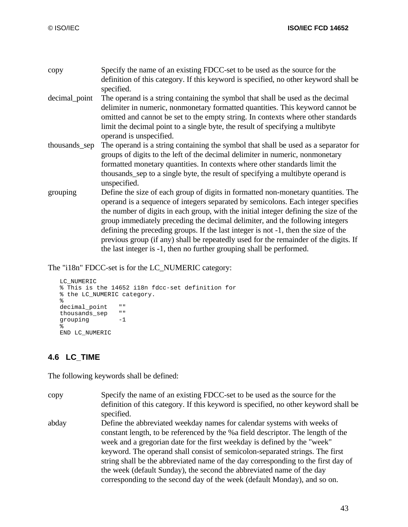| copy          | Specify the name of an existing FDCC-set to be used as the source for the<br>definition of this category. If this keyword is specified, no other keyword shall be<br>specified.                                                                                                                                                                                                                                                                                                                                                                                                                        |
|---------------|--------------------------------------------------------------------------------------------------------------------------------------------------------------------------------------------------------------------------------------------------------------------------------------------------------------------------------------------------------------------------------------------------------------------------------------------------------------------------------------------------------------------------------------------------------------------------------------------------------|
| decimal_point | The operand is a string containing the symbol that shall be used as the decimal<br>delimiter in numeric, nonmonetary formatted quantities. This keyword cannot be<br>omitted and cannot be set to the empty string. In contexts where other standards<br>limit the decimal point to a single byte, the result of specifying a multibyte<br>operand is unspecified.                                                                                                                                                                                                                                     |
| thousands_sep | The operand is a string containing the symbol that shall be used as a separator for<br>groups of digits to the left of the decimal delimiter in numeric, nonmonetary<br>formatted monetary quantities. In contexts where other standards limit the<br>thousands sep to a single byte, the result of specifying a multibyte operand is<br>unspecified.                                                                                                                                                                                                                                                  |
| grouping      | Define the size of each group of digits in formatted non-monetary quantities. The<br>operand is a sequence of integers separated by semicolons. Each integer specifies<br>the number of digits in each group, with the initial integer defining the size of the<br>group immediately preceding the decimal delimiter, and the following integers<br>defining the preceding groups. If the last integer is not -1, then the size of the<br>previous group (if any) shall be repeatedly used for the remainder of the digits. If<br>the last integer is -1, then no further grouping shall be performed. |

The "i18n" FDCC-set is for the LC\_NUMERIC category:

```
LC_NUMERIC
% This is the 14652 i18n fdcc-set definition for
% the LC_NUMERIC category.
\epsilondecimal_point ""
thousands_sep ""
grouping -1\approxEND LC_NUMERIC
```
# **4.6 LC\_TIME**

The following keywords shall be defined:

| copy  | Specify the name of an existing FDCC-set to be used as the source for the<br>definition of this category. If this keyword is specified, no other keyword shall be<br>specified.                                                                                                                                                                                                                                                                                                                                                                                  |
|-------|------------------------------------------------------------------------------------------------------------------------------------------------------------------------------------------------------------------------------------------------------------------------------------------------------------------------------------------------------------------------------------------------------------------------------------------------------------------------------------------------------------------------------------------------------------------|
| abday | Define the abbreviated weekday names for calendar systems with weeks of<br>constant length, to be referenced by the %a field descriptor. The length of the<br>week and a gregorian date for the first weekday is defined by the "week"<br>keyword. The operand shall consist of semicolon-separated strings. The first<br>string shall be the abbreviated name of the day corresponding to the first day of<br>the week (default Sunday), the second the abbreviated name of the day<br>corresponding to the second day of the week (default Monday), and so on. |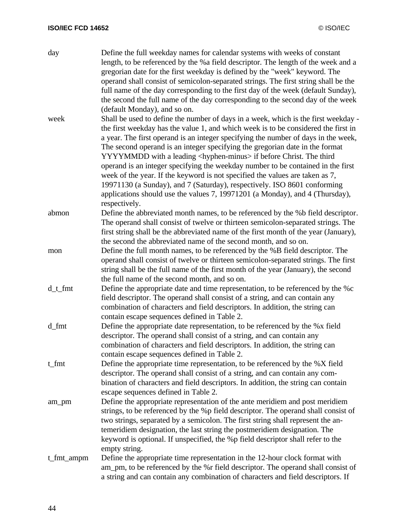| day        | Define the full weekday names for calendar systems with weeks of constant<br>length, to be referenced by the % a field descriptor. The length of the week and a   |
|------------|-------------------------------------------------------------------------------------------------------------------------------------------------------------------|
|            | gregorian date for the first weekday is defined by the "week" keyword. The<br>operand shall consist of semicolon-separated strings. The first string shall be the |
|            | full name of the day corresponding to the first day of the week (default Sunday),                                                                                 |
|            | the second the full name of the day corresponding to the second day of the week                                                                                   |
|            | (default Monday), and so on.                                                                                                                                      |
| week       | Shall be used to define the number of days in a week, which is the first weekday -                                                                                |
|            | the first weekday has the value 1, and which week is to be considered the first in                                                                                |
|            | a year. The first operand is an integer specifying the number of days in the week,                                                                                |
|            | The second operand is an integer specifying the gregorian date in the format<br>YYYYMMDD with a leading <hyphen-minus> if before Christ. The third</hyphen-minus> |
|            | operand is an integer specifying the weekday number to be contained in the first                                                                                  |
|            | week of the year. If the keyword is not specified the values are taken as 7,                                                                                      |
|            | 19971130 (a Sunday), and 7 (Saturday), respectively. ISO 8601 conforming<br>applications should use the values 7, 19971201 (a Monday), and 4 (Thursday),          |
|            | respectively.                                                                                                                                                     |
| abmon      | Define the abbreviated month names, to be referenced by the %b field descriptor.                                                                                  |
|            | The operand shall consist of twelve or thirteen semicolon-separated strings. The                                                                                  |
|            | first string shall be the abbreviated name of the first month of the year (January),                                                                              |
|            | the second the abbreviated name of the second month, and so on.                                                                                                   |
| mon        | Define the full month names, to be referenced by the %B field descriptor. The                                                                                     |
|            | operand shall consist of twelve or thirteen semicolon-separated strings. The first                                                                                |
|            | string shall be the full name of the first month of the year (January), the second                                                                                |
|            | the full name of the second month, and so on.                                                                                                                     |
| $d_t$ fmt  | Define the appropriate date and time representation, to be referenced by the %c                                                                                   |
|            | field descriptor. The operand shall consist of a string, and can contain any                                                                                      |
|            | combination of characters and field descriptors. In addition, the string can                                                                                      |
|            | contain escape sequences defined in Table 2.                                                                                                                      |
| d_fmt      | Define the appropriate date representation, to be referenced by the %x field                                                                                      |
|            | descriptor. The operand shall consist of a string, and can contain any                                                                                            |
|            | combination of characters and field descriptors. In addition, the string can<br>contain escape sequences defined in Table 2.                                      |
| t_fmt      | Define the appropriate time representation, to be referenced by the %X field                                                                                      |
|            | descriptor. The operand shall consist of a string, and can contain any com-                                                                                       |
|            | bination of characters and field descriptors. In addition, the string can contain                                                                                 |
|            | escape sequences defined in Table 2.                                                                                                                              |
| am_pm      | Define the appropriate representation of the ante meridiem and post meridiem                                                                                      |
|            | strings, to be referenced by the %p field descriptor. The operand shall consist of                                                                                |
|            | two strings, separated by a semicolon. The first string shall represent the an-                                                                                   |
|            | temeridiem designation, the last string the postmeridiem designation. The                                                                                         |
|            | keyword is optional. If unspecified, the %p field descriptor shall refer to the                                                                                   |
|            | empty string.                                                                                                                                                     |
| t_fmt_ampm | Define the appropriate time representation in the 12-hour clock format with                                                                                       |
|            | am_pm, to be referenced by the %r field descriptor. The operand shall consist of                                                                                  |
|            | a string and can contain any combination of characters and field descriptors. If                                                                                  |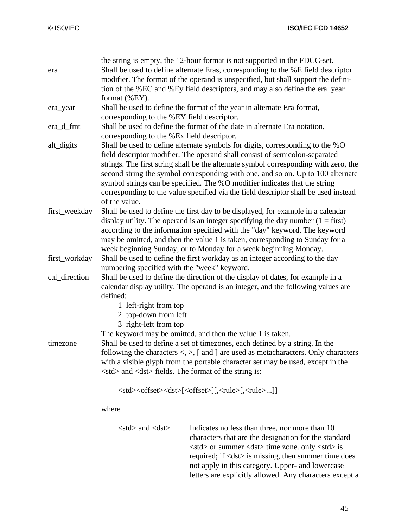| Shall be used to define alternate Eras, corresponding to the %E field descriptor<br>modifier. The format of the operand is unspecified, but shall support the defini-<br>tion of the %EC and %Ey field descriptors, and may also define the era_year<br>Shall be used to define alternate symbols for digits, corresponding to the %O<br>strings. The first string shall be the alternate symbol corresponding with zero, the<br>second string the symbol corresponding with one, and so on. Up to 100 alternate |  |  |
|------------------------------------------------------------------------------------------------------------------------------------------------------------------------------------------------------------------------------------------------------------------------------------------------------------------------------------------------------------------------------------------------------------------------------------------------------------------------------------------------------------------|--|--|
|                                                                                                                                                                                                                                                                                                                                                                                                                                                                                                                  |  |  |
|                                                                                                                                                                                                                                                                                                                                                                                                                                                                                                                  |  |  |
|                                                                                                                                                                                                                                                                                                                                                                                                                                                                                                                  |  |  |
|                                                                                                                                                                                                                                                                                                                                                                                                                                                                                                                  |  |  |
|                                                                                                                                                                                                                                                                                                                                                                                                                                                                                                                  |  |  |
|                                                                                                                                                                                                                                                                                                                                                                                                                                                                                                                  |  |  |
|                                                                                                                                                                                                                                                                                                                                                                                                                                                                                                                  |  |  |
|                                                                                                                                                                                                                                                                                                                                                                                                                                                                                                                  |  |  |
|                                                                                                                                                                                                                                                                                                                                                                                                                                                                                                                  |  |  |
|                                                                                                                                                                                                                                                                                                                                                                                                                                                                                                                  |  |  |
|                                                                                                                                                                                                                                                                                                                                                                                                                                                                                                                  |  |  |
|                                                                                                                                                                                                                                                                                                                                                                                                                                                                                                                  |  |  |
|                                                                                                                                                                                                                                                                                                                                                                                                                                                                                                                  |  |  |
| corresponding to the value specified via the field descriptor shall be used instead                                                                                                                                                                                                                                                                                                                                                                                                                              |  |  |
|                                                                                                                                                                                                                                                                                                                                                                                                                                                                                                                  |  |  |
| Shall be used to define the first day to be displayed, for example in a calendar                                                                                                                                                                                                                                                                                                                                                                                                                                 |  |  |
| display utility. The operand is an integer specifying the day number $(1 = first)$                                                                                                                                                                                                                                                                                                                                                                                                                               |  |  |
| according to the information specified with the "day" keyword. The keyword                                                                                                                                                                                                                                                                                                                                                                                                                                       |  |  |
| may be omitted, and then the value 1 is taken, corresponding to Sunday for a                                                                                                                                                                                                                                                                                                                                                                                                                                     |  |  |
|                                                                                                                                                                                                                                                                                                                                                                                                                                                                                                                  |  |  |
| week beginning Sunday, or to Monday for a week beginning Monday.<br>Shall be used to define the first workday as an integer according to the day                                                                                                                                                                                                                                                                                                                                                                 |  |  |
|                                                                                                                                                                                                                                                                                                                                                                                                                                                                                                                  |  |  |
|                                                                                                                                                                                                                                                                                                                                                                                                                                                                                                                  |  |  |
| calendar display utility. The operand is an integer, and the following values are                                                                                                                                                                                                                                                                                                                                                                                                                                |  |  |
|                                                                                                                                                                                                                                                                                                                                                                                                                                                                                                                  |  |  |
|                                                                                                                                                                                                                                                                                                                                                                                                                                                                                                                  |  |  |
|                                                                                                                                                                                                                                                                                                                                                                                                                                                                                                                  |  |  |
|                                                                                                                                                                                                                                                                                                                                                                                                                                                                                                                  |  |  |
|                                                                                                                                                                                                                                                                                                                                                                                                                                                                                                                  |  |  |
|                                                                                                                                                                                                                                                                                                                                                                                                                                                                                                                  |  |  |
| following the characters $\langle \rangle$ , [ and ] are used as metacharacters. Only characters                                                                                                                                                                                                                                                                                                                                                                                                                 |  |  |
| with a visible glyph from the portable character set may be used, except in the                                                                                                                                                                                                                                                                                                                                                                                                                                  |  |  |
|                                                                                                                                                                                                                                                                                                                                                                                                                                                                                                                  |  |  |
|                                                                                                                                                                                                                                                                                                                                                                                                                                                                                                                  |  |  |
|                                                                                                                                                                                                                                                                                                                                                                                                                                                                                                                  |  |  |
|                                                                                                                                                                                                                                                                                                                                                                                                                                                                                                                  |  |  |
|                                                                                                                                                                                                                                                                                                                                                                                                                                                                                                                  |  |  |
|                                                                                                                                                                                                                                                                                                                                                                                                                                                                                                                  |  |  |
| characters that are the designation for the standard                                                                                                                                                                                                                                                                                                                                                                                                                                                             |  |  |
|                                                                                                                                                                                                                                                                                                                                                                                                                                                                                                                  |  |  |
| required; if <dst> is missing, then summer time does</dst>                                                                                                                                                                                                                                                                                                                                                                                                                                                       |  |  |
|                                                                                                                                                                                                                                                                                                                                                                                                                                                                                                                  |  |  |
| not apply in this category. Upper- and lowercase                                                                                                                                                                                                                                                                                                                                                                                                                                                                 |  |  |
| Shall be used to define the direction of the display of dates, for example in a<br>$\langle \text{std} \rangle$ or summer $\langle \text{dst} \rangle$ time zone. only $\langle \text{std} \rangle$ is                                                                                                                                                                                                                                                                                                           |  |  |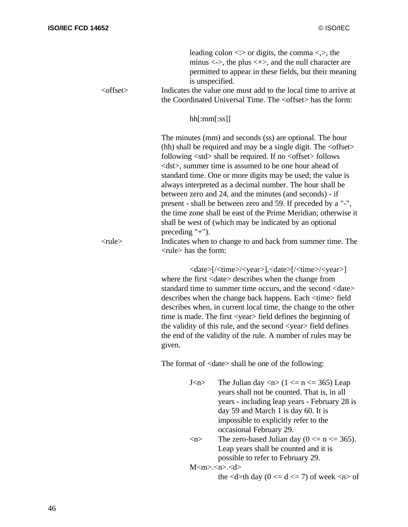| <offset></offset> | leading colon $\langle \cdot \rangle$ or digits, the comma $\langle \cdot \rangle$ , the<br>minus $\langle \rightarrow \rangle$ , the plus $\langle \rightarrow \rangle$ , and the null character are<br>permitted to appear in these fields, but their meaning<br>is unspecified.<br>Indicates the value one must add to the local time to arrive at<br>the Coordinated Universal Time. The <offset> has the form:</offset>                                                                                                                                                                                                                                                                                                                                                                  |
|-------------------|-----------------------------------------------------------------------------------------------------------------------------------------------------------------------------------------------------------------------------------------------------------------------------------------------------------------------------------------------------------------------------------------------------------------------------------------------------------------------------------------------------------------------------------------------------------------------------------------------------------------------------------------------------------------------------------------------------------------------------------------------------------------------------------------------|
|                   | hh[:mm[:ss]]                                                                                                                                                                                                                                                                                                                                                                                                                                                                                                                                                                                                                                                                                                                                                                                  |
| $<$ rule $>$      | The minutes (mm) and seconds (ss) are optional. The hour<br>(hh) shall be required and may be a single digit. The $\leq$ offset ><br>following $\langle$ std $\rangle$ shall be required. If no $\langle$ offset $\rangle$ follows<br><dst>, summer time is assumed to be one hour ahead of<br/>standard time. One or more digits may be used; the value is<br/>always interpreted as a decimal number. The hour shall be<br/>between zero and 24, and the minutes (and seconds) - if<br/>present - shall be between zero and 59. If preceded by a "-",<br/>the time zone shall be east of the Prime Meridian; otherwise it<br/>shall be west of (which may be indicated by an optional<br/>preceding <math>"+</math>").<br/>Indicates when to change to and back from summer time. The</dst> |
|                   | <rule> has the form:</rule>                                                                                                                                                                                                                                                                                                                                                                                                                                                                                                                                                                                                                                                                                                                                                                   |
|                   | <date>[/<time>/<year>],<date>[/<time>/<year>]<br/>where the first <date> describes when the change from<br/>standard time to summer time occurs, and the second <date><br/>describes when the change back happens. Each <time> field<br/>describes when, in current local time, the change to the other<br/>time is made. The first <year> field defines the beginning of<br/>the validity of this rule, and the second <year> field defines<br/>the end of the validity of the rule. A number of rules may be<br/>given.</year></year></time></date></date></year></time></date></year></time></date>                                                                                                                                                                                        |
|                   | The format of <date> shall be one of the following:</date>                                                                                                                                                                                                                                                                                                                                                                                                                                                                                                                                                                                                                                                                                                                                    |
|                   | The Julian day $\langle n \rangle$ (1 $\langle n \rangle$ = n $\langle n \rangle$ = 365) Leap<br>J < n ><br>years shall not be counted. That is, in all<br>years - including leap years - February 28 is<br>day 59 and March 1 is day 60. It is<br>impossible to explicitly refer to the<br>occasional February 29.                                                                                                                                                                                                                                                                                                                                                                                                                                                                           |
|                   | The zero-based Julian day ( $0 \le n \le 365$ ).<br>$\langle n \rangle$<br>Leap years shall be counted and it is<br>possible to refer to February 29.                                                                                                                                                                                                                                                                                                                                                                                                                                                                                                                                                                                                                                         |
|                   | $M m < n < d$<br>the $\langle d \rangle$ th day (0 $\langle d \rangle$ = d $\langle d \rangle$ = 7) of week $\langle n \rangle$ of                                                                                                                                                                                                                                                                                                                                                                                                                                                                                                                                                                                                                                                            |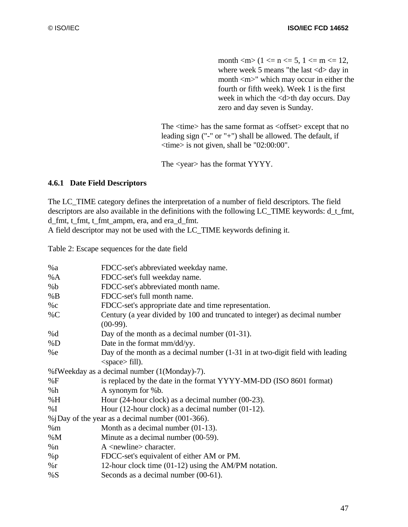month  $\langle m \rangle$  (1  $\langle m = n \rangle$  to  $n = 5$ , 1  $\langle m = 12,$ where week 5 means "the last  $\langle d \rangle$  day in month  $\langle m \rangle$ " which may occur in either the fourth or fifth week). Week 1 is the first week in which the <d>th day occurs. Day zero and day seven is Sunday.

The <time> has the same format as <offset> except that no leading sign ("-" or "+") shall be allowed. The default, if <time> is not given, shall be "02:00:00".

The <year> has the format YYYY.

### **4.6.1 Date Field Descriptors**

The LC\_TIME category defines the interpretation of a number of field descriptors. The field descriptors are also available in the definitions with the following LC\_TIME keywords: d\_t\_fmt, d\_fmt, t\_fmt, t\_fmt\_ampm, era, and era\_d\_fmt. A field descriptor may not be used with the LC\_TIME keywords defining it.

Table 2: Escape sequences for the date field

| %a     | FDCC-set's abbreviated weekday name.                                                      |
|--------|-------------------------------------------------------------------------------------------|
| %A     | FDCC-set's full weekday name.                                                             |
| %b     | FDCC-set's abbreviated month name.                                                        |
| %B     | FDCC-set's full month name.                                                               |
| $\%c$  | FDCC-set's appropriate date and time representation.                                      |
| $\%C$  | Century (a year divided by 100 and truncated to integer) as decimal number<br>$(00-99)$ . |
| %d     | Day of the month as a decimal number $(01-31)$ .                                          |
| %D     | Date in the format mm/dd/yy.                                                              |
| %e     | Day of the month as a decimal number (1-31 in at two-digit field with leading             |
|        | $<$ space> fill).                                                                         |
|        | %fWeekday as a decimal number (1(Monday)-7).                                              |
| %F     | is replaced by the date in the format YYYY-MM-DD (ISO 8601 format)                        |
| %h     | A synonym for %b.                                                                         |
| %H     | Hour $(24$ -hour clock) as a decimal number $(00-23)$ .                                   |
| % I    | Hour $(12$ -hour clock) as a decimal number $(01-12)$ .                                   |
|        | % $\phi$ iDay of the year as a decimal number (001-366).                                  |
| %m     | Month as a decimal number $(01-13)$ .                                                     |
| $\%$ M | Minute as a decimal number (00-59).                                                       |
| %n     | $A$ <newline> character.</newline>                                                        |
| $\%$ p | FDCC-set's equivalent of either AM or PM.                                                 |
| $\%r$  | 12-hour clock time (01-12) using the AM/PM notation.                                      |
| %S     | Seconds as a decimal number (00-61).                                                      |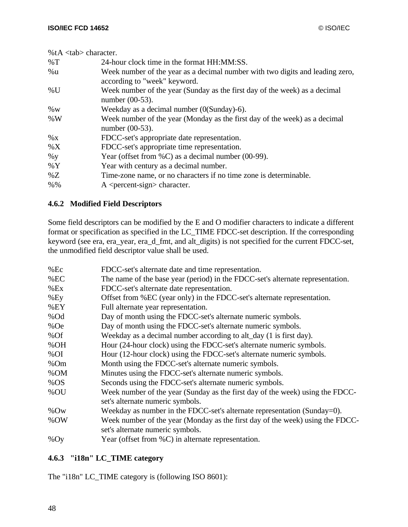| % $tA$ <tab> character.</tab> |                                                                                                               |
|-------------------------------|---------------------------------------------------------------------------------------------------------------|
| $\%T$                         | 24-hour clock time in the format HH:MM:SS.                                                                    |
| %u                            | Week number of the year as a decimal number with two digits and leading zero,<br>according to "week" keyword. |
| $\%$ U                        | Week number of the year (Sunday as the first day of the week) as a decimal<br>number $(00-53)$ .              |
| $\%$ W                        | Weekday as a decimal number $(0(Sunday)-6)$ .                                                                 |
| %W                            | Week number of the year (Monday as the first day of the week) as a decimal<br>number $(00-53)$ .              |
| $\%$ X                        | FDCC-set's appropriate date representation.                                                                   |
| $\%X$                         | FDCC-set's appropriate time representation.                                                                   |
| $\%$ y                        | Year (offset from $\%C$ ) as a decimal number (00-99).                                                        |
| $\%$ Y                        | Year with century as a decimal number.                                                                        |
| %Z                            | Time-zone name, or no characters if no time zone is determinable.                                             |
| $% \%$                        | $A \leq$ percent-sign > character.                                                                            |

# **4.6.2 Modified Field Descriptors**

Some field descriptors can be modified by the E and O modifier characters to indicate a different format or specification as specified in the LC\_TIME FDCC-set description. If the corresponding keyword (see era, era\_year, era\_d\_fmt, and alt\_digits) is not specified for the current FDCC-set, the unmodified field descriptor value shall be used.

| $%$ Ec | FDCC-set's alternate date and time representation.                             |
|--------|--------------------------------------------------------------------------------|
| %EC    | The name of the base year (period) in the FDCC-set's alternate representation. |
| %Ex    | FDCC-set's alternate date representation.                                      |
| $%E_y$ | Offset from %EC (year only) in the FDCC-set's alternate representation.        |
| %EY    | Full alternate year representation.                                            |
| %Od    | Day of month using the FDCC-set's alternate numeric symbols.                   |
| %Oe    | Day of month using the FDCC-set's alternate numeric symbols.                   |
| %Of    | Weekday as a decimal number according to alt_day (1 is first day).             |
| %OH    | Hour (24-hour clock) using the FDCC-set's alternate numeric symbols.           |
| %OI    | Hour (12-hour clock) using the FDCC-set's alternate numeric symbols.           |
| %Om    | Month using the FDCC-set's alternate numeric symbols.                          |
| %OM    | Minutes using the FDCC-set's alternate numeric symbols.                        |
| $%$ OS | Seconds using the FDCC-set's alternate numeric symbols.                        |
| %OU    | Week number of the year (Sunday as the first day of the week) using the FDCC-  |
|        | set's alternate numeric symbols.                                               |
| $%$ Ow | Weekday as number in the FDCC-set's alternate representation (Sunday=0).       |
| %OW    | Week number of the year (Monday as the first day of the week) using the FDCC-  |
|        | set's alternate numeric symbols.                                               |
| %Oy    | Year (offset from $\%C$ ) in alternate representation.                         |
|        |                                                                                |

# **4.6.3 "i18n" LC\_TIME category**

The "i18n" LC\_TIME category is (following ISO 8601):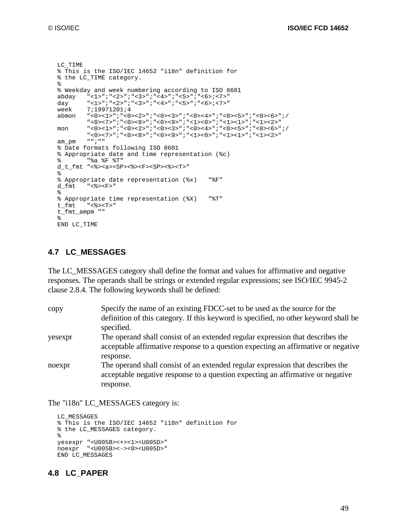```
LC_TIME
% This is the ISO/IEC 14652 "i18n" definition for
% the LC_TIME category.
%
% Weekday and week numbering according to ISO 8601
abday "<1>";"<2>";"<3>";"<4>";"<5>";"<6>;<7>"
day "<1>";"<2>";"<3>";"<4>";"<5>";"<6>;<7>"
week 7;19971201;4<br>abmon "<0><1>";"<0;
        "<0><1>";"<0><2>";"<0><<>";"<0><<>";"<0><<>
         "<0><7>";"<0><8>";"<0><9>";"<1><0>";"<1><1>";"<1><2>"
mon "<0><1>";"<0><2>";"<0><3>";"<0><4>";"<0><5>";"<0><6>";/
        "<0><7>";"<0><8>";"<0><9>";"<1><0>";"<1><2>";"<1><2>"<br>"";""
am_pm
% Date formats following ISO 8601
% Appropriate date and time representation (%c)
% "%a %F %T"
d_t_fmt "<%><a><SP><%><F><SP><%><T>"
%
% Appropriate date representation (%x) "%F"
d_fmt "<%><F>"
%
% Appropriate time representation (%X) "%T"
t_fmt "<%><T>"
t_fmt_ampm ""
%
END LC_TIME
```
### **4.7 LC\_MESSAGES**

The LC\_MESSAGES category shall define the format and values for affirmative and negative responses. The operands shall be strings or extended regular expressions; see ISO/IEC 9945-2 clause 2.8.4. The following keywords shall be defined:

| copy    | Specify the name of an existing FDCC-set to be used as the source for the                                                                                            |
|---------|----------------------------------------------------------------------------------------------------------------------------------------------------------------------|
|         | definition of this category. If this keyword is specified, no other keyword shall be<br>specified.                                                                   |
| yesexpr | The operand shall consist of an extended regular expression that describes the<br>acceptable affirmative response to a question expecting an affirmative or negative |
|         | response.                                                                                                                                                            |
| noexpr  | The operand shall consist of an extended regular expression that describes the<br>acceptable negative response to a question expecting an affirmative or negative    |
|         | response.                                                                                                                                                            |
|         |                                                                                                                                                                      |

The "i18n" LC\_MESSAGES category is:

```
LC_MESSAGES
% This is the ISO/IEC 14652 "i18n" definition for
% the LC_MESSAGES category.
%
yesexpr "<U005B><+><1><U005D>"
noexpr "<U005B><-><0><U005D>"
END LC_MESSAGES
```
#### **4.8 LC\_PAPER**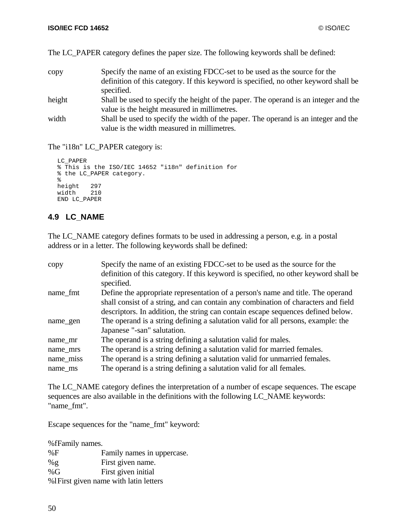|  |  | The LC_PAPER category defines the paper size. The following keywords shall be defined: |  |
|--|--|----------------------------------------------------------------------------------------|--|
|  |  |                                                                                        |  |

| copy   | Specify the name of an existing FDCC-set to be used as the source for the            |
|--------|--------------------------------------------------------------------------------------|
|        | definition of this category. If this keyword is specified, no other keyword shall be |
|        | specified.                                                                           |
| height | Shall be used to specify the height of the paper. The operand is an integer and the  |
|        | value is the height measured in millimetres.                                         |
| width  | Shall be used to specify the width of the paper. The operand is an integer and the   |
|        | value is the width measured in millimetres.                                          |

The "i18n" LC\_PAPER category is:

```
LC_PAPER
% This is the ISO/IEC 14652 "i18n" definition for
% the LC_PAPER category.
%
height 297
width 210
END LC_PAPER
```
# **4.9 LC\_NAME**

The LC\_NAME category defines formats to be used in addressing a person, e.g. in a postal address or in a letter. The following keywords shall be defined:

| copy      | Specify the name of an existing FDCC-set to be used as the source for the<br>definition of this category. If this keyword is specified, no other keyword shall be |
|-----------|-------------------------------------------------------------------------------------------------------------------------------------------------------------------|
|           | specified.                                                                                                                                                        |
| name fmt  | Define the appropriate representation of a person's name and title. The operand                                                                                   |
|           | shall consist of a string, and can contain any combination of characters and field                                                                                |
|           | descriptors. In addition, the string can contain escape sequences defined below.                                                                                  |
| name_gen  | The operand is a string defining a salutation valid for all persons, example: the                                                                                 |
|           | Japanese "-san" salutation.                                                                                                                                       |
| name_mr   | The operand is a string defining a salutation valid for males.                                                                                                    |
| name_mrs  | The operand is a string defining a salutation valid for married females.                                                                                          |
| name_miss | The operand is a string defining a salutation valid for unmarried females.                                                                                        |
| name ms   | The operand is a string defining a salutation valid for all females.                                                                                              |

The LC\_NAME category defines the interpretation of a number of escape sequences. The escape sequences are also available in the definitions with the following LC\_NAME keywords: "name\_fmt".

Escape sequences for the "name\_fmt" keyword:

%fFamily names. %F Family names in uppercase. %g First given name. %G First given initial %lFirst given name with latin letters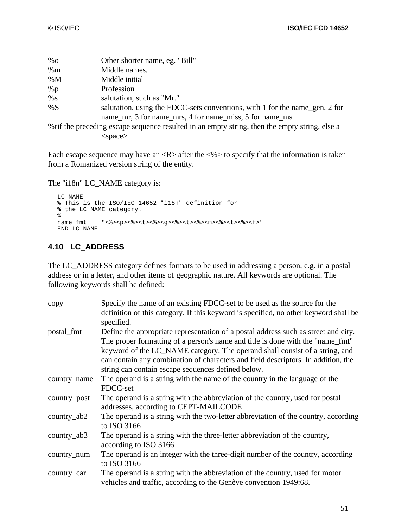| $\%$ O                                                                                         | Other shorter name, eg. "Bill"                                              |  |
|------------------------------------------------------------------------------------------------|-----------------------------------------------------------------------------|--|
| %m                                                                                             | Middle names.                                                               |  |
| %M                                                                                             | Middle initial                                                              |  |
| %p                                                                                             | Profession                                                                  |  |
| %s                                                                                             | salutation, such as "Mr."                                                   |  |
| %S                                                                                             | salutation, using the FDCC-sets conventions, with 1 for the name_gen, 2 for |  |
|                                                                                                | name mr, 3 for name mrs, 4 for name miss, 5 for name ms                     |  |
| % tif the preceding escape sequence resulted in an empty string, then the empty string, else a |                                                                             |  |
|                                                                                                | <space></space>                                                             |  |

Each escape sequence may have an  $\langle R \rangle$  after the  $\langle \% \rangle$  to specify that the information is taken from a Romanized version string of the entity.

The "i18n" LC\_NAME category is:

```
LC_NAME
% This is the ISO/IEC 14652 "i18n" definition for
% the LC_NAME category.
%<br>name_fmt
           name_fmt "<%><p><%><t><%><g><%><t><%><m><%><t><%><f>"
END LC_NAME
```
# **4.10 LC\_ADDRESS**

The LC\_ADDRESS category defines formats to be used in addressing a person, e.g. in a postal address or in a letter, and other items of geographic nature. All keywords are optional. The following keywords shall be defined:

| copy          | Specify the name of an existing FDCC-set to be used as the source for the<br>definition of this category. If this keyword is specified, no other keyword shall be<br>specified.                                                                     |
|---------------|-----------------------------------------------------------------------------------------------------------------------------------------------------------------------------------------------------------------------------------------------------|
| postal_fmt    | Define the appropriate representation of a postal address such as street and city.<br>The proper formatting of a person's name and title is done with the "name_fmt"<br>keyword of the LC_NAME category. The operand shall consist of a string, and |
|               | can contain any combination of characters and field descriptors. In addition, the<br>string can contain escape sequences defined below.                                                                                                             |
| country_name  | The operand is a string with the name of the country in the language of the<br>FDCC-set                                                                                                                                                             |
| country_post  | The operand is a string with the abbreviation of the country, used for postal<br>addresses, according to CEPT-MAILCODE                                                                                                                              |
| $country_ab2$ | The operand is a string with the two-letter abbreviation of the country, according<br>to ISO 3166                                                                                                                                                   |
| $country_ab3$ | The operand is a string with the three-letter abbreviation of the country,<br>according to ISO 3166                                                                                                                                                 |
| country_num   | The operand is an integer with the three-digit number of the country, according<br>to ISO 3166                                                                                                                                                      |
| country_car   | The operand is a string with the abbreviation of the country, used for motor<br>vehicles and traffic, according to the Genève convention 1949:68.                                                                                                   |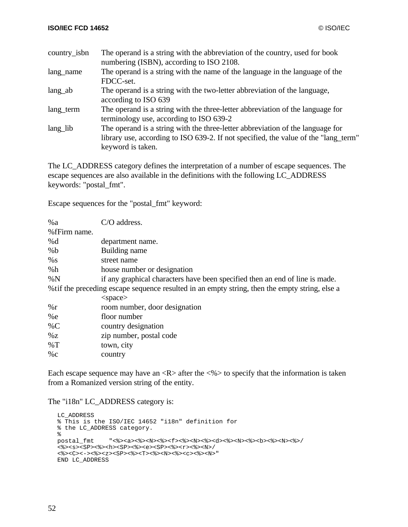| country_isbn       | The operand is a string with the abbreviation of the country, used for book                                                                                                                |
|--------------------|--------------------------------------------------------------------------------------------------------------------------------------------------------------------------------------------|
|                    | numbering (ISBN), according to ISO 2108.                                                                                                                                                   |
| lang_name          | The operand is a string with the name of the language in the language of the                                                                                                               |
|                    | FDCC-set.                                                                                                                                                                                  |
| lang <sub>ab</sub> | The operand is a string with the two-letter abbreviation of the language,<br>according to ISO 639                                                                                          |
| lang_term          | The operand is a string with the three-letter abbreviation of the language for<br>terminology use, according to ISO 639-2                                                                  |
| lang_lib           | The operand is a string with the three-letter abbreviation of the language for<br>library use, according to ISO 639-2. If not specified, the value of the "lang_term"<br>keyword is taken. |

The LC\_ADDRESS category defines the interpretation of a number of escape sequences. The escape sequences are also available in the definitions with the following LC\_ADDRESS keywords: "postal\_fmt".

Escape sequences for the "postal\_fmt" keyword:

| C/O address.                                                                                   |
|------------------------------------------------------------------------------------------------|
|                                                                                                |
| department name.                                                                               |
| Building name                                                                                  |
| street name                                                                                    |
| house number or designation                                                                    |
| if any graphical characters have been specified then an end of line is made.                   |
| % tif the preceding escape sequence resulted in an empty string, then the empty string, else a |
| $<$ space $>$                                                                                  |
| room number, door designation                                                                  |
| floor number                                                                                   |
| country designation                                                                            |
| zip number, postal code                                                                        |
| town, city                                                                                     |
| country                                                                                        |
|                                                                                                |

Each escape sequence may have an  $\langle R \rangle$  after the  $\langle \% \rangle$  to specify that the information is taken from a Romanized version string of the entity.

The "i18n" LC\_ADDRESS category is:

```
LC_ADDRESS
% This is the ISO/IEC 14652 "i18n" definition for
% the LC_ADDRESS category.
%<br>postal_fmt
                           postal_fmt "<%><a><%><N><%><f><%><N><%><d><%><N><%><b><%><N><%>/
<\!\!s\!><\!\!s\!><\!\!s\!>\!<\!\!s\!>\!<\!\!s\!>\!<\!\!s\!>\!<\!\!s\!>\!<\!\!h\!>\!<\!\!s\!P\!>\!<\!\!s\!>\!<\!\!e\!>\!<\!\!s\!P\!>\!<\!\!s\!>\!<\!\!r\!>\!<\!\!s\!>\!<\!\!N\!>\!/<\!\!*&>\!\!<\!\!C\!\!><\!\!-&>\!\!<\!\!*&>\!\!<\!\!C\!\!>\!<\!\!-&>\!\!<\!\!*&>\!\!<\!\!S\!\!P\!\!><\!\!*&>\!\!<\!\!T\!\!><\!\!*&>\!\!<\!\!X\!\!><\!\!C\!\!>\!<\!\!c\!\!>\!<\!\!N\!\!>''END LC_ADDRESS
```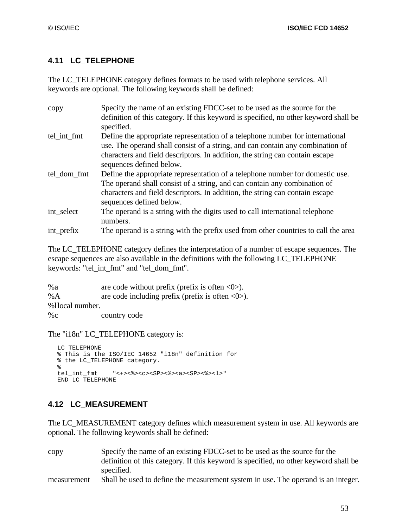# **4.11 LC\_TELEPHONE**

The LC\_TELEPHONE category defines formats to be used with telephone services. All keywords are optional. The following keywords shall be defined:

| Specify the name of an existing FDCC-set to be used as the source for the            |
|--------------------------------------------------------------------------------------|
| definition of this category. If this keyword is specified, no other keyword shall be |
|                                                                                      |
| Define the appropriate representation of a telephone number for international        |
| use. The operand shall consist of a string, and can contain any combination of       |
| characters and field descriptors. In addition, the string can contain escape         |
| sequences defined below.                                                             |
| Define the appropriate representation of a telephone number for domestic use.        |
| The operand shall consist of a string, and can contain any combination of            |
| characters and field descriptors. In addition, the string can contain escape         |
| sequences defined below.                                                             |
| The operand is a string with the digits used to call international telephone         |
| The operand is a string with the prefix used from other countries to call the area   |
|                                                                                      |

The LC\_TELEPHONE category defines the interpretation of a number of escape sequences. The escape sequences are also available in the definitions with the following LC\_TELEPHONE keywords: "tel\_int\_fmt" and "tel\_dom\_fmt".

| %a              | are code without prefix (prefix is often $\langle 0 \rangle$ ).   |
|-----------------|-------------------------------------------------------------------|
| %A              | are code including prefix (prefix is often $\langle 0 \rangle$ ). |
| %1local number. |                                                                   |
| $\%c$           | country code                                                      |

The "i18n" LC\_TELEPHONE category is:

```
LC_TELEPHONE
% This is the ISO/IEC 14652 "i18n" definition for
% the LC_TELEPHONE category.
%
tel_int_fmt "<+><%><c><SP><%><a><SP><%><l>"
END LC_TELEPHONE
```
# **4.12 LC\_MEASUREMENT**

The LC\_MEASUREMENT category defines which measurement system in use. All keywords are optional. The following keywords shall be defined:

copy Specify the name of an existing FDCC-set to be used as the source for the definition of this category. If this keyword is specified, no other keyword shall be specified. measurement Shall be used to define the measurement system in use. The operand is an integer.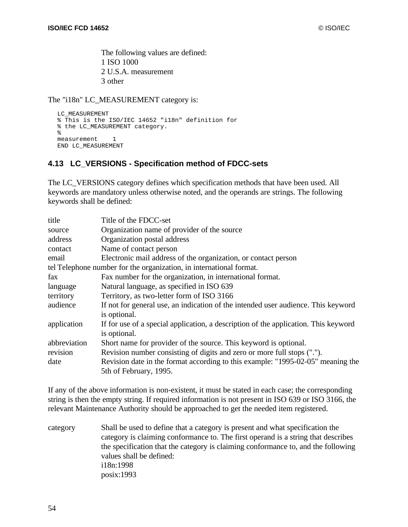The following values are defined: 1 ISO 1000 2 U.S.A. measurement 3 other

The "i18n" LC\_MEASUREMENT category is:

```
LC_MEASUREMENT
% This is the ISO/IEC 14652 "i18n" definition for
% the LC_MEASUREMENT category.
%
measurement 1
END LC_MEASUREMENT
```
# **4.13 LC\_VERSIONS - Specification method of FDCC-sets**

The LC\_VERSIONS category defines which specification methods that have been used. All keywords are mandatory unless otherwise noted, and the operands are strings. The following keywords shall be defined:

| title        | Title of the FDCC-set                                                               |
|--------------|-------------------------------------------------------------------------------------|
| source       | Organization name of provider of the source                                         |
| address      | Organization postal address                                                         |
| contact      | Name of contact person                                                              |
| email        | Electronic mail address of the organization, or contact person                      |
|              | tel Telephone number for the organization, in international format.                 |
| fax          | Fax number for the organization, in international format.                           |
| language     | Natural language, as specified in ISO 639                                           |
| territory    | Territory, as two-letter form of ISO 3166                                           |
| audience     | If not for general use, an indication of the intended user audience. This keyword   |
|              | is optional.                                                                        |
| application  | If for use of a special application, a description of the application. This keyword |
|              | is optional.                                                                        |
| abbreviation | Short name for provider of the source. This keyword is optional.                    |
| revision     | Revision number consisting of digits and zero or more full stops (".").             |
| date         | Revision date in the format according to this example: "1995-02-05" meaning the     |
|              | 5th of February, 1995.                                                              |

If any of the above information is non-existent, it must be stated in each case; the corresponding string is then the empty string. If required information is not present in ISO 639 or ISO 3166, the relevant Maintenance Authority should be approached to get the needed item registered.

category Shall be used to define that a category is present and what specification the category is claiming conformance to. The first operand is a string that describes the specification that the category is claiming conformance to, and the following values shall be defined: i18n:1998 posix:1993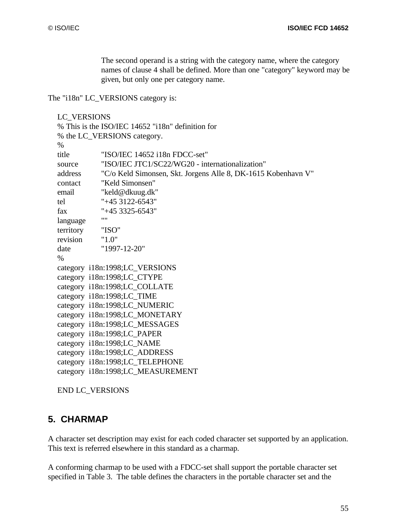The second operand is a string with the category name, where the category names of clause 4 shall be defined. More than one "category" keyword may be given, but only one per category name.

The "i18n" LC\_VERSIONS category is:

```
LC_VERSIONS
% This is the ISO/IEC 14652 "i18n" definition for
% the LC_VERSIONS category.
%
title "ISO/IEC 14652 i18n FDCC-set"
source "ISO/IEC JTC1/SC22/WG20 - internationalization"
address "C/o Keld Simonsen, Skt. Jorgens Alle 8, DK-1615 Kobenhavn V" 
contact "Keld Simonsen"
email "keld@dkuug.dk"
tel "+45 3122-6543"
fax "+45 3325-6543"
language
territory "ISO"
revision "1.0"
date "1997-12-20"
%
category i18n:1998;LC_VERSIONS
category i18n:1998;LC_CTYPE
category i18n:1998;LC_COLLATE
category i18n:1998;LC_TIME
category i18n:1998;LC_NUMERIC
category i18n:1998;LC_MONETARY
category i18n:1998;LC_MESSAGES
category i18n:1998;LC_PAPER
category i18n:1998;LC_NAME
category i18n:1998;LC_ADDRESS
category i18n:1998;LC_TELEPHONE
category i18n:1998;LC_MEASUREMENT
```
END LC\_VERSIONS

# **5. CHARMAP**

A character set description may exist for each coded character set supported by an application. This text is referred elsewhere in this standard as a charmap.

A conforming charmap to be used with a FDCC-set shall support the portable character set specified in Table 3. The table defines the characters in the portable character set and the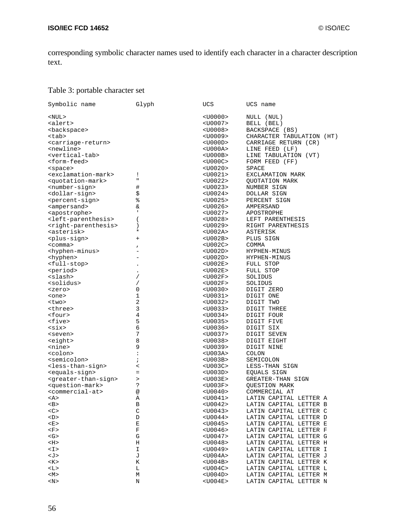corresponding symbolic character names used to identify each character in a character description text.

# Table 3: portable character set

| Symbolic name                           | Glyph                    | UCS               | UCS name                         |
|-----------------------------------------|--------------------------|-------------------|----------------------------------|
| <nul></nul>                             |                          | <u0000></u0000>   | NULL (NUL)                       |
| <alert></alert>                         |                          | <u0007></u0007>   | BELL (BEL)                       |
| <backspace></backspace>                 |                          | <u0008></u0008>   | BACKSPACE (BS)                   |
| <tab></tab>                             |                          | <u0009></u0009>   | CHARACTER TABULATION (HT)        |
| <carriage-return></carriage-return>     |                          | <u000d></u000d>   | CARRIAGE RETURN (CR)             |
| <newline></newline>                     |                          | $<$ U000A>        | LINE FEED (LF)                   |
| <vertical-tab></vertical-tab>           |                          | <u000b></u000b>   | LINE TABULATION (VT)             |
| <form-feed></form-feed>                 |                          | <u000c></u000c>   | FORM FEED (FF)                   |
| <space></space>                         |                          | <u0020></u0020>   | SPACE                            |
| <exclamation-mark></exclamation-mark>   | Ţ                        | <u0021></u0021>   | EXCLAMATION MARK                 |
| <quotation-mark></quotation-mark>       | п                        | $<$ U0022>        | <b>OUOTATION MARK</b>            |
| <number-sign></number-sign>             |                          | <u0023></u0023>   | NUMBER SIGN                      |
|                                         | #                        |                   |                                  |
| <dollar-sign></dollar-sign>             | \$                       | <u0024></u0024>   | DOLLAR SIGN                      |
| <percent-sign></percent-sign>           | နွ                       | <u0025></u0025>   | PERCENT SIGN                     |
| <ampersand></ampersand>                 | &                        | <u0026></u0026>   | AMPERSAND                        |
| <apostrophe></apostrophe>               | $\mathbf{I}$             | <u0027></u0027>   | APOSTROPHE                       |
| <left-parenthesis></left-parenthesis>   | $\overline{\phantom{a}}$ | <u0028></u0028>   | LEFT PARENTHESIS                 |
| <right-parenthesis></right-parenthesis> | $\lambda$                | <u0029></u0029>   | RIGHT PARENTHESIS                |
| <asterisk></asterisk>                   | $^\ast$                  | <u002a></u002a>   | ASTERISK                         |
| <plus-sign></plus-sign>                 | $^{+}$                   | <u002b></u002b>   | PLUS SIGN                        |
| $<$ comma $>$                           | $\pmb{\prime}$           | $<$ U $002$ C $>$ | COMMA                            |
| <hyphen-minus></hyphen-minus>           |                          | <u002d></u002d>   | HYPHEN-MINUS                     |
| <hyphen></hyphen>                       |                          | <u002d></u002d>   | HYPHEN-MINUS                     |
| <full-stop></full-stop>                 |                          | <u002e></u002e>   | <b>FULL STOP</b>                 |
| <period></period>                       | $\bullet$                | <u002e></u002e>   | FULL STOP                        |
| <slash></slash>                         | $\prime$                 | $<$ U002F>        | SOLIDUS                          |
| <solidus></solidus>                     | $\overline{ }$           | <u002f></u002f>   | SOLIDUS                          |
| <zero></zero>                           | 0                        | $<$ U0030>        | DIGIT ZERO                       |
| <one></one>                             | $\mathbf 1$              | <u0031></u0031>   | DIGIT ONE                        |
| <two></two>                             | $\sqrt{2}$               | <u0032></u0032>   | DIGIT TWO                        |
| <three></three>                         | 3                        | $<$ U0033>        | DIGIT THREE                      |
| <four></four>                           | 4                        | <u0034></u0034>   | DIGIT FOUR                       |
| <five></five>                           | 5                        | <u0035></u0035>   | DIGIT FIVE                       |
| $\langle \text{six} \rangle$            | 6                        | <u0036></u0036>   | DIGIT SIX                        |
| <seven></seven>                         | 7                        | <u0037></u0037>   | DIGIT SEVEN                      |
| <eight></eight>                         | 8                        | $<$ U0038>        | DIGIT EIGHT                      |
| <nine></nine>                           | 9                        | <u0039></u0039>   | DIGIT NINE                       |
| <colon></colon>                         | $\ddot{\phantom{a}}$     | <u003a></u003a>   | COLON                            |
| <semicolon></semicolon>                 |                          |                   |                                  |
|                                         | $\ddot{ }$               | $<$ U003B>        | SEMICOLON                        |
| <less-than-sign></less-than-sign>       | $\,<\,$                  | <u003c></u003c>   | LESS-THAN SIGN                   |
| <equals-sign></equals-sign>             | $\equiv$                 | $<$ U003D>        | EQUALS SIGN<br>GREATER-THAN SIGN |
| <greater-than-sign></greater-than-sign> | >                        | <u003e></u003e>   |                                  |
| <question-mark></question-mark>         | ?                        | $<$ U003F>        | QUESTION MARK                    |
| <commercial-at></commercial-at>         | @                        | <u0040></u0040>   | COMMERCIAL AT                    |
| <a></a>                                 | Α                        | <u0041></u0041>   | LATIN CAPITAL LETTER A           |
| <b></b>                                 | В                        | $<$ U0042>        | LATIN CAPITAL LETTER B           |
| <<>                                     | $\mathsf C$              | <u0043></u0043>   | LATIN CAPITAL LETTER C           |
| $<$ D>                                  | D                        | $<$ U0044>        | LATIN CAPITAL LETTER D           |
| E >                                     | Е                        | $<$ U0045>        | LATIN CAPITAL LETTER E           |
| $\langle F \rangle$                     | F                        | $<$ U0046>        | LATIN CAPITAL LETTER F           |
| $\langle G \rangle$                     | G                        | $<$ U0047>        | LATIN CAPITAL LETTER G           |
| $<$ H $>$                               | Η                        | <u0048></u0048>   | LATIN CAPITAL LETTER H           |
| $<\mathbb{I}>$                          | I                        | $<$ U0049>        | LATIN CAPITAL LETTER I           |
| <j></j>                                 | J                        | $<$ U004A>        | LATIN CAPITAL LETTER J           |
| K>                                      | Κ                        | $<$ U004B>        | LATIN CAPITAL LETTER K           |
| <l></l>                                 | L                        | $<$ U004C>        | LATIN CAPITAL LETTER L           |
| M>                                      | М                        | <u004d></u004d>   | LATIN CAPITAL LETTER M           |
| $<$ N>                                  | Ν                        | $<$ U004E>        | LATIN CAPITAL LETTER N           |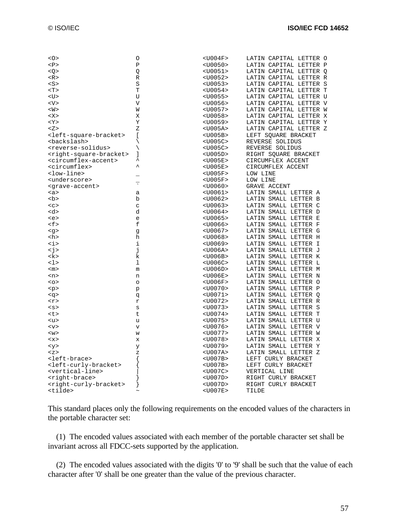|                                               | O              | $<$ U004F>      | LATIN CAPITAL LETTER O |
|-----------------------------------------------|----------------|-----------------|------------------------|
| P                                             | $\mathbf{P}$   | <u0050></u0050> | LATIN CAPITAL LETTER P |
| Q >                                           | Q              | $<$ U0051>      | LATIN CAPITAL LETTER O |
| $<\mathbb{R}>$                                | R              | $<$ U0052>      | LATIN CAPITAL LETTER R |
| < s                                           | S              | $<$ U0053>      | LATIN CAPITAL LETTER S |
| T>                                            | T              | $<$ U0054>      | LATIN CAPITAL LETTER T |
| $<$ U>                                        | U              | $<$ U0055>      | LATIN CAPITAL LETTER U |
| $<\vee>$                                      | $\overline{V}$ | $<$ U0056>      | LATIN CAPITAL LETTER V |
| $<\!\!\mathrm{W}\!\!>$                        | W              | $<$ U0057>      | LATIN CAPITAL LETTER W |
| <x></x>                                       | X              | $<$ U0058>      | LATIN CAPITAL LETTER X |
| $<$ Y $>$                                     | Υ              | $<$ U0059>      | LATIN CAPITAL LETTER Y |
| Z>                                            | Ζ              | $<$ U005A>      | LATIN CAPITAL LETTER Z |
| <left-square-bracket></left-square-bracket>   | ſ              | $<$ U005B>      | LEFT SQUARE BRACKET    |
| <backslash></backslash>                       |                | $<$ U005C>      | REVERSE SOLIDUS        |
|                                               |                |                 |                        |
| <reverse-solidus></reverse-solidus>           |                | $<$ U005C>      | REVERSE SOLIDUS        |
| <right-square-bracket></right-square-bracket> | 1<br>ᄉ         | $<$ U005D>      | RIGHT SQUARE BRACKET   |
| <circumflex-accent></circumflex-accent>       | ᄉ              | $<$ U005E>      | CIRCUMFLEX ACCENT      |
| <circumflex></circumflex>                     |                | $<$ U005E>      | CIRCUMFLEX ACCENT      |
| <low-line></low-line>                         |                | $<$ U005F>      | LOW LINE               |
| <underscore></underscore>                     | τ              | $<$ U005F>      | LOW LINE               |
| <grave-accent></grave-accent>                 |                | $<$ U0060>      | <b>GRAVE ACCENT</b>    |
| <a></a>                                       | а              | $<$ U0061>      | LATIN SMALL LETTER A   |
| <b></b>                                       | b              | $<$ U0062>      | LATIN SMALL LETTER B   |
| $c$                                           | $\mathbf C$    | $<$ U0063>      | LATIN SMALL LETTER C   |
| <d></d>                                       | d              | $<$ U0064>      | LATIN SMALL LETTER D   |
| <e></e>                                       | e              | $<$ U0065>      | LATIN SMALL LETTER E   |
| $\mathsf{<}$ f>                               | f              | $<$ U0066>      | LATIN SMALL LETTER F   |
| < g >                                         | g              | $<$ U0067>      | LATIN SMALL LETTER G   |
| <h></h>                                       | h              | $<$ U0068>      | LATIN SMALL LETTER H   |
| <i></i>                                       | i              | $<$ U0069>      | LATIN SMALL LETTER I   |
| $\leq$ j>                                     | j              | $<$ U006A>      | LATIN SMALL LETTER J   |
| <k></k>                                       | k              | $<$ U006B>      | LATIN SMALL LETTER K   |
| <1>                                           | 1              | $<$ U006C>      | LATIN SMALL LETTER L   |
| $<$ m $>$                                     | m              | $<$ U006D>      | LATIN SMALL LETTER M   |
| <n></n>                                       | n              | $<$ U006E>      | LATIN SMALL LETTER N   |
| $<\circ$                                      | $\circ$        | $<$ U006F>      | LATIN SMALL LETTER O   |
| < p >                                         | p              | $<$ U0070>      | LATIN SMALL LETTER P   |
| <g></g>                                       |                | $<$ U0071>      | LATIN SMALL LETTER O   |
| $<$ r>                                        | đ<br>r         | $<$ U0072>      | LATIN SMALL LETTER R   |
| < s                                           | S              | $<$ U0073>      | LATIN SMALL LETTER S   |
|                                               | t              | $<$ U0074>      | LATIN SMALL LETTER T   |
| くしつ                                           |                |                 |                        |
| <u></u>                                       | u              | $<$ U0075>      | LATIN SMALL LETTER U   |
| $<$ v>                                        | $\mathbf v$    | $<$ U0076>      | LATIN SMALL LETTER V   |
| < w >                                         | W              | $<$ U0077>      | LATIN SMALL LETTER W   |
| <x></x>                                       | X              | $<$ U0078>      | LATIN SMALL LETTER X   |
| < y >                                         | У              | $<$ U0079>      | LATIN SMALL LETTER Y   |
| $Z$                                           | Z              | $<$ U007A>      | LATIN SMALL LETTER Z   |
| <left-brace></left-brace>                     |                | <u007b></u007b> | LEFT CURLY BRACKET     |
| <left-curly-bracket></left-curly-bracket>     |                | $<$ U007B>      | LEFT CURLY BRACKET     |
| <vertical-line></vertical-line>               |                | $<$ U007C>      | VERTICAL LINE          |
| <right-brace></right-brace>                   |                | $<$ U007D>      | RIGHT CURLY BRACKET    |
| <right-curly-bracket></right-curly-bracket>   |                | <u007d></u007d> | RIGHT CURLY BRACKET    |
| <tilde></tilde>                               |                | <u007e></u007e> | TILDE                  |

This standard places only the following requirements on the encoded values of the characters in the portable character set:

 (1) The encoded values associated with each member of the portable character set shall be invariant across all FDCC-sets supported by the application.

 (2) The encoded values associated with the digits '0' to '9' shall be such that the value of each character after '0' shall be one greater than the value of the previous character.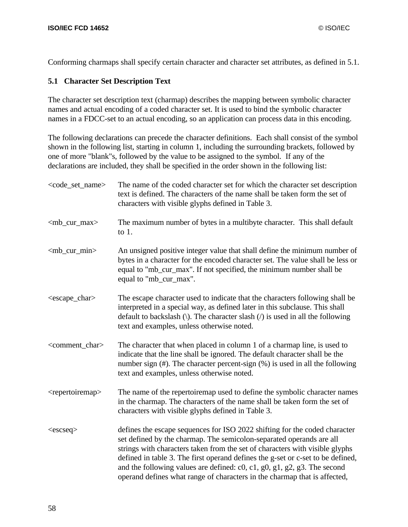Conforming charmaps shall specify certain character and character set attributes, as defined in 5.1.

### **5.1 Character Set Description Text**

The character set description text (charmap) describes the mapping between symbolic character names and actual encoding of a coded character set. It is used to bind the symbolic character names in a FDCC-set to an actual encoding, so an application can process data in this encoding.

The following declarations can precede the character definitions. Each shall consist of the symbol shown in the following list, starting in column 1, including the surrounding brackets, followed by one of more "blank"s, followed by the value to be assigned to the symbol. If any of the declarations are included, they shall be specified in the order shown in the following list:

| <code_set_name></code_set_name> | The name of the coded character set for which the character set description<br>text is defined. The characters of the name shall be taken form the set of<br>characters with visible glyphs defined in Table 3.                                                                                                                                                                                                                                                                                  |
|---------------------------------|--------------------------------------------------------------------------------------------------------------------------------------------------------------------------------------------------------------------------------------------------------------------------------------------------------------------------------------------------------------------------------------------------------------------------------------------------------------------------------------------------|
| $\langle mb\_cur\_max \rangle$  | The maximum number of bytes in a multibyte character. This shall default<br>to $1$ .                                                                                                                                                                                                                                                                                                                                                                                                             |
| $\langle mb\_cur\_min \rangle$  | An unsigned positive integer value that shall define the minimum number of<br>bytes in a character for the encoded character set. The value shall be less or<br>equal to "mb_cur_max". If not specified, the minimum number shall be<br>equal to "mb_cur_max".                                                                                                                                                                                                                                   |
| <escape_char></escape_char>     | The escape character used to indicate that the characters following shall be<br>interpreted in a special way, as defined later in this subclause. This shall<br>default to backslash ( $\setminus$ ). The character slash ( $\setminus$ ) is used in all the following<br>text and examples, unless otherwise noted.                                                                                                                                                                             |
| <comment_char></comment_char>   | The character that when placed in column 1 of a charmap line, is used to<br>indicate that the line shall be ignored. The default character shall be the<br>number sign $(\#)$ . The character percent-sign $(\%)$ is used in all the following<br>text and examples, unless otherwise noted.                                                                                                                                                                                                     |
| <repertoiremap></repertoiremap> | The name of the repertoiremap used to define the symbolic character names<br>in the charmap. The characters of the name shall be taken form the set of<br>characters with visible glyphs defined in Table 3.                                                                                                                                                                                                                                                                                     |
| $<$ escseq $>$                  | defines the escape sequences for ISO 2022 shifting for the coded character<br>set defined by the charmap. The semicolon-separated operands are all<br>strings with characters taken from the set of characters with visible glyphs<br>defined in table 3. The first operand defines the g-set or c-set to be defined,<br>and the following values are defined: $c0$ , $c1$ , $g0$ , $g1$ , $g2$ , $g3$ . The second<br>operand defines what range of characters in the charmap that is affected, |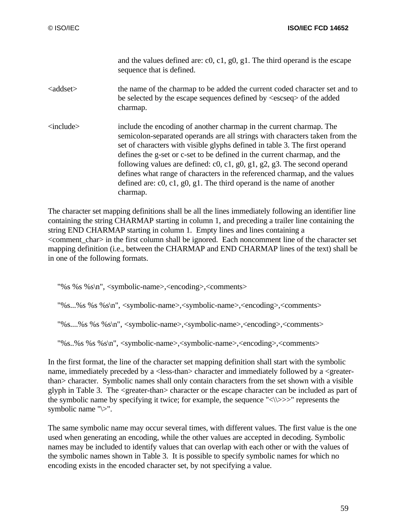and the values defined are: c0, c1, g0, g1. The third operand is the escape sequence that is defined.

- <addset> the name of the charmap to be added the current coded character set and to be selected by the escape sequences defined by <escseq> of the added charmap.
- <include> include the encoding of another charmap in the current charmap. The semicolon-separated operands are all strings with characters taken from the set of characters with visible glyphs defined in table 3. The first operand defines the g-set or c-set to be defined in the current charmap, and the following values are defined: c0, c1, g0, g1, g2, g3. The second operand defines what range of characters in the referenced charmap, and the values defined are: c0, c1, g0, g1. The third operand is the name of another charmap.

The character set mapping definitions shall be all the lines immediately following an identifier line containing the string CHARMAP starting in column 1, and preceding a trailer line containing the string END CHARMAP starting in column 1. Empty lines and lines containing a  $\leq$ comment char $>$  in the first column shall be ignored. Each noncomment line of the character set mapping definition (i.e., between the CHARMAP and END CHARMAP lines of the text) shall be in one of the following formats.

- "%s %s %s\n", <symbolic-name>,<encoding>,<comments>
- "%s...%s %s %s\n", <symbolic-name>,<symbolic-name>,<encoding>,<comments>
- "%s....%s %s %s\n", <symbolic-name>,<symbolic-name>,<encoding>,<comments>

"%s..%s %s %s\n", <symbolic-name>,<symbolic-name>,<encoding>,<comments>

In the first format, the line of the character set mapping definition shall start with the symbolic name, immediately preceded by a <less-than> character and immediately followed by a <greaterthan> character. Symbolic names shall only contain characters from the set shown with a visible glyph in Table 3. The <greater-than> character or the escape character can be included as part of the symbolic name by specifying it twice; for example, the sequence " $\langle \rangle \rangle \rangle >$ " represents the symbolic name "\>".

The same symbolic name may occur several times, with different values. The first value is the one used when generating an encoding, while the other values are accepted in decoding. Symbolic names may be included to identify values that can overlap with each other or with the values of the symbolic names shown in Table 3. It is possible to specify symbolic names for which no encoding exists in the encoded character set, by not specifying a value.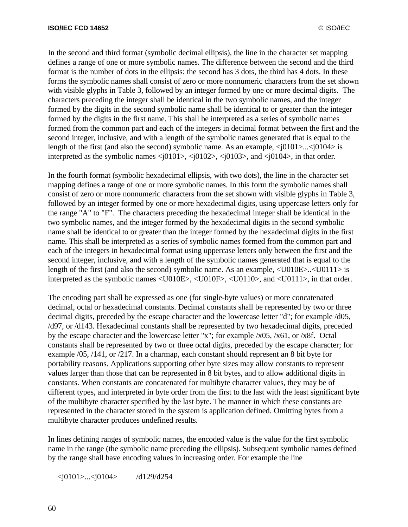In the second and third format (symbolic decimal ellipsis), the line in the character set mapping defines a range of one or more symbolic names. The difference between the second and the third format is the number of dots in the ellipsis: the second has 3 dots, the third has 4 dots. In these forms the symbolic names shall consist of zero or more nonnumeric characters from the set shown with visible glyphs in Table 3, followed by an integer formed by one or more decimal digits. The characters preceding the integer shall be identical in the two symbolic names, and the integer formed by the digits in the second symbolic name shall be identical to or greater than the integer formed by the digits in the first name. This shall be interpreted as a series of symbolic names formed from the common part and each of the integers in decimal format between the first and the second integer, inclusive, and with a length of the symbolic names generated that is equal to the length of the first (and also the second) symbolic name. As an example,  $\langle i0101 \rangle$ ... $\langle i0104 \rangle$  is interpreted as the symbolic names  $\langle i0101 \rangle$ ,  $\langle i0102 \rangle$ ,  $\langle i0103 \rangle$ , and  $\langle i0104 \rangle$ , in that order.

In the fourth format (symbolic hexadecimal ellipsis, with two dots), the line in the character set mapping defines a range of one or more symbolic names. In this form the symbolic names shall consist of zero or more nonnumeric characters from the set shown with visible glyphs in Table 3, followed by an integer formed by one or more hexadecimal digits, using uppercase letters only for the range "A" to "F". The characters preceding the hexadecimal integer shall be identical in the two symbolic names, and the integer formed by the hexadecimal digits in the second symbolic name shall be identical to or greater than the integer formed by the hexadecimal digits in the first name. This shall be interpreted as a series of symbolic names formed from the common part and each of the integers in hexadecimal format using uppercase letters only between the first and the second integer, inclusive, and with a length of the symbolic names generated that is equal to the length of the first (and also the second) symbolic name. As an example,  $\langle$ U010E>.. $\langle$ U0111> is interpreted as the symbolic names <U010E>, <U010F>, <U0110>, and <U0111>, in that order.

The encoding part shall be expressed as one (for single-byte values) or more concatenated decimal, octal or hexadecimal constants. Decimal constants shall be represented by two or three decimal digits, preceded by the escape character and the lowercase letter "d"; for example /d05, /d97, or /d143. Hexadecimal constants shall be represented by two hexadecimal digits, preceded by the escape character and the lowercase letter "x"; for example /x05, /x61, or /x8f. Octal constants shall be represented by two or three octal digits, preceded by the escape character; for example /05, /141, or /217. In a charmap, each constant should represent an 8 bit byte for portability reasons. Applications supporting other byte sizes may allow constants to represent values larger than those that can be represented in 8 bit bytes, and to allow additional digits in constants. When constants are concatenated for multibyte character values, they may be of different types, and interpreted in byte order from the first to the last with the least significant byte of the multibyte character specified by the last byte. The manner in which these constants are represented in the character stored in the system is application defined. Omitting bytes from a multibyte character produces undefined results.

In lines defining ranges of symbolic names, the encoded value is the value for the first symbolic name in the range (the symbolic name preceding the ellipsis). Subsequent symbolic names defined by the range shall have encoding values in increasing order. For example the line

 $\langle$ j0101>... $\langle$ j0104> /d129/d254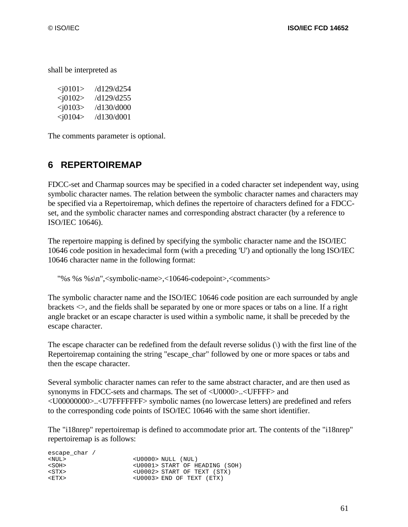shall be interpreted as

| $<$ j $0101$ | /d129/d254 |
|--------------|------------|
| $<$ j0102>   | d129/d255/ |
| $<$ j0103>   | /d130/d000 |
| $<$ j0104>   | /d130/d001 |

The comments parameter is optional.

# **6 REPERTOIREMAP**

FDCC-set and Charmap sources may be specified in a coded character set independent way, using symbolic character names. The relation between the symbolic character names and characters may be specified via a Repertoiremap, which defines the repertoire of characters defined for a FDCCset, and the symbolic character names and corresponding abstract character (by a reference to ISO/IEC 10646).

The repertoire mapping is defined by specifying the symbolic character name and the ISO/IEC 10646 code position in hexadecimal form (with a preceding 'U') and optionally the long ISO/IEC 10646 character name in the following format:

"%s %s %s\n",<symbolic-name>,<10646-codepoint>,<comments>

The symbolic character name and the ISO/IEC 10646 code position are each surrounded by angle brackets <>, and the fields shall be separated by one or more spaces or tabs on a line. If a right angle bracket or an escape character is used within a symbolic name, it shall be preceded by the escape character.

The escape character can be redefined from the default reverse solidus (\) with the first line of the Repertoiremap containing the string "escape\_char" followed by one or more spaces or tabs and then the escape character.

Several symbolic character names can refer to the same abstract character, and are then used as synonyms in FDCC-sets and charmaps. The set of <U0000>..<UFFFF> and <U00000000>..<U7FFFFFFF> symbolic names (no lowercase letters) are predefined and refers to the corresponding code points of ISO/IEC 10646 with the same short identifier.

The "i18nrep" repertoiremap is defined to accommodate prior art. The contents of the "i18nrep" repertoiremap is as follows:

| escape char / |                                        |
|---------------|----------------------------------------|
| $<$ NUL $>$   | $<$ U0000> NULL (NUL)                  |
| $<$ SOH $>$   | <u0001> START OF HEADING (SOH)</u0001> |
| $<$ STX $>$   | <u0002> START OF TEXT (STX)</u0002>    |
| $<$ $ETX$ $>$ | $<$ U0003> END OF TEXT (ETX)           |
|               |                                        |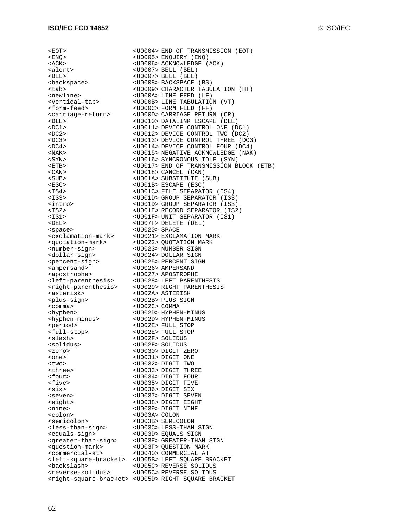<EOT> <U0004> END OF TRANSMISSION (EOT)

<ENQ> <U0005> ENQUIRY (ENQ) <ACK>
<br/>
<br/>
<br/>
<br/>
<U0006>
ACKNOWLEDGE (ACK)<br/>
<<br/>
<U0007>
BELL (BEL) <U0007> BELL (BEL)<br><U0007> BELL (BEL) <BEL> <U0007> BELL (BEL) <br />
<br />
<br />
<br />
<br />
<br />
<br />
<br />
<br />
<br />
<br />
<br />
<br />
<br />
<br />
<br />
<br />
<br />
<br />
<br />
<br />
<br />
<br />
<br />
<br />
<br />
<br />
<br />
<br />
<br />
<br />
<br / <tab> <U0009> CHARACTER TABULATION (HT) <newline> <U000A> LINE FEED (LF) <vertical-tab> <U000B> LINE TABULATION (VT) <form-feed> <U000C>FORM FEED (FF) <carriage-return> <U000D> CARRIAGE RETURN (CR) <DLE> <U0010> DATALINK ESCAPE (DLE) <DC1> <U0011> DEVICE CONTROL ONE (DC1) <DC2> <U0012> DEVICE CONTROL TWO (DC2) <DC3> <U0013> DEVICE CONTROL THREE (DC3) <DC4> <U0014> DEVICE CONTROL FOUR (DC4) <U0015> NEGATIVE ACKNOWLEDGE (NAK) <SYN> <U0016> SYNCRONOUS IDLE (SYN) <U0017> END OF TRANSMISSION BLOCK (ETB) <CAN> <U0018> CANCEL (CAN) <SUB> <br/>
<br/>
<br/>
<br/>
<br/>
<br/>
<br/>
<br/>
<br/>
<br/>
<<br/>
<<br/>
<<br/>
<<br/>
<<br/>
<<br/>
<<br/>
<<br/>
<<br/>
<<br/>
<<br/>
<<br/>
<<br/>
<<br/>
<<br/>
<<br/>
<<br/>
<<br/>
<<br/>
<<br/>
<<br/>
<<br/>
<< <ESC> <U001B> ESCAPE (ESC) <IS4> <U001C> FILE SEPARATOR (IS4) <IS3> <U001D> GROUP SEPARATOR (IS3) <U001D> GROUP SEPARATOR (IS3) <IS2> <U001E> RECORD SEPARATOR (IS2) <IS1> <U001F> UNIT SEPARATOR (IS1) <DEL> <U007F> DELETE (DEL) <space> <U0020> SPACE <exclamation-mark> <U0021> EXCLAMATION MARK <quotation-mark> <U0022> QUOTATION MARK <number-sign> <U0023> NUMBER SIGN <dollar-sign> <U0024> DOLLAR SIGN <percent-sign> <U0025> PERCENT SIGN <ampersand> <U0026> AMPERSAND <apostrophe> <U0027> APOSTROPHE <left-parenthesis> <U0028> LEFT PARENTHESIS <right-parenthesis> <U0029> RIGHT PARENTHESIS <asterisk> <U002A> ASTERISK <plus-sign> <U002B> PLUS SIGN <comma> <U002C> COMMA <hyphen> <u002D> HYPHEN-MINUS <hyphen-minus> <U002D> HYPHEN-MINUS <period> <U002E> FULL STOP <full-stop> <U002E> FULL STOP <slash> <u002F> SOLIDUS <solidus> <U002F> SOLIDUS<br><zero> <U0030> DIGIT Z <zero> <U0030> DIGIT ZERO<br/>
<une> <une> <une> <U0031> DIGIT ONE <two> <U0032> DIGIT TWO <three> <U0033> DIGIT THREE <four> <U0034> DIGIT FOUR< <five> <U0035> DIGIT FIVE <six> <U0036>DIGIT SIX <seven> <U0037> DIGIT SEVEN <eight> <U0038> DIGIT EIGHT <nine> <br/> <00039> DIGIT NINE<br/> <<o<br/>lon> <0003A> <<br/><<br/>OLON <colon> <U003A> COLON <semicolon> <U003B> SEMICOLON <less-than-sign> <U003C> LESS-THAN SIGN <equals-sign> <U003D> EQUALS SIGN <greater-than-sign> <U003E> GREATER-THAN SIGN <question-mark> <U003F> QUESTION MARK <commercial-at> <U0040> COMMERCIAL AT <br/>
<br/>
<br/>
<br/>
<br/>
<br/>
<br/>
<br/>
<br/>
<br/>
<br/>
<br/>
<br/>
<<br/>
<<br/>
<<br/>
<<br/>
<<br/>
<<br/>
<<br/>
<<br/>
<LOOSE> LEFT SQUARE BRACKET<br/> $\langle U005C>$ REVERSE SOLIDUS <backslash> <U005C> REVERSE SOLIDUS <reverse-solidus> <U005C> REVERSE SOLIDUS <right-square-bracket> <U005D> RIGHT SQUARE BRACKET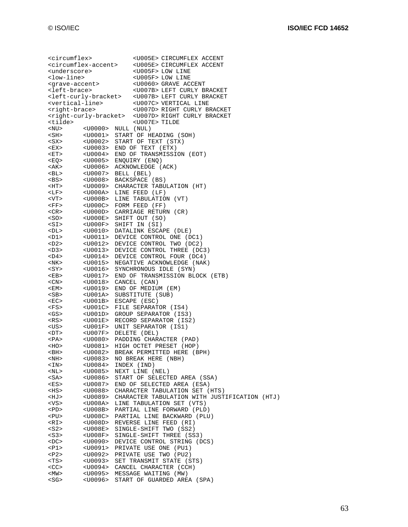<circumflex> <U005E> CIRCUMFLEX ACCENT <circumflex-accent> <U005E> CIRCUMFLEX ACCENT<br><underscore> <U005F> LOW LINE <underscore> <U005F> LOW LINE <br />
<br />
<br />
<br />
<br />
<br />
<br />
<br />
<br />
<<br />
<<br />
<<br />
<<br />
<<br />
<<br />
<<br />
<<br />
<<br />
<<br />
<<br />
<<br />
<<br />
<<br />
<<br />
<<br />
<<br />
<<br />
<<br /> $\label{eq:2}$ <grave-accent> <U0060> GRAVE ACCENT<br/>
<br/>
<br/>
<br/>
<U<br/>eft-brace> <U007B> LEFT CURLY BI <U007B> LEFT CURLY BRACKET <left-curly-bracket> <U007B> LEFT CURLY BRACKET <vertical-line> <U007C> VERTICAL LINE<br>
<right-brace> <U007D> RIGHT CURLY BRACKET <right-brace> <U007D>RIGHT CURLY BRACKET <right-curly-bracket> <U007D> RIGHT CURLY BRACKET <tilde> <U007E> TILDE <NU> <U0000> NULL (NUL) <SH> <U0001> START OF HEADING (SOH) <SX> <U0002> START OF TEXT (STX)<br><EX> <U0003> END OF TEXT (ETX) <EX> <U0003> END OF TEXT (ETX) <ET> <U0004> END OF TRANSMISSION (EOT) <EQ> <U0005> ENQUIRY (ENQ) <AK> <U0006> ACKNOWLEDGE (ACK) <BL> <U0007> BELL (BEL) <BS> <U0008> BACKSPACE (BS) <U0009> CHARACTER TABULATION (HT) <LF> <U000A> LINE FEED (LF) <VT> <U000B> LINE TABULATION (VT) <FF> <U000C> FORM FEED (FF)<br><CR> <UI000D> CARRIAGE RETUR <CR> <U000D> CARRIAGE RETURN (CR)<br><SO> <U000E> SHIFT OUT (SO) <U000E> SHIFT OUT (SO) <SI> <U000F> SHIFT IN (SI) <DL> <U0010> DATALINK ESCAPE (DLE) <U0011> DEVICE CONTROL ONE (DC1) <D2> <U0012> DEVICE CONTROL TWO (DC2) <D3> <U0013> DEVICE CONTROL THREE (DC3) <D4> <U0014> DEVICE CONTROL FOUR (DC4) <NK> <U0015> NEGATIVE ACKNOWLEDGE (NAK) <SY> <U0016> SYNCHRONOUS IDLE (SYN) <EB> <U0017> END OF TRANSMISSION BLOCK (ETB)<br><CN> <UD018> CANCEL (CAN) <CN> <U0018> CANCEL (CAN)<br>
<EM> <U0019> END OF MEDIU <U0019> END OF MEDIUM (EM) <SB> <U001A> SUBSTITUTE (SUB) <EC> <U001B> ESCAPE (ESC)<br><ES> <U001C> FILE SEPARAT <FS> <U001C> FILE SEPARATOR (IS4) <U001D> GROUP SEPARATOR (IS3) <RS> <U001E> RECORD SEPARATOR (IS2) <US> <U001F> UNIT SEPARATOR (IS1) <DT> <U007F> DELETE (DEL) <U0080> PADDING CHARACTER (PAD) <HO> <U0081> HIGH OCTET PRESET (HOP) <BH> <U0082> BREAK PERMITTED HERE (BPH) <NH> <U0083> NO BREAK HERE (NBH) <IN> <U0084> INDEX (IND) <NL> <U0085> NEXT LINE (NEL) <U0086> START OF SELECTED AREA (SSA) <ES> <U0087> END OF SELECTED AREA (ESA) <HS> <U0088> CHARACTER TABULATION SET (HTS) <HJ> <U0089> CHARACTER TABULATION WITH JUSTIFICATION (HTJ) <VS> <U008A> LINE TABULATION SET (VTS) <U008B> PARTIAL LINE FORWARD (PLD) <PU> <U008C> PARTIAL LINE BACKWARD (PLU) <RI> <U008D> REVERSE LINE FEED (RI) <S2> <U008E> SINGLE-SHIFT TWO (SS2)<br><S3> <U008F> SINGLE-SHIFT THREE (SS <S3> <U008F> SINGLE-SHIFT THREE (SS3) <U0090> DEVICE CONTROL STRING (DCS) <P1> <U0091> PRIVATE USE ONE (PU1) <P2> <U0092> PRIVATE USE TWO (PU2) <TS> <U0093> SET TRANSMIT STATE (STS) <U0094> CANCEL CHARACTER (CCH) <MW> <U0095> MESSAGE WAITING (MW) <SG> <U0096> START OF GUARDED AREA (SPA)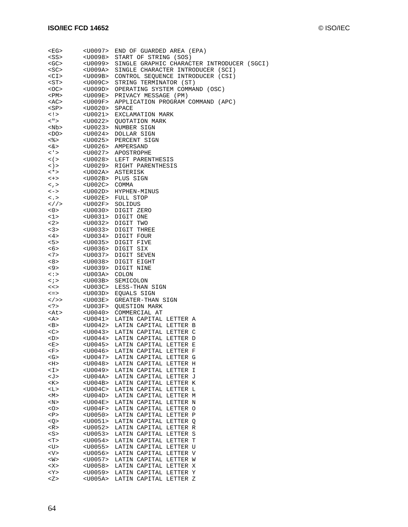| <eg></eg>                      | $<$ U0097>            | END OF GUARDED AREA (EPA)                  |
|--------------------------------|-----------------------|--------------------------------------------|
| <ss></ss>                      | <u0098></u0098>       | START OF STRING (SOS)                      |
| <gc></gc>                      | <u0099></u0099>       | SINGLE GRAPHIC CHARACTER INTRODUCER (SGCI) |
| <sc></sc>                      | <u009a></u009a>       | SINGLE CHARACTER INTRODUCER (SCI)          |
| <ci></ci>                      | <u009b></u009b>       | CONTROL SEQUENCE INTRODUCER (CSI)          |
| <st></st>                      | <u009c></u009c>       | STRING TERMINATOR (ST)                     |
| <oc></oc>                      | $<$ U $009$ D $>$     | OPERATING SYSTEM COMMAND (OSC)             |
| <pm></pm>                      | <u009e></u009e>       | PRIVACY MESSAGE (PM)                       |
| <ac></ac>                      | <u009f></u009f>       | APPLICATION PROGRAM COMMAND (APC)          |
| <sp></sp>                      | <u0020></u0020>       | <b>SPACE</b>                               |
| $\lt$ ! >                      | $<$ U $0021$ >        | EXCLAMATION MARK                           |
| < " >                          | <u0022></u0022>       | <b>OUOTATION MARK</b>                      |
| <nb></nb>                      |                       | <u0023> NUMBER SIGN</u0023>                |
| $<$ DO>                        | <u0024></u0024>       | DOLLAR SIGN                                |
| <응>                            |                       | <u0025> PERCENT SIGN</u0025>               |
| $<\delta >$                    |                       | <u0026> AMPERSAND</u0026>                  |
| $\langle$ '>                   |                       | <u0027> APOSTROPHE</u0027>                 |
| $\lt$ ( $>$                    |                       | <u0028> LEFT PARENTHESIS</u0028>           |
| $\langle \rangle$              |                       | <u0029> RIGHT PARENTHESIS</u0029>          |
| $\lt^*$                        |                       | <u002a> ASTERISK</u002a>                   |
| $\lt +$                        |                       | <u002b> PLUS SIGN</u002b>                  |
| $\lt$ , $>$                    | <u002c> COMMA</u002c> |                                            |
| $\lt$ $\gt$                    |                       | <u002d> HYPHEN-MINUS</u002d>               |
| $\langle \cdot, \cdot \rangle$ |                       | <u002e> FULL STOP</u002e>                  |
| $\lt>/\gt$                     | <u002f></u002f>       | SOLIDUS                                    |
| < 0                            |                       | <u0030> DIGIT ZERO</u0030>                 |
| $1$ >                          |                       |                                            |
| <2>                            |                       | <u0031> DIGIT ONE</u0031>                  |
|                                |                       | <u0032> DIGIT TWO</u0032>                  |
| 3>                             | $<$ U0033>            | DIGIT THREE                                |
| <4>                            |                       | <u0034> DIGIT FOUR</u0034>                 |
| 5                              |                       | <u0035> DIGIT FIVE</u0035>                 |
| <6>                            |                       | <u0036> DIGIT SIX</u0036>                  |
| < 7                            | <u0037></u0037>       | DIGIT SEVEN                                |
| 8 >                            | <u0038></u0038>       | DIGIT EIGHT                                |
| <9>                            | <u0039></u0039>       | DIGIT NINE                                 |
| <:>                            | <u003a></u003a>       | COLON                                      |
| $\langle i \rangle$            | <u003b></u003b>       | SEMICOLON                                  |
| <<                             | <u003c></u003c>       | LESS-THAN SIGN                             |
| $\leq$ $\geq$                  | <u003d></u003d>       | EQUALS SIGN                                |
| $\lt/$ >>                      | <u003e></u003e>       | GREATER-THAN SIGN                          |
| $\langle ? \rangle$            | <u003f></u003f>       | QUESTION MARK                              |
| <at></at>                      | <u0040></u0040>       | COMMERCIAL AT                              |
| <a></a>                        |                       | <u0041> LATIN CAPITAL LETTER A</u0041>     |
| >B>                            |                       | <u0042> LATIN CAPITAL LETTER B</u0042>     |
| <<>                            |                       | <u0043> LATIN CAPITAL LETTER C</u0043>     |
| $<$ D>                         |                       | <u0044> LATIN CAPITAL LETTER D</u0044>     |
| <e></e>                        |                       | <u0045> LATIN CAPITAL LETTER E</u0045>     |
| <f></f>                        | <u0046></u0046>       | LATIN CAPITAL LETTER F                     |
| <g></g>                        | $<$ U0047>            | LATIN CAPITAL LETTER G                     |
| $<$ H $>$                      | $<$ U0048>            | LATIN CAPITAL LETTER H                     |
| $<$ $\mathbb{I}>$              | $<$ U0049>            | LATIN CAPITAL LETTER I                     |
| <j></j>                        | $<$ U004A>            | LATIN CAPITAL LETTER J                     |
| <k></k>                        | $<$ U004B>            | LATIN CAPITAL LETTER K                     |
| <∐>                            | $<$ U004C>            | LATIN CAPITAL LETTER L                     |
| M>                             | $<$ U004D>            | LATIN CAPITAL LETTER M                     |
| $<\!\!{\rm N}\!\!>$            | $<$ U004E>            | LATIN CAPITAL LETTER N                     |
|                                | $<$ U004F>            | LATIN CAPITAL LETTER O                     |
| P                              | $<$ U0050>            | LATIN CAPITAL LETTER P                     |
| Q >                            | $<$ U0051>            | LATIN CAPITAL LETTER Q                     |
| <r></r>                        | $<$ U0052>            | LATIN CAPITAL LETTER R                     |
| <s></s>                        | $<$ U0053>            | LATIN CAPITAL LETTER S                     |
| < T                            | $<$ U0054>            | LATIN CAPITAL LETTER T                     |
| <u></u>                        | $<$ U0055>            | LATIN CAPITAL LETTER U                     |
| <v></v>                        | $<$ U0056>            | LATIN CAPITAL LETTER V                     |
| <w></w>                        | $<$ U0057>            | LATIN CAPITAL LETTER W                     |
| $<\ge$                         | $<$ U0058>            | LATIN CAPITAL LETTER X                     |
| $<$ Y $>$                      | $<$ U0059>            | LATIN CAPITAL LETTER Y                     |
| Z >                            | <u005a></u005a>       | LATIN CAPITAL LETTER Z                     |
|                                |                       |                                            |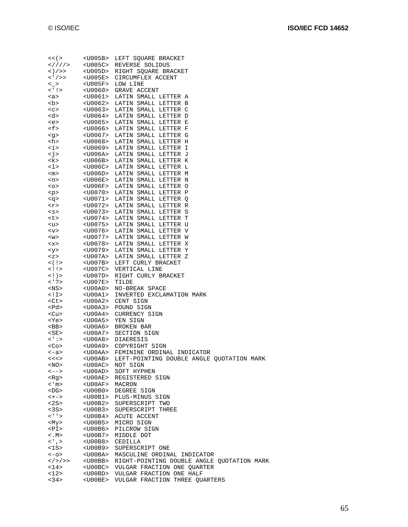| $<<$ ( $>$                       | <u005b></u005b>         | LEFT SQUARE BRACKET                        |
|----------------------------------|-------------------------|--------------------------------------------|
| $\frac{2}{1}$ /// / >            | $<$ U $005$ C $>$       | REVERSE SOLIDUS                            |
| $\langle \rangle$ / >>           | $<$ U $005$ D $>$       | RIGHT SQUARE BRACKET                       |
| $\langle$ ' / >>                 | <u005e></u005e>         | CIRCUMFLEX ACCENT                          |
| $\leq$ >                         | <u005f></u005f>         | LOW LINE                                   |
|                                  |                         |                                            |
| $\langle \cdot   \cdot \rangle$  | $<$ U $0060$ >          | GRAVE ACCENT                               |
| $a$                              | $U0061>$                | LATIN SMALL LETTER A                       |
| <b></b>                          | <u0062></u0062>         | LATIN SMALL LETTER B                       |
| < <sub></sub>                    | <u0063></u0063>         | LATIN SMALL LETTER C                       |
| <d></d>                          | <u0064></u0064>         | LATIN SMALL LETTER D                       |
| <e></e>                          | <u0065></u0065>         | LATIN SMALL LETTER E                       |
|                                  |                         |                                            |
| <f></f>                          | $<$ U $0066$ >          | LATIN SMALL LETTER F                       |
| $<\geq$                          | <u0067></u0067>         | LATIN SMALL LETTER G                       |
| <h></h>                          | $<$ U0068>              | LATIN SMALL LETTER H                       |
| $\langle i \rangle$              | <u0069></u0069>         | LATIN SMALL LETTER I                       |
| $\le j$                          | <u006a></u006a>         | LATIN SMALL LETTER J                       |
| <k></k>                          | $<$ U $006$ B $>$       | LATIN SMALL LETTER K                       |
| <1>                              | <u006c></u006c>         | LATIN SMALL LETTER L                       |
| $<$ m $>$                        | <u006d></u006d>         | LATIN SMALL LETTER M                       |
|                                  |                         |                                            |
| <n></n>                          | <u006e></u006e>         | LATIN SMALL LETTER N                       |
| $<\circ$                         | <u006f></u006f>         | LATIN SMALL LETTER O                       |
| < p >                            | <u0070></u0070>         | LATIN SMALL LETTER P                       |
| <g></g>                          | <u0071></u0071>         | LATIN SMALL LETTER Q                       |
| $<$ r>                           | <u0072></u0072>         | LATIN SMALL LETTER R                       |
| < s                              | <u0073></u0073>         | LATIN SMALL LETTER S                       |
| <t></t>                          |                         | <u0074> LATIN SMALL LETTER T</u0074>       |
| $u$                              | <u0075></u0075>         | LATIN SMALL LETTER U                       |
|                                  | <u0076></u0076>         |                                            |
| $<$ v>                           |                         | LATIN SMALL LETTER V                       |
| $<\omega>$                       | $<$ U0077>              | LATIN SMALL LETTER W                       |
| $<$ $\times$                     | <u0078></u0078>         | LATIN SMALL LETTER X                       |
| <y></y>                          | <u0079></u0079>         | LATIN SMALL LETTER Y                       |
| < z >                            | <u007a></u007a>         | LATIN SMALL LETTER Z                       |
| $\lt$ ( ! >                      | <u007b></u007b>         | LEFT CURLY BRACKET                         |
| $<$ !!>                          | <u007c></u007c>         | VERTICAL LINE                              |
| $\langle \cdot   \cdot \rangle$  | <u007d></u007d>         | RIGHT CURLY BRACKET                        |
|                                  |                         |                                            |
| $<$ ' ? >                        | <u007e></u007e>         | TILDE                                      |
| <ns></ns>                        | $<$ U $00$ A $0$ >      | NO-BREAK SPACE                             |
| $<$ ! $\ge$                      | <u00a1></u00a1>         | INVERTED EXCLAMATION MARK                  |
| <ct></ct>                        | <u00a2></u00a2>         | CENT SIGN                                  |
| <pd></pd>                        | <u00a3></u00a3>         | POUND SIGN                                 |
| <cu></cu>                        | <u00a4></u00a4>         | CURRENCY SIGN                              |
| <ye></ye>                        | <u00a5></u00a5>         | YEN SIGN                                   |
| $<$ BB>                          | <u00a6></u00a6>         | BROKEN BAR                                 |
|                                  |                         | SECTION SIGN                               |
| $<$ SE>                          | <u00a7></u00a7>         |                                            |
| < ' : >                          | <u00a8></u00a8>         | DIAERESIS                                  |
| $<$ Co>                          | <u00a9></u00a9>         | COPYRIGHT SIGN                             |
| <-a>                             |                         | <u00aa> FEMININE ORDINAL INDICATOR</u00aa> |
| <<<>                             | $<$ U $00$ AB>          | LEFT-POINTING DOUBLE ANGLE QUOTATION MARK  |
| $<$ NO $>$                       | <u00ac></u00ac>         | NOT SIGN                                   |
| $\left\langle \,--\right\rangle$ | <u00ad></u00ad>         | SOFT HYPHEN                                |
| <rq></rq>                        | <u00ae></u00ae>         | REGISTERED SIGN                            |
| $<$ ' m $>$                      | $<$ U $00$ AF>          | MACRON                                     |
|                                  |                         |                                            |
| <dg></dg>                        | <u00b0></u00b0>         | DEGREE SIGN                                |
| $\left\langle +-\right\rangle$   | <u00b1></u00b1>         | PLUS-MINUS SIGN                            |
| <2S>                             | <u00b2></u00b2>         | SUPERSCRIPT TWO                            |
| <3S>                             |                         | <u00b3> SUPERSCRIPT THREE</u00b3>          |
| $\lt'$ ' >                       | <u00b4></u00b4>         | ACUTE ACCENT                               |
| <my></my>                        | <u00b5></u00b5>         | MICRO SIGN                                 |
| P <sub>I</sub>                   | <u00b6></u00b6>         | PILCROW SIGN                               |
| $<$ . M $>$                      | <u00b7></u00b7>         | MIDDLE DOT                                 |
| $\lt'$ , $>$                     | <u00b8> CEDILLA</u00b8> |                                            |
|                                  |                         |                                            |
| $<$ 15>                          | <u00b9></u00b9>         | SUPERSCRIPT ONE                            |
| $<-O>$                           | <u00ba></u00ba>         | MASCULINE ORDINAL INDICATOR                |
| $\langle$ />/>>                  | <u00bb></u00bb>         | RIGHT-POINTING DOUBLE ANGLE QUOTATION MARK |
| <14>                             | <u00bc></u00bc>         | VULGAR FRACTION ONE QUARTER                |
| <12>                             |                         | <u00bd> VULGAR FRACTION ONE HALF</u00bd>   |
| <34>                             | <u00be></u00be>         | VULGAR FRACTION THREE QUARTERS             |
|                                  |                         |                                            |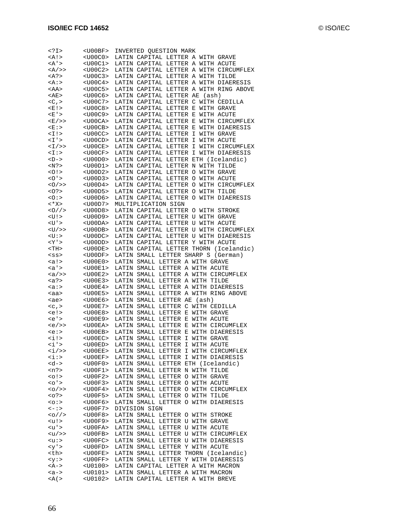| I                                                                                                     | <u00bf></u00bf>            |                 | INVERTED QUESTION MARK             |                                        |                                      |
|-------------------------------------------------------------------------------------------------------|----------------------------|-----------------|------------------------------------|----------------------------------------|--------------------------------------|
| <a!></a!>                                                                                             | $<$ U00C0>                 |                 | LATIN CAPITAL LETTER A WITH GRAVE  |                                        |                                      |
| <a'></a'>                                                                                             | $U00C1>$                   |                 | LATIN CAPITAL LETTER A WITH ACUTE  |                                        |                                      |
| <a></a> >                                                                                             | $<$ U00C2>                 |                 |                                    | LATIN CAPITAL LETTER A WITH CIRCUMFLEX |                                      |
| <a?></a?>                                                                                             | $<$ U00C3>                 |                 | LATIN CAPITAL LETTER A WITH TILDE  |                                        |                                      |
| <a:></a:>                                                                                             | $<$ U00C4>                 |                 |                                    | LATIN CAPITAL LETTER A WITH DIAERESIS  |                                      |
| <aa></aa>                                                                                             | $<$ U00C5>                 |                 |                                    | LATIN CAPITAL LETTER A WITH RING ABOVE |                                      |
| <ae></ae>                                                                                             | $<$ U00C6>                 |                 | LATIN CAPITAL LETTER AE            | (ash)                                  |                                      |
| $<$ C, $>$                                                                                            | $<$ U00C7>                 |                 | LATIN CAPITAL LETTER C             | WITH CEDILLA                           |                                      |
| <e!></e!>                                                                                             | $<$ U00C8>                 |                 | LATIN CAPITAL LETTER E             | WITH GRAVE                             |                                      |
|                                                                                                       | $<$ U00C9>                 |                 | LATIN CAPITAL LETTER E             | WITH ACUTE                             |                                      |
| <e '=""></e>                                                                                          |                            |                 |                                    |                                        |                                      |
| <e></e> >                                                                                             | $<$ U00CA>                 |                 | LATIN CAPITAL LETTER E             | WITH CIRCUMFLEX                        |                                      |
| <e:></e:>                                                                                             | $<$ U00CB>                 |                 | LATIN CAPITAL LETTER E             | WITH DIAERESIS                         |                                      |
| <1!>                                                                                                  | $<$ U00CC $>$              |                 | LATIN CAPITAL LETTER I             | WITH GRAVE                             |                                      |
| <1'>                                                                                                  | $<$ U00CD $>$              |                 | LATIN CAPITAL LETTER               | Ι<br>WITH ACUTE                        |                                      |
| $<$ I $/$ >>                                                                                          | $<$ U00CE>                 |                 | LATIN CAPITAL LETTER               | I<br>WITH CIRCUMFLEX                   |                                      |
| < ∐ >                                                                                                 | $<$ U $00CF$ >             |                 | LATIN CAPITAL LETTER               | Ι<br>WITH DIAERESIS                    |                                      |
| $-D->$                                                                                                | $<$ U $00D0>$              |                 | LATIN CAPITAL LETTER               | ETH (Icelandic)                        |                                      |
| <n?></n?>                                                                                             | $<$ U $00$ D $1$ >         |                 | LATIN CAPITAL LETTER N             | WITH TILDE                             |                                      |
| 0!                                                                                                    | $<$ U $00D2>$              |                 | LATIN CAPITAL LETTER               | O<br>WITH GRAVE                        |                                      |
| 0'                                                                                                    | $<$ U00D3>                 |                 | LATIN CAPITAL LETTER O             | WITH ACUTE                             |                                      |
| 0/>>                                                                                                  | $<$ U00D4>                 |                 | LATIN CAPITAL LETTER O             | WITH CIRCUMFLEX                        |                                      |
| $<$ 0? >                                                                                              | $<$ U00D5>                 |                 | LATIN CAPITAL LETTER O             | WITH TILDE                             |                                      |
| 0:>                                                                                                   | $<$ U $00D6$ >             |                 | LATIN CAPITAL LETTER O             | WITH DIAERESIS                         |                                      |
| <*X>                                                                                                  | $<$ U00D7>                 |                 | MULTIPLICATION SIGN                |                                        |                                      |
| 0/2                                                                                                   | $<$ U00D8>                 |                 | LATIN CAPITAL LETTER O             | WITH STROKE                            |                                      |
|                                                                                                       |                            |                 |                                    |                                        |                                      |
| <u!></u!>                                                                                             | <u00d9></u00d9>            |                 | LATIN CAPITAL LETTER U WITH GRAVE  |                                        |                                      |
| <u'></u'>                                                                                             | <u00da></u00da>            |                 | LATIN CAPITAL LETTER               | U WITH ACUTE                           |                                      |
| <u></u>                                                                                               | $<$ U $0$ ODB $>$          |                 |                                    | LATIN CAPITAL LETTER U WITH CIRCUMFLEX |                                      |
| <u:></u:>                                                                                             | $<$ U $00DC$ >             |                 |                                    | LATIN CAPITAL LETTER U WITH DIAERESIS  |                                      |
| <y '=""></y>                                                                                          | $<$ U $0$ ODD $>$          |                 | LATIN CAPITAL LETTER Y WITH ACUTE  |                                        |                                      |
| <th></th>                                                                                             |                            | $<$ U $00$ DE>  |                                    | LATIN CAPITAL LETTER THORN             | (Icelandic)                          |
| $<$ SS $>$                                                                                            | $<$ U $00$ DF>             |                 | LATIN SMALL LETTER SHARP S         | (German)                               |                                      |
| <a!></a!>                                                                                             | $<$ U $00$ E $0$ >         |                 | LATIN SMALL LETTER A WITH GRAVE    |                                        |                                      |
| <a>'&gt;</a>                                                                                          | $<$ U $00E1$               |                 | LATIN SMALL LETTER A WITH ACUTE    |                                        |                                      |
| <a></a>                                                                                               | $<$ U $00E2$               | LATIN           |                                    | SMALL LETTER A WITH CIRCUMFLEX         |                                      |
| <a?></a?>                                                                                             | $<$ U $00E3>$              | LATIN           | SMALL LETTER A WITH TILDE          |                                        |                                      |
| <a∶></a∶>                                                                                             | $<$ U $00E4>$              | LATIN           |                                    | SMALL LETTER A WITH DIAERESIS          |                                      |
| <aa></aa>                                                                                             | <u00e5></u00e5>            | LATIN           |                                    | SMALL LETTER A WITH RING ABOVE         |                                      |
| <ae></ae>                                                                                             | $<$ U $00E6$ >             | LATIN           | SMALL LETTER<br>AЕ                 | (ash)                                  |                                      |
| $c$ , >                                                                                               | <u00e7></u00e7>            | LATIN           | SMALL LETTER C                     | WITH CEDILLA                           |                                      |
| <e!></e!>                                                                                             | $<$ U $00E8$               | LATIN           | SMALL LETTER E                     | WITH GRAVE                             |                                      |
| <e'< td=""><td><u00e9></u00e9></td><td>LATIN</td><td>SMALL LETTER<br/>E</td><td>WITH ACUTE</td></e'<> | <u00e9></u00e9>            | LATIN           | SMALL LETTER<br>E                  | WITH ACUTE                             |                                      |
|                                                                                                       |                            |                 |                                    |                                        |                                      |
| <e></e> >                                                                                             | $<$ U $00$ EA>             | LATIN           | SMALL LETTER E                     | WITH CIRCUMFLEX                        |                                      |
| <e:></e:>                                                                                             | $<$ U $00$ EB $>$          |                 | LATIN SMALL LETTER<br>Е            | WITH DIAERESIS                         |                                      |
| <i!></i!>                                                                                             | $<$ U $00$ EC $>$          | LATIN           | SMALL LETTER<br>$\mathbf I$        | WITH GRAVE                             |                                      |
| $\langle i$ '>                                                                                        | <u00ed></u00ed>            | LATIN           | SMALL<br>LETTER<br>Ι               | WITH ACUTE                             |                                      |
| <i></i> >                                                                                             | <u00ee></u00ee>            |                 |                                    | LATIN SMALL LETTER I WITH CIRCUMFLEX   |                                      |
| <i:></i:>                                                                                             | $<$ U $00EF$ >             |                 |                                    | LATIN SMALL LETTER I WITH DIAERESIS    |                                      |
| <d-></d->                                                                                             | $<$ U $00$ F $0$ $>$       |                 | LATIN SMALL LETTER ETH (Icelandic) |                                        |                                      |
| $<$ n?>                                                                                               | $<$ U $00$ F $1$ >         |                 | LATIN SMALL LETTER N WITH TILDE    |                                        |                                      |
| <0!                                                                                                   | <u00f2></u00f2>            |                 | LATIN SMALL LETTER O WITH GRAVE    |                                        |                                      |
| $<$ $\circ$ ' $>$                                                                                     | <u00f3></u00f3>            |                 | LATIN SMALL LETTER O WITH ACUTE    |                                        |                                      |
| $<0$ />>                                                                                              | <u00f4></u00f4>            |                 |                                    | LATIN SMALL LETTER O WITH CIRCUMFLEX   |                                      |
| < 0.2                                                                                                 | $<$ U $00$ F5>             |                 | LATIN SMALL LETTER O WITH TILDE    |                                        |                                      |
| $<\circ :$                                                                                            | <u00f6></u00f6>            |                 |                                    | LATIN SMALL LETTER O WITH DIAERESIS    |                                      |
| $\leftarrow$ : >                                                                                      | $<$ U $00$ F $7$ >         |                 | DIVISION SIGN                      |                                        |                                      |
| <o></o>                                                                                               | <u00f8></u00f8>            |                 | LATIN SMALL LETTER O WITH STROKE   |                                        |                                      |
| <u!></u!>                                                                                             | <u00f9></u00f9>            |                 | LATIN SMALL LETTER U WITH GRAVE    |                                        |                                      |
|                                                                                                       | $<$ U $00$ FA $>$          |                 | LATIN SMALL LETTER U WITH ACUTE    |                                        |                                      |
| <u'></u'>                                                                                             |                            |                 |                                    |                                        |                                      |
| <u></u>                                                                                               | $<$ U $00$ FB $>$          |                 |                                    | LATIN SMALL LETTER U WITH CIRCUMFLEX   |                                      |
| $\langle u: \rangle$                                                                                  | <u00fc></u00fc>            |                 |                                    | LATIN SMALL LETTER U WITH DIAERESIS    |                                      |
| $<$ y'>                                                                                               | <u00fd></u00fd>            |                 | LATIN SMALL LETTER Y WITH ACUTE    |                                        |                                      |
| <th></th>                                                                                             |                            | <u00fe></u00fe> |                                    |                                        | LATIN SMALL LETTER THORN (Icelandic) |
| <y:></y:>                                                                                             | $<$ U $00$ FF $>$          |                 |                                    | LATIN SMALL LETTER Y WITH DIAERESIS    |                                      |
| <a-></a->                                                                                             | $<$ U $0100$ >             |                 | LATIN CAPITAL LETTER A WITH MACRON |                                        |                                      |
|                                                                                                       |                            |                 | LATIN SMALL LETTER A WITH MACRON   |                                        |                                      |
| $$<br>$<$ A(>                                                                                         | $U0101$<br><u0102></u0102> |                 | LATIN CAPITAL LETTER A WITH BREVE  |                                        |                                      |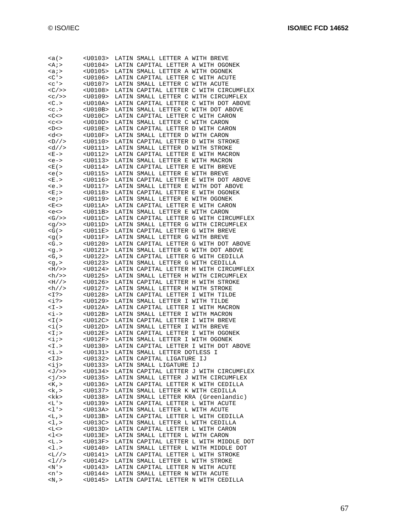| <a(></a(>                                                                                      | <u0103></u0103>                     | LATIN SMALL LETTER A WITH BREVE                                       |                                        |
|------------------------------------------------------------------------------------------------|-------------------------------------|-----------------------------------------------------------------------|----------------------------------------|
| $<$ A;>                                                                                        | <u0104></u0104>                     | LATIN CAPITAL LETTER A WITH OGONEK                                    |                                        |
| <a;< td=""><td><u0105></u0105></td><td>LATIN SMALL LETTER A WITH OGONEK</td><td></td></a;<>    | <u0105></u0105>                     | LATIN SMALL LETTER A WITH OGONEK                                      |                                        |
| $<$ C $\prime$ >                                                                               | <u0106></u0106>                     | LATIN CAPITAL LETTER C WITH ACUTE                                     |                                        |
| $c$ ' >                                                                                        | <u0107></u0107>                     | LATIN SMALL LETTER C WITH ACUTE                                       |                                        |
| $<\frac{C}{2}$                                                                                 | <u0108></u0108>                     |                                                                       | LATIN CAPITAL LETTER C WITH CIRCUMFLEX |
| $<\frac{C}{2}$                                                                                 | <u0109></u0109>                     |                                                                       | LATIN SMALL LETTER C WITH CIRCUMFLEX   |
| $<$ C $\ge$                                                                                    | $<$ U010A>                          |                                                                       | LATIN CAPITAL LETTER C WITH DOT ABOVE  |
| $c$ .                                                                                          | $<$ U $010B$                        | LATIN SMALL LETTER C WITH DOT ABOVE                                   |                                        |
| <<                                                                                             | $<$ U $010$ C $>$                   | LATIN CAPITAL LETTER C WITH CARON                                     |                                        |
| $C$                                                                                            | $<$ U $010$ D>                      | LATIN SMALL LETTER C WITH CARON                                       |                                        |
| $<$ D $<$ >                                                                                    | $<$ U $010E$ >                      | LATIN CAPITAL LETTER D WITH CARON                                     |                                        |
| <d<></d<>                                                                                      | $<$ U $010$ F>                      | LATIN SMALL LETTER D WITH CARON                                       |                                        |
| $<$ D $//$                                                                                     | $U0110>$                            | LATIN CAPITAL LETTER D WITH STROKE                                    |                                        |
| $\langle d // \rangle$                                                                         | $U0111>$                            | LATIN SMALL LETTER D WITH STROKE                                      |                                        |
| $E -$                                                                                          | <u0112></u0112>                     | LATIN CAPITAL LETTER E WITH MACRON                                    |                                        |
| $$                                                                                             | $U0113>$                            | LATIN SMALL LETTER E WITH MACRON                                      |                                        |
| <e(></e(>                                                                                      | $U0114>$                            | LATIN CAPITAL LETTER E WITH BREVE                                     |                                        |
| $< e$ ( $>$                                                                                    | <u0115></u0115>                     | LATIN SMALL LETTER E WITH BREVE                                       |                                        |
| E.                                                                                             | <u0116></u0116>                     |                                                                       | LATIN CAPITAL LETTER E WITH DOT ABOVE  |
| <e.< td=""><td><u0117></u0117></td><td>LATIN SMALL LETTER E WITH DOT ABOVE</td><td></td></e.<> | <u0117></u0117>                     | LATIN SMALL LETTER E WITH DOT ABOVE                                   |                                        |
| <e ;=""></e>                                                                                   | <u0118></u0118>                     | LATIN CAPITAL LETTER E WITH OGONEK                                    |                                        |
| $e$ ; $>$                                                                                      | <u0119></u0119>                     | LATIN SMALL LETTER E WITH OGONEK                                      |                                        |
| <e<></e<>                                                                                      | $U011A>$                            | LATIN CAPITAL LETTER E WITH CARON                                     |                                        |
| <e<></e<>                                                                                      | $<$ U011B $>$                       | LATIN SMALL LETTER E WITH CARON                                       |                                        |
| $<$ G $/$ >>                                                                                   | $<$ U $011$ C $>$                   |                                                                       | LATIN CAPITAL LETTER G WITH CIRCUMFLEX |
| $\langle q \rangle$ >>                                                                         | $U011D>$                            |                                                                       | LATIN SMALL LETTER G WITH CIRCUMFLEX   |
| $<$ G(>                                                                                        | <u011e></u011e>                     | LATIN CAPITAL LETTER G WITH BREVE                                     |                                        |
| < g(                                                                                           | $<$ U $011$ F>                      | LATIN SMALL LETTER G WITH BREVE                                       |                                        |
| $<$ G.>                                                                                        | <u0120></u0120>                     |                                                                       | LATIN CAPITAL LETTER G WITH DOT ABOVE  |
| < g.                                                                                           | <u0121></u0121>                     | LATIN SMALL LETTER G WITH DOT ABOVE                                   |                                        |
| $\lt G$ , $>$                                                                                  | <u0122></u0122>                     | LATIN CAPITAL LETTER G WITH CEDILLA                                   |                                        |
| $< g$ , $>$                                                                                    | <u0123></u0123>                     | LATIN SMALL LETTER G WITH CEDILLA                                     |                                        |
| $>H$ / >>                                                                                      | <u0124></u0124>                     |                                                                       | LATIN CAPITAL LETTER H WITH CIRCUMFLEX |
| $\langle h \rangle$                                                                            | <u0125></u0125>                     |                                                                       | LATIN SMALL LETTER H WITH CIRCUMFLEX   |
| >H//                                                                                           | <u0126></u0126>                     | LATIN CAPITAL LETTER H WITH STROKE                                    |                                        |
| $\frac{h}{2}$                                                                                  | <u0127></u0127>                     | LATIN SMALL LETTER H WITH STROKE                                      |                                        |
| $<$ I?>                                                                                        | <u0128></u0128>                     | LATIN CAPITAL LETTER                                                  | I WITH TILDE                           |
| $\langle i \rangle$                                                                            | <u0129></u0129>                     | LATIN SMALL LETTER I WITH TILDE                                       |                                        |
| $< I -$                                                                                        | <u012a></u012a>                     | LATIN CAPITAL LETTER                                                  | I WITH MACRON                          |
| <i-></i->                                                                                      | <u012b></u012b>                     | LATIN SMALL LETTER I WITH MACRON                                      |                                        |
| $\leq$ $\perp$ ( $>$                                                                           | $<$ U012C>                          | LATIN CAPITAL LETTER                                                  | I WITH BREVE                           |
| $\langle i \rangle$                                                                            | <u012d></u012d>                     | LATIN SMALL LETTER I WITH BREVE                                       |                                        |
| $<$ $\!1$ $\!>$                                                                                | <u012e></u012e>                     | LATIN CAPITAL LETTER                                                  | I WITH OGONEK                          |
| $\langle i \rangle$                                                                            | $<$ U012F>                          | LATIN SMALL LETTER I WITH OGONEK                                      |                                        |
| $<$ I.>                                                                                        | <u0130></u0130>                     |                                                                       | LATIN CAPITAL LETTER I WITH DOT ABOVE  |
| $\overline{\text{}}$ .>                                                                        | $<$ U0131>                          | LATIN SMALL LETTER DOTLESS                                            | Ι                                      |
| $<$ IJ>                                                                                        | $<$ U0132>                          | LATIN CAPITAL LIGATURE IJ                                             |                                        |
| $\langle i \rangle$                                                                            | $<$ U0133>                          | LATIN SMALL LIGATURE IJ                                               |                                        |
| $<\mathbb{J}/\mathbb{>}$                                                                       | <u0134></u0134>                     |                                                                       | LATIN CAPITAL LETTER J WITH CIRCUMFLEX |
| $\langle j \rangle$                                                                            | $<$ U0135>                          |                                                                       | LATIN SMALL LETTER J WITH CIRCUMFLEX   |
| $<$ K, $>$                                                                                     | $<$ U0136>                          | LATIN CAPITAL LETTER K WITH CEDILLA                                   |                                        |
| $\langle k, \rangle$                                                                           | <u0137></u0137>                     | LATIN SMALL LETTER K WITH CEDILLA                                     |                                        |
| <kk></kk>                                                                                      | $<$ U0138>                          | LATIN SMALL LETTER KRA (Greenlandic)                                  |                                        |
| <l'></l'>                                                                                      | <u0139></u0139>                     | LATIN CAPITAL LETTER L WITH ACUTE                                     |                                        |
| $1$ '>                                                                                         | <u013a></u013a>                     | LATIN SMALL LETTER L WITH ACUTE                                       |                                        |
| $<$ L, $>$                                                                                     | $<$ U013B>                          | LATIN CAPITAL LETTER L WITH CEDILLA                                   |                                        |
| <1,>                                                                                           | $<$ U $013$ C $>$                   | LATIN SMALL LETTER L WITH CEDILLA                                     |                                        |
| <l<></l<>                                                                                      | <u013d></u013d>                     | LATIN CAPITAL LETTER L WITH CARON                                     |                                        |
| $<$ l $<$ >                                                                                    | <u013e></u013e>                     | LATIN SMALL LETTER L WITH CARON                                       |                                        |
| $<\mathbb{L}$ .>                                                                               | $<$ U $013F$                        |                                                                       | LATIN CAPITAL LETTER L WITH MIDDLE DOT |
| 1.5                                                                                            | $<$ U $0140>$                       |                                                                       | LATIN SMALL LETTER L WITH MIDDLE DOT   |
| $<$ L $//$                                                                                     | <u0141></u0141>                     | LATIN CAPITAL LETTER L WITH STROKE                                    |                                        |
| <1//<br>$<\!\mathrm{N}$ ' $>$                                                                  | $<$ U $0142>$                       | LATIN SMALL LETTER L WITH STROKE<br>LATIN CAPITAL LETTER N WITH ACUTE |                                        |
| $\langle n' \rangle$                                                                           | <u0143><br/><u0144></u0144></u0143> | LATIN SMALL LETTER N WITH ACUTE                                       |                                        |
| $< N$ , $>$                                                                                    | <u0145></u0145>                     | LATIN CAPITAL LETTER N WITH CEDILLA                                   |                                        |
|                                                                                                |                                     |                                                                       |                                        |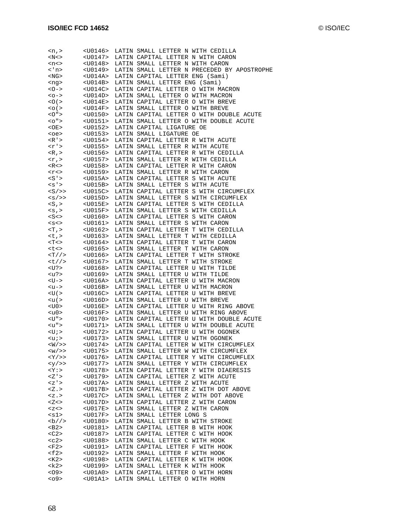| < n,                                            | <u0146></u0146>   | LATIN SMALL LETTER N WITH CEDILLA   |                                             |
|-------------------------------------------------|-------------------|-------------------------------------|---------------------------------------------|
| $<\mathbb{N}$ $<$ $>$                           | <u0147></u0147>   | LATIN CAPITAL LETTER N WITH CARON   |                                             |
| <n<></n<>                                       | <u0148></u0148>   | LATIN SMALL LETTER N WITH CARON     |                                             |
| < 'n>                                           | <u0149></u0149>   |                                     | LATIN SMALL LETTER N PRECEDED BY APOSTROPHE |
| <ng></ng>                                       | $<$ U $014$ A $>$ | LATIN CAPITAL LETTER ENG (Sami)     |                                             |
| <ng></ng>                                       | $<$ U $014$ B $>$ | LATIN SMALL LETTER ENG (Sami)       |                                             |
| $\langle$ O $\rightarrow$                       | $<$ U $014$ C $>$ | LATIN CAPITAL LETTER O WITH MACRON  |                                             |
| $<$ 0 $ >$                                      | <u014d></u014d>   | LATIN SMALL LETTER O WITH MACRON    |                                             |
| $<$ $\circ$ $\circ$                             | $<$ U $014E>$     | LATIN CAPITAL LETTER O WITH BREVE   |                                             |
|                                                 | $<$ U $014$ F>    |                                     |                                             |
| $<$ $\circ$ ( $>$                               |                   | LATIN SMALL LETTER O WITH BREVE     |                                             |
| $<$ $\circ$ $\circ$ $\circ$                     | <u0150></u0150>   |                                     | LATIN CAPITAL LETTER O WITH DOUBLE ACUTE    |
| $<$ 0" $>$                                      | <u0151></u0151>   |                                     | LATIN SMALL LETTER O WITH DOUBLE ACUTE      |
| <oe></oe>                                       | <u0152></u0152>   | LATIN CAPITAL LIGATURE OE           |                                             |
| <oe></oe>                                       | $U0153>$          | LATIN SMALL LIGATURE OE             |                                             |
| $\langle R' \rangle$                            | $U0154>$          | LATIN CAPITAL LETTER R WITH ACUTE   |                                             |
| <r '=""></r>                                    | <u0155></u0155>   | LATIN SMALL LETTER R WITH ACUTE     |                                             |
| $<$ R, $>$                                      | <u0156></u0156>   | LATIN CAPITAL LETTER R WITH CEDILLA |                                             |
| $\langle \Upsilon \rangle$                      | <u0157></u0157>   | LATIN SMALL LETTER R WITH CEDILLA   |                                             |
| R <                                             | <u0158></u0158>   | LATIN CAPITAL LETTER R WITH CARON   |                                             |
| $<$ r $<$ >                                     | $U0159>$          | LATIN SMALL LETTER R WITH CARON     |                                             |
| S'                                              | $<$ U $015$ A $>$ | LATIN CAPITAL LETTER S WITH ACUTE   |                                             |
| $<$ s' >                                        | $<$ U $015B>$     | LATIN SMALL LETTER S WITH ACUTE     |                                             |
| $<\mathcal{S}\mathcal{S}\mathcal{S}\mathcal{S}$ | $<$ U $015$ C $>$ |                                     | LATIN CAPITAL LETTER S WITH CIRCUMFLEX      |
| $<$ s $/$ >>                                    | <u015d></u015d>   |                                     | LATIN SMALL LETTER S WITH CIRCUMFLEX        |
| $<\!{\rm S}$ , $>$                              | $<$ U $015E$ >    | LATIN CAPITAL LETTER S WITH CEDILLA |                                             |
|                                                 | $<$ U $015$ F>    | LATIN SMALL LETTER S WITH CEDILLA   |                                             |
| $< s$ , $>$                                     |                   |                                     |                                             |
| $<$ S $<$ >                                     | $U0160>$          | LATIN CAPITAL LETTER S WITH CARON   |                                             |
| $<$ s $<$ >                                     | <u0161></u0161>   | LATIN SMALL LETTER S WITH CARON     |                                             |
| $T$ , $>$                                       | <u0162></u0162>   | LATIN CAPITAL LETTER T WITH CEDILLA |                                             |
| $<$ t, $>$                                      | <u0163></u0163>   | LATIN SMALL LETTER T WITH CEDILLA   |                                             |
| $<$ T $<$ $>$                                   | $U0164>$          | LATIN CAPITAL LETTER T WITH CARON   |                                             |
| <t<></t<>                                       | <u0165></u0165>   | LATIN SMALL LETTER T WITH CARON     |                                             |
| $<\!\mathrm{T}\!$ / / $>$                       | <u0166></u0166>   | LATIN CAPITAL LETTER T WITH STROKE  |                                             |
| <t></t>                                         | <u0167></u0167>   | LATIN SMALL LETTER T WITH STROKE    |                                             |
| $<$ U? $>$                                      | $U0168>$          | LATIN CAPITAL LETTER U WITH TILDE   |                                             |
| <u?></u?>                                       | <u0169></u0169>   | LATIN SMALL LETTER U WITH TILDE     |                                             |
| $<$ U $ >$                                      | <u016a></u016a>   | LATIN CAPITAL LETTER U WITH MACRON  |                                             |
| <น->                                            | $<$ U $016B>$     | LATIN SMALL LETTER U WITH MACRON    |                                             |
| $<$ U $($ $>$                                   | $U016C>$          | LATIN CAPITAL LETTER U WITH BREVE   |                                             |
| $\langle u(z)$                                  | $<$ U $016$ D $>$ | LATIN SMALL LETTER U WITH BREVE     |                                             |
| <u0></u0>                                       | $<$ U $016E>$     |                                     | LATIN CAPITAL LETTER U WITH RING ABOVE      |
| $u0>$                                           | $<$ U $016$ F>    |                                     | LATIN SMALL LETTER U WITH RING ABOVE        |
| <u"></u">                                       | $U0170>$          |                                     | LATIN CAPITAL LETTER U WITH DOUBLE ACUTE    |
| $">$                                            | <u0171></u0171>   |                                     | LATIN SMALL LETTER U WITH DOUBLE ACUTE      |
|                                                 | $U0172>$          |                                     |                                             |
| <u;></u;>                                       |                   | LATIN CAPITAL LETTER U WITH OGONEK  |                                             |
| $\langle u \rangle$                             | <u0173></u0173>   | LATIN SMALL LETTER U WITH OGONEK    |                                             |
| $<$ $\overline{W}$ / $>>$                       | $<$ U $0174>$     |                                     | LATIN CAPITAL LETTER W WITH CIRCUMFLEX      |
| < w / > >                                       | $<$ U0175>        |                                     | LATIN SMALL LETTER W WITH CIRCUMFLEX        |
| $<$ Y/>>                                        | <u0176></u0176>   |                                     | LATIN CAPITAL LETTER Y WITH CIRCUMFLEX      |
| $<\frac{y}{>}$                                  | $<$ U $0177$ >    |                                     | LATIN SMALL LETTER Y WITH CIRCUMFLEX        |
| $<$ Y $\cdot$                                   | $U0178>$          |                                     | LATIN CAPITAL LETTER Y WITH DIAERESIS       |
| <z '=""></z>                                    | $U0179>$          | LATIN CAPITAL LETTER Z WITH ACUTE   |                                             |
| $<$ z $^{\prime}$ $>$                           | $<$ U $017$ A $>$ | LATIN SMALL LETTER Z WITH ACUTE     |                                             |
| Z <sub>1</sub>                                  | $<$ U $017B>$     |                                     | LATIN CAPITAL LETTER Z WITH DOT ABOVE       |
| $Z$ .                                           | $<$ U $017$ C $>$ | LATIN SMALL LETTER Z WITH DOT ABOVE |                                             |
| $<\mathbb{Z}$ < $>$                             | $<$ U $017$ D $>$ | LATIN CAPITAL LETTER Z WITH CARON   |                                             |
| $<$ $Z$ $<$ $>$                                 | $<$ U017E>        | LATIN SMALL LETTER Z WITH CARON     |                                             |
| <s1></s1>                                       | <u017f></u017f>   | LATIN SMALL LETTER LONG S           |                                             |
| $b$ //>                                         | $<$ U0180>        | LATIN SMALL LETTER B WITH STROKE    |                                             |
| $B2>$                                           | $U0181>$          | LATIN CAPITAL LETTER B WITH HOOK    |                                             |
| $<$ C2>                                         | $U0187>$          | LATIN CAPITAL LETTER C WITH HOOK    |                                             |
| $c2>$                                           | $<$ U0188>        | LATIN SMALL LETTER C WITH HOOK      |                                             |
|                                                 |                   |                                     |                                             |
| $<$ F2>                                         | <u0191></u0191>   | LATIN CAPITAL LETTER F WITH HOOK    |                                             |
| $<$ f2>                                         | <u0192></u0192>   | LATIN SMALL LETTER F WITH HOOK      |                                             |
| <k2></k2>                                       | $U0198>$          | LATIN CAPITAL LETTER K WITH HOOK    |                                             |
| <k2></k2>                                       | <u0199></u0199>   | LATIN SMALL LETTER K WITH HOOK      |                                             |
| $<$ 09 $>$                                      | $U01A0>$          | LATIN CAPITAL LETTER O WITH HORN    |                                             |
| < 09                                            | $U01A1>$          | LATIN SMALL LETTER O WITH HORN      |                                             |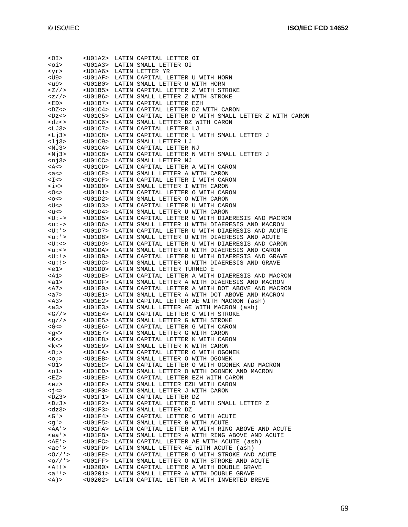| $<$ OI>                                                                                                                                                                                                                                                                                                                                                                                          |                   | <u01a2> LATIN CAPITAL LETTER OI</u01a2>                                                                                                                                                                                                                                                                                                |
|--------------------------------------------------------------------------------------------------------------------------------------------------------------------------------------------------------------------------------------------------------------------------------------------------------------------------------------------------------------------------------------------------|-------------------|----------------------------------------------------------------------------------------------------------------------------------------------------------------------------------------------------------------------------------------------------------------------------------------------------------------------------------------|
| <oi></oi>                                                                                                                                                                                                                                                                                                                                                                                        |                   | <u01a3> LATIN SMALL LETTER OI</u01a3>                                                                                                                                                                                                                                                                                                  |
|                                                                                                                                                                                                                                                                                                                                                                                                  |                   |                                                                                                                                                                                                                                                                                                                                        |
| <yr></yr>                                                                                                                                                                                                                                                                                                                                                                                        |                   |                                                                                                                                                                                                                                                                                                                                        |
| <u9></u9>                                                                                                                                                                                                                                                                                                                                                                                        |                   | <u01af> LATIN CAPITAL LETTER U WITH HORN</u01af>                                                                                                                                                                                                                                                                                       |
| <u9></u9>                                                                                                                                                                                                                                                                                                                                                                                        |                   |                                                                                                                                                                                                                                                                                                                                        |
|                                                                                                                                                                                                                                                                                                                                                                                                  |                   | <uoia6> LATIN LETTER YR<br/><uoiaf> LATIN CAPITAL LETTER U WITH HORN<br/><uoibo> LATIN SMALL LETTER U WITH HORN<br/><uoibo> LATIN SMALL LETTER U WITH HORN</uoibo></uoibo></uoiaf></uoia6>                                                                                                                                             |
|                                                                                                                                                                                                                                                                                                                                                                                                  |                   | $\langle Z//\rangle$ <u01b5> LATIN CAPITAL LETTER Z WITH STROKE</u01b5>                                                                                                                                                                                                                                                                |
| <z></z>                                                                                                                                                                                                                                                                                                                                                                                          |                   | <u01b6> LATIN SMALL LETTER Z WITH STROKE</u01b6>                                                                                                                                                                                                                                                                                       |
| <ed></ed>                                                                                                                                                                                                                                                                                                                                                                                        |                   | <u01b6> LATIN SMALL LETTER Z WIT<br/><u01b7> LATIN CAPITAL LETTER EZH</u01b7></u01b6>                                                                                                                                                                                                                                                  |
|                                                                                                                                                                                                                                                                                                                                                                                                  |                   |                                                                                                                                                                                                                                                                                                                                        |
|                                                                                                                                                                                                                                                                                                                                                                                                  |                   | <dz<>&gt; <u01c4> LATIN CAPITAL LETTER DZ WITH CARON<br/><dz<> <u01c5> LATIN CAPITAL LETTER D WITH SMALL LETTER Z WITH CARON</u01c5></dz<></u01c4></dz<>                                                                                                                                                                               |
|                                                                                                                                                                                                                                                                                                                                                                                                  |                   |                                                                                                                                                                                                                                                                                                                                        |
| $<$ dz $<$ >                                                                                                                                                                                                                                                                                                                                                                                     |                   | <u01c6> LATIN SMALL LETTER DZ WITH CARON</u01c6>                                                                                                                                                                                                                                                                                       |
|                                                                                                                                                                                                                                                                                                                                                                                                  |                   |                                                                                                                                                                                                                                                                                                                                        |
|                                                                                                                                                                                                                                                                                                                                                                                                  |                   |                                                                                                                                                                                                                                                                                                                                        |
|                                                                                                                                                                                                                                                                                                                                                                                                  |                   | <li3> <u01c7> LATIN CAPITAL LETTER LJ<br/><li3> <u01c8> LATIN CAPITAL LETTER L WITH SMALL LETTER J<br/><li3> <u01c9> LATIN SMALL LETTER LJ<br/><li3> <u01c9> LATIN SMALL LETTER LJ<br/><nj3> <u01ca> LATIN CAPITAL LETTER NJ<br/><nj3> <u01ca> LAT</u01ca></nj3></u01ca></nj3></u01c9></li3></u01c9></li3></u01c8></li3></u01c7></li3> |
|                                                                                                                                                                                                                                                                                                                                                                                                  |                   |                                                                                                                                                                                                                                                                                                                                        |
|                                                                                                                                                                                                                                                                                                                                                                                                  |                   |                                                                                                                                                                                                                                                                                                                                        |
|                                                                                                                                                                                                                                                                                                                                                                                                  |                   |                                                                                                                                                                                                                                                                                                                                        |
|                                                                                                                                                                                                                                                                                                                                                                                                  |                   |                                                                                                                                                                                                                                                                                                                                        |
|                                                                                                                                                                                                                                                                                                                                                                                                  |                   |                                                                                                                                                                                                                                                                                                                                        |
|                                                                                                                                                                                                                                                                                                                                                                                                  |                   | <no3><br/> <no3><br/> <no1cb> LATIN CAPITAL LETTER N WITH SMALL LETTER J<br/> <n> <n> </n></n></no1cb></no3><br/> <uo1cc> LATIN SMALL LETTER NJ<br/> <a> &lt; <uo1cd> LATIN CAPITAL LETTER A WITH CARON<br/> <a<> &lt; <uo1ce> LATIN SMALL LETTER A WITH CARON<br/> <a<> &lt;</a<></uo1ce></a<></uo1cd></a></uo1cc></no3>              |
|                                                                                                                                                                                                                                                                                                                                                                                                  |                   |                                                                                                                                                                                                                                                                                                                                        |
|                                                                                                                                                                                                                                                                                                                                                                                                  |                   |                                                                                                                                                                                                                                                                                                                                        |
|                                                                                                                                                                                                                                                                                                                                                                                                  |                   |                                                                                                                                                                                                                                                                                                                                        |
|                                                                                                                                                                                                                                                                                                                                                                                                  |                   |                                                                                                                                                                                                                                                                                                                                        |
| $\langle i \rangle$                                                                                                                                                                                                                                                                                                                                                                              |                   | <u01d0> LATIN SMALL LETTER I WITH CARON</u01d0>                                                                                                                                                                                                                                                                                        |
|                                                                                                                                                                                                                                                                                                                                                                                                  |                   | <br><br><br><br><br><br><br><br><br><br><<br><<br><<br><<br><<br>< < < < < < < < < < < < <<br><u01d1> LATIN CAPITAL LETTER O WITH CARON</u01d1>                                                                                                                                                                                        |
|                                                                                                                                                                                                                                                                                                                                                                                                  |                   |                                                                                                                                                                                                                                                                                                                                        |
|                                                                                                                                                                                                                                                                                                                                                                                                  |                   |                                                                                                                                                                                                                                                                                                                                        |
|                                                                                                                                                                                                                                                                                                                                                                                                  |                   | <u01d3> LATIN CAPITAL LETTER U WITH CARON</u01d3>                                                                                                                                                                                                                                                                                      |
|                                                                                                                                                                                                                                                                                                                                                                                                  |                   |                                                                                                                                                                                                                                                                                                                                        |
|                                                                                                                                                                                                                                                                                                                                                                                                  |                   | <u:-> <u01d5> LATIN CAPITAL LETTER U WITH DIAERESIS AND MACRON</u01d5></u:->                                                                                                                                                                                                                                                           |
|                                                                                                                                                                                                                                                                                                                                                                                                  |                   |                                                                                                                                                                                                                                                                                                                                        |
| $\langle u:->$                                                                                                                                                                                                                                                                                                                                                                                   |                   | <u01d6> LATIN SMALL LETTER U WITH DIAERESIS AND MACRON</u01d6>                                                                                                                                                                                                                                                                         |
|                                                                                                                                                                                                                                                                                                                                                                                                  |                   | <u01d7> LATIN CAPITAL LETTER U WITH DIAERESIS AND ACUTE</u01d7>                                                                                                                                                                                                                                                                        |
|                                                                                                                                                                                                                                                                                                                                                                                                  |                   | <u01d8> LATIN SMALL LETTER U WITH DIAERESIS AND ACUTE</u01d8>                                                                                                                                                                                                                                                                          |
| <u:'><br/><u:<><br/><u:<></u:<></u:<></u:'>                                                                                                                                                                                                                                                                                                                                                      |                   | <u01d9> LATIN CAPITAL LETTER U WITH DIAERESIS AND CARON</u01d9>                                                                                                                                                                                                                                                                        |
|                                                                                                                                                                                                                                                                                                                                                                                                  |                   |                                                                                                                                                                                                                                                                                                                                        |
|                                                                                                                                                                                                                                                                                                                                                                                                  |                   | <u01da> LATIN SMALL LETTER U WITH DIAERESIS AND CARON</u01da>                                                                                                                                                                                                                                                                          |
| <u:!></u:!>                                                                                                                                                                                                                                                                                                                                                                                      |                   | <u01db> LATIN CAPITAL LETTER U WITH DIAERESIS AND GRAVE</u01db>                                                                                                                                                                                                                                                                        |
| <u:!></u:!>                                                                                                                                                                                                                                                                                                                                                                                      |                   | <u01dc> LATIN SMALL LETTER U WITH DIAERESIS AND GRAVE</u01dc>                                                                                                                                                                                                                                                                          |
|                                                                                                                                                                                                                                                                                                                                                                                                  |                   |                                                                                                                                                                                                                                                                                                                                        |
| $\leq$ el $>$<br>$\leq$ al $>$                                                                                                                                                                                                                                                                                                                                                                   |                   | <u01dd> LATIN SMALL LETTER TURNED E</u01dd>                                                                                                                                                                                                                                                                                            |
| <a1></a1>                                                                                                                                                                                                                                                                                                                                                                                        | <u01de></u01de>   | LATIN CAPITAL LETTER A WITH DIAERESIS AND MACRON                                                                                                                                                                                                                                                                                       |
| <a<sub>1</a<sub>                                                                                                                                                                                                                                                                                                                                                                                 |                   | <u01df> LATIN SMALL LETTER A WITH DIAERESIS AND MACRON</u01df>                                                                                                                                                                                                                                                                         |
|                                                                                                                                                                                                                                                                                                                                                                                                  |                   |                                                                                                                                                                                                                                                                                                                                        |
| $\begin{tabular}{ll} <\!\!\!\!\!&\text{\bf A7>}\!\!\!\!&\text{\bf C101E0>}\!\!\!\!&\text{\bf A2>}\!\!\!\!&\text{\bf C101E1>}\!\!\!\!&\text{\bf A3>}\!\!\!\!&\text{\bf C101E2>}\!\!\!\!&\text{\bf A3>}\!\!\!\!&\text{\bf A3>}\!\!\!\!&\text{\bf C101E2>}\!\!\!\!&\text{\bf A3>}\!\!\!\!&\text{\bf A3>}\!\!\!\!&\text{\bf A3>}\!\!\!\!&\text{\bf A3>}\!\!\!\!&\text{\bf A3>}\!\!\!\!&\text{\bf A3$ |                   | <u01e0> LATIN CAPITAL LETTER A WITH DOT ABOVE AND MACRON</u01e0>                                                                                                                                                                                                                                                                       |
|                                                                                                                                                                                                                                                                                                                                                                                                  |                   | <u01e1> LATIN SMALL LETTER A WITH DOT ABOVE AND MACRON</u01e1>                                                                                                                                                                                                                                                                         |
|                                                                                                                                                                                                                                                                                                                                                                                                  |                   | <u01e2> LATIN CAPITAL LETTER AE WITH MACRON (ash)</u01e2>                                                                                                                                                                                                                                                                              |
|                                                                                                                                                                                                                                                                                                                                                                                                  |                   |                                                                                                                                                                                                                                                                                                                                        |
|                                                                                                                                                                                                                                                                                                                                                                                                  |                   |                                                                                                                                                                                                                                                                                                                                        |
|                                                                                                                                                                                                                                                                                                                                                                                                  |                   | LATIN SMALL LETTER AE WITH MACRON (ash)                                                                                                                                                                                                                                                                                                |
|                                                                                                                                                                                                                                                                                                                                                                                                  |                   |                                                                                                                                                                                                                                                                                                                                        |
|                                                                                                                                                                                                                                                                                                                                                                                                  |                   |                                                                                                                                                                                                                                                                                                                                        |
|                                                                                                                                                                                                                                                                                                                                                                                                  |                   |                                                                                                                                                                                                                                                                                                                                        |
|                                                                                                                                                                                                                                                                                                                                                                                                  |                   |                                                                                                                                                                                                                                                                                                                                        |
|                                                                                                                                                                                                                                                                                                                                                                                                  |                   |                                                                                                                                                                                                                                                                                                                                        |
|                                                                                                                                                                                                                                                                                                                                                                                                  |                   |                                                                                                                                                                                                                                                                                                                                        |
|                                                                                                                                                                                                                                                                                                                                                                                                  |                   | <g></g> <g></g> <g></g> <g></g> <g></g> <g></g> <g></g> <g></g> <g></g> <g></g> <g></g> <g></g> <g></g> <g></g> <g></g> <g></g> <g></g> <g></g> <g></g> <g></g> <g></g> <g></g> <g></g> <g></g> <g></g> <g></g> <g></g> <g></g> <g></g> <g></g> <g></g> <g></g> <g></g> <g></g> <g></g> COOLES                                         |
| $<\kappa$ $<$ $>$                                                                                                                                                                                                                                                                                                                                                                                | <u01e9></u01e9>   | LATIN SMALL LETTER K WITH CARON                                                                                                                                                                                                                                                                                                        |
| 0.5                                                                                                                                                                                                                                                                                                                                                                                              |                   | <u01ea> LATIN CAPITAL LETTER O WITH OGONEK</u01ea>                                                                                                                                                                                                                                                                                     |
| $<$ 0 $i$                                                                                                                                                                                                                                                                                                                                                                                        |                   | <u01eb> LATIN SMALL LETTER O WITH OGONEK</u01eb>                                                                                                                                                                                                                                                                                       |
|                                                                                                                                                                                                                                                                                                                                                                                                  |                   |                                                                                                                                                                                                                                                                                                                                        |
| <01>                                                                                                                                                                                                                                                                                                                                                                                             |                   | <u01ec> LATIN CAPITAL LETTER O WITH OGONEK AND MACRON</u01ec>                                                                                                                                                                                                                                                                          |
| <o1></o1>                                                                                                                                                                                                                                                                                                                                                                                        |                   | <u01ed> LATIN SMALL LETTER O WITH OGONEK AND MACRON</u01ed>                                                                                                                                                                                                                                                                            |
| <ez></ez>                                                                                                                                                                                                                                                                                                                                                                                        |                   | <u01ee> LATIN CAPITAL LETTER EZH WITH CARON</u01ee>                                                                                                                                                                                                                                                                                    |
|                                                                                                                                                                                                                                                                                                                                                                                                  |                   |                                                                                                                                                                                                                                                                                                                                        |
| $ez$                                                                                                                                                                                                                                                                                                                                                                                             |                   | <u01ef> LATIN SMALL LETTER EZH WITH CARON</u01ef>                                                                                                                                                                                                                                                                                      |
| $\langle \dot{\gamma} \rangle$                                                                                                                                                                                                                                                                                                                                                                   |                   | <u01f0> LATIN SMALL LETTER J WITH CARON</u01f0>                                                                                                                                                                                                                                                                                        |
| $<$ DZ3>                                                                                                                                                                                                                                                                                                                                                                                         |                   | <u01f1> LATIN CAPITAL LETTER DZ</u01f1>                                                                                                                                                                                                                                                                                                |
|                                                                                                                                                                                                                                                                                                                                                                                                  |                   |                                                                                                                                                                                                                                                                                                                                        |
| $<$ Dz $3>$                                                                                                                                                                                                                                                                                                                                                                                      | <u01f2></u01f2>   | LATIN CAPITAL LETTER D WITH SMALL LETTER Z                                                                                                                                                                                                                                                                                             |
| $<$ dz $3>$                                                                                                                                                                                                                                                                                                                                                                                      |                   | <u01f3> LATIN SMALL LETTER DZ</u01f3>                                                                                                                                                                                                                                                                                                  |
| $<$ G' $>$                                                                                                                                                                                                                                                                                                                                                                                       | $U01F4>$          | LATIN CAPITAL LETTER G WITH ACUTE                                                                                                                                                                                                                                                                                                      |
| $<$ q'>                                                                                                                                                                                                                                                                                                                                                                                          |                   | <u01f5> LATIN SMALL LETTER G WITH ACUTE</u01f5>                                                                                                                                                                                                                                                                                        |
|                                                                                                                                                                                                                                                                                                                                                                                                  |                   |                                                                                                                                                                                                                                                                                                                                        |
| <aa'></aa'>                                                                                                                                                                                                                                                                                                                                                                                      | $<$ U $01$ FA $>$ | LATIN CAPITAL LETTER A WITH RING ABOVE AND ACUTE                                                                                                                                                                                                                                                                                       |
| $<$ aa'>                                                                                                                                                                                                                                                                                                                                                                                         | <u01fb></u01fb>   | LATIN SMALL LETTER A WITH RING ABOVE AND ACUTE                                                                                                                                                                                                                                                                                         |
| <ae '=""></ae>                                                                                                                                                                                                                                                                                                                                                                                   |                   | <u01fc> LATIN CAPITAL LETTER AE WITH ACUTE (ash)</u01fc>                                                                                                                                                                                                                                                                               |
|                                                                                                                                                                                                                                                                                                                                                                                                  |                   |                                                                                                                                                                                                                                                                                                                                        |
| <a>e'</a>                                                                                                                                                                                                                                                                                                                                                                                        | $<$ U $01$ FD $>$ | LATIN SMALL LETTER AE WITH ACUTE (ash)                                                                                                                                                                                                                                                                                                 |
| $<0//$ '>                                                                                                                                                                                                                                                                                                                                                                                        |                   | <u01fe> LATIN CAPITAL LETTER O WITH STROKE AND ACUTE</u01fe>                                                                                                                                                                                                                                                                           |
| $<0//$ '>                                                                                                                                                                                                                                                                                                                                                                                        | $<$ U $01$ FF $>$ | LATIN SMALL LETTER O WITH STROKE AND ACUTE                                                                                                                                                                                                                                                                                             |
|                                                                                                                                                                                                                                                                                                                                                                                                  |                   |                                                                                                                                                                                                                                                                                                                                        |
| $<$ A!!>                                                                                                                                                                                                                                                                                                                                                                                         |                   | <u0200> LATIN CAPITAL LETTER A WITH DOUBLE GRAVE</u0200>                                                                                                                                                                                                                                                                               |
| $!!><A) >$                                                                                                                                                                                                                                                                                                                                                                                       |                   | <u0201> LATIN SMALL LETTER A WITH DOUBLE GRAVE<br/><u0202> LATIN CAPITAL LETTER A WITH INVERTED BREVE</u0202></u0201>                                                                                                                                                                                                                  |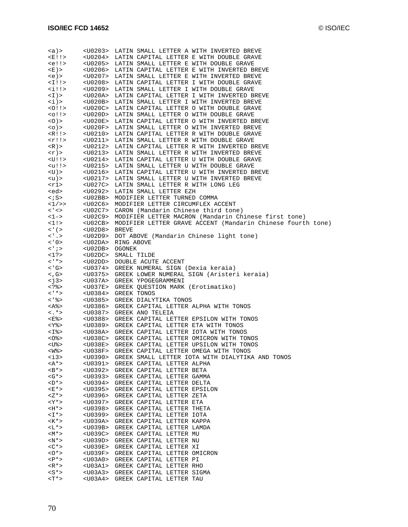| (a)                            |                        | <u0203> LATIN SMALL LETTER A WITH INVERTED BREVE</u0203>                    |
|--------------------------------|------------------------|-----------------------------------------------------------------------------|
| E:I                            |                        | <u0204> LATIN CAPITAL LETTER E WITH DOUBLE GRAVE</u0204>                    |
|                                |                        | <u0205> LATIN SMALL LETTER E WITH DOUBLE GRAVE</u0205>                      |
| $!!>$                          |                        |                                                                             |
| <e )=""></e>                   |                        | <u0206> LATIN CAPITAL LETTER E WITH INVERTED BREVE</u0206>                  |
| <e)></e)>                      |                        | <u0207> LATIN SMALL LETTER E WITH INVERTED BREVE</u0207>                    |
| $<$ I!!>                       |                        | <u0208> LATIN CAPITAL LETTER I WITH DOUBLE GRAVE</u0208>                    |
|                                |                        |                                                                             |
| <i!!></i!!>                    |                        | <u0209> LATIN SMALL LETTER I WITH DOUBLE GRAVE</u0209>                      |
| $\langle I \rangle$            |                        | <u020a> LATIN CAPITAL LETTER I WITH INVERTED BREVE</u020a>                  |
| $\langle i \rangle$            |                        | <u020b> LATIN SMALL LETTER I WITH INVERTED BREVE</u020b>                    |
| 0!15                           |                        | <u020c> LATIN CAPITAL LETTER O WITH DOUBLE GRAVE</u020c>                    |
|                                |                        | <u020d> LATIN SMALL LETTER O WITH DOUBLE GRAVE</u020d>                      |
| $<$ 0 $!$ $>$                  |                        |                                                                             |
| $<$ $0$ $>$                    |                        | <u020e> LATIN CAPITAL LETTER O WITH INVERTED BREVE</u020e>                  |
| $<$ $\circ$ $>$                |                        | <u020f> LATIN SMALL LETTER O WITH INVERTED BREVE</u020f>                    |
| $\langle R! \rangle$           |                        | <u0210> LATIN CAPITAL LETTER R WITH DOUBLE GRAVE</u0210>                    |
| $\langle r! \rangle$           |                        | <u0211> LATIN SMALL LETTER R WITH DOUBLE GRAVE</u0211>                      |
|                                |                        |                                                                             |
| $\langle R \rangle$ >          |                        | <u0212> LATIN CAPITAL LETTER R WITH INVERTED BREVE</u0212>                  |
| $\langle \Upsilon \rangle$ >   |                        | <u0213> LATIN SMALL LETTER R WITH INVERTED BREVE</u0213>                    |
| $<$ U!!>                       |                        | <u0214> LATIN CAPITAL LETTER U WITH DOUBLE GRAVE</u0214>                    |
| <u!!></u!!>                    |                        | <u0215> LATIN SMALL LETTER U WITH DOUBLE GRAVE</u0215>                      |
|                                |                        |                                                                             |
| $<$ U) >                       |                        | <u0216> LATIN CAPITAL LETTER U WITH INVERTED BREVE</u0216>                  |
| <u)></u)>                      |                        | <u0217> LATIN SMALL LETTER U WITH INVERTED BREVE</u0217>                    |
| <r1></r1>                      |                        | <u027c> LATIN SMALL LETTER R WITH LONG LEG</u027c>                          |
| <ed></ed>                      |                        | <u0292> LATIN SMALL LETTER EZH</u0292>                                      |
|                                |                        |                                                                             |
| $\langle$ ; S $>$              |                        | <u02bb> MODIFIER LETTER TURNED COMMA</u02bb>                                |
| $<1$ / >>                      |                        | <u02c6> MODIFIER LETTER CIRCUMFLEX ACCENT</u02c6>                           |
| $\lt'$ $\lt$                   |                        | <u02c7> CARON (Mandarin Chinese third tone)</u02c7>                         |
| $1 -$                          |                        | <u02c9> MODIFIER LETTER MACRON (Mandarin Chinese first tone)</u02c9>        |
|                                |                        | <u02cb> MODIFIER LETTER GRAVE ACCENT (Mandarin Chinese fourth tone)</u02cb> |
| <1!                            |                        |                                                                             |
| $\lt'$ ( $>$                   | <u02d8> BREVE</u02d8>  |                                                                             |
| $\langle \cdot, \cdot \rangle$ |                        | <u02d9> DOT ABOVE (Mandarin Chinese light tone)</u02d9>                     |
| $\lt$ ' 0 >                    |                        | <u02da> RING ABOVE</u02da>                                                  |
| $\langle$ ' $\rangle$          | <u02db> OGONEK</u02db> |                                                                             |
|                                |                        |                                                                             |
| $<$ 1?>                        |                        | <u02dc> SMALL TILDE</u02dc>                                                 |
| < ' " >                        |                        | <u02dd> DOUBLE ACUTE ACCENT</u02dd>                                         |
| $<$ ' G>                       |                        | <u0374> GREEK NUMERAL SIGN (Dexia keraia)</u0374>                           |
| $<$ , G>                       |                        | <u0375> GREEK LOWER NUMERAL SIGN (Aristeri keraia)</u0375>                  |
|                                |                        |                                                                             |
| $<$ j3>                        |                        | <u037a> GREEK YPOGEGRAMMENI</u037a>                                         |
| %                              |                        | <u037e> GREEK QUESTION MARK (Erotimatiko)</u037e>                           |
| $\lt'$ ' * >                   |                        | <u0384> GREEK TONOS</u0384>                                                 |
| < ' %>                         |                        | <u0385> GREEK DIALYTIKA TONOS</u0385>                                       |
| <a%></a%>                      |                        | <u0386> GREEK CAPITAL LETTER ALPHA WITH TONOS</u0386>                       |
|                                |                        |                                                                             |
| $\lt$ .*>                      |                        | <u0387> GREEK ANO TELEIA</u0387>                                            |
| <e%></e%>                      |                        | <u0388> GREEK CAPITAL LETTER EPSILON WITH TONOS</u0388>                     |
| $<$ Y $\scriptstyle\rm S$ $>$  |                        | <u0389> GREEK CAPITAL LETTER ETA WITH TONOS</u0389>                         |
| <i%></i%>                      |                        | <u038a> GREEK CAPITAL LETTER IOTA WITH TONOS</u038a>                        |
|                                |                        |                                                                             |
| $<\!\!0$ %>                    |                        | <u038c> GREEK CAPITAL LETTER OMICRON WITH TONOS</u038c>                     |
| <u%></u%>                      | <u038e></u038e>        | GREEK CAPITAL LETTER UPSILON WITH TONOS                                     |
| <w%></w%>                      | <u038f></u038f>        | GREEK CAPITAL LETTER OMEGA WITH TONOS                                       |
| $<$ i3>                        | <u0390></u0390>        | GREEK SMALL LETTER IOTA WITH DIALYTIKA AND TONOS                            |
| $<$ A*>                        | <u0391></u0391>        | GREEK CAPITAL LETTER ALPHA                                                  |
|                                |                        |                                                                             |
| $\langle B^* \rangle$          | <u0392></u0392>        | GREEK CAPITAL LETTER BETA                                                   |
| $\langle G^* \rangle$          | <u0393></u0393>        | GREEK CAPITAL LETTER GAMMA                                                  |
| $<\!D^*$ $>$                   | <u0394></u0394>        | GREEK CAPITAL LETTER DELTA                                                  |
| <e*></e*>                      | <u0395></u0395>        | GREEK CAPITAL LETTER EPSILON                                                |
|                                |                        |                                                                             |
| $Z^*>$                         | <u0396></u0396>        | GREEK CAPITAL LETTER ZETA                                                   |
| $<$ Y $\star$ $>$              | <u0397></u0397>        | GREEK CAPITAL LETTER ETA                                                    |
| $\leq$ H $\star$ $>$           | <u0398></u0398>        | GREEK CAPITAL LETTER THETA                                                  |
| < ∐ * >                        | <u0399></u0399>        | GREEK CAPITAL LETTER IOTA                                                   |
| $K^*$                          | <u039a></u039a>        | GREEK CAPITAL LETTER KAPPA                                                  |
|                                |                        |                                                                             |
| <∐*>                           | <u039b></u039b>        | GREEK CAPITAL LETTER LAMDA                                                  |
| $ M^*>$                        | <u039c></u039c>        | GREEK CAPITAL LETTER MU                                                     |
| $<\mathbb{N}^*$                | <u039d></u039d>        | GREEK CAPITAL LETTER NU                                                     |
| $<$ C*>                        | <u039e></u039e>        | GREEK CAPITAL LETTER XI                                                     |
|                                |                        |                                                                             |
| $0$ *>                         | <u039f></u039f>        | GREEK CAPITAL LETTER OMICRON                                                |
| $\langle P^* \rangle$          | <u03a0></u03a0>        | GREEK CAPITAL LETTER PI                                                     |
| $<\mathbb{R}^*$                | <u03a1></u03a1>        | GREEK CAPITAL LETTER RHO                                                    |
| $S^*$                          | <u03a3></u03a3>        | GREEK CAPITAL LETTER SIGMA                                                  |
|                                |                        | GREEK CAPITAL LETTER TAU                                                    |
| <t*></t*>                      | <u03a4></u03a4>        |                                                                             |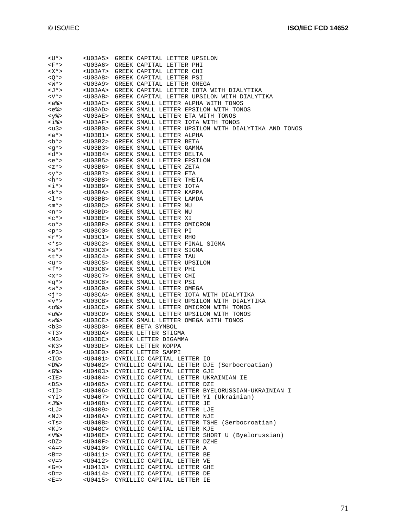| <u*></u*>                                  |                                     | <u03a5> GREEK CAPITAL LETTER UPSILON</u03a5>                                                                     |
|--------------------------------------------|-------------------------------------|------------------------------------------------------------------------------------------------------------------|
| <f*></f*>                                  |                                     | <u03a6> GREEK CAPITAL LETTER PHI</u03a6>                                                                         |
| <x*></x*>                                  |                                     | <u03a7> GREEK CAPITAL LETTER CHI</u03a7>                                                                         |
| $Q^*$                                      |                                     | <u03a8> GREEK CAPITAL LETTER PSI</u03a8>                                                                         |
| $W^*>$                                     |                                     | <u03a9> GREEK CAPITAL LETTER OMEGA</u03a9>                                                                       |
| <j *=""></j>                               |                                     | <u03aa> GREEK CAPITAL LETTER IOTA WITH DIALYTIKA</u03aa>                                                         |
| $<$ V $*$ >                                |                                     | <u03ab> GREEK CAPITAL LETTER UPSILON WITH DIALYTIKA</u03ab>                                                      |
| <a%></a%>                                  |                                     | <u03ac> GREEK SMALL LETTER ALPHA WITH TONOS</u03ac>                                                              |
| <e%></e%>                                  |                                     | <u03ad> GREEK SMALL LETTER EPSILON WITH TONOS</u03ad>                                                            |
| <y%></y%>                                  |                                     | <u03ae> GREEK SMALL LETTER ETA WITH TONOS</u03ae>                                                                |
| $<$ i% $>$                                 |                                     | <u03af> GREEK SMALL LETTER IOTA WITH TONOS</u03af>                                                               |
| <u3></u3>                                  |                                     | <u03b0> GREEK SMALL LETTER UPSILON WITH DIALYTIKA AND TONOS<br/><u03b1> GREEK SMALL LETTER ALPHA</u03b1></u03b0> |
| <a*><br/><math>^*&gt;</math></a*>          |                                     | <u03b2> GREEK SMALL LETTER BETA</u03b2>                                                                          |
|                                            |                                     | <u03b3> GREEK SMALL LETTER GAMMA</u03b3>                                                                         |
| $$                                         |                                     | <u03b4> GREEK SMALL LETTER DELTA</u03b4>                                                                         |
| <e*></e*>                                  |                                     | <u03b5> GREEK SMALL LETTER EPSILON</u03b5>                                                                       |
| <z*></z*>                                  |                                     | <u03b6> GREEK SMALL LETTER ZETA</u03b6>                                                                          |
|                                            |                                     | $\langle y^* \rangle$ < $\langle 003B7 \rangle$ GREEK SMALL LETTER ETA                                           |
| $\mathsf{ch}^{\star}\mathsf{>}$            |                                     | <u03b8> GREEK SMALL LETTER THETA</u03b8>                                                                         |
| $\langle i^* \rangle$                      |                                     | <u03b9> GREEK SMALL LETTER IOTA</u03b9>                                                                          |
| $<$ k $*$ >                                |                                     | <u03ba> GREEK SMALL LETTER KAPPA</u03ba>                                                                         |
| $<\geq$ *>                                 |                                     | <u03bb> GREEK SMALL LETTER LAMDA</u03bb>                                                                         |
| $<$ m*>                                    |                                     | <u03bc> GREEK SMALL LETTER MU</u03bc>                                                                            |
| $<$ n*>                                    |                                     | <u03bd> GREEK SMALL LETTER NU</u03bd>                                                                            |
| $c$ $<$ $>$                                |                                     | <u03be> GREEK SMALL LETTER XI</u03be>                                                                            |
| $<\circ^*$                                 |                                     | <u03bf> GREEK SMALL LETTER OMICRON</u03bf>                                                                       |
| $< p^*$                                    |                                     | <u03c0> GREEK SMALL LETTER PI</u03c0>                                                                            |
| $\langle r^* \rangle$                      |                                     | <u03c1> GREEK SMALL LETTER RHO</u03c1>                                                                           |
| $\langle$ * $s$ >                          |                                     | <u03c2> GREEK SMALL LETTER FINAL SIGMA</u03c2>                                                                   |
| $<$ s*>                                    |                                     | <u03c3> GREEK SMALL LETTER SIGMA</u03c3>                                                                         |
| くしゃ >                                      |                                     | <u03c4> GREEK SMALL LETTER TAU</u03c4>                                                                           |
| <u*></u*>                                  |                                     | <u03c5> GREEK SMALL LETTER UPSILON<br/><u03c6> GREEK SMALL LETTER PHI</u03c6></u03c5>                            |
| $\mathsf{f} \cdot \mathsf{f}$<br>$< x * >$ |                                     |                                                                                                                  |
| $\langle q^* \rangle$                      |                                     | <u03c7> GREEK SMALL LETTER CHI<br/><u03c8> GREEK SMALL LETTER PSI</u03c8></u03c7>                                |
| $< w^* >$                                  | $<$ U $03$ C $9$ >                  | GREEK SMALL LETTER OMEGA                                                                                         |
| <j*></j*>                                  | <u03ca></u03ca>                     | GREEK SMALL LETTER IOTA WITH DIALYTIKA                                                                           |
| $< v^*$                                    | <u03cb></u03cb>                     | GREEK SMALL LETTER UPSILON WITH DIALYTIKA                                                                        |
| <୦୫>                                       |                                     | <u03cc> GREEK SMALL LETTER OMICRON WITH TONOS</u03cc>                                                            |
| <น%>                                       |                                     | <u03cd> GREEK SMALL LETTER UPSILON WITH TONOS</u03cd>                                                            |
| <w%></w%>                                  | <u03ce></u03ce>                     | GREEK SMALL LETTER OMEGA WITH TONOS                                                                              |
| <b3></b3>                                  |                                     | <u03d0> GREEK BETA SYMBOL</u03d0>                                                                                |
| $<$ T3>                                    |                                     | <u03da> GREEK LETTER STIGMA</u03da>                                                                              |
| $<$ M3>                                    |                                     | <u03dc> GREEK LETTER DIGAMMA</u03dc>                                                                             |
| $<$ K3>                                    |                                     | <u03de> GREEK LETTER KOPPA</u03de>                                                                               |
| $<$ P3>                                    | <u03e0></u03e0>                     | GREEK LETTER SAMPI                                                                                               |
| <i0></i0>                                  | <u0401></u0401>                     | CYRILLIC CAPITAL LETTER IO                                                                                       |
| $<$ D% $>$                                 | <u0402></u0402>                     | CYRILLIC CAPITAL LETTER DJE (Serbocroatian)                                                                      |
| <g%></g%>                                  | <u0403></u0403>                     | CYRILLIC CAPITAL LETTER GJE                                                                                      |
| $<$ IE>                                    | <u0404><br/><u0405></u0405></u0404> | CYRILLIC CAPITAL LETTER UKRAINIAN IE<br>CYRILLIC CAPITAL LETTER DZE                                              |
| <ds><br/><ii></ii></ds>                    | <u0406></u0406>                     | CYRILLIC CAPITAL LETTER BYELORUSSIAN-UKRAINIAN I                                                                 |
| <yi></yi>                                  | <u0407></u0407>                     | CYRILLIC CAPITAL LETTER YI (Ukrainian)                                                                           |
| <j%></j%>                                  | <u0408></u0408>                     | CYRILLIC CAPITAL LETTER JE                                                                                       |
| <lj></lj>                                  | <u0409></u0409>                     | CYRILLIC CAPITAL LETTER LJE                                                                                      |
| <nj></nj>                                  | <u040a></u040a>                     | CYRILLIC CAPITAL LETTER NJE                                                                                      |
| <ts></ts>                                  | <u040b></u040b>                     | CYRILLIC CAPITAL LETTER TSHE (Serbocroatian)                                                                     |
| <kj></kj>                                  | <u040c></u040c>                     | CYRILLIC CAPITAL LETTER KJE                                                                                      |
| <v%></v%>                                  | <u040e></u040e>                     | CYRILLIC CAPITAL LETTER SHORT U (Byelorussian)                                                                   |
| $<$ DZ>                                    | <u040f></u040f>                     | CYRILLIC CAPITAL LETTER DZHE                                                                                     |
| $<$ A=>                                    | <u0410></u0410>                     | CYRILLIC CAPITAL LETTER A                                                                                        |
| $\leq$ B=>                                 | <u0411></u0411>                     | CYRILLIC CAPITAL LETTER BE                                                                                       |
| <v></v>                                    | <u0412></u0412>                     | CYRILLIC CAPITAL LETTER VE                                                                                       |
| $\mathcal{G}$ =>                           | <u0413></u0413>                     | CYRILLIC CAPITAL LETTER GHE                                                                                      |
| $\leq$ D=>                                 | <u0414></u0414>                     | CYRILLIC CAPITAL LETTER DE                                                                                       |
| $E =$                                      | <u0415></u0415>                     | CYRILLIC CAPITAL LETTER IE                                                                                       |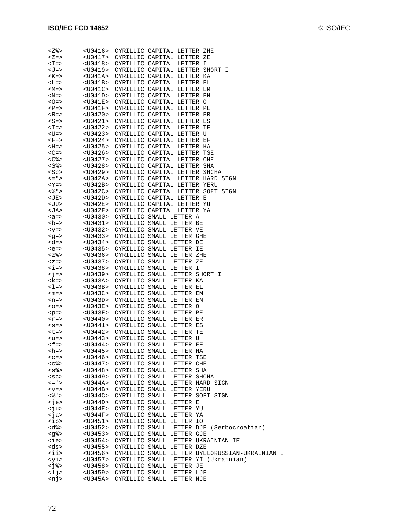| <∑%>                        | <u0416></u0416>   | CYRILLIC CAPITAL LETTER ZHE                          |
|-----------------------------|-------------------|------------------------------------------------------|
| $Z =$                       | <u0417></u0417>   | CYRILLIC CAPITAL LETTER ZE                           |
| $\leq$ $\equiv$ $\geq$      |                   | <u0418> CYRILLIC CAPITAL LETTER I</u0418>            |
| <j=></j=>                   | <u0419></u0419>   | CYRILLIC CAPITAL LETTER SHORT I                      |
| $K = >$                     | <u041a></u041a>   | CYRILLIC CAPITAL LETTER KA                           |
| $-L =$                      | <u041b></u041b>   | CYRILLIC CAPITAL LETTER EL                           |
| $ M>=$                      | <u041c></u041c>   | CYRILLIC CAPITAL LETTER EM                           |
| $<$ N=>                     |                   | <u041d> CYRILLIC CAPITAL LETTER EN</u041d>           |
|                             |                   |                                                      |
| $<0=>$                      | <u041e></u041e>   | CYRILLIC CAPITAL LETTER O                            |
| $\langle P = \rangle$       | $<$ U $041$ F $>$ | CYRILLIC CAPITAL LETTER PE                           |
| $R = >$                     | <u0420></u0420>   | CYRILLIC CAPITAL LETTER ER                           |
| $<$ S=>                     |                   | <u0421> CYRILLIC CAPITAL LETTER ES</u0421>           |
| $T = >$                     |                   | <u0422> CYRILLIC CAPITAL LETTER TE</u0422>           |
| <u=></u=>                   | <u0423></u0423>   | CYRILLIC CAPITAL LETTER U                            |
| $F = >$                     | <u0424></u0424>   | CYRILLIC CAPITAL LETTER EF                           |
| $<$ H= $>$                  |                   | <u0425> CYRILLIC CAPITAL LETTER HA</u0425>           |
| $\langle$ C=>               |                   | <u0426> CYRILLIC CAPITAL LETTER TSE</u0426>          |
| <c%></c%>                   |                   | <u0427> CYRILLIC CAPITAL LETTER CHE</u0427>          |
| <s%></s%>                   | <u0428></u0428>   | CYRILLIC CAPITAL LETTER SHA                          |
| $<$ S $c$ >                 | <u0429></u0429>   | CYRILLIC CAPITAL LETTER SHCHA                        |
| <= " >                      | <u042a></u042a>   | CYRILLIC CAPITAL LETTER HARD SIGN                    |
| <y></y>                     | <u042b></u042b>   | CYRILLIC CAPITAL LETTER YERU                         |
| <% " >                      |                   | <u042c> CYRILLIC CAPITAL LETTER SOFT SIGN</u042c>    |
|                             |                   |                                                      |
| <je></je>                   | <u042d></u042d>   | CYRILLIC CAPITAL LETTER E                            |
| <ju></ju>                   | <u042e></u042e>   | CYRILLIC CAPITAL LETTER YU                           |
| <ja></ja>                   | <u042f></u042f>   | CYRILLIC CAPITAL LETTER YA                           |
| $$                          | <u0430></u0430>   | CYRILLIC SMALL LETTER A                              |
| <br>50                      |                   | <u0431> CYRILLIC SMALL LETTER BE</u0431>             |
| $< v =>$                    | <u0432></u0432>   | CYRILLIC SMALL LETTER VE                             |
| $\leq$ q=>                  | <u0433></u0433>   | CYRILLIC SMALL LETTER GHE                            |
| <d=></d=>                   | <u0434></u0434>   | CYRILLIC SMALL LETTER DE                             |
| $e =$                       | <u0435></u0435>   | CYRILLIC SMALL LETTER IE                             |
| <z%></z%>                   | <u0436></u0436>   | CYRILLIC SMALL LETTER ZHE                            |
| $=$                         | <u0437></u0437>   | CYRILLIC SMALL LETTER ZE                             |
| $\langle$ i=>               | <u0438></u0438>   | CYRILLIC SMALL LETTER I                              |
| $\langle \cdot   = \rangle$ | <u0439></u0439>   | CYRILLIC SMALL LETTER SHORT I                        |
| <k=></k=>                   | <u043a></u043a>   | CYRILLIC SMALL LETTER KA                             |
| $\leq$ $\geq$ $\geq$        | <u043b></u043b>   | CYRILLIC SMALL LETTER EL                             |
|                             |                   |                                                      |
| $<$ m= $>$                  | <u043c></u043c>   | CYRILLIC SMALL LETTER EM                             |
| $<$ n=>                     | $<$ U $043$ D $>$ | CYRILLIC SMALL LETTER EN                             |
| $< \circ = >$               | <u043e></u043e>   | CYRILLIC SMALL LETTER O                              |
| $-p =$                      | <u043f></u043f>   | CYRILLIC SMALL LETTER PE                             |
| $<$ r=>                     |                   | <u0440> CYRILLIC SMALL LETTER ER</u0440>             |
| $< s = >$                   |                   | <u0441> CYRILLIC SMALL LETTER ES</u0441>             |
| $< t = >$                   |                   | <u0442> CYRILLIC SMALL LETTER TE</u0442>             |
| $u=>$                       |                   | <u0443> CYRILLIC SMALL LETTER U</u0443>              |
| $\leq f =$                  | <u0444></u0444>   | CYRILLIC SMALL LETTER EF                             |
| <h=></h=>                   | <u0445></u0445>   | CYRILLIC SMALL LETTER HA                             |
| $C=>$                       | <u0446></u0446>   | CYRILLIC SMALL LETTER TSE                            |
| $<$ c $\delta$ >            | <u0447></u0447>   | CYRILLIC SMALL LETTER CHE                            |
| $<$ s $\degree$ >           | <u0448></u0448>   | CYRILLIC SMALL LETTER SHA                            |
| $<$ sc>                     | <u0449></u0449>   | CYRILLIC SMALL LETTER SHCHA                          |
| $\lt$ = ' $>$               |                   | <u044a> CYRILLIC SMALL LETTER HARD SIGN</u044a>      |
|                             |                   |                                                      |
| $< y = > $                  | <u044b></u044b>   | CYRILLIC SMALL LETTER YERU                           |
| $<\frac{6}{6}$ ' >          |                   | <u044c> CYRILLIC SMALL LETTER SOFT SIGN</u044c>      |
| <je></je>                   | <u044d></u044d>   | CYRILLIC SMALL LETTER E                              |
| <ju></ju>                   | <u044e></u044e>   | CYRILLIC SMALL LETTER YU                             |
| <ja></ja>                   | <u044f></u044f>   | CYRILLIC SMALL LETTER YA                             |
| $\langle$ io>               | <u0451></u0451>   | CYRILLIC SMALL LETTER IO                             |
| <d%></d%>                   | <u0452></u0452>   | CYRILLIC SMALL LETTER DJE (Serbocroatian)            |
| <g%></g%>                   | <u0453></u0453>   | CYRILLIC SMALL LETTER GJE                            |
| <ie></ie>                   | <u0454></u0454>   | CYRILLIC SMALL LETTER UKRAINIAN IE                   |
| <ds></ds>                   | <u0455></u0455>   | CYRILLIC SMALL LETTER DZE                            |
| $\langle i \rangle$         | <u0456></u0456>   | CYRILLIC SMALL LETTER BYELORUSSIAN-UKRAINIAN I       |
| <yi></yi>                   |                   | <u0457> CYRILLIC SMALL LETTER YI (Ukrainian)</u0457> |
| $< j$ 8>                    | $<$ U $0458$      | CYRILLIC SMALL LETTER JE                             |
| <1j>                        |                   |                                                      |
|                             |                   | <u0459> CYRILLIC SMALL LETTER LJE</u0459>            |
| <nj></nj>                   |                   | <u045a> CYRILLIC SMALL LETTER NJE</u045a>            |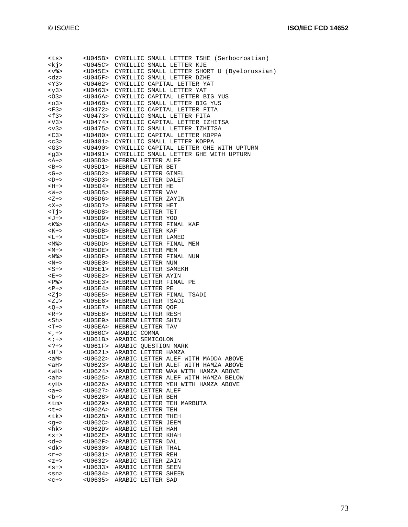| <ts></ts>                |                 | <u045b> CYRILLIC SMALL LETTER TSHE (Serbocroatian)</u045b>                                                        |
|--------------------------|-----------------|-------------------------------------------------------------------------------------------------------------------|
| <kj></kj>                |                 | <u045c> CYRILLIC SMALL LETTER KJE</u045c>                                                                         |
| $< v$ %>                 |                 | <u045e> CYRILLIC SMALL LETTER SHORT U (Byelorussian)</u045e>                                                      |
| <dz></dz>                |                 | <u045f> CYRILLIC SMALL LETTER DZHE</u045f>                                                                        |
| $<$ Y3>                  |                 |                                                                                                                   |
| $<$ y3>                  |                 | <u0462> CYRILLIC CAPITAL LETTER YAT<br/><u0463> CYRILLIC SMALL LETTER YAT</u0463></u0462>                         |
| < 03 >                   |                 | <u046a> CYRILLIC CAPITAL LETTER BIG YUS</u046a>                                                                   |
|                          |                 |                                                                                                                   |
| $03>$                    |                 | <u046b> CYRILLIC SMALL LETTER BIG YUS</u046b>                                                                     |
| $<$ F3>                  |                 | <u0472> CYRILLIC CAPITAL LETTER FITA</u0472>                                                                      |
| $\langle$ f3>            |                 | <u0473> CYRILLIC SMALL LETTER FITA</u0473>                                                                        |
| $<$ V3>                  |                 | <u0474> CYRILLIC CAPITAL LETTER IZHITSA</u0474>                                                                   |
| $<$ v3>                  |                 | <u0475> CYRILLIC SMALL LETTER IZHITSA</u0475>                                                                     |
| $<$ C3>                  |                 | <u0480> CYRILLIC CAPITAL LETTER KOPPA</u0480>                                                                     |
| $c3>$                    |                 | <u0481> CYRILLIC SMALL LETTER KOPPA</u0481>                                                                       |
| $<$ G3>                  |                 |                                                                                                                   |
| <g3></g3>                |                 | <u0490> CYRILLIC CAPITAL LETTER GHE WITH UPTURN<br/><u0491> CYRILLIC SMALL LETTER GHE WITH UPTURN</u0491></u0490> |
|                          | $U05D0$         |                                                                                                                   |
| $<$ A+ $>$               |                 | HEBREW LETTER ALEF                                                                                                |
| $-B+>$                   |                 | <u05d1> HEBREW LETTER BET</u05d1>                                                                                 |
| $<$ G+ $>$               |                 | <u05d2> HEBREW LETTER GIMEL</u05d2>                                                                               |
| $-D+>$                   |                 | <u05d3> HEBREW LETTER DALET<br/><u05d4> HEBREW LETTER HE</u05d4></u05d3>                                          |
| <h+></h+>                |                 |                                                                                                                   |
| $<\!\!\overline{W}+>$    | $<$ U05D5>      | HEBREW LETTER VAV                                                                                                 |
| $Z+2$                    |                 | <u05d6> HEBREW LETTER ZAYIN</u05d6>                                                                               |
| $<\mathsf{X}+\mathsf{>}$ |                 | <u05d7> HEBREW LETTER HET</u05d7>                                                                                 |
| $<$ T $\dot{\gamma}$     |                 |                                                                                                                   |
| <j+></j+>                |                 | <u05d8> HEBREW LETTER TET<br/><u05d9> HEBREW LETTER YOD</u05d9></u05d8>                                           |
| $<$ K $\degree$ >        | $<$ U05DA>      | HEBREW LETTER FINAL KAF                                                                                           |
|                          |                 | <u05db> HEBREW LETTER KAF</u05db>                                                                                 |
| $K+>$                    |                 |                                                                                                                   |
| $<$ L+ $>$               |                 | <u05dc> HEBREW LETTER LAMED</u05dc>                                                                               |
| <m%></m%>                |                 | <u05dd> HEBREW LETTER FINAL MEM<br/><u05de> HEBREW LETTER MEM</u05de></u05dd>                                     |
| $ M+>$                   |                 |                                                                                                                   |
| $<$ N $\degree$ >        | <u05df></u05df> | HEBREW LETTER FINAL NUN                                                                                           |
| $<\mathbb{N}$ +>         |                 | <u05e0> HEBREW LETTER NUN</u05e0>                                                                                 |
| $<$ S+ $>$               |                 | <u05e1> HEBREW LETTER SAMEKH</u05e1>                                                                              |
| $E + >$                  |                 | <u05e2> HEBREW LETTER AYIN</u05e2>                                                                                |
| <p%></p%>                |                 | <uose3> HEBREW LETTER FINAL PE</uose3>                                                                            |
| $<\mathbb{P}$ +>         | <u05e4></u05e4> | HEBREW LETTER PE                                                                                                  |
| Zj                       |                 | <u05e5> HEBREW LETTER FINAL TSADI</u05e5>                                                                         |
| <zj></zj>                |                 | <u05e6> HEBREW LETTER TSADI</u05e6>                                                                               |
|                          |                 |                                                                                                                   |
| $Q + >$                  |                 | <u05e7> HEBREW LETTER QOF</u05e7>                                                                                 |
| $<\mathbb{R}$ +>         | $<$ U05E8>      | HEBREW LETTER RESH                                                                                                |
| <sh></sh>                | <u05e9></u05e9> | HEBREW LETTER SHIN                                                                                                |
| $<$ T+ $>$               |                 | <u05ea> HEBREW LETTER TAV</u05ea>                                                                                 |
| $\lt$ , + $>$            |                 | <u060c> ARABIC COMMA</u060c>                                                                                      |
| $\langle i+2$            |                 | <u061b> ARABIC SEMICOLON</u061b>                                                                                  |
| $2 + 5$                  |                 | <u061f> ARABIC QUESTION MARK</u061f>                                                                              |
| H'                       | <u0621></u0621> | ARABIC LETTER HAMZA                                                                                               |
| <am></am>                | <u0622></u0622> | ARABIC LETTER ALEF WITH MADDA ABOVE                                                                               |
| <ah></ah>                | <u0623></u0623> | ARABIC LETTER ALEF WITH HAMZA ABOVE                                                                               |
| $WH>$                    | <u0624></u0624> | ARABIC LETTER WAW WITH HAMZA ABOVE                                                                                |
| <ah></ah>                | <u0625></u0625> | ARABIC LETTER ALEF WITH HAMZA BELOW                                                                               |
| <yh></yh>                | <u0626></u0626> | ARABIC LETTER YEH WITH HAMZA ABOVE                                                                                |
| $$                       | $<$ U $0627$ >  | ARABIC LETTER ALEF                                                                                                |
|                          | <u0628></u0628> |                                                                                                                   |
| $-b+>$                   |                 | ARABIC LETTER BEH                                                                                                 |
| <tm></tm>                | <u0629></u0629> | ARABIC LETTER TEH MARBUTA                                                                                         |
| <t+></t+>                | <u062a></u062a> | ARABIC LETTER TEH                                                                                                 |
| <tk></tk>                | <u062b></u062b> | ARABIC LETTER THEH                                                                                                |
| $<$ q+ $>$               | <u062c></u062c> | ARABIC LETTER JEEM                                                                                                |
| <hk></hk>                | $<$ U062D>      | ARABIC LETTER HAH                                                                                                 |
| $< x + >$                | <u062e></u062e> | ARABIC LETTER KHAH                                                                                                |
| $d+>$                    | <u062f></u062f> | ARABIC LETTER DAL                                                                                                 |
| <dk></dk>                | $<$ U $0630>$   | ARABIC LETTER THAL                                                                                                |
| $<$ r+>                  | <u0631></u0631> | ARABIC LETTER REH                                                                                                 |
| $Z+>$                    | <u0632></u0632> | ARABIC LETTER ZAIN                                                                                                |
| $< s + >$                | <u0633></u0633> | ARABIC LETTER SEEN                                                                                                |
| $<$ sn>                  | <u0634></u0634> | ARABIC LETTER SHEEN                                                                                               |
|                          |                 |                                                                                                                   |
| $c+>$                    | <u0635></u0635> | ARABIC LETTER SAD                                                                                                 |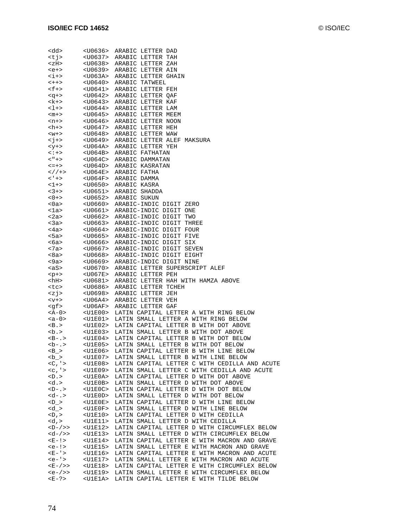| <dd></dd>                        |                                                                                       | <u0636> ARABIC LETTER DAD</u0636>                                            |
|----------------------------------|---------------------------------------------------------------------------------------|------------------------------------------------------------------------------|
| <tj></tj>                        |                                                                                       | <u0637> ARABIC LETTER TAH</u0637>                                            |
| $ZH>$                            |                                                                                       | <u0638> ARABIC LETTER ZAH</u0638>                                            |
| $e+>$                            |                                                                                       | <u0639> ARABIC LETTER AIN</u0639>                                            |
| $\langle i+ \rangle$             |                                                                                       | <u063a> ARABIC LETTER GHAIN</u063a>                                          |
| $<++>$                           |                                                                                       | <u0640> ARABIC TATWEEL</u0640>                                               |
| $<$ f+>                          |                                                                                       | <u0641> ARABIC LETTER FEH</u0641>                                            |
| $<$ q+>                          |                                                                                       | <u0642> ARABIC LETTER QAF</u0642>                                            |
| $<\kappa$ +>                     |                                                                                       | <u0643> ARABIC LETTER KAF</u0643>                                            |
| $1+>$                            |                                                                                       | <u0644> ARABIC LETTER LAM</u0644>                                            |
| $<$ m+ $>$                       |                                                                                       | <u0645> ARABIC LETTER MEEM</u0645>                                           |
| $<$ n+ $>$                       |                                                                                       | <u0646> ARABIC LETTER NOON</u0646>                                           |
| $\hbox{{\small -}h+>}$           |                                                                                       | <u0647> ARABIC LETTER HEH</u0647>                                            |
| $< w + > $                       |                                                                                       | EU064/> ARAPIC LETTER WAW<<br>U0648> ARABIC LETTER WAW>                      |
| $\langle j+ \rangle$             |                                                                                       | <u0649> ARABIC LETTER ALEF MAKSURA</u0649>                                   |
| $<$ y+>                          |                                                                                       | <u064a> ARABIC LETTER YEH</u064a>                                            |
| $\lt$ : + >                      |                                                                                       | <u064b> ARABIC FATHATAN</u064b>                                              |
| $<$ " + $>$                      |                                                                                       | <u064c> ARABIC DAMMATAN</u064c>                                              |
| $\lt = +$                        |                                                                                       | <u064d> ARABIC KASRATAN</u064d>                                              |
| $\lt$ / / + >                    |                                                                                       | <u064e> ARABIC FATHA</u064e>                                                 |
| $\lt$ ' + >                      |                                                                                       | <u064f> ARABIC DAMMA</u064f>                                                 |
| $1+>$                            |                                                                                       | <u0650> ARABIC KASRA</u0650>                                                 |
| $3+>$                            |                                                                                       | <u0651> ARABIC SHADDA</u0651>                                                |
| $0 + >$                          |                                                                                       | <u0652> ARABIC SUKUN</u0652>                                                 |
| $0a>$                            |                                                                                       | <u0660> ARABIC-INDIC DIGIT ZERO</u0660>                                      |
| <1a>                             |                                                                                       | <u0661> ARABIC-INDIC DIGIT ONE</u0661>                                       |
| $2a>$                            |                                                                                       | <u0662> ARABIC-INDIC DIGIT TWO</u0662>                                       |
| <3a>                             |                                                                                       | <u0663> ARABIC-INDIC DIGIT THREE</u0663>                                     |
| <4a>                             |                                                                                       | <u0664> ARABIC-INDIC DIGIT FOUR</u0664>                                      |
| 5a>                              |                                                                                       | <u0665> ARABIC-INDIC DIGIT FIVE</u0665>                                      |
| <6a>                             |                                                                                       | <u0666> ARABIC-INDIC DIGIT SIX</u0666>                                       |
| $7a>$                            |                                                                                       | <u0667> ARABIC-INDIC DIGIT SEVEN</u0667>                                     |
| <8a>                             |                                                                                       | <u0668> ARABIC-INDIC DIGIT EIGHT</u0668>                                     |
| <9a>                             |                                                                                       | <u0669> ARABIC-INDIC DIGIT NINE</u0669>                                      |
| <as></as>                        | <u0670></u0670>                                                                       | ARABIC LETTER SUPERSCRIPT ALEF                                               |
| $-p+>$                           | <u067e></u067e>                                                                       | ARABIC LETTER PEH                                                            |
| <hh></hh>                        |                                                                                       | <u0681> ARABIC LETTER HAH WITH HAMZA ABOVE</u0681>                           |
| <tc></tc>                        |                                                                                       | <u0686> ARABIC LETTER TCHEH</u0686>                                          |
| < z j                            |                                                                                       | <u0698> ARABIC LETTER JEH</u0698>                                            |
| $<$ $+$ $<$                      | <u06a4></u06a4>                                                                       | ARABIC LETTER VEH                                                            |
| <gf></gf>                        | <u06af></u06af>                                                                       | ARABIC LETTER GAF                                                            |
| <a-0></a-0>                      |                                                                                       | <u1e00> LATIN CAPITAL LETTER A WITH RING BELOW</u1e00>                       |
| $$                               |                                                                                       | <u1e01> LATIN SMALL LETTER A WITH RING BELOW</u1e01>                         |
| $\langle B. \rangle$             |                                                                                       | <u1e02> LATIN CAPITAL LETTER B WITH DOT ABOVE</u1e02>                        |
| $ab$ .                           |                                                                                       | <u1e03> LATIN SMALL LETTER B WITH DOT ABOVE</u1e03>                          |
| $-B-.$                           | <u1e04></u1e04>                                                                       | LATIN CAPITAL LETTER B WITH DOT BELOW                                        |
| $\langle b - . \rangle$          |                                                                                       | <u1e05> LATIN SMALL LETTER B WITH DOT BELOW</u1e05>                          |
| $\langle B \rangle$              | $<$ U $1$ E $06$ >                                                                    | LATIN CAPITAL LETTER B WITH LINE BELOW                                       |
|                                  | <u1e07></u1e07>                                                                       | LATIN SMALL LETTER B WITH LINE BELOW                                         |
| $<$ C , $\prime$ >               | $<$ U $1$ E $0$ 8>                                                                    | LATIN CAPITAL LETTER C WITH CEDILLA AND ACUTE                                |
| $<$ $<$ $<$ $<$ $>$              | $<$ U $1$ E $0$ 9>                                                                    | LATIN SMALL LETTER C WITH CEDILLA AND ACUTE                                  |
| $<\mathsf{D}$ . $>$<br><d.></d.> | <u1e0a><br/><math>&lt;</math>U<math>1</math>E<math>0</math>B<math>&gt;</math></u1e0a> | LATIN CAPITAL LETTER D WITH DOT ABOVE<br>LATIN SMALL LETTER D WITH DOT ABOVE |
| $-D-.$                           | $<$ U $1$ E $0$ C $>$                                                                 | LATIN CAPITAL LETTER D WITH DOT BELOW                                        |
| $d - 5$                          | $<$ U $1$ E $0$ D $>$                                                                 | LATIN SMALL LETTER D WITH DOT BELOW                                          |
| $\langle D \rangle$              | $<$ U $1$ E $0$ E $>$                                                                 | LATIN CAPITAL LETTER D WITH LINE BELOW                                       |
| < d >                            | $<$ U $1$ E $0$ F $>$                                                                 | LATIN SMALL LETTER D WITH LINE BELOW                                         |
| $<$ D, $>$                       | $U1E10>$                                                                              | LATIN CAPITAL LETTER D WITH CEDILLA                                          |
| < d, >                           | $U1E11>$                                                                              | LATIN SMALL LETTER D WITH CEDILLA                                            |
| $-D-/->$                         | $<$ U $1$ E $12$ >                                                                    | LATIN CAPITAL LETTER D WITH CIRCUMFLEX BELOW                                 |
| $d - / >>$                       | $<$ U $1$ E $1$ $3$ >                                                                 | LATIN SMALL LETTER D WITH CIRCUMFLEX BELOW                                   |
| $E - 1$                          | <u1e14></u1e14>                                                                       | LATIN CAPITAL LETTER E WITH MACRON AND GRAVE                                 |
| $e$ -!>                          | $U1E15>$                                                                              | LATIN SMALL LETTER E WITH MACRON AND GRAVE                                   |
| $E - 1$                          | $U1E16>$                                                                              | LATIN CAPITAL LETTER E WITH MACRON AND ACUTE                                 |
| $e - 1$                          | $<$ U $1$ E $17$ >                                                                    | LATIN SMALL LETTER E WITH MACRON AND ACUTE                                   |
| <e-></e-> >                      | $<$ U $1$ E $18$ >                                                                    | LATIN CAPITAL LETTER E WITH CIRCUMFLEX BELOW                                 |
| $/>>$                            | <u1e19></u1e19>                                                                       | LATIN SMALL LETTER E WITH CIRCUMFLEX BELOW                                   |
| $E - ? >$                        | <u1e1a></u1e1a>                                                                       | LATIN CAPITAL LETTER E WITH TILDE BELOW                                      |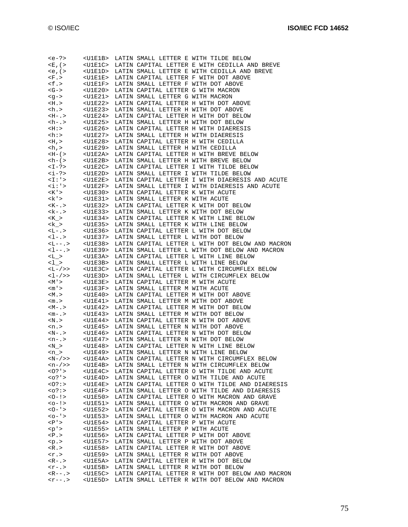| $$                                                                                                                                                                                                                                                                                                                                                                                              | $<$ U $1$ E $1$ B $>$            |                                                                                                                                                                              | LATIN SMALL LETTER E WITH TILDE BELOW                                                                                                                                                                                           |
|-------------------------------------------------------------------------------------------------------------------------------------------------------------------------------------------------------------------------------------------------------------------------------------------------------------------------------------------------------------------------------------------------|----------------------------------|------------------------------------------------------------------------------------------------------------------------------------------------------------------------------|---------------------------------------------------------------------------------------------------------------------------------------------------------------------------------------------------------------------------------|
|                                                                                                                                                                                                                                                                                                                                                                                                 |                                  |                                                                                                                                                                              | $\langle E, (>$ $\langle U1E1C \rangle$ LATIN CAPITAL LETTER E WITH CEDILLA AND BREVE                                                                                                                                           |
| $\leq e$ , ( $>$                                                                                                                                                                                                                                                                                                                                                                                |                                  |                                                                                                                                                                              | <u1e1d> LATIN SMALL LETTER E WITH CEDILLA AND BREVE</u1e1d>                                                                                                                                                                     |
| $\langle F. \rangle$ $\langle U1E1E \rangle$                                                                                                                                                                                                                                                                                                                                                    |                                  |                                                                                                                                                                              | LATIN CAPITAL LETTER F WITH DOT ABOVE                                                                                                                                                                                           |
|                                                                                                                                                                                                                                                                                                                                                                                                 |                                  | LATIN SMALL LETTER F WITH DOT ABOVE                                                                                                                                          |                                                                                                                                                                                                                                 |
| $\begin{tabular}{ll} <\texttt{f.}> & & & <\texttt{UIE1F}> \\ <\texttt{G->} & & <\texttt{UIE20}> \\ \end{tabular}$                                                                                                                                                                                                                                                                               |                                  | LATIN CAPITAL LETTER G WITH MACRON                                                                                                                                           |                                                                                                                                                                                                                                 |
|                                                                                                                                                                                                                                                                                                                                                                                                 |                                  | LATIN SMALL LETTER G WITH MACRON                                                                                                                                             |                                                                                                                                                                                                                                 |
| $<\hspace{-1.5mm} \begin{array}{ll} <\hspace{-1.5mm} \text{g--}\hspace{-1.5mm}>\hspace{-1.5mm} \end{array} \hspace{1.5mm} \begin{array}{ll} <\hspace{-1.5mm} \text{ULE21}\hspace{-1.5mm}>\hspace{-1.5mm}\\\hspace{1.5mm} <\hspace{-1.5mm} \text{ULE22}\hspace{-1.5mm}>\hspace{-1.5mm}\\\hspace{1.5mm} <\hspace{-1.5mm} \text{ULE22}\hspace{-1.5mm}>\hspace{-1.5mm}\\\hspace{1.5mm} \end{array}$ |                                  |                                                                                                                                                                              | LATIN CAPITAL LETTER H WITH DOT ABOVE                                                                                                                                                                                           |
| $\langle h. \rangle$ $\langle \text{U1E23>}\rangle$                                                                                                                                                                                                                                                                                                                                             |                                  | LATIN SMALL LETTER H WITH DOT ABOVE                                                                                                                                          |                                                                                                                                                                                                                                 |
|                                                                                                                                                                                                                                                                                                                                                                                                 |                                  |                                                                                                                                                                              | LATIN CAPITAL LETTER H WITH DOT BELOW                                                                                                                                                                                           |
|                                                                                                                                                                                                                                                                                                                                                                                                 |                                  | LATIN SMALL LETTER H WITH DOT BELOW                                                                                                                                          |                                                                                                                                                                                                                                 |
|                                                                                                                                                                                                                                                                                                                                                                                                 |                                  |                                                                                                                                                                              | LATIN CAPITAL LETTER H WITH DIAERESIS                                                                                                                                                                                           |
| $\begin{array}{lll} <\!\!\!\!\mbox{H\!:\!>} & <\!\!\!\!\mbox{U1E26>}\\ <\!\!\!\mbox{h\!:\!>} & <\!\!\!\!\mbox{U1E27>} \end{array}$                                                                                                                                                                                                                                                              |                                  | LATIN SMALL LETTER H WITH DIAERESIS                                                                                                                                          |                                                                                                                                                                                                                                 |
| $-H$ , > $U1E28>$                                                                                                                                                                                                                                                                                                                                                                               |                                  | LATIN CAPITAL LETTER H WITH CEDILLA                                                                                                                                          |                                                                                                                                                                                                                                 |
|                                                                                                                                                                                                                                                                                                                                                                                                 |                                  |                                                                                                                                                                              |                                                                                                                                                                                                                                 |
|                                                                                                                                                                                                                                                                                                                                                                                                 |                                  |                                                                                                                                                                              | <h,> <br <=""/>&gt; <u1e29> LATIN SMALL LETTER H WITH CEDILLA<br <="" <br=""/>&gt;<u1e22> LATIN CAPITAL LETTER H WITH BREVE BELOW</u1e22></u1e29></h,>                                                                          |
|                                                                                                                                                                                                                                                                                                                                                                                                 |                                  |                                                                                                                                                                              | LATIN SMALL LETTER H WITH BREVE BELOW                                                                                                                                                                                           |
|                                                                                                                                                                                                                                                                                                                                                                                                 |                                  |                                                                                                                                                                              | LATIN CAPITAL LETTER I WITH TILDE BELOW                                                                                                                                                                                         |
| $\langle i-?\rangle$ $\langle \text{UIE2D>}\rangle$                                                                                                                                                                                                                                                                                                                                             |                                  |                                                                                                                                                                              | LATIN SMALL LETTER I WITH TILDE BELOW                                                                                                                                                                                           |
|                                                                                                                                                                                                                                                                                                                                                                                                 |                                  |                                                                                                                                                                              | LATIN CAPITAL LETTER I WITH DIAERESIS AND ACUTE                                                                                                                                                                                 |
|                                                                                                                                                                                                                                                                                                                                                                                                 |                                  |                                                                                                                                                                              | <i:'> <u1e2e> LATIN CAPITAL LETTER I WITH DIAERESIS AND ACU<br/><i:'> <u1e2f> LATIN SMALL LETTER I WITH DIAERESIS AND ACUTE</u1e2f></i:'></u1e2e></i:'>                                                                         |
| $\begin{array}{lll} <\!\!K\!\!&\!\!> &\qquad <\!\!U1E30\!> \\ <\!\!k\!\!&\!\!> &\qquad <\!\!U1E31\!> \end{array}$                                                                                                                                                                                                                                                                               |                                  | LATIN CAPITAL LETTER K WITH ACUTE                                                                                                                                            |                                                                                                                                                                                                                                 |
|                                                                                                                                                                                                                                                                                                                                                                                                 |                                  | LATIN SMALL LETTER K WITH ACUTE                                                                                                                                              |                                                                                                                                                                                                                                 |
| $$ < U1E32>                                                                                                                                                                                                                                                                                                                                                                                     |                                  |                                                                                                                                                                              | LATIN CAPITAL LETTER K WITH DOT BELOW                                                                                                                                                                                           |
|                                                                                                                                                                                                                                                                                                                                                                                                 |                                  | LATIN SMALL LETTER K WITH DOT BELOW                                                                                                                                          |                                                                                                                                                                                                                                 |
|                                                                                                                                                                                                                                                                                                                                                                                                 |                                  |                                                                                                                                                                              | LATIN CAPITAL LETTER K WITH LINE BELOW                                                                                                                                                                                          |
|                                                                                                                                                                                                                                                                                                                                                                                                 |                                  |                                                                                                                                                                              | LATIN SMALL LETTER K WITH LINE BELOW                                                                                                                                                                                            |
|                                                                                                                                                                                                                                                                                                                                                                                                 |                                  |                                                                                                                                                                              | LATIN CAPITAL LETTER L WITH DOT BELOW                                                                                                                                                                                           |
|                                                                                                                                                                                                                                                                                                                                                                                                 |                                  | LATIN SMALL LETTER L WITH DOT BELOW                                                                                                                                          |                                                                                                                                                                                                                                 |
|                                                                                                                                                                                                                                                                                                                                                                                                 |                                  |                                                                                                                                                                              | $\langle L--. \rangle$ $\sim$ CU1E38> LATIN CAPITAL LETTER L WITH DOT BELOW AND MACRON $\langle 1--. \rangle$ $\sim$ CU1E39> LATIN SMALL LETTER L WITH DOT BELOW AND MACRON<br>LATIN CAPITAL LETTER L WITH DOT BELOW AND MACRON |
|                                                                                                                                                                                                                                                                                                                                                                                                 |                                  |                                                                                                                                                                              |                                                                                                                                                                                                                                 |
| $< L_ > \qquad < \text{UIE3A>} \\ < \text{I}_ > \qquad < \text{UIE3B>}$                                                                                                                                                                                                                                                                                                                         |                                  |                                                                                                                                                                              | LATIN CAPITAL LETTER L WITH LINE BELOW                                                                                                                                                                                          |
|                                                                                                                                                                                                                                                                                                                                                                                                 |                                  |                                                                                                                                                                              | LATIN SMALL LETTER L WITH LINE BELOW                                                                                                                                                                                            |
|                                                                                                                                                                                                                                                                                                                                                                                                 |                                  |                                                                                                                                                                              |                                                                                                                                                                                                                                 |
|                                                                                                                                                                                                                                                                                                                                                                                                 | $< L - / >>$ $< U1E3C>$          |                                                                                                                                                                              | LATIN CAPITAL LETTER L WITH CIRCUMFLEX BELOW                                                                                                                                                                                    |
|                                                                                                                                                                                                                                                                                                                                                                                                 |                                  |                                                                                                                                                                              | LATIN SMALL LETTER L WITH CIRCUMFLEX BELOW                                                                                                                                                                                      |
| $< l - / >> \n< M' > \n< U1E3E> \n< U1E3E>$                                                                                                                                                                                                                                                                                                                                                     |                                  | LATIN CAPITAL LETTER M WITH ACUTE                                                                                                                                            |                                                                                                                                                                                                                                 |
|                                                                                                                                                                                                                                                                                                                                                                                                 |                                  | LATIN SMALL LETTER M WITH ACUTE                                                                                                                                              |                                                                                                                                                                                                                                 |
| $<\hspace{-1.5mm}m'>\hspace{-1.5mm} <\hspace{-1.5mm}U1E3F\hspace{-1.5mm}> \hspace{-1.5mm} <\hspace{-1.5mm}U1E40\hspace{-1.5mm}>$                                                                                                                                                                                                                                                                |                                  |                                                                                                                                                                              | LATIN CAPITAL LETTER M WITH DOT ABOVE                                                                                                                                                                                           |
| $m.> <$ U1E41>                                                                                                                                                                                                                                                                                                                                                                                  |                                  | LATIN SMALL LETTER M WITH DOT ABOVE                                                                                                                                          |                                                                                                                                                                                                                                 |
|                                                                                                                                                                                                                                                                                                                                                                                                 |                                  |                                                                                                                                                                              | LATIN CAPITAL LETTER M WITH DOT BELOW                                                                                                                                                                                           |
|                                                                                                                                                                                                                                                                                                                                                                                                 |                                  | $\langle M-0.5 \rangle$ $\langle U1E42 \rangle$ LATIN CAPITAL LETTER M WITH DOT BELOW<br>$\langle m-0.5 \rangle$ $\langle U1E43 \rangle$ LATIN SMALL LETTER M WITH DOT BELOW |                                                                                                                                                                                                                                 |
|                                                                                                                                                                                                                                                                                                                                                                                                 |                                  |                                                                                                                                                                              |                                                                                                                                                                                                                                 |
|                                                                                                                                                                                                                                                                                                                                                                                                 |                                  |                                                                                                                                                                              | $<\!N.>$ $\,$ $\,$ $\,$ $<\!U1E44\!>$ LATIN CAPITAL LETTER N WITH DOT ABOVE $<\!n.>$ $\,$ $\,$ $\,$ $<\!U1E45\!>$ LATIN SMALL LETTER N WITH DOT ABOVE                                                                           |
|                                                                                                                                                                                                                                                                                                                                                                                                 |                                  |                                                                                                                                                                              | <n-.> <u1e46> LATIN CAPITAL LETTER N WITH DOT BELOW</u1e46></n-.>                                                                                                                                                               |
|                                                                                                                                                                                                                                                                                                                                                                                                 |                                  |                                                                                                                                                                              |                                                                                                                                                                                                                                 |
|                                                                                                                                                                                                                                                                                                                                                                                                 |                                  |                                                                                                                                                                              |                                                                                                                                                                                                                                 |
| $\langle n \rangle$                                                                                                                                                                                                                                                                                                                                                                             |                                  |                                                                                                                                                                              | <u1e49> LATIN SMALL LETTER N WITH LINE BELOW</u1e49>                                                                                                                                                                            |
| $< N - / > >$                                                                                                                                                                                                                                                                                                                                                                                   | $<$ U $1$ E $4$ A $>$            |                                                                                                                                                                              | LATIN CAPITAL LETTER N WITH CIRCUMFLEX BELOW                                                                                                                                                                                    |
| $\langle n - / \rangle$                                                                                                                                                                                                                                                                                                                                                                         |                                  |                                                                                                                                                                              | <u1e4b> LATIN SMALL LETTER N WITH CIRCUMFLEX BELOW</u1e4b>                                                                                                                                                                      |
| $<0?$ ' >                                                                                                                                                                                                                                                                                                                                                                                       | <u1e4c></u1e4c>                  |                                                                                                                                                                              | LATIN CAPITAL LETTER O WITH TILDE AND ACUTE                                                                                                                                                                                     |
| $0?$ '>                                                                                                                                                                                                                                                                                                                                                                                         | $<$ U $1$ E $4$ D $>$            |                                                                                                                                                                              | LATIN SMALL LETTER O WITH TILDE AND ACUTE                                                                                                                                                                                       |
| $<$ 0? : >                                                                                                                                                                                                                                                                                                                                                                                      | $<$ U $1$ E $4$ E $>$            |                                                                                                                                                                              | LATIN CAPITAL LETTER O WITH TILDE AND DIAERESIS                                                                                                                                                                                 |
| $<$ 0? : >                                                                                                                                                                                                                                                                                                                                                                                      | $<$ U $1$ E $4$ F $>$            |                                                                                                                                                                              | LATIN SMALL LETTER O WITH TILDE AND DIAERESIS                                                                                                                                                                                   |
| $-1$                                                                                                                                                                                                                                                                                                                                                                                            | $<$ U $1E50>$                    |                                                                                                                                                                              | LATIN CAPITAL LETTER O WITH MACRON AND GRAVE                                                                                                                                                                                    |
| $<0-1>$                                                                                                                                                                                                                                                                                                                                                                                         | <u1e51></u1e51>                  |                                                                                                                                                                              | LATIN SMALL LETTER O WITH MACRON AND GRAVE                                                                                                                                                                                      |
| $0 - 1$                                                                                                                                                                                                                                                                                                                                                                                         | <u1e52></u1e52>                  |                                                                                                                                                                              | LATIN CAPITAL LETTER O WITH MACRON AND ACUTE                                                                                                                                                                                    |
| $0 - 1$                                                                                                                                                                                                                                                                                                                                                                                         | $<$ U $1E53>$                    |                                                                                                                                                                              | LATIN SMALL LETTER O WITH MACRON AND ACUTE                                                                                                                                                                                      |
| $\langle P' \rangle$                                                                                                                                                                                                                                                                                                                                                                            | $<$ U $1E54>$                    | LATIN CAPITAL LETTER P WITH ACUTE                                                                                                                                            |                                                                                                                                                                                                                                 |
| < p'                                                                                                                                                                                                                                                                                                                                                                                            | $<$ U $1E$ 55>                   | LATIN SMALL LETTER P WITH ACUTE                                                                                                                                              |                                                                                                                                                                                                                                 |
| $\langle P. \rangle$                                                                                                                                                                                                                                                                                                                                                                            | <u1e56></u1e56>                  |                                                                                                                                                                              | LATIN CAPITAL LETTER P WITH DOT ABOVE                                                                                                                                                                                           |
| < p . >                                                                                                                                                                                                                                                                                                                                                                                         | <u1e57></u1e57>                  | LATIN SMALL LETTER P WITH DOT ABOVE                                                                                                                                          |                                                                                                                                                                                                                                 |
| $<$ R.>                                                                                                                                                                                                                                                                                                                                                                                         | $<$ U $1E58>$<br><u1e59></u1e59> |                                                                                                                                                                              | LATIN CAPITAL LETTER R WITH DOT ABOVE                                                                                                                                                                                           |
| $<$ r.><br>$R-2$                                                                                                                                                                                                                                                                                                                                                                                |                                  | LATIN SMALL LETTER R WITH DOT ABOVE                                                                                                                                          | <u1e5a> LATIN CAPITAL LETTER R WITH DOT BELOW</u1e5a>                                                                                                                                                                           |
| $<$ r – . >                                                                                                                                                                                                                                                                                                                                                                                     | $<$ U $1$ E5B $>$                | LATIN SMALL LETTER R WITH DOT BELOW                                                                                                                                          |                                                                                                                                                                                                                                 |
| $R - - 1$                                                                                                                                                                                                                                                                                                                                                                                       | $<$ U $1$ E $5$ C $>$            |                                                                                                                                                                              | LATIN CAPITAL LETTER R WITH DOT BELOW AND MACRON                                                                                                                                                                                |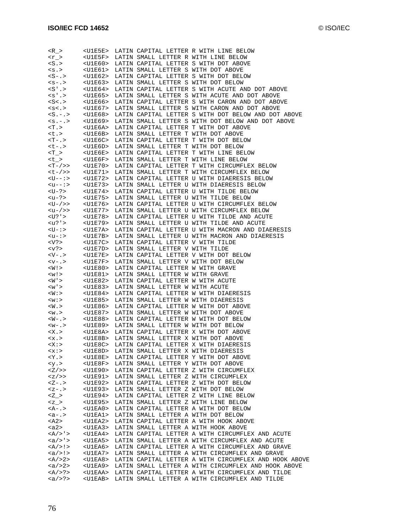| R >                                                                                                                    | <u1e5e></u1e5e>                     |                                                     | LATIN CAPITAL LETTER R WITH LINE BELOW                                                             |
|------------------------------------------------------------------------------------------------------------------------|-------------------------------------|-----------------------------------------------------|----------------------------------------------------------------------------------------------------|
| $< r$ >                                                                                                                | $<$ U $1$ E $5$ F $>$               |                                                     | LATIN SMALL LETTER R WITH LINE BELOW                                                               |
| $<$ S.>                                                                                                                | $<$ UlE $60$ >                      |                                                     | LATIN CAPITAL LETTER S WITH DOT ABOVE                                                              |
| < s . >                                                                                                                | <u1e61></u1e61>                     | LATIN SMALL LETTER S WITH DOT ABOVE                 |                                                                                                    |
| $S-2$                                                                                                                  | <u1e62></u1e62>                     |                                                     | LATIN CAPITAL LETTER S WITH DOT BELOW                                                              |
| $< s - . >$                                                                                                            |                                     | <u1e63> LATIN SMALL LETTER S WITH DOT BELOW</u1e63> |                                                                                                    |
| $\langle S^{\dagger} \cdot \rangle$                                                                                    | <u1e64></u1e64>                     |                                                     | LATIN CAPITAL LETTER S WITH ACUTE AND DOT ABOVE                                                    |
| $< s'$ .                                                                                                               | $<$ U $1$ E $6$ 5>                  |                                                     | LATIN SMALL LETTER S WITH ACUTE AND DOT ABOVE                                                      |
| $<$ S $<$ . >                                                                                                          | <u1e66></u1e66>                     |                                                     | LATIN CAPITAL LETTER S WITH CARON AND DOT ABOVE                                                    |
| $<$ s $<$ . $>$                                                                                                        | $<$ U $1E67>$                       |                                                     | LATIN SMALL LETTER S WITH CARON AND DOT ABOVE                                                      |
| $-S. - . >$                                                                                                            | $<$ U $1$ E $68$ >                  |                                                     | LATIN CAPITAL LETTER S WITH DOT BELOW AND DOT ABOVE                                                |
| $< s. - . >$                                                                                                           | <u1e69></u1e69>                     |                                                     | LATIN SMALL LETTER S WITH DOT BELOW AND DOT ABOVE                                                  |
| $<$ T $\ge$                                                                                                            | $<$ U $1$ E $6$ A $>$               |                                                     | LATIN CAPITAL LETTER T WITH DOT ABOVE                                                              |
|                                                                                                                        |                                     |                                                     |                                                                                                    |
| $<$ t.>                                                                                                                | $<$ U $1$ E $6$ B $>$               | LATIN SMALL LETTER T WITH DOT ABOVE                 |                                                                                                    |
| <t- .=""></t->                                                                                                         | $<$ U $1E6C>$                       |                                                     | LATIN CAPITAL LETTER T WITH DOT BELOW                                                              |
| <t-.></t-.>                                                                                                            |                                     | <u1e6d> LATIN SMALL LETTER T WITH DOT BELOW</u1e6d> |                                                                                                    |
| T >                                                                                                                    | $<$ U $1$ E $6$ E $>$               |                                                     | LATIN CAPITAL LETTER T WITH LINE BELOW                                                             |
| <t_></t_>                                                                                                              | <u1e6f></u1e6f>                     |                                                     | LATIN SMALL LETTER T WITH LINE BELOW                                                               |
| $<$ T – / > >                                                                                                          | <u1e70></u1e70>                     |                                                     | LATIN CAPITAL LETTER T WITH CIRCUMFLEX BELOW                                                       |
| <t-></t-> >                                                                                                            | <u1e71></u1e71>                     |                                                     | LATIN SMALL LETTER T WITH CIRCUMFLEX BELOW                                                         |
| <u--:></u--:>                                                                                                          |                                     |                                                     | <u1e72> LATIN CAPITAL LETTER U WITH DIAERESIS BELOW</u1e72>                                        |
| $-u--:>$                                                                                                               | <u1e73></u1e73>                     |                                                     | LATIN SMALL LETTER U WITH DIAERESIS BELOW                                                          |
| <u-?></u-?>                                                                                                            | <u1e74></u1e74>                     |                                                     | LATIN CAPITAL LETTER U WITH TILDE BELOW                                                            |
| <u−?></u−?>                                                                                                            | <u1e75></u1e75>                     |                                                     | LATIN SMALL LETTER U WITH TILDE BELOW                                                              |
| <u-></u-> >                                                                                                            | <u1e76></u1e76>                     |                                                     | LATIN CAPITAL LETTER U WITH CIRCUMFLEX BELOW                                                       |
| <u−></u−> >                                                                                                            |                                     |                                                     | <u1e77> LATIN SMALL LETTER U WITH CIRCUMFLEX BELOW</u1e77>                                         |
| <u?'></u?'>                                                                                                            | <u1e78></u1e78>                     |                                                     | LATIN CAPITAL LETTER U WITH TILDE AND ACUTE                                                        |
| <u?'></u?'>                                                                                                            | $<$ U $1E$ 79>                      |                                                     | LATIN SMALL LETTER U WITH TILDE AND ACUTE                                                          |
| <u-:></u-:>                                                                                                            | <u1e7a></u1e7a>                     |                                                     | LATIN CAPITAL LETTER U WITH MACRON AND DIAERESIS                                                   |
| <u-∶></u-∶>                                                                                                            | $<$ U $1E$ 7B>                      |                                                     | LATIN SMALL LETTER U WITH MACRON AND DIAERESIS                                                     |
| $<\nabla$ ?>                                                                                                           | <u1e7c></u1e7c>                     | LATIN CAPITAL LETTER V WITH TILDE                   |                                                                                                    |
| $<$ v?>                                                                                                                | $<$ U $1$ E $7$ D $>$               | LATIN SMALL LETTER V WITH TILDE                     |                                                                                                    |
| $\langle -V \rangle$                                                                                                   | $<$ U $1$ E $7$ E $>$               |                                                     | LATIN CAPITAL LETTER V WITH DOT BELOW                                                              |
| $\langle v - v \rangle$                                                                                                | $<$ U $1E$ $7F$ >                   | LATIN SMALL LETTER V WITH DOT BELOW                 |                                                                                                    |
| $<$ $\stackrel{<}{\scriptstyle\rm W}$ ! $>$                                                                            | $<$ U $1E80>$                       | LATIN CAPITAL LETTER W WITH GRAVE                   |                                                                                                    |
| < w! >                                                                                                                 | <u1e81></u1e81>                     | LATIN SMALL LETTER W WITH GRAVE                     |                                                                                                    |
| $\langle W \rangle$                                                                                                    | $<$ U $1E82>$                       | LATIN CAPITAL LETTER W WITH ACUTE                   |                                                                                                    |
| $<$ W $\prime$ $>$                                                                                                     | <u1e83></u1e83>                     | LATIN SMALL LETTER W WITH ACUTE                     |                                                                                                    |
| <w:></w:>                                                                                                              | <u1e84></u1e84>                     |                                                     | LATIN CAPITAL LETTER W WITH DIAERESIS                                                              |
| < w : >                                                                                                                | <u1e85></u1e85>                     | LATIN SMALL LETTER W WITH DIAERESIS                 |                                                                                                    |
| $<$ $\overline{W}$ . $>$                                                                                               | <u1e86></u1e86>                     |                                                     | LATIN CAPITAL LETTER W WITH DOT ABOVE                                                              |
| < w . >                                                                                                                | <u1e87></u1e87>                     | LATIN SMALL LETTER W WITH DOT ABOVE                 |                                                                                                    |
| <w−.></w−.>                                                                                                            | <u1e88></u1e88>                     |                                                     | LATIN CAPITAL LETTER W WITH DOT BELOW                                                              |
| $<\cdot$ - $W$                                                                                                         |                                     | <u1e89> LATIN SMALL LETTER W WITH DOT BELOW</u1e89> |                                                                                                    |
| $<\x X.>$                                                                                                              | $<$ U $1$ E $8$ A $>$               |                                                     | LATIN CAPITAL LETTER X WITH DOT ABOVE                                                              |
| <x.></x.>                                                                                                              |                                     | <u1e8b> LATIN SMALL LETTER X WITH DOT ABOVE</u1e8b> |                                                                                                    |
| $<$ X : $>$                                                                                                            | $<$ U $1E8C$ $>$                    |                                                     | LATIN CAPITAL LETTER X WITH DIAERESIS                                                              |
| <x:></x:>                                                                                                              | <u1e8d></u1e8d>                     | LATIN SMALL LETTER X WITH DIAERESIS                 |                                                                                                    |
| $<$ Y $>$                                                                                                              | $<$ U $1$ E $8$ E $>$               |                                                     | LATIN CAPITAL LETTER Y WITH DOT ABOVE                                                              |
| <y.< td=""><td><math>&lt;</math>U<math>1E8F</math>&gt;</td><td>LATIN SMALL LETTER Y WITH DOT ABOVE</td><td></td></y.<> | $<$ U $1E8F$ >                      | LATIN SMALL LETTER Y WITH DOT ABOVE                 |                                                                                                    |
| Z/>>                                                                                                                   | $<$ U $1E90$ >                      |                                                     | LATIN CAPITAL LETTER Z WITH CIRCUMFLEX                                                             |
| <z></z> >                                                                                                              | <u1e91></u1e91>                     |                                                     | LATIN SMALL LETTER Z WITH CIRCUMFLEX                                                               |
| $Z - 0.5$                                                                                                              | $<$ U $1E92>$                       |                                                     | LATIN CAPITAL LETTER Z WITH DOT BELOW                                                              |
| $. >$                                                                                                                  | <u1e93></u1e93>                     | LATIN SMALL LETTER Z WITH DOT BELOW                 |                                                                                                    |
| Z >                                                                                                                    | $<$ U $1$ E $94$                    |                                                     | LATIN CAPITAL LETTER Z WITH LINE BELOW                                                             |
| < z >                                                                                                                  | $<$ U $1E95>$                       |                                                     | LATIN SMALL LETTER Z WITH LINE BELOW                                                               |
| $<$ A-.>                                                                                                               | <u1ea0></u1ea0>                     |                                                     | LATIN CAPITAL LETTER A WITH DOT BELOW                                                              |
| $a - .$                                                                                                                | <u1ea1></u1ea1>                     | LATIN SMALL LETTER A WITH DOT BELOW                 |                                                                                                    |
| $<$ A2>                                                                                                                | <u1ea2></u1ea2>                     |                                                     | LATIN CAPITAL LETTER A WITH HOOK ABOVE                                                             |
| <a2></a2>                                                                                                              | $<$ U $1$ EA $3$ >                  |                                                     | LATIN SMALL LETTER A WITH HOOK ABOVE                                                               |
| $<\mathbb{A}/>\mathbb{I}>$                                                                                             | $<$ U $1$ EA $4$ >                  |                                                     | LATIN CAPITAL LETTER A WITH CIRCUMFLEX AND ACUTE                                                   |
| $/>'>$                                                                                                                 | <u1ea5></u1ea5>                     |                                                     | LATIN SMALL LETTER A WITH CIRCUMFLEX AND ACUTE                                                     |
| $<\lambda/>\!>$ !>                                                                                                     | <u1ea6></u1ea6>                     |                                                     | LATIN CAPITAL LETTER A WITH CIRCUMFLEX AND GRAVE                                                   |
| $\langle a \rangle >$ !>                                                                                               | <u1ea7></u1ea7>                     |                                                     | LATIN SMALL LETTER A WITH CIRCUMFLEX AND GRAVE                                                     |
| $<\lambda$ / > 2 >                                                                                                     | <u1ea8></u1ea8>                     |                                                     | LATIN CAPITAL LETTER A WITH CIRCUMFLEX AND HOOK ABOVE                                              |
| <a></a> 2>                                                                                                             | <u1ea9></u1ea9>                     |                                                     | LATIN SMALL LETTER A WITH CIRCUMFLEX AND HOOK ABOVE                                                |
|                                                                                                                        |                                     |                                                     |                                                                                                    |
| <a></a> > ?><br>$\langle a \rangle > ? >$                                                                              | <u1eaa><br/><u1eab></u1eab></u1eaa> |                                                     | LATIN CAPITAL LETTER A WITH CIRCUMFLEX AND TILDE<br>LATIN SMALL LETTER A WITH CIRCUMFLEX AND TILDE |
|                                                                                                                        |                                     |                                                     |                                                                                                    |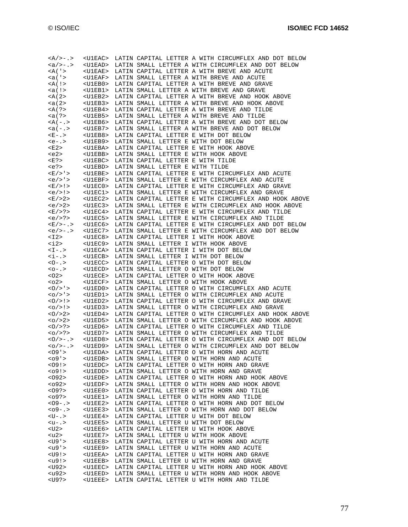| $<\lambda/> - . >$                          | <u1eac></u1eac>    |                                     | LATIN CAPITAL LETTER A WITH CIRCUMFLEX AND DOT BELOW                                                         |
|---------------------------------------------|--------------------|-------------------------------------|--------------------------------------------------------------------------------------------------------------|
| $a/>-.$                                     | <u1ead></u1ead>    |                                     | LATIN SMALL LETTER A WITH CIRCUMFLEX AND DOT BELOW                                                           |
| $<$ A( $\prime$ >                           |                    |                                     | LATIN CAPITAL LETTER A WITH BREVE AND ACUTE                                                                  |
|                                             | <u1eae></u1eae>    |                                     |                                                                                                              |
| <a('></a('>                                 | $ULEAF>$           |                                     | LATIN SMALL LETTER A WITH BREVE AND ACUTE                                                                    |
| $<$ A(!>                                    | $<$ U $1$ EB $0$ > |                                     | LATIN CAPITAL LETTER A WITH BREVE AND GRAVE                                                                  |
|                                             |                    |                                     |                                                                                                              |
| $! >$                                       | $U1EB1>$           |                                     | LATIN SMALL LETTER A WITH BREVE AND GRAVE                                                                    |
| $<$ A(2>                                    | $<$ U $1EB2>$      |                                     | LATIN CAPITAL LETTER A WITH BREVE AND HOOK ABOVE                                                             |
| <a(2></a(2>                                 | $<$ U $1$ EB $3$ > |                                     | LATIN SMALL LETTER A WITH BREVE AND HOOK ABOVE                                                               |
| $<$ A(?>                                    | $U1EB4>$           |                                     | LATIN CAPITAL LETTER A WITH BREVE AND TILDE                                                                  |
|                                             |                    |                                     |                                                                                                              |
| <a(?></a(?>                                 | $<$ U $1$ EB5>     |                                     | LATIN SMALL LETTER A WITH BREVE AND TILDE                                                                    |
| $<$ A(-.>                                   | $<$ U $1$ EB $6$ > |                                     | LATIN CAPITAL LETTER A WITH BREVE AND DOT BELOW                                                              |
| $)$                                         | $<$ U $1$ EB $7$ > |                                     | LATIN SMALL LETTER A WITH BREVE AND DOT BELOW                                                                |
|                                             |                    |                                     |                                                                                                              |
| $E - . >$                                   | $<$ U $1$ EB $8$ > |                                     | LATIN CAPITAL LETTER E WITH DOT BELOW                                                                        |
| $e - 3$                                     | $<$ U $1$ EB $9$ > | LATIN SMALL LETTER E WITH DOT BELOW |                                                                                                              |
| <e2></e2>                                   | <u1eba></u1eba>    |                                     | LATIN CAPITAL LETTER E WITH HOOK ABOVE                                                                       |
| $e2>$                                       |                    |                                     |                                                                                                              |
|                                             | $<$ U $1$ EBB $>$  |                                     | LATIN SMALL LETTER E WITH HOOK ABOVE                                                                         |
| <e?></e?>                                   | $<$ U $1$ EBC $>$  | LATIN CAPITAL LETTER E WITH TILDE   |                                                                                                              |
| $?>$                                        | $<$ U $1$ EBD $>$  | LATIN SMALL LETTER E WITH TILDE     |                                                                                                              |
| $E/$ > $\cdot$ >                            | $<$ U $1$ EBE>     |                                     | LATIN CAPITAL LETTER E WITH CIRCUMFLEX AND ACUTE                                                             |
|                                             |                    |                                     |                                                                                                              |
| $\langle e \rangle$ > ' >                   | $<$ U $1$ EBF>     |                                     | LATIN SMALL LETTER E WITH CIRCUMFLEX AND ACUTE                                                               |
| $E/$ > ! >                                  | <u1ec0></u1ec0>    |                                     | LATIN CAPITAL LETTER E WITH CIRCUMFLEX AND GRAVE                                                             |
| $\langle e \rangle$ = $\langle$ = $\rangle$ | $U1EC1>$           |                                     | LATIN SMALL LETTER E WITH CIRCUMFLEX AND GRAVE                                                               |
|                                             |                    |                                     |                                                                                                              |
| E/>2>                                       | $U1EC2>$           |                                     | LATIN CAPITAL LETTER E WITH CIRCUMFLEX AND HOOK ABOVE                                                        |
| <e></e> 2>                                  | $ULEC3>$           |                                     | LATIN SMALL LETTER E WITH CIRCUMFLEX AND HOOK ABOVE                                                          |
| <e> ? &gt;</e>                              | $<$ U $1EC4>$      |                                     | LATIN CAPITAL LETTER E WITH CIRCUMFLEX AND TILDE                                                             |
| <e></e> >?                                  | $<$ U $1$ EC5>     |                                     | LATIN SMALL LETTER E WITH CIRCUMFLEX AND TILDE                                                               |
|                                             |                    |                                     |                                                                                                              |
| $E/>-.$                                     | $U1EC6>$           |                                     | LATIN CAPITAL LETTER E WITH CIRCUMFLEX AND DOT BELOW                                                         |
| $\langle e \rangle$ > - . >                 | $<$ U $1$ EC $7$ > |                                     | LATIN SMALL LETTER E WITH CIRCUMFLEX AND DOT BELOW                                                           |
| $<$ I2>                                     | $<$ U $1$ EC $8$ > |                                     | LATIN CAPITAL LETTER I WITH HOOK ABOVE                                                                       |
|                                             |                    |                                     |                                                                                                              |
| $\langle i2 \rangle$                        | $<$ U $1$ EC $9$ > |                                     | LATIN SMALL LETTER I WITH HOOK ABOVE                                                                         |
| $\langle I - . \rangle$                     | $<$ U $1$ ECA $>$  |                                     | LATIN CAPITAL LETTER I WITH DOT BELOW                                                                        |
| $\langle i-1 \rangle$                       | $U1ECB>$           | LATIN SMALL LETTER I WITH DOT BELOW |                                                                                                              |
| $<-0$                                       | $U1ECC>$           |                                     | LATIN CAPITAL LETTER O WITH DOT BELOW                                                                        |
|                                             |                    |                                     |                                                                                                              |
| $< 0 - . >$                                 | $U1ECD>$           | LATIN SMALL LETTER O WITH DOT BELOW |                                                                                                              |
|                                             |                    |                                     |                                                                                                              |
| $<$ 02>                                     | $<$ U $1$ E $CE$ > |                                     | LATIN CAPITAL LETTER O WITH HOOK ABOVE                                                                       |
|                                             |                    |                                     |                                                                                                              |
| $02>$                                       | $U1ECF$            |                                     | LATIN SMALL LETTER O WITH HOOK ABOVE                                                                         |
| $<0/>$ '>                                   | $U1ED0>$           |                                     | LATIN CAPITAL LETTER O WITH CIRCUMFLEX AND ACUTE                                                             |
| $<0/$ >' >                                  | $U1ED1>$           |                                     | LATIN SMALL LETTER O WITH CIRCUMFLEX AND ACUTE                                                               |
|                                             |                    |                                     |                                                                                                              |
| $0/$ > ! >                                  | $<$ U $1$ ED $2$ > |                                     | LATIN CAPITAL LETTER O WITH CIRCUMFLEX AND GRAVE                                                             |
| $<0/$ > ! >                                 | $U1ED3>$           |                                     | LATIN SMALL LETTER O WITH CIRCUMFLEX AND GRAVE                                                               |
| 0/>2>                                       | $U1ED4>$           |                                     | LATIN CAPITAL LETTER O WITH CIRCUMFLEX AND HOOK ABOVE                                                        |
| <0/>2>                                      | <u1ed5></u1ed5>    |                                     | LATIN SMALL LETTER O WITH CIRCUMFLEX AND HOOK ABOVE                                                          |
|                                             |                    |                                     |                                                                                                              |
| $<0$ />?>                                   | <u1ed6></u1ed6>    |                                     | LATIN CAPITAL LETTER O WITH CIRCUMFLEX AND TILDE                                                             |
| $<0$ />?>                                   | <u1ed7></u1ed7>    |                                     | LATIN SMALL LETTER O WITH CIRCUMFLEX AND TILDE                                                               |
| $0/$ > - . >                                |                    |                                     | <u1ed8> LATIN CAPITAL LETTER O WITH CIRCUMFLEX AND DOT BELOW</u1ed8>                                         |
| $0/$ $\ge$ $ \ge$                           | $<$ U $1$ ED $9$ > |                                     | LATIN SMALL LETTER O WITH CIRCUMFLEX AND DOT BELOW                                                           |
|                                             |                    |                                     |                                                                                                              |
| $<$ 09 ' $>$                                |                    |                                     | <u1eda> LATIN CAPITAL LETTER O WITH HORN AND ACUTE</u1eda>                                                   |
| <09'                                        |                    |                                     | <u1edb> LATIN SMALL LETTER O WITH HORN AND ACUTE</u1edb>                                                     |
| $<$ 09 ! >                                  |                    |                                     | <u1edc> LATIN CAPITAL LETTER O WITH HORN AND GRAVE</u1edc>                                                   |
| < 09!                                       |                    |                                     |                                                                                                              |
|                                             |                    |                                     | <u1edd> LATIN SMALL LETTER O WITH HORN AND GRAVE</u1edd>                                                     |
| <092>                                       |                    |                                     | <u1ede> LATIN CAPITAL LETTER O WITH HORN AND HOOK ABOVE</u1ede>                                              |
| < 092                                       |                    |                                     | <u1edf> LATIN SMALL LETTER O WITH HORN AND HOOK ABOVE</u1edf>                                                |
| $<$ 09? >                                   |                    |                                     | <u1ee0> LATIN CAPITAL LETTER O WITH HORN AND TILDE</u1ee0>                                                   |
|                                             |                    |                                     |                                                                                                              |
| $<$ 09?>                                    | $<$ U $1$ EE $1$ > |                                     | LATIN SMALL LETTER O WITH HORN AND TILDE                                                                     |
| $09 - .5$                                   |                    |                                     | <u1ee2> LATIN CAPITAL LETTER O WITH HORN AND DOT BELOW</u1ee2>                                               |
| $<09-.$                                     | <u1ee3></u1ee3>    |                                     | LATIN SMALL LETTER O WITH HORN AND DOT BELOW                                                                 |
| $-1$                                        | <u1ee4></u1ee4>    |                                     |                                                                                                              |
|                                             |                    |                                     | LATIN CAPITAL LETTER U WITH DOT BELOW                                                                        |
| $-12$                                       | $<$ U $1$ EE5>     | LATIN SMALL LETTER U WITH DOT BELOW |                                                                                                              |
| <u2></u2>                                   | <u1ee6></u1ee6>    |                                     | LATIN CAPITAL LETTER U WITH HOOK ABOVE                                                                       |
| <u2></u2>                                   | <u1ee7></u1ee7>    |                                     | LATIN SMALL LETTER U WITH HOOK ABOVE                                                                         |
|                                             |                    |                                     |                                                                                                              |
| $<$ U $9$ '>                                | $<$ U $1$ EE $8$ > |                                     | LATIN CAPITAL LETTER U WITH HORN AND ACUTE                                                                   |
| $u9'$                                       | <u1ee9></u1ee9>    |                                     | LATIN SMALL LETTER U WITH HORN AND ACUTE                                                                     |
| $<$ U $9!$                                  | <u1eea></u1eea>    |                                     | LATIN CAPITAL LETTER U WITH HORN AND GRAVE                                                                   |
| <u9!></u9!>                                 | <u1eeb></u1eeb>    |                                     | LATIN SMALL LETTER U WITH HORN AND GRAVE                                                                     |
|                                             |                    |                                     |                                                                                                              |
| <u92></u92>                                 |                    |                                     | <u1eec> LATIN CAPITAL LETTER U WITH HORN AND HOOK ABOVE</u1eec>                                              |
| $u92>$<br>$<$ U $9$ ?>                      | <u1eee></u1eee>    |                                     | <u1eed> LATIN SMALL LETTER U WITH HORN AND HOOK ABOVE<br/>LATIN CAPITAL LETTER U WITH HORN AND TILDE</u1eed> |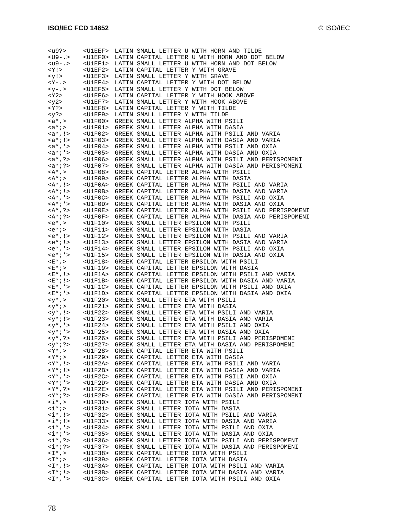| <u9?></u9?>                                                                | $<$ U $1$ EEF>                      | LATIN SMALL LETTER U WITH HORN AND TILDE                                                         |
|----------------------------------------------------------------------------|-------------------------------------|--------------------------------------------------------------------------------------------------|
| $<$ U9-.>                                                                  | $<$ U $1$ EF $0$ >                  | LATIN CAPITAL LETTER U WITH HORN AND DOT BELOW                                                   |
| $\langle u9-. \rangle$                                                     | $<$ U $1$ EF $1$ >                  | LATIN SMALL LETTER U WITH HORN AND DOT BELOW                                                     |
| $<$ Y ! $>$                                                                | $<$ U $1$ EF $2$ >                  | LATIN CAPITAL LETTER Y WITH GRAVE                                                                |
| <y!></y!>                                                                  | $<$ U $1$ EF $3$ >                  | LATIN SMALL LETTER Y WITH GRAVE                                                                  |
| $Y - Y >$                                                                  |                                     | <u1ef4> LATIN CAPITAL LETTER Y WITH DOT BELOW</u1ef4>                                            |
| $< y - . >$                                                                | $<$ U $1$ EF5>                      | LATIN SMALL LETTER Y WITH DOT BELOW                                                              |
| $<$ Y2>                                                                    | <u1ef6></u1ef6>                     | LATIN CAPITAL LETTER Y WITH HOOK ABOVE                                                           |
| $<$ y2>                                                                    | <u1ef7></u1ef7>                     | LATIN SMALL LETTER Y WITH HOOK ABOVE                                                             |
| $<$ Y ? $>$                                                                | $<$ U $1$ EF $8$ >                  | LATIN CAPITAL LETTER Y WITH TILDE                                                                |
| <y?></y?>                                                                  | $<$ U $1$ EF $9$ >                  | LATIN SMALL LETTER Y WITH TILDE                                                                  |
| $ , >$                                                                     | $U1F00>$                            | GREEK SMALL LETTER ALPHA WITH PSILI                                                              |
| $$                                                                         | $<$ U $1$ F $0$ $1$ >               | GREEK SMALL LETTER ALPHA WITH DASIA                                                              |
| $$                                                                         | <u1f02></u1f02>                     | GREEK SMALL LETTER ALPHA WITH PSILI AND VARIA                                                    |
| $$                                                                         | $<$ U $1$ F $0$ 3>                  | GREEK SMALL LETTER ALPHA WITH DASIA AND VARIA                                                    |
| $, '>$                                                                     | $<$ U $1$ F $0$ 4 $>$               | GREEK SMALL LETTER ALPHA WITH PSILI AND OXIA                                                     |
| $; '>$                                                                     | <u1f05></u1f05>                     | GREEK SMALL LETTER ALPHA WITH DASIA AND OXIA                                                     |
| $<$ a*,?>                                                                  | <u1f06></u1f06>                     | GREEK SMALL LETTER ALPHA WITH PSILI AND PERISPOMENI                                              |
| $$                                                                         | <u1f07></u1f07>                     | GREEK SMALL LETTER ALPHA WITH DASIA AND PERISPOMENI                                              |
| $<$ A*, >                                                                  | $<$ U $1$ F $0$ 8>                  | GREEK CAPITAL LETTER ALPHA WITH PSILI                                                            |
| <a*;></a*;>                                                                | <u1f09></u1f09>                     | GREEK CAPITAL LETTER ALPHA WITH DASIA                                                            |
| $<$ A*, !>                                                                 | <u1f0a></u1f0a>                     | GREEK CAPITAL LETTER ALPHA WITH PSILI AND VARIA                                                  |
| $<$ A*;!>                                                                  | $<$ U $1$ F $0$ B $>$               | GREEK CAPITAL LETTER ALPHA WITH DASIA AND VARIA                                                  |
| $<$ A*, '>                                                                 | <u1f0c></u1f0c>                     | GREEK CAPITAL LETTER ALPHA WITH PSILI AND OXIA                                                   |
| $<$ A*;'>                                                                  | $<$ U $1$ F $0$ D $>$               | GREEK CAPITAL LETTER ALPHA WITH DASIA AND OXIA                                                   |
| $<$ A*, ?>                                                                 | $<$ U $1$ F $0$ E $>$               | GREEK CAPITAL LETTER ALPHA WITH PSILI AND PERISPOMENI                                            |
| $<$ A*;?>                                                                  | $<$ U $1$ F $0$ F $>$               | GREEK CAPITAL LETTER ALPHA WITH DASIA AND PERISPOMENI                                            |
| <e*,></e*,>                                                                | <u1f10></u1f10>                     | GREEK SMALL LETTER EPSILON WITH PSILI                                                            |
| $;$                                                                        | <u1f11></u1f11>                     | GREEK SMALL LETTER EPSILON WITH DASIA                                                            |
| <e*,!></e*,!>                                                              | $<$ U $1$ F $12$ >                  | GREEK SMALL LETTER EPSILON WITH PSILI AND VARIA                                                  |
| <e*;!><br/><math><e^*< math="">, '&gt;</e^*<></math></e*;!>                | <u1f13></u1f13>                     | GREEK SMALL LETTER EPSILON WITH DASIA AND VARIA                                                  |
| $e^*i'$                                                                    | <u1f14></u1f14>                     | GREEK SMALL LETTER EPSILON WITH PSILI AND OXIA<br>GREEK SMALL LETTER EPSILON WITH DASIA AND OXIA |
| <e *="" ,=""></e>                                                          | <u1f15></u1f15>                     | GREEK CAPITAL LETTER EPSILON WITH PSILI                                                          |
|                                                                            | <u1f18></u1f18>                     |                                                                                                  |
|                                                                            |                                     |                                                                                                  |
| <e*;></e*;>                                                                | <u1f19></u1f19>                     | GREEK CAPITAL LETTER EPSILON WITH DASIA                                                          |
| $E^*$ , !>                                                                 | $<$ U $1$ F $1$ A $>$               | GREEK CAPITAL LETTER EPSILON WITH PSILI AND VARIA                                                |
| $E^*$ ; ! >                                                                | <u1f1b></u1f1b>                     | GREEK CAPITAL LETTER EPSILON WITH DASIA AND VARIA                                                |
| $<\!{\ensuremath{\mathbb E}}^{\,\star}$ , $\,{}^{\scriptscriptstyle +}\!>$ | $<$ U $1$ F $1$ C $>$               | GREEK CAPITAL LETTER EPSILON WITH PSILI AND OXIA                                                 |
| <e*;'></e*;'>                                                              | <u1f1d></u1f1d>                     | GREEK CAPITAL LETTER EPSILON WITH DASIA AND OXIA                                                 |
| $ , >$                                                                     | $<$ U $1$ F $20$ >                  | GREEK SMALL LETTER ETA WITH PSILI                                                                |
| $ ; >$                                                                     | <u1f21></u1f21>                     | GREEK SMALL LETTER ETA WITH DASIA                                                                |
| $, \downarrow >$                                                           | <u1f22><br/><u1f23></u1f23></u1f22> | GREEK SMALL LETTER ETA WITH PSILI AND VARIA<br>GREEK SMALL LETTER ETA WITH DASIA AND VARIA       |
| $<$ y*;!>                                                                  |                                     | <u1f24> GREEK SMALL LETTER ETA WITH PSILI AND OXIA</u1f24>                                       |
| $<$ y <sup>*</sup> , '><br>$; '>$                                          | $<$ U $1$ F $25$ >                  | GREEK SMALL LETTER ETA WITH DASIA AND OXIA                                                       |
| $, ?>$                                                                     | <u1f26></u1f26>                     | GREEK SMALL LETTER ETA WITH PSILI AND PERISPOMENI                                                |
| $<$ y*;?>                                                                  | <u1f27></u1f27>                     | GREEK SMALL LETTER ETA WITH DASIA AND PERISPOMENI                                                |
| <y* ,=""></y*>                                                             | $<$ U $1$ F $28$ >                  | GREEK CAPITAL LETTER ETA WITH PSILI                                                              |
| $<$ Y*;>                                                                   | <u1f29></u1f29>                     | GREEK CAPITAL LETTER ETA WITH DASIA                                                              |
| $<$ Y*, ! >                                                                | $<$ U $1$ F $2$ A $>$               | GREEK CAPITAL LETTER ETA WITH PSILI AND VARIA                                                    |
| $<$ Y*;!>                                                                  | $<$ U $1$ F $2$ B $>$               | GREEK CAPITAL LETTER ETA WITH DASIA AND VARIA                                                    |
| $<$ Y*, '>                                                                 | $<$ U $1$ F $2$ C $>$               | GREEK CAPITAL LETTER ETA WITH PSILI AND OXIA                                                     |
| <y*;'></y*;'>                                                              | <u1f2d></u1f2d>                     | GREEK CAPITAL LETTER ETA WITH DASIA AND OXIA                                                     |
| $<$ Y*,?>                                                                  | $<$ U $1$ F $2$ E $>$               | GREEK CAPITAL LETTER ETA WITH PSILI AND PERISPOMENI                                              |
| $<$ Y*;?>                                                                  | $<$ U $1$ F $2$ F $>$               | GREEK CAPITAL LETTER ETA WITH DASIA AND PERISPOMENI                                              |
| $\langle i^*, \rangle$                                                     | $<$ U $1$ F $30$ >                  | GREEK SMALL LETTER IOTA WITH PSILI                                                               |
| $\langle i^* \rangle$                                                      | <u1f31></u1f31>                     | GREEK SMALL LETTER IOTA WITH DASIA                                                               |
| $< i *$ , !>                                                               | <u1f32></u1f32>                     | GREEK SMALL LETTER IOTA WITH PSILI AND VARIA                                                     |
| $\langle i^* i \rangle$                                                    | <u1f33></u1f33>                     | GREEK SMALL LETTER IOTA WITH DASIA AND VARIA                                                     |
| $\langle i^*, \rangle$                                                     | <u1f34></u1f34>                     | GREEK SMALL LETTER IOTA WITH PSILI AND OXIA                                                      |
| $\langle i^* \rangle$ '>                                                   | $<$ U $1$ F $35$ >                  | GREEK SMALL LETTER IOTA WITH DASIA AND OXIA                                                      |
| $< i *$ , ?>                                                               | <u1f36></u1f36>                     | GREEK SMALL LETTER IOTA WITH PSILI AND PERISPOMENI                                               |
| $\langle i^* \rangle$ ?>                                                   | <u1f37></u1f37>                     | GREEK SMALL LETTER IOTA WITH DASIA AND PERISPOMENI                                               |
| $\langle$ $\mathbb{I}^*$ , $>$                                             | <u1f38></u1f38>                     | GREEK CAPITAL LETTER IOTA WITH PSILI                                                             |
| <i*;></i*;>                                                                | <u1f39><br/><u1f3a></u1f3a></u1f39> | GREEK CAPITAL LETTER IOTA WITH DASIA                                                             |
| $<$ I *, ! ><br>$<\Gamma^*$ ; ! >                                          | <u1f3b></u1f3b>                     | GREEK CAPITAL LETTER IOTA WITH PSILI AND VARIA<br>GREEK CAPITAL LETTER IOTA WITH DASIA AND VARIA |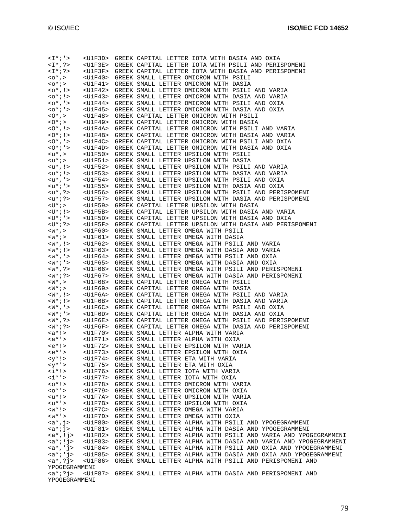| $\langle I^*; \cdot \rangle$                            |                 | <u1f3d> GREEK CAPITAL LETTER IOTA WITH DASIA AND OXIA</u1f3d>                                                                                                                                                                                                                     |
|---------------------------------------------------------|-----------------|-----------------------------------------------------------------------------------------------------------------------------------------------------------------------------------------------------------------------------------------------------------------------------------|
| $<\mathbb{I}^*$ , ?>                                    |                 | <u1f3e> GREEK CAPITAL LETTER IOTA WITH PSILI AND PERISPOMENI</u1f3e>                                                                                                                                                                                                              |
| $<\pm$ *;?>                                             |                 | <u1f3f> GREEK CAPITAL LETTER IOTA WITH DASIA AND PERISPOMENI</u1f3f>                                                                                                                                                                                                              |
|                                                         |                 |                                                                                                                                                                                                                                                                                   |
| $<$ 0 <sup>*</sup> , >                                  |                 | <u1f40> GREEK SMALL LETTER OMICRON WITH PSILI</u1f40>                                                                                                                                                                                                                             |
| $0$ *;>                                                 |                 | <u1f41> GREEK SMALL LETTER OMICRON WITH DASIA</u1f41>                                                                                                                                                                                                                             |
|                                                         |                 |                                                                                                                                                                                                                                                                                   |
|                                                         |                 |                                                                                                                                                                                                                                                                                   |
|                                                         |                 | $<\circ^*$ , !> $\hspace{0.3cm}$ <u1f42> GREEK SMALL LETTER OMICRON WITH PSILI AND VARIA <o*; !=""> <math>\hspace{0.3cm}</math> <u1f43> GREEK SMALL LETTER OMICRON WITH DASIA AND VARIA<br/><u1f43> GREEK SMALL LETTER OMICRON WITH DASIA AND VARIA</u1f43></u1f43></o*;></u1f42> |
|                                                         |                 | <br><uif44> GREEK SMALL LETTER OMICRON WITH PSILI AND OXIA</uif44>                                                                                                                                                                                                                |
|                                                         |                 |                                                                                                                                                                                                                                                                                   |
|                                                         |                 | <u1f45> GREEK SMALL LETTER OMICRON WITH DASIA AND OXIA</u1f45>                                                                                                                                                                                                                    |
| <0*;'><br><0*,>                                         |                 | <u1f48> GREEK CAPITAL LETTER OMICRON WITH PSILI</u1f48>                                                                                                                                                                                                                           |
| $<$ 0* $i >$                                            |                 | <u1f49> GREEK CAPITAL LETTER OMICRON WITH DASIA</u1f49>                                                                                                                                                                                                                           |
|                                                         |                 |                                                                                                                                                                                                                                                                                   |
| $<0^*$ , ! >                                            |                 | <u1f4a> GREEK CAPITAL LETTER OMICRON WITH PSILI AND VARIA</u1f4a>                                                                                                                                                                                                                 |
| $50*715$                                                |                 | <u1f4b> GREEK CAPITAL LETTER OMICRON WITH DASIA AND VARIA</u1f4b>                                                                                                                                                                                                                 |
|                                                         |                 |                                                                                                                                                                                                                                                                                   |
| $<$ O <sup>*</sup> , ' ><br><o<sup>* ; ' &gt;</o<sup>   |                 | <u1f4c> GREEK CAPITAL LETTER OMICRON WITH PSILI AND OXIA</u1f4c>                                                                                                                                                                                                                  |
|                                                         |                 | <u1f4d> GREEK CAPITAL LETTER OMICRON WITH DASIA AND OXIA</u1f4d>                                                                                                                                                                                                                  |
| $\langle u^*, \rangle$                                  |                 | <u1f50> GREEK SMALL LETTER UPSILON WITH PSILI</u1f50>                                                                                                                                                                                                                             |
|                                                         |                 |                                                                                                                                                                                                                                                                                   |
| <u*;></u*;>                                             |                 | <u1f51> GREEK SMALL LETTER UPSILON WITH DASIA</u1f51>                                                                                                                                                                                                                             |
| $\langle u^*, \cdot \rangle$                            |                 | <u1f52> GREEK SMALL LETTER UPSILON WITH PSILI AND VARIA</u1f52>                                                                                                                                                                                                                   |
|                                                         |                 | <u1f53> GREEK SMALL LETTER UPSILON WITH DASIA AND VARIA</u1f53>                                                                                                                                                                                                                   |
|                                                         |                 | $\times {\tt u}^\star$ ;<br>) > $\times {\tt U1F53}$ > GREEK SMALL LETTER UPSILON WITH DASIA AND OXIA<br>$\times {\tt u}^\star$ , '> $\times {\tt U1F54}$ > GREEK SMALL LETTER UPSILON WITH PSILI AND OXIA                                                                        |
|                                                         |                 |                                                                                                                                                                                                                                                                                   |
|                                                         |                 | $\langle u^{\star}\,;\,{}^{\scriptscriptstyle +}\rangle$ $\quad$ $\langle U1F55\rangle$ GREEK SMALL LETTER UPSILON WITH DASIA AND OXIA                                                                                                                                            |
|                                                         |                 |                                                                                                                                                                                                                                                                                   |
| <u* ,="" ?=""><br/><u* ;="" ?=""></u*></u*>             |                 | <u1f56> GREEK SMALL LETTER UPSILON WITH PSILI AND PERISPOMENI</u1f56>                                                                                                                                                                                                             |
|                                                         |                 | <u1f57> GREEK SMALL LETTER UPSILON WITH DASIA AND PERISPOMENI</u1f57>                                                                                                                                                                                                             |
|                                                         |                 | <u1f59> GREEK CAPITAL LETTER UPSILON WITH DASIA</u1f59>                                                                                                                                                                                                                           |
| <u* ;=""><br/><u* !="" ;=""></u*></u*>                  |                 |                                                                                                                                                                                                                                                                                   |
|                                                         |                 | <u1f5b> GREEK CAPITAL LETTER UPSILON WITH DASIA AND VARIA</u1f5b>                                                                                                                                                                                                                 |
| $\langle U^* i\rangle$                                  |                 | <u1f5d> GREEK CAPITAL LETTER UPSILON WITH DASIA AND OXIA</u1f5d>                                                                                                                                                                                                                  |
| <u*;?></u*;?>                                           |                 | <u1f5f> GREEK CAPITAL LETTER UPSILON WITH DASIA AND PERISPOMENI</u1f5f>                                                                                                                                                                                                           |
| $\langle w^* \rangle$                                   |                 |                                                                                                                                                                                                                                                                                   |
|                                                         |                 | <u1f60> GREEK SMALL LETTER OMEGA WITH PSILI</u1f60>                                                                                                                                                                                                                               |
|                                                         |                 | <u1f61> GREEK SMALL LETTER OMEGA WITH DASIA</u1f61>                                                                                                                                                                                                                               |
| ${<}w^*$ ; ><br>${<}w^*$ , ! >                          |                 | <u1f62> GREEK SMALL LETTER OMEGA WITH PSILI AND VARIA</u1f62>                                                                                                                                                                                                                     |
|                                                         |                 |                                                                                                                                                                                                                                                                                   |
| $\langle w^* i\rangle$                                  |                 | <u1f63> GREEK SMALL LETTER OMEGA WITH DASIA AND VARIA</u1f63>                                                                                                                                                                                                                     |
| $*, ' >$<br>$W$ ; ' >                                   |                 | <u1f64> GREEK SMALL LETTER OMEGA WITH PSILI AND OXIA</u1f64>                                                                                                                                                                                                                      |
|                                                         |                 | <u1f65> GREEK SMALL LETTER OMEGA WITH DASIA AND OXIA</u1f65>                                                                                                                                                                                                                      |
|                                                         |                 | <u1f66> GREEK SMALL LETTER OMEGA WITH PSILI AND PERISPOMENI</u1f66>                                                                                                                                                                                                               |
| $W* , ?> W* ; ?>$                                       |                 |                                                                                                                                                                                                                                                                                   |
|                                                         |                 | <u1f67> GREEK SMALL LETTER OMEGA WITH DASIA AND PERISPOMENI</u1f67>                                                                                                                                                                                                               |
| $\langle W^*$ , $>$                                     |                 | <u1f68> GREEK CAPITAL LETTER OMEGA WITH PSILI</u1f68>                                                                                                                                                                                                                             |
| $\langle W^* \rangle$                                   |                 | <u1f69> GREEK CAPITAL LETTER OMEGA WITH DASIA</u1f69>                                                                                                                                                                                                                             |
|                                                         |                 |                                                                                                                                                                                                                                                                                   |
| $<\!\!\!\mathrm{W}^{\star}$ , $!>$                      |                 | <u1f6a> GREEK CAPITAL LETTER OMEGA WITH PSILI AND VARIA</u1f6a>                                                                                                                                                                                                                   |
| $\frac{<\mathsf{W}^{\star}:!>}{<\mathsf{W}^{\star},!>}$ |                 | <u1f6b> GREEK CAPITAL LETTER OMEGA WITH DASIA AND VARIA</u1f6b>                                                                                                                                                                                                                   |
|                                                         |                 | <u1f6c> GREEK CAPITAL LETTER OMEGA WITH PSILI AND OXIA</u1f6c>                                                                                                                                                                                                                    |
|                                                         |                 |                                                                                                                                                                                                                                                                                   |
| $\langle W^* : ' \rangle$                               |                 | <u1f6d> GREEK CAPITAL LETTER OMEGA WITH DASIA AND OXIA</u1f6d>                                                                                                                                                                                                                    |
| <w* ,="" ?=""><br/><w* ;="" ?=""></w*></w*>             |                 | <u1f6e> GREEK CAPITAL LETTER OMEGA WITH PSILI AND PERISPOMENI</u1f6e>                                                                                                                                                                                                             |
|                                                         |                 | <u1f6f> GREEK CAPITAL LETTER OMEGA WITH DASIA AND PERISPOMENI</u1f6f>                                                                                                                                                                                                             |
|                                                         |                 |                                                                                                                                                                                                                                                                                   |
|                                                         |                 | <u1f70> GREEK SMALL LETTER ALPHA WITH VARIA</u1f70>                                                                                                                                                                                                                               |
|                                                         |                 |                                                                                                                                                                                                                                                                                   |
| $e^*$ : >                                               |                 | <u1f72> GREEK SMALL LETTER EPSILON WITH VARIA</u1f72>                                                                                                                                                                                                                             |
|                                                         |                 |                                                                                                                                                                                                                                                                                   |
| $'>$                                                    |                 | <u1f73> GREEK SMALL LETTER EPSILON WITH OXIA</u1f73>                                                                                                                                                                                                                              |
| $$                                                      |                 | <u1f74> GREEK SMALL LETTER ETA WITH VARIA</u1f74>                                                                                                                                                                                                                                 |
| $'>$                                                    |                 | <u1f75> GREEK SMALL LETTER ETA WITH OXIA</u1f75>                                                                                                                                                                                                                                  |
|                                                         |                 |                                                                                                                                                                                                                                                                                   |
| $\langle i^* \rangle$                                   |                 | <u1f76> GREEK SMALL LETTER IOTA WITH VARIA</u1f76>                                                                                                                                                                                                                                |
| $<\!\pm^{\,*}$ '>                                       |                 | <u1f77> GREEK SMALL LETTER IOTA WITH OXIA</u1f77>                                                                                                                                                                                                                                 |
| $<0$ *!>                                                |                 | <u1f78> GREEK SMALL LETTER OMICRON WITH VARIA</u1f78>                                                                                                                                                                                                                             |
|                                                         |                 |                                                                                                                                                                                                                                                                                   |
| $0* >$                                                  |                 | <u1f79> GREEK SMALL LETTER OMICRON WITH OXIA</u1f79>                                                                                                                                                                                                                              |
|                                                         |                 |                                                                                                                                                                                                                                                                                   |
| <u*!></u*!>                                             |                 | <u1f7a> GREEK SMALL LETTER UPSILON WITH VARIA</u1f7a>                                                                                                                                                                                                                             |
|                                                         |                 |                                                                                                                                                                                                                                                                                   |
| <u*'></u*'>                                             |                 | <u1f7b> GREEK SMALL LETTER UPSILON WITH OXIA</u1f7b>                                                                                                                                                                                                                              |
| $\langle w^*  \rangle$                                  |                 | <u1f7c> GREEK SMALL LETTER OMEGA WITH VARIA</u1f7c>                                                                                                                                                                                                                               |
| $\langle w^* \rangle$                                   |                 | <u1f7d> GREEK SMALL LETTER OMEGA WITH OXIA</u1f7d>                                                                                                                                                                                                                                |
|                                                         |                 |                                                                                                                                                                                                                                                                                   |
| $\langle a^*, j \rangle$                                |                 | <u1f80> GREEK SMALL LETTER ALPHA WITH PSILI AND YPOGEGRAMMENI</u1f80>                                                                                                                                                                                                             |
| <a*;j></a*;j>                                           |                 | <u1f81> GREEK SMALL LETTER ALPHA WITH DASIA AND YPOGEGRAMMENI</u1f81>                                                                                                                                                                                                             |
| $\langle a^*, !j \rangle$                               |                 | <u1f82> GREEK SMALL LETTER ALPHA WITH PSILI AND VARIA AND YPOGEGRAMMENI</u1f82>                                                                                                                                                                                                   |
|                                                         |                 |                                                                                                                                                                                                                                                                                   |
| $\langle a^* i ! j \rangle$                             |                 | <u1f83> GREEK SMALL LETTER ALPHA WITH DASIA AND VARIA AND YPOGEGRAMMENI</u1f83>                                                                                                                                                                                                   |
| $\langle a^*, 'j \rangle$                               |                 | <u1f84> GREEK SMALL LETTER ALPHA WITH PSILI AND OXIA AND YPOGEGRAMMENI</u1f84>                                                                                                                                                                                                    |
| $\langle a^* \rangle$ ' j>                              |                 | <u1f85> GREEK SMALL LETTER ALPHA WITH DASIA AND OXIA AND YPOGEGRAMMENI</u1f85>                                                                                                                                                                                                    |
|                                                         |                 |                                                                                                                                                                                                                                                                                   |
| $<$ a*,? $j>$                                           | <u1f86></u1f86> | GREEK SMALL LETTER ALPHA WITH PSILI AND PERISPOMENI AND                                                                                                                                                                                                                           |
| YPOGEGRAMMENI                                           |                 |                                                                                                                                                                                                                                                                                   |
| $;?j>$                                                  |                 | <u1f87> GREEK SMALL LETTER ALPHA WITH DASIA AND PERISPOMENI AND</u1f87>                                                                                                                                                                                                           |
| YPOGEGRAMMENI                                           |                 |                                                                                                                                                                                                                                                                                   |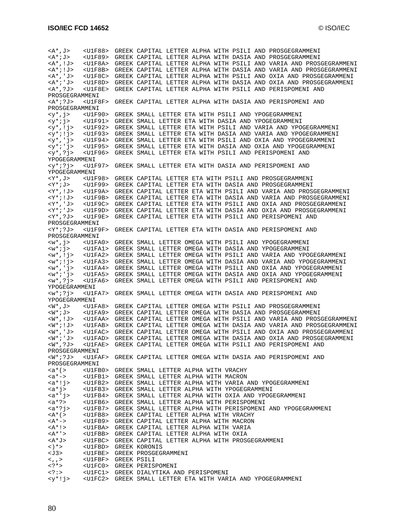<A\*,J> <U1F88> GREEK CAPITAL LETTER ALPHA WITH PSILI AND PROSGEGRAMMENI <A\*;J> <U1F89> GREEK CAPITAL LETTER ALPHA WITH DASIA AND PROSGEGRAMMENI <A\*,!J> <U1F8A> GREEK CAPITAL LETTER ALPHA WITH PSILI AND VARIA AND PROSGEGRAMMENI <U1F8B> GREEK CAPITAL LETTER ALPHA WITH DASIA AND VARIA AND PROSGEGRAMMENI <A\*,'J> <U1F8C> GREEK CAPITAL LETTER ALPHA WITH PSILI AND OXIA AND PROSGEGRAMMENI <A\*;'J> <U1F8D> GREEK CAPITAL LETTER ALPHA WITH DASIA AND OXIA AND PROSGEGRAMMENI <A\*,?J> <U1F8E> GREEK CAPITAL LETTER ALPHA WITH PSILI AND PERISPOMENI AND PROSGEGRAMMENI <A\*;?J> <U1F8F> GREEK CAPITAL LETTER ALPHA WITH DASIA AND PERISPOMENI AND PROSGEGRAMMENI <y\*,j> <U1F90> GREEK SMALL LETTER ETA WITH PSILI AND YPOGEGRAMMENI <U1F91> GREEK SMALL LETTER ETA WITH DASIA AND YPOGEGRAMMENI <y\*,!j> <U1F92> GREEK SMALL LETTER ETA WITH PSILI AND VARIA AND YPOGEGRAMMENI <y\*;!j> <U1F93> GREEK SMALL LETTER ETA WITH DASIA AND VARIA AND YPOGEGRAMMENI <y\*,'j> <U1F94> GREEK SMALL LETTER ETA WITH PSILI AND OXIA AND YPOGEGRAMMENI <y\*;'j> <U1F95> GREEK SMALL LETTER ETA WITH DASIA AND OXIA AND YPOGEGRAMMENI <y\*,?j> <U1F96> GREEK SMALL LETTER ETA WITH PSILI AND PERISPOMENI AND YPOGEGRAMMENI <y\*;?j> <U1F97> GREEK SMALL LETTER ETA WITH DASIA AND PERISPOMENI AND YPOGEGRAMMENI <Y\*,J> <U1F98> GREEK CAPITAL LETTER ETA WITH PSILI AND PROSGEGRAMMENI <VIIF99> GREEK CAPITAL LETTER ETA WITH DASIA AND PROSGEGRAMMENI <Y\*,!J> <U1F9A> GREEK CAPITAL LETTER ETA WITH PSILI AND VARIA AND PROSGEGRAMMENI <Y\*;!J> <U1F9B> GREEK CAPITAL LETTER ETA WITH DASIA AND VARIA AND PROSGEGRAMMENI <Y\*,'J> <U1F9C> GREEK CAPITAL LETTER ETA WITH PSILI AND OXIA AND PROSGEGRAMMENI <Y\*;'J> <U1F9D> GREEK CAPITAL LETTER ETA WITH DASIA AND OXIA AND PROSGEGRAMMENI <Y\*,?J> <U1F9E> GREEK CAPITAL LETTER ETA WITH PSILI AND PERISPOMENI AND PROSGEGRAMMENI <Y\*;?J> <U1F9F> GREEK CAPITAL LETTER ETA WITH DASIA AND PERISPOMENI AND PROSGEGRAMMENI <w\*,j> <U1FA0> GREEK SMALL LETTER OMEGA WITH PSILI AND YPOGEGRAMMENI <w\*;j> <U1FA1> GREEK SMALL LETTER OMEGA WITH DASIA AND YPOGEGRAMMENI <w\*,!j> <U1FA2> GREEK SMALL LETTER OMEGA WITH PSILI AND VARIA AND YPOGEGRAMMENI <w\*;!j> <U1FA3> GREEK SMALL LETTER OMEGA WITH DASIA AND VARIA AND YPOGEGRAMMENI <w\*,'j> <U1FA4> GREEK SMALL LETTER OMEGA WITH PSILI AND OXIA AND YPOGEGRAMMENI <w\*;'j> <U1FA5> GREEK SMALL LETTER OMEGA WITH DASIA AND OXIA AND YPOGEGRAMMENI <w\*,?j> <U1FA6> GREEK SMALL LETTER OMEGA WITH PSILI AND PERISPOMENI AND YPOGEGRAMMENI <w\*;?j> <U1FA7> GREEK SMALL LETTER OMEGA WITH DASIA AND PERISPOMENI AND YPOGEGRAMMENI <W\*,J> <U1FA8> GREEK CAPITAL LETTER OMEGA WITH PSILI AND PROSGEGRAMMENI <W\*;J> <U1FA9> GREEK CAPITAL LETTER OMEGA WITH DASIA AND PROSGEGRAMMENI <W\*,!J> <U1FAA> GREEK CAPITAL LETTER OMEGA WITH PSILI AND VARIA AND PROSGEGRAMMENI <W\*;!J> <U1FAB> GREEK CAPITAL LETTER OMEGA WITH DASIA AND VARIA AND PROSGEGRAMMENI <W\*,'J> <U1FAC> GREEK CAPITAL LETTER OMEGA WITH PSILI AND OXIA AND PROSGEGRAMMENI <W\*;'J> <U1FAD> GREEK CAPITAL LETTER OMEGA WITH DASIA AND OXIA AND PROSGEGRAMMENI <U1FAE> GREEK CAPITAL LETTER OMEGA WITH PSILI AND PERISPOMENI AND PROSGEGRAMMENI <W\*;?J> <U1FAF> GREEK CAPITAL LETTER OMEGA WITH DASIA AND PERISPOMENI AND PROSGEGRAMMENI <a\*(> <U1FB0> GREEK SMALL LETTER ALPHA WITH VRACHY <a\*-> <U1FB1> GREEK SMALL LETTER ALPHA WITH MACRON<br><a\*!j> <U1FB2> GREEK SMALL LETTER ALPHA WITH VARIA <U1FB2> GREEK SMALL LETTER ALPHA WITH VARIA AND YPOGEGRAMMENI <a\*j> <U1FB3> GREEK SMALL LETTER ALPHA WITH YPOGEGRAMMENI <a\*'j> <U1FB4> GREEK SMALL LETTER ALPHA WITH OXIA AND YPOGEGRAMMENI <U1FB6> GREEK SMALL LETTER ALPHA WITH PERISPOMENI <a\*?j> <U1FB7> GREEK SMALL LETTER ALPHA WITH PERISPOMENI AND YPOGEGRAMMENI <A\*(> <U1FB8> GREEK CAPITAL LETTER ALPHA WITH VRACHY<A\*-> <U1FB9> GREEK CAPITAL LETTER ALPHA WITH MACRON <A\*-> <U1FB9> GREEK CAPITAL LETTER ALPHA WITH MACRON <U1FBA> GREEK CAPITAL LETTER ALPHA WITH VARIA <A\*'> <U1FBB> GREEK CAPITAL LETTER ALPHA WITH OXIA <A\*J> <U1FBC> GREEK CAPITAL LETTER ALPHA WITH PROSGEGRAMMENI<br><)\*> <U1FBD> GREEK KORONIS <)\*> <U1FBD> GREEK KORONIS <U1FBE> GREEK PROSGEGRAMMENI <,,> <U1FBF> GREEK PSILI <?\*> <U1FC0> GREEK PERISPOMENI <?:> <U1FC1> GREEK DIALYTIKA AND PERISPOMENI <U1FC2> GREEK SMALL LETTER ETA WITH VARIA AND YPOGEGRAMMENI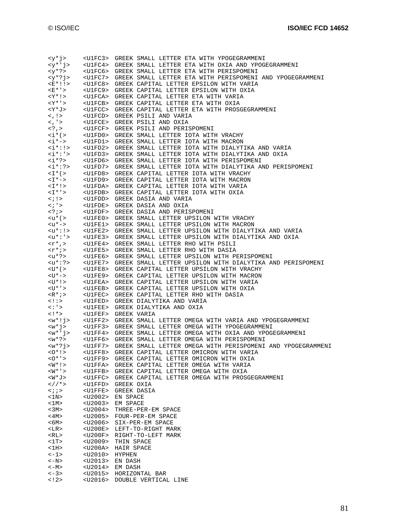| <u1fc3> GREEK SMALL LETTER ETA WITH YPOGEGRAMMENI<br/><math><y*< math=""> ' j&gt;<br/><u1fc4> GREEK SMALL LETTER ETA WITH OXIA AND YPOGEGRAMMENI<br/><u1fc6> GREEK SMALL LETTER ETA WITH PERISPOMENI<br/><y*?j><br/><u1fc7> GREEK SMALL LETTER ETA WITH PERISPOMENI AND YPOGEGRAMMENI<br/><e*!!><br/><u1fc8> GREEK CAPITAL LETTER EPSILON WITH VARIA<br/><math>E^{\star}</math>'&gt;<br/><u1fc9> GREEK CAPITAL LETTER EPSILON WITH OXIA<br/><math>&lt;</math>Y*!&gt;<br/><u1fca> GREEK CAPITAL LETTER ETA WITH VARIA<br/><y*'><br/><u1fcb> GREEK CAPITAL LETTER ETA WITH OXIA<br/><y*j><br/><u1fcc> GREEK CAPITAL LETTER ETA WITH PROSGEGRAMMENI<br/><math>\langle , ! \rangle</math><br/><u1fcd> GREEK PSILI AND VARIA<br/><u1fce> GREEK PSILI AND OXIA<br/><u1fcf> GREEK PSILI AND PERISPOMENI<br/><u1fd0> GREEK SMALL LETTER IOTA WITH VRACHY<br/><math>\langle i^*(\rangle</math><br/><math>\langle</math>i*-&gt;<br/><u1fd1> GREEK SMALL LETTER IOTA WITH MACRON<br/><i*:!><br/><u1fd2> GREEK SMALL LETTER IOTA WITH DIALYTIKA AND VARIA<br/><math>&lt;</math>i*:'&gt;<br/><u1fd3> GREEK SMALL LETTER IOTA WITH DIALYTIKA AND OXIA<br/><i*?><br/><u1fd6> GREEK SMALL LETTER IOTA WITH PERISPOMENI<br/><math>&lt;</math>i*:?&gt;<br/><u1fd7> GREEK SMALL LETTER IOTA WITH DIALYTIKA AND PERISPOMENI<br/><math>\langle</math>I*<math>(</math> &gt;<br/><u1fd8> GREEK CAPITAL LETTER IOTA WITH VRACHY<br/><u1fd9> GREEK CAPITAL LETTER IOTA WITH MACRON<br/><u1fda> GREEK CAPITAL LETTER IOTA WITH VARIA<br/><math>&lt;</math>I * ' &gt;<br/><u1fdb> GREEK CAPITAL LETTER IOTA WITH OXIA<br/><u1fdd> GREEK DASIA AND VARIA<br/><math>\langle i</math>!&gt;<br/><u1fde> GREEK DASIA AND OXIA<br/><math>\langle i</math>'&gt;<br/><u1fdf> GREEK DASIA AND PERISPOMENI<br/>&lt; ? ; &gt;<br/><u1fe0> GREEK SMALL LETTER UPSILON WITH VRACHY<br/><u1fe1> GREEK SMALL LETTER UPSILON WITH MACRON<br/><u1fe2> GREEK SMALL LETTER UPSILON WITH DIALYTIKA AND VARIA<br/><math>\langle u^*: ' \rangle</math><br/><u1fe3> GREEK SMALL LETTER UPSILON WITH DIALYTIKA AND OXIA<br/><u1fe4> GREEK SMALL LETTER RHO WITH PSILI<br/><math>\langle \Upsilon^* \rangle</math><br/><u1fe5> GREEK SMALL LETTER RHO WITH DASIA<br/><math>\langle \Upsilon^{\star} \rangle</math><br/><u*?><br/><u1fe6> GREEK SMALL LETTER UPSILON WITH PERISPOMENI<br/><u*:?><br/><u1fe7> GREEK SMALL LETTER UPSILON WITH DIALYTIKA AND PERISPOMENI<br/><math>&lt;</math>U * ( <math>&gt;</math><br/><u1fe8> GREEK CAPITAL LETTER UPSILON WITH VRACHY<br/><u1fe9> GREEK CAPITAL LETTER UPSILON WITH MACRON<br/><u1fea> GREEK CAPITAL LETTER UPSILON WITH VARIA<br/><u* '=""><br/><u1feb> GREEK CAPITAL LETTER UPSILON WITH OXIA<br/><math>\langle R^* \rangle</math><br/><u1fec> GREEK CAPITAL LETTER RHO WITH DASIA<br/><math>\lt</math> ! : &gt;<br/><u1fed> GREEK DIALYTIKA AND VARIA<br/><u1fee> GREEK DIALYTIKA AND OXIA<br/>&lt;: '&gt;<br/><math>\langle</math> ! <math>*</math> &gt;<br/><u1fef> GREEK VARIA<br/><w*!j><br/><u1ff2> GREEK SMALL LETTER OMEGA WITH VARIA AND YPOGEGRAMMENI<br/>-UIFF2&gt; GREEK SMALL LETTER OMEGA WITH YPOGEGRAMMENI<br/>-UIFF3&gt; GREEK SMALL LETTER OMEGA WITH YPOGEGRAMMENI<br/><w*'j> <u1ff4> GREEK SMALL LETTER OMEGA WITH OXIA AND YPOGEGRAMMENI<br/><w*?> <u1ff6> GREEK SMALL LETTER OMEGA WITH PERISPOMENI<br/><math>&lt;</math>w*?&gt;<br/><u1ff6> GREEK SMALL LETTER OMEGA WITH PERISPOMENI<br/><math>&lt; w * ? j &gt;</math><br/><u1ff7> GREEK SMALL LETTER OMEGA WITH PERISPOMENI AND YPOGEGRAMMENI<br/><u1ff8> GREEK CAPITAL LETTER OMICRON WITH VARIA<br/><math>0*!</math><br/><math>0* &gt;</math><br/><u1ff9> GREEK CAPITAL LETTER OMICRON WITH OXIA<br/><math>\langle W^*  \rangle</math><br/><u1ffa> GREEK CAPITAL LETTER OMEGA WITH VARIA<br/><math>\langle W^* \rangle</math><br/><u1ffb> GREEK CAPITAL LETTER OMEGA WITH OXIA<br/><u1ffc> GREEK CAPITAL LETTER OMEGA WITH PROSGEGRAMMENI<br/><u1ffd> GREEK OXIA<br/><math>\langle i \rangle</math><br/><u1ffe><br/>GREEK DASIA<br/>&lt;1N&gt;<br/><u2002><br/>EN SPACE<br/>EM SPACE<br/>&lt;1M&gt;<br/><u2003><br/>&lt;3M&gt;<br/><u2004><br/>THREE-PER-EM SPACE<br/>&lt;4M&gt;<br/><u2005> FOUR-PER-EM SPACE<br/>&lt;6M&gt;<br/><u2006><br/>SIX-PER-EM SPACE<br/><u200e> LEFT-TO-RIGHT MARK<br/><u200f> RIGHT-TO-LEFT MARK<br/>1T&gt;<br/><u2009> THIN SPACE<br/>&lt;1H&gt;<br/><u200a> HAIR SPACE<br/><u2010> HYPHEN<br/><math>\leftarrow</math> 1&gt;<br/>EN DASH<br/><math>&lt;-N&gt;</math><br/><u2013><br/><math>&lt;-M&gt;</math><br/><u2014><br/>EM DASH<br/><u2015> HORIZONTAL BAR<br/><u2016> DOUBLE VERTICAL LINE</u2016></u2015></u2014></u2013></u2010></u200a></u2009></u200f></u200e></u2006></u2005></u2004></u2003></u2002></u1ffe></u1ffd></u1ffc></u1ffb></u1ffa></u1ff9></u1ff8></u1ff7></u1ff6></u1ff6></w*?></u1ff4></w*'j></u1ff2></w*!j></u1fef></u1fee></u1fed></u1fec></u1feb></u*></u1fea></u1fe9></u1fe8></u1fe7></u*:?></u1fe6></u*?></u1fe5></u1fe4></u1fe3></u1fe2></u1fe1></u1fe0></u1fdf></u1fde></u1fdd></u1fdb></u1fda></u1fd9></u1fd8></u1fd7></u1fd6></i*?></u1fd3></u1fd2></i*:!></u1fd1></u1fd0></u1fcf></u1fce></u1fcd></u1fcc></y*j></u1fcb></y*'></u1fca></u1fc9></u1fc8></e*!!></u1fc7></y*?j></u1fc6></u1fc4></y*<></math></u1fc3> |                                 |  |
|-------------------------------------------------------------------------------------------------------------------------------------------------------------------------------------------------------------------------------------------------------------------------------------------------------------------------------------------------------------------------------------------------------------------------------------------------------------------------------------------------------------------------------------------------------------------------------------------------------------------------------------------------------------------------------------------------------------------------------------------------------------------------------------------------------------------------------------------------------------------------------------------------------------------------------------------------------------------------------------------------------------------------------------------------------------------------------------------------------------------------------------------------------------------------------------------------------------------------------------------------------------------------------------------------------------------------------------------------------------------------------------------------------------------------------------------------------------------------------------------------------------------------------------------------------------------------------------------------------------------------------------------------------------------------------------------------------------------------------------------------------------------------------------------------------------------------------------------------------------------------------------------------------------------------------------------------------------------------------------------------------------------------------------------------------------------------------------------------------------------------------------------------------------------------------------------------------------------------------------------------------------------------------------------------------------------------------------------------------------------------------------------------------------------------------------------------------------------------------------------------------------------------------------------------------------------------------------------------------------------------------------------------------------------------------------------------------------------------------------------------------------------------------------------------------------------------------------------------------------------------------------------------------------------------------------------------------------------------------------------------------------------------------------------------------------------------------------------------------------------------------------------------------------------------------------------------------------------------------------------------------------------------------------------------------------------------------------------------------------------------------------------------------------------------------------------------------------------------------------------------------------------------------------------------------------------------------------------------------------------------------------------------------------------------------------------------------------------------------------------------------------------------------------------------------------------------------------------------------------------------------------------------------------------------------------------------------------------------------------------------------------------------------------------------------------------------------------------------------------------------------------------------------------------------------------------------------------------------------------------------------------------------------------------------------------------------------------------------------------------------------------------------------------------------------------------------------------------------------------------------------------------------------------------------------------------------------------------------------------------------------------------------------------------------------------------------------------------------------------------------------------------------------------------------------------------------------------------------------------------------------------------------------------------------------------------------------------------------------------------------------------------------------------------------------------------------------------------------------------------------------------------------------------------------------------------------------------------------------------------------------------|---------------------------------|--|
|                                                                                                                                                                                                                                                                                                                                                                                                                                                                                                                                                                                                                                                                                                                                                                                                                                                                                                                                                                                                                                                                                                                                                                                                                                                                                                                                                                                                                                                                                                                                                                                                                                                                                                                                                                                                                                                                                                                                                                                                                                                                                                                                                                                                                                                                                                                                                                                                                                                                                                                                                                                                                                                                                                                                                                                                                                                                                                                                                                                                                                                                                                                                                                                                                                                                                                                                                                                                                                                                                                                                                                                                                                                                                                                                                                                                                                                                                                                                                                                                                                                                                                                                                                                                                                                                                                                                                                                                                                                                                                                                                                                                                                                                                                                                                                                                                                                                                                                                                                                                                                                                                                                                                                                                                                                             | $$                              |  |
|                                                                                                                                                                                                                                                                                                                                                                                                                                                                                                                                                                                                                                                                                                                                                                                                                                                                                                                                                                                                                                                                                                                                                                                                                                                                                                                                                                                                                                                                                                                                                                                                                                                                                                                                                                                                                                                                                                                                                                                                                                                                                                                                                                                                                                                                                                                                                                                                                                                                                                                                                                                                                                                                                                                                                                                                                                                                                                                                                                                                                                                                                                                                                                                                                                                                                                                                                                                                                                                                                                                                                                                                                                                                                                                                                                                                                                                                                                                                                                                                                                                                                                                                                                                                                                                                                                                                                                                                                                                                                                                                                                                                                                                                                                                                                                                                                                                                                                                                                                                                                                                                                                                                                                                                                                                             |                                 |  |
|                                                                                                                                                                                                                                                                                                                                                                                                                                                                                                                                                                                                                                                                                                                                                                                                                                                                                                                                                                                                                                                                                                                                                                                                                                                                                                                                                                                                                                                                                                                                                                                                                                                                                                                                                                                                                                                                                                                                                                                                                                                                                                                                                                                                                                                                                                                                                                                                                                                                                                                                                                                                                                                                                                                                                                                                                                                                                                                                                                                                                                                                                                                                                                                                                                                                                                                                                                                                                                                                                                                                                                                                                                                                                                                                                                                                                                                                                                                                                                                                                                                                                                                                                                                                                                                                                                                                                                                                                                                                                                                                                                                                                                                                                                                                                                                                                                                                                                                                                                                                                                                                                                                                                                                                                                                             | <y*?></y*?>                     |  |
|                                                                                                                                                                                                                                                                                                                                                                                                                                                                                                                                                                                                                                                                                                                                                                                                                                                                                                                                                                                                                                                                                                                                                                                                                                                                                                                                                                                                                                                                                                                                                                                                                                                                                                                                                                                                                                                                                                                                                                                                                                                                                                                                                                                                                                                                                                                                                                                                                                                                                                                                                                                                                                                                                                                                                                                                                                                                                                                                                                                                                                                                                                                                                                                                                                                                                                                                                                                                                                                                                                                                                                                                                                                                                                                                                                                                                                                                                                                                                                                                                                                                                                                                                                                                                                                                                                                                                                                                                                                                                                                                                                                                                                                                                                                                                                                                                                                                                                                                                                                                                                                                                                                                                                                                                                                             |                                 |  |
|                                                                                                                                                                                                                                                                                                                                                                                                                                                                                                                                                                                                                                                                                                                                                                                                                                                                                                                                                                                                                                                                                                                                                                                                                                                                                                                                                                                                                                                                                                                                                                                                                                                                                                                                                                                                                                                                                                                                                                                                                                                                                                                                                                                                                                                                                                                                                                                                                                                                                                                                                                                                                                                                                                                                                                                                                                                                                                                                                                                                                                                                                                                                                                                                                                                                                                                                                                                                                                                                                                                                                                                                                                                                                                                                                                                                                                                                                                                                                                                                                                                                                                                                                                                                                                                                                                                                                                                                                                                                                                                                                                                                                                                                                                                                                                                                                                                                                                                                                                                                                                                                                                                                                                                                                                                             |                                 |  |
|                                                                                                                                                                                                                                                                                                                                                                                                                                                                                                                                                                                                                                                                                                                                                                                                                                                                                                                                                                                                                                                                                                                                                                                                                                                                                                                                                                                                                                                                                                                                                                                                                                                                                                                                                                                                                                                                                                                                                                                                                                                                                                                                                                                                                                                                                                                                                                                                                                                                                                                                                                                                                                                                                                                                                                                                                                                                                                                                                                                                                                                                                                                                                                                                                                                                                                                                                                                                                                                                                                                                                                                                                                                                                                                                                                                                                                                                                                                                                                                                                                                                                                                                                                                                                                                                                                                                                                                                                                                                                                                                                                                                                                                                                                                                                                                                                                                                                                                                                                                                                                                                                                                                                                                                                                                             |                                 |  |
|                                                                                                                                                                                                                                                                                                                                                                                                                                                                                                                                                                                                                                                                                                                                                                                                                                                                                                                                                                                                                                                                                                                                                                                                                                                                                                                                                                                                                                                                                                                                                                                                                                                                                                                                                                                                                                                                                                                                                                                                                                                                                                                                                                                                                                                                                                                                                                                                                                                                                                                                                                                                                                                                                                                                                                                                                                                                                                                                                                                                                                                                                                                                                                                                                                                                                                                                                                                                                                                                                                                                                                                                                                                                                                                                                                                                                                                                                                                                                                                                                                                                                                                                                                                                                                                                                                                                                                                                                                                                                                                                                                                                                                                                                                                                                                                                                                                                                                                                                                                                                                                                                                                                                                                                                                                             |                                 |  |
|                                                                                                                                                                                                                                                                                                                                                                                                                                                                                                                                                                                                                                                                                                                                                                                                                                                                                                                                                                                                                                                                                                                                                                                                                                                                                                                                                                                                                                                                                                                                                                                                                                                                                                                                                                                                                                                                                                                                                                                                                                                                                                                                                                                                                                                                                                                                                                                                                                                                                                                                                                                                                                                                                                                                                                                                                                                                                                                                                                                                                                                                                                                                                                                                                                                                                                                                                                                                                                                                                                                                                                                                                                                                                                                                                                                                                                                                                                                                                                                                                                                                                                                                                                                                                                                                                                                                                                                                                                                                                                                                                                                                                                                                                                                                                                                                                                                                                                                                                                                                                                                                                                                                                                                                                                                             |                                 |  |
|                                                                                                                                                                                                                                                                                                                                                                                                                                                                                                                                                                                                                                                                                                                                                                                                                                                                                                                                                                                                                                                                                                                                                                                                                                                                                                                                                                                                                                                                                                                                                                                                                                                                                                                                                                                                                                                                                                                                                                                                                                                                                                                                                                                                                                                                                                                                                                                                                                                                                                                                                                                                                                                                                                                                                                                                                                                                                                                                                                                                                                                                                                                                                                                                                                                                                                                                                                                                                                                                                                                                                                                                                                                                                                                                                                                                                                                                                                                                                                                                                                                                                                                                                                                                                                                                                                                                                                                                                                                                                                                                                                                                                                                                                                                                                                                                                                                                                                                                                                                                                                                                                                                                                                                                                                                             |                                 |  |
|                                                                                                                                                                                                                                                                                                                                                                                                                                                                                                                                                                                                                                                                                                                                                                                                                                                                                                                                                                                                                                                                                                                                                                                                                                                                                                                                                                                                                                                                                                                                                                                                                                                                                                                                                                                                                                                                                                                                                                                                                                                                                                                                                                                                                                                                                                                                                                                                                                                                                                                                                                                                                                                                                                                                                                                                                                                                                                                                                                                                                                                                                                                                                                                                                                                                                                                                                                                                                                                                                                                                                                                                                                                                                                                                                                                                                                                                                                                                                                                                                                                                                                                                                                                                                                                                                                                                                                                                                                                                                                                                                                                                                                                                                                                                                                                                                                                                                                                                                                                                                                                                                                                                                                                                                                                             |                                 |  |
|                                                                                                                                                                                                                                                                                                                                                                                                                                                                                                                                                                                                                                                                                                                                                                                                                                                                                                                                                                                                                                                                                                                                                                                                                                                                                                                                                                                                                                                                                                                                                                                                                                                                                                                                                                                                                                                                                                                                                                                                                                                                                                                                                                                                                                                                                                                                                                                                                                                                                                                                                                                                                                                                                                                                                                                                                                                                                                                                                                                                                                                                                                                                                                                                                                                                                                                                                                                                                                                                                                                                                                                                                                                                                                                                                                                                                                                                                                                                                                                                                                                                                                                                                                                                                                                                                                                                                                                                                                                                                                                                                                                                                                                                                                                                                                                                                                                                                                                                                                                                                                                                                                                                                                                                                                                             |                                 |  |
|                                                                                                                                                                                                                                                                                                                                                                                                                                                                                                                                                                                                                                                                                                                                                                                                                                                                                                                                                                                                                                                                                                                                                                                                                                                                                                                                                                                                                                                                                                                                                                                                                                                                                                                                                                                                                                                                                                                                                                                                                                                                                                                                                                                                                                                                                                                                                                                                                                                                                                                                                                                                                                                                                                                                                                                                                                                                                                                                                                                                                                                                                                                                                                                                                                                                                                                                                                                                                                                                                                                                                                                                                                                                                                                                                                                                                                                                                                                                                                                                                                                                                                                                                                                                                                                                                                                                                                                                                                                                                                                                                                                                                                                                                                                                                                                                                                                                                                                                                                                                                                                                                                                                                                                                                                                             | $\langle , ' \rangle$           |  |
|                                                                                                                                                                                                                                                                                                                                                                                                                                                                                                                                                                                                                                                                                                                                                                                                                                                                                                                                                                                                                                                                                                                                                                                                                                                                                                                                                                                                                                                                                                                                                                                                                                                                                                                                                                                                                                                                                                                                                                                                                                                                                                                                                                                                                                                                                                                                                                                                                                                                                                                                                                                                                                                                                                                                                                                                                                                                                                                                                                                                                                                                                                                                                                                                                                                                                                                                                                                                                                                                                                                                                                                                                                                                                                                                                                                                                                                                                                                                                                                                                                                                                                                                                                                                                                                                                                                                                                                                                                                                                                                                                                                                                                                                                                                                                                                                                                                                                                                                                                                                                                                                                                                                                                                                                                                             | $< ?$ , >                       |  |
|                                                                                                                                                                                                                                                                                                                                                                                                                                                                                                                                                                                                                                                                                                                                                                                                                                                                                                                                                                                                                                                                                                                                                                                                                                                                                                                                                                                                                                                                                                                                                                                                                                                                                                                                                                                                                                                                                                                                                                                                                                                                                                                                                                                                                                                                                                                                                                                                                                                                                                                                                                                                                                                                                                                                                                                                                                                                                                                                                                                                                                                                                                                                                                                                                                                                                                                                                                                                                                                                                                                                                                                                                                                                                                                                                                                                                                                                                                                                                                                                                                                                                                                                                                                                                                                                                                                                                                                                                                                                                                                                                                                                                                                                                                                                                                                                                                                                                                                                                                                                                                                                                                                                                                                                                                                             |                                 |  |
|                                                                                                                                                                                                                                                                                                                                                                                                                                                                                                                                                                                                                                                                                                                                                                                                                                                                                                                                                                                                                                                                                                                                                                                                                                                                                                                                                                                                                                                                                                                                                                                                                                                                                                                                                                                                                                                                                                                                                                                                                                                                                                                                                                                                                                                                                                                                                                                                                                                                                                                                                                                                                                                                                                                                                                                                                                                                                                                                                                                                                                                                                                                                                                                                                                                                                                                                                                                                                                                                                                                                                                                                                                                                                                                                                                                                                                                                                                                                                                                                                                                                                                                                                                                                                                                                                                                                                                                                                                                                                                                                                                                                                                                                                                                                                                                                                                                                                                                                                                                                                                                                                                                                                                                                                                                             |                                 |  |
|                                                                                                                                                                                                                                                                                                                                                                                                                                                                                                                                                                                                                                                                                                                                                                                                                                                                                                                                                                                                                                                                                                                                                                                                                                                                                                                                                                                                                                                                                                                                                                                                                                                                                                                                                                                                                                                                                                                                                                                                                                                                                                                                                                                                                                                                                                                                                                                                                                                                                                                                                                                                                                                                                                                                                                                                                                                                                                                                                                                                                                                                                                                                                                                                                                                                                                                                                                                                                                                                                                                                                                                                                                                                                                                                                                                                                                                                                                                                                                                                                                                                                                                                                                                                                                                                                                                                                                                                                                                                                                                                                                                                                                                                                                                                                                                                                                                                                                                                                                                                                                                                                                                                                                                                                                                             |                                 |  |
|                                                                                                                                                                                                                                                                                                                                                                                                                                                                                                                                                                                                                                                                                                                                                                                                                                                                                                                                                                                                                                                                                                                                                                                                                                                                                                                                                                                                                                                                                                                                                                                                                                                                                                                                                                                                                                                                                                                                                                                                                                                                                                                                                                                                                                                                                                                                                                                                                                                                                                                                                                                                                                                                                                                                                                                                                                                                                                                                                                                                                                                                                                                                                                                                                                                                                                                                                                                                                                                                                                                                                                                                                                                                                                                                                                                                                                                                                                                                                                                                                                                                                                                                                                                                                                                                                                                                                                                                                                                                                                                                                                                                                                                                                                                                                                                                                                                                                                                                                                                                                                                                                                                                                                                                                                                             |                                 |  |
|                                                                                                                                                                                                                                                                                                                                                                                                                                                                                                                                                                                                                                                                                                                                                                                                                                                                                                                                                                                                                                                                                                                                                                                                                                                                                                                                                                                                                                                                                                                                                                                                                                                                                                                                                                                                                                                                                                                                                                                                                                                                                                                                                                                                                                                                                                                                                                                                                                                                                                                                                                                                                                                                                                                                                                                                                                                                                                                                                                                                                                                                                                                                                                                                                                                                                                                                                                                                                                                                                                                                                                                                                                                                                                                                                                                                                                                                                                                                                                                                                                                                                                                                                                                                                                                                                                                                                                                                                                                                                                                                                                                                                                                                                                                                                                                                                                                                                                                                                                                                                                                                                                                                                                                                                                                             |                                 |  |
|                                                                                                                                                                                                                                                                                                                                                                                                                                                                                                                                                                                                                                                                                                                                                                                                                                                                                                                                                                                                                                                                                                                                                                                                                                                                                                                                                                                                                                                                                                                                                                                                                                                                                                                                                                                                                                                                                                                                                                                                                                                                                                                                                                                                                                                                                                                                                                                                                                                                                                                                                                                                                                                                                                                                                                                                                                                                                                                                                                                                                                                                                                                                                                                                                                                                                                                                                                                                                                                                                                                                                                                                                                                                                                                                                                                                                                                                                                                                                                                                                                                                                                                                                                                                                                                                                                                                                                                                                                                                                                                                                                                                                                                                                                                                                                                                                                                                                                                                                                                                                                                                                                                                                                                                                                                             |                                 |  |
|                                                                                                                                                                                                                                                                                                                                                                                                                                                                                                                                                                                                                                                                                                                                                                                                                                                                                                                                                                                                                                                                                                                                                                                                                                                                                                                                                                                                                                                                                                                                                                                                                                                                                                                                                                                                                                                                                                                                                                                                                                                                                                                                                                                                                                                                                                                                                                                                                                                                                                                                                                                                                                                                                                                                                                                                                                                                                                                                                                                                                                                                                                                                                                                                                                                                                                                                                                                                                                                                                                                                                                                                                                                                                                                                                                                                                                                                                                                                                                                                                                                                                                                                                                                                                                                                                                                                                                                                                                                                                                                                                                                                                                                                                                                                                                                                                                                                                                                                                                                                                                                                                                                                                                                                                                                             |                                 |  |
|                                                                                                                                                                                                                                                                                                                                                                                                                                                                                                                                                                                                                                                                                                                                                                                                                                                                                                                                                                                                                                                                                                                                                                                                                                                                                                                                                                                                                                                                                                                                                                                                                                                                                                                                                                                                                                                                                                                                                                                                                                                                                                                                                                                                                                                                                                                                                                                                                                                                                                                                                                                                                                                                                                                                                                                                                                                                                                                                                                                                                                                                                                                                                                                                                                                                                                                                                                                                                                                                                                                                                                                                                                                                                                                                                                                                                                                                                                                                                                                                                                                                                                                                                                                                                                                                                                                                                                                                                                                                                                                                                                                                                                                                                                                                                                                                                                                                                                                                                                                                                                                                                                                                                                                                                                                             |                                 |  |
|                                                                                                                                                                                                                                                                                                                                                                                                                                                                                                                                                                                                                                                                                                                                                                                                                                                                                                                                                                                                                                                                                                                                                                                                                                                                                                                                                                                                                                                                                                                                                                                                                                                                                                                                                                                                                                                                                                                                                                                                                                                                                                                                                                                                                                                                                                                                                                                                                                                                                                                                                                                                                                                                                                                                                                                                                                                                                                                                                                                                                                                                                                                                                                                                                                                                                                                                                                                                                                                                                                                                                                                                                                                                                                                                                                                                                                                                                                                                                                                                                                                                                                                                                                                                                                                                                                                                                                                                                                                                                                                                                                                                                                                                                                                                                                                                                                                                                                                                                                                                                                                                                                                                                                                                                                                             | <i*-></i*->                     |  |
|                                                                                                                                                                                                                                                                                                                                                                                                                                                                                                                                                                                                                                                                                                                                                                                                                                                                                                                                                                                                                                                                                                                                                                                                                                                                                                                                                                                                                                                                                                                                                                                                                                                                                                                                                                                                                                                                                                                                                                                                                                                                                                                                                                                                                                                                                                                                                                                                                                                                                                                                                                                                                                                                                                                                                                                                                                                                                                                                                                                                                                                                                                                                                                                                                                                                                                                                                                                                                                                                                                                                                                                                                                                                                                                                                                                                                                                                                                                                                                                                                                                                                                                                                                                                                                                                                                                                                                                                                                                                                                                                                                                                                                                                                                                                                                                                                                                                                                                                                                                                                                                                                                                                                                                                                                                             | <1*!>                           |  |
|                                                                                                                                                                                                                                                                                                                                                                                                                                                                                                                                                                                                                                                                                                                                                                                                                                                                                                                                                                                                                                                                                                                                                                                                                                                                                                                                                                                                                                                                                                                                                                                                                                                                                                                                                                                                                                                                                                                                                                                                                                                                                                                                                                                                                                                                                                                                                                                                                                                                                                                                                                                                                                                                                                                                                                                                                                                                                                                                                                                                                                                                                                                                                                                                                                                                                                                                                                                                                                                                                                                                                                                                                                                                                                                                                                                                                                                                                                                                                                                                                                                                                                                                                                                                                                                                                                                                                                                                                                                                                                                                                                                                                                                                                                                                                                                                                                                                                                                                                                                                                                                                                                                                                                                                                                                             |                                 |  |
|                                                                                                                                                                                                                                                                                                                                                                                                                                                                                                                                                                                                                                                                                                                                                                                                                                                                                                                                                                                                                                                                                                                                                                                                                                                                                                                                                                                                                                                                                                                                                                                                                                                                                                                                                                                                                                                                                                                                                                                                                                                                                                                                                                                                                                                                                                                                                                                                                                                                                                                                                                                                                                                                                                                                                                                                                                                                                                                                                                                                                                                                                                                                                                                                                                                                                                                                                                                                                                                                                                                                                                                                                                                                                                                                                                                                                                                                                                                                                                                                                                                                                                                                                                                                                                                                                                                                                                                                                                                                                                                                                                                                                                                                                                                                                                                                                                                                                                                                                                                                                                                                                                                                                                                                                                                             |                                 |  |
|                                                                                                                                                                                                                                                                                                                                                                                                                                                                                                                                                                                                                                                                                                                                                                                                                                                                                                                                                                                                                                                                                                                                                                                                                                                                                                                                                                                                                                                                                                                                                                                                                                                                                                                                                                                                                                                                                                                                                                                                                                                                                                                                                                                                                                                                                                                                                                                                                                                                                                                                                                                                                                                                                                                                                                                                                                                                                                                                                                                                                                                                                                                                                                                                                                                                                                                                                                                                                                                                                                                                                                                                                                                                                                                                                                                                                                                                                                                                                                                                                                                                                                                                                                                                                                                                                                                                                                                                                                                                                                                                                                                                                                                                                                                                                                                                                                                                                                                                                                                                                                                                                                                                                                                                                                                             |                                 |  |
|                                                                                                                                                                                                                                                                                                                                                                                                                                                                                                                                                                                                                                                                                                                                                                                                                                                                                                                                                                                                                                                                                                                                                                                                                                                                                                                                                                                                                                                                                                                                                                                                                                                                                                                                                                                                                                                                                                                                                                                                                                                                                                                                                                                                                                                                                                                                                                                                                                                                                                                                                                                                                                                                                                                                                                                                                                                                                                                                                                                                                                                                                                                                                                                                                                                                                                                                                                                                                                                                                                                                                                                                                                                                                                                                                                                                                                                                                                                                                                                                                                                                                                                                                                                                                                                                                                                                                                                                                                                                                                                                                                                                                                                                                                                                                                                                                                                                                                                                                                                                                                                                                                                                                                                                                                                             |                                 |  |
|                                                                                                                                                                                                                                                                                                                                                                                                                                                                                                                                                                                                                                                                                                                                                                                                                                                                                                                                                                                                                                                                                                                                                                                                                                                                                                                                                                                                                                                                                                                                                                                                                                                                                                                                                                                                                                                                                                                                                                                                                                                                                                                                                                                                                                                                                                                                                                                                                                                                                                                                                                                                                                                                                                                                                                                                                                                                                                                                                                                                                                                                                                                                                                                                                                                                                                                                                                                                                                                                                                                                                                                                                                                                                                                                                                                                                                                                                                                                                                                                                                                                                                                                                                                                                                                                                                                                                                                                                                                                                                                                                                                                                                                                                                                                                                                                                                                                                                                                                                                                                                                                                                                                                                                                                                                             |                                 |  |
|                                                                                                                                                                                                                                                                                                                                                                                                                                                                                                                                                                                                                                                                                                                                                                                                                                                                                                                                                                                                                                                                                                                                                                                                                                                                                                                                                                                                                                                                                                                                                                                                                                                                                                                                                                                                                                                                                                                                                                                                                                                                                                                                                                                                                                                                                                                                                                                                                                                                                                                                                                                                                                                                                                                                                                                                                                                                                                                                                                                                                                                                                                                                                                                                                                                                                                                                                                                                                                                                                                                                                                                                                                                                                                                                                                                                                                                                                                                                                                                                                                                                                                                                                                                                                                                                                                                                                                                                                                                                                                                                                                                                                                                                                                                                                                                                                                                                                                                                                                                                                                                                                                                                                                                                                                                             | <u*(></u*(>                     |  |
|                                                                                                                                                                                                                                                                                                                                                                                                                                                                                                                                                                                                                                                                                                                                                                                                                                                                                                                                                                                                                                                                                                                                                                                                                                                                                                                                                                                                                                                                                                                                                                                                                                                                                                                                                                                                                                                                                                                                                                                                                                                                                                                                                                                                                                                                                                                                                                                                                                                                                                                                                                                                                                                                                                                                                                                                                                                                                                                                                                                                                                                                                                                                                                                                                                                                                                                                                                                                                                                                                                                                                                                                                                                                                                                                                                                                                                                                                                                                                                                                                                                                                                                                                                                                                                                                                                                                                                                                                                                                                                                                                                                                                                                                                                                                                                                                                                                                                                                                                                                                                                                                                                                                                                                                                                                             | <u*-></u*->                     |  |
|                                                                                                                                                                                                                                                                                                                                                                                                                                                                                                                                                                                                                                                                                                                                                                                                                                                                                                                                                                                                                                                                                                                                                                                                                                                                                                                                                                                                                                                                                                                                                                                                                                                                                                                                                                                                                                                                                                                                                                                                                                                                                                                                                                                                                                                                                                                                                                                                                                                                                                                                                                                                                                                                                                                                                                                                                                                                                                                                                                                                                                                                                                                                                                                                                                                                                                                                                                                                                                                                                                                                                                                                                                                                                                                                                                                                                                                                                                                                                                                                                                                                                                                                                                                                                                                                                                                                                                                                                                                                                                                                                                                                                                                                                                                                                                                                                                                                                                                                                                                                                                                                                                                                                                                                                                                             | <u*:!></u*:!>                   |  |
|                                                                                                                                                                                                                                                                                                                                                                                                                                                                                                                                                                                                                                                                                                                                                                                                                                                                                                                                                                                                                                                                                                                                                                                                                                                                                                                                                                                                                                                                                                                                                                                                                                                                                                                                                                                                                                                                                                                                                                                                                                                                                                                                                                                                                                                                                                                                                                                                                                                                                                                                                                                                                                                                                                                                                                                                                                                                                                                                                                                                                                                                                                                                                                                                                                                                                                                                                                                                                                                                                                                                                                                                                                                                                                                                                                                                                                                                                                                                                                                                                                                                                                                                                                                                                                                                                                                                                                                                                                                                                                                                                                                                                                                                                                                                                                                                                                                                                                                                                                                                                                                                                                                                                                                                                                                             |                                 |  |
|                                                                                                                                                                                                                                                                                                                                                                                                                                                                                                                                                                                                                                                                                                                                                                                                                                                                                                                                                                                                                                                                                                                                                                                                                                                                                                                                                                                                                                                                                                                                                                                                                                                                                                                                                                                                                                                                                                                                                                                                                                                                                                                                                                                                                                                                                                                                                                                                                                                                                                                                                                                                                                                                                                                                                                                                                                                                                                                                                                                                                                                                                                                                                                                                                                                                                                                                                                                                                                                                                                                                                                                                                                                                                                                                                                                                                                                                                                                                                                                                                                                                                                                                                                                                                                                                                                                                                                                                                                                                                                                                                                                                                                                                                                                                                                                                                                                                                                                                                                                                                                                                                                                                                                                                                                                             |                                 |  |
|                                                                                                                                                                                                                                                                                                                                                                                                                                                                                                                                                                                                                                                                                                                                                                                                                                                                                                                                                                                                                                                                                                                                                                                                                                                                                                                                                                                                                                                                                                                                                                                                                                                                                                                                                                                                                                                                                                                                                                                                                                                                                                                                                                                                                                                                                                                                                                                                                                                                                                                                                                                                                                                                                                                                                                                                                                                                                                                                                                                                                                                                                                                                                                                                                                                                                                                                                                                                                                                                                                                                                                                                                                                                                                                                                                                                                                                                                                                                                                                                                                                                                                                                                                                                                                                                                                                                                                                                                                                                                                                                                                                                                                                                                                                                                                                                                                                                                                                                                                                                                                                                                                                                                                                                                                                             |                                 |  |
|                                                                                                                                                                                                                                                                                                                                                                                                                                                                                                                                                                                                                                                                                                                                                                                                                                                                                                                                                                                                                                                                                                                                                                                                                                                                                                                                                                                                                                                                                                                                                                                                                                                                                                                                                                                                                                                                                                                                                                                                                                                                                                                                                                                                                                                                                                                                                                                                                                                                                                                                                                                                                                                                                                                                                                                                                                                                                                                                                                                                                                                                                                                                                                                                                                                                                                                                                                                                                                                                                                                                                                                                                                                                                                                                                                                                                                                                                                                                                                                                                                                                                                                                                                                                                                                                                                                                                                                                                                                                                                                                                                                                                                                                                                                                                                                                                                                                                                                                                                                                                                                                                                                                                                                                                                                             |                                 |  |
|                                                                                                                                                                                                                                                                                                                                                                                                                                                                                                                                                                                                                                                                                                                                                                                                                                                                                                                                                                                                                                                                                                                                                                                                                                                                                                                                                                                                                                                                                                                                                                                                                                                                                                                                                                                                                                                                                                                                                                                                                                                                                                                                                                                                                                                                                                                                                                                                                                                                                                                                                                                                                                                                                                                                                                                                                                                                                                                                                                                                                                                                                                                                                                                                                                                                                                                                                                                                                                                                                                                                                                                                                                                                                                                                                                                                                                                                                                                                                                                                                                                                                                                                                                                                                                                                                                                                                                                                                                                                                                                                                                                                                                                                                                                                                                                                                                                                                                                                                                                                                                                                                                                                                                                                                                                             |                                 |  |
|                                                                                                                                                                                                                                                                                                                                                                                                                                                                                                                                                                                                                                                                                                                                                                                                                                                                                                                                                                                                                                                                                                                                                                                                                                                                                                                                                                                                                                                                                                                                                                                                                                                                                                                                                                                                                                                                                                                                                                                                                                                                                                                                                                                                                                                                                                                                                                                                                                                                                                                                                                                                                                                                                                                                                                                                                                                                                                                                                                                                                                                                                                                                                                                                                                                                                                                                                                                                                                                                                                                                                                                                                                                                                                                                                                                                                                                                                                                                                                                                                                                                                                                                                                                                                                                                                                                                                                                                                                                                                                                                                                                                                                                                                                                                                                                                                                                                                                                                                                                                                                                                                                                                                                                                                                                             |                                 |  |
|                                                                                                                                                                                                                                                                                                                                                                                                                                                                                                                                                                                                                                                                                                                                                                                                                                                                                                                                                                                                                                                                                                                                                                                                                                                                                                                                                                                                                                                                                                                                                                                                                                                                                                                                                                                                                                                                                                                                                                                                                                                                                                                                                                                                                                                                                                                                                                                                                                                                                                                                                                                                                                                                                                                                                                                                                                                                                                                                                                                                                                                                                                                                                                                                                                                                                                                                                                                                                                                                                                                                                                                                                                                                                                                                                                                                                                                                                                                                                                                                                                                                                                                                                                                                                                                                                                                                                                                                                                                                                                                                                                                                                                                                                                                                                                                                                                                                                                                                                                                                                                                                                                                                                                                                                                                             |                                 |  |
|                                                                                                                                                                                                                                                                                                                                                                                                                                                                                                                                                                                                                                                                                                                                                                                                                                                                                                                                                                                                                                                                                                                                                                                                                                                                                                                                                                                                                                                                                                                                                                                                                                                                                                                                                                                                                                                                                                                                                                                                                                                                                                                                                                                                                                                                                                                                                                                                                                                                                                                                                                                                                                                                                                                                                                                                                                                                                                                                                                                                                                                                                                                                                                                                                                                                                                                                                                                                                                                                                                                                                                                                                                                                                                                                                                                                                                                                                                                                                                                                                                                                                                                                                                                                                                                                                                                                                                                                                                                                                                                                                                                                                                                                                                                                                                                                                                                                                                                                                                                                                                                                                                                                                                                                                                                             | <u*-></u*->                     |  |
|                                                                                                                                                                                                                                                                                                                                                                                                                                                                                                                                                                                                                                                                                                                                                                                                                                                                                                                                                                                                                                                                                                                                                                                                                                                                                                                                                                                                                                                                                                                                                                                                                                                                                                                                                                                                                                                                                                                                                                                                                                                                                                                                                                                                                                                                                                                                                                                                                                                                                                                                                                                                                                                                                                                                                                                                                                                                                                                                                                                                                                                                                                                                                                                                                                                                                                                                                                                                                                                                                                                                                                                                                                                                                                                                                                                                                                                                                                                                                                                                                                                                                                                                                                                                                                                                                                                                                                                                                                                                                                                                                                                                                                                                                                                                                                                                                                                                                                                                                                                                                                                                                                                                                                                                                                                             | <u*!></u*!>                     |  |
|                                                                                                                                                                                                                                                                                                                                                                                                                                                                                                                                                                                                                                                                                                                                                                                                                                                                                                                                                                                                                                                                                                                                                                                                                                                                                                                                                                                                                                                                                                                                                                                                                                                                                                                                                                                                                                                                                                                                                                                                                                                                                                                                                                                                                                                                                                                                                                                                                                                                                                                                                                                                                                                                                                                                                                                                                                                                                                                                                                                                                                                                                                                                                                                                                                                                                                                                                                                                                                                                                                                                                                                                                                                                                                                                                                                                                                                                                                                                                                                                                                                                                                                                                                                                                                                                                                                                                                                                                                                                                                                                                                                                                                                                                                                                                                                                                                                                                                                                                                                                                                                                                                                                                                                                                                                             |                                 |  |
|                                                                                                                                                                                                                                                                                                                                                                                                                                                                                                                                                                                                                                                                                                                                                                                                                                                                                                                                                                                                                                                                                                                                                                                                                                                                                                                                                                                                                                                                                                                                                                                                                                                                                                                                                                                                                                                                                                                                                                                                                                                                                                                                                                                                                                                                                                                                                                                                                                                                                                                                                                                                                                                                                                                                                                                                                                                                                                                                                                                                                                                                                                                                                                                                                                                                                                                                                                                                                                                                                                                                                                                                                                                                                                                                                                                                                                                                                                                                                                                                                                                                                                                                                                                                                                                                                                                                                                                                                                                                                                                                                                                                                                                                                                                                                                                                                                                                                                                                                                                                                                                                                                                                                                                                                                                             |                                 |  |
|                                                                                                                                                                                                                                                                                                                                                                                                                                                                                                                                                                                                                                                                                                                                                                                                                                                                                                                                                                                                                                                                                                                                                                                                                                                                                                                                                                                                                                                                                                                                                                                                                                                                                                                                                                                                                                                                                                                                                                                                                                                                                                                                                                                                                                                                                                                                                                                                                                                                                                                                                                                                                                                                                                                                                                                                                                                                                                                                                                                                                                                                                                                                                                                                                                                                                                                                                                                                                                                                                                                                                                                                                                                                                                                                                                                                                                                                                                                                                                                                                                                                                                                                                                                                                                                                                                                                                                                                                                                                                                                                                                                                                                                                                                                                                                                                                                                                                                                                                                                                                                                                                                                                                                                                                                                             |                                 |  |
|                                                                                                                                                                                                                                                                                                                                                                                                                                                                                                                                                                                                                                                                                                                                                                                                                                                                                                                                                                                                                                                                                                                                                                                                                                                                                                                                                                                                                                                                                                                                                                                                                                                                                                                                                                                                                                                                                                                                                                                                                                                                                                                                                                                                                                                                                                                                                                                                                                                                                                                                                                                                                                                                                                                                                                                                                                                                                                                                                                                                                                                                                                                                                                                                                                                                                                                                                                                                                                                                                                                                                                                                                                                                                                                                                                                                                                                                                                                                                                                                                                                                                                                                                                                                                                                                                                                                                                                                                                                                                                                                                                                                                                                                                                                                                                                                                                                                                                                                                                                                                                                                                                                                                                                                                                                             |                                 |  |
|                                                                                                                                                                                                                                                                                                                                                                                                                                                                                                                                                                                                                                                                                                                                                                                                                                                                                                                                                                                                                                                                                                                                                                                                                                                                                                                                                                                                                                                                                                                                                                                                                                                                                                                                                                                                                                                                                                                                                                                                                                                                                                                                                                                                                                                                                                                                                                                                                                                                                                                                                                                                                                                                                                                                                                                                                                                                                                                                                                                                                                                                                                                                                                                                                                                                                                                                                                                                                                                                                                                                                                                                                                                                                                                                                                                                                                                                                                                                                                                                                                                                                                                                                                                                                                                                                                                                                                                                                                                                                                                                                                                                                                                                                                                                                                                                                                                                                                                                                                                                                                                                                                                                                                                                                                                             |                                 |  |
|                                                                                                                                                                                                                                                                                                                                                                                                                                                                                                                                                                                                                                                                                                                                                                                                                                                                                                                                                                                                                                                                                                                                                                                                                                                                                                                                                                                                                                                                                                                                                                                                                                                                                                                                                                                                                                                                                                                                                                                                                                                                                                                                                                                                                                                                                                                                                                                                                                                                                                                                                                                                                                                                                                                                                                                                                                                                                                                                                                                                                                                                                                                                                                                                                                                                                                                                                                                                                                                                                                                                                                                                                                                                                                                                                                                                                                                                                                                                                                                                                                                                                                                                                                                                                                                                                                                                                                                                                                                                                                                                                                                                                                                                                                                                                                                                                                                                                                                                                                                                                                                                                                                                                                                                                                                             |                                 |  |
|                                                                                                                                                                                                                                                                                                                                                                                                                                                                                                                                                                                                                                                                                                                                                                                                                                                                                                                                                                                                                                                                                                                                                                                                                                                                                                                                                                                                                                                                                                                                                                                                                                                                                                                                                                                                                                                                                                                                                                                                                                                                                                                                                                                                                                                                                                                                                                                                                                                                                                                                                                                                                                                                                                                                                                                                                                                                                                                                                                                                                                                                                                                                                                                                                                                                                                                                                                                                                                                                                                                                                                                                                                                                                                                                                                                                                                                                                                                                                                                                                                                                                                                                                                                                                                                                                                                                                                                                                                                                                                                                                                                                                                                                                                                                                                                                                                                                                                                                                                                                                                                                                                                                                                                                                                                             |                                 |  |
|                                                                                                                                                                                                                                                                                                                                                                                                                                                                                                                                                                                                                                                                                                                                                                                                                                                                                                                                                                                                                                                                                                                                                                                                                                                                                                                                                                                                                                                                                                                                                                                                                                                                                                                                                                                                                                                                                                                                                                                                                                                                                                                                                                                                                                                                                                                                                                                                                                                                                                                                                                                                                                                                                                                                                                                                                                                                                                                                                                                                                                                                                                                                                                                                                                                                                                                                                                                                                                                                                                                                                                                                                                                                                                                                                                                                                                                                                                                                                                                                                                                                                                                                                                                                                                                                                                                                                                                                                                                                                                                                                                                                                                                                                                                                                                                                                                                                                                                                                                                                                                                                                                                                                                                                                                                             | $\langle w^* \rangle$           |  |
|                                                                                                                                                                                                                                                                                                                                                                                                                                                                                                                                                                                                                                                                                                                                                                                                                                                                                                                                                                                                                                                                                                                                                                                                                                                                                                                                                                                                                                                                                                                                                                                                                                                                                                                                                                                                                                                                                                                                                                                                                                                                                                                                                                                                                                                                                                                                                                                                                                                                                                                                                                                                                                                                                                                                                                                                                                                                                                                                                                                                                                                                                                                                                                                                                                                                                                                                                                                                                                                                                                                                                                                                                                                                                                                                                                                                                                                                                                                                                                                                                                                                                                                                                                                                                                                                                                                                                                                                                                                                                                                                                                                                                                                                                                                                                                                                                                                                                                                                                                                                                                                                                                                                                                                                                                                             |                                 |  |
|                                                                                                                                                                                                                                                                                                                                                                                                                                                                                                                                                                                                                                                                                                                                                                                                                                                                                                                                                                                                                                                                                                                                                                                                                                                                                                                                                                                                                                                                                                                                                                                                                                                                                                                                                                                                                                                                                                                                                                                                                                                                                                                                                                                                                                                                                                                                                                                                                                                                                                                                                                                                                                                                                                                                                                                                                                                                                                                                                                                                                                                                                                                                                                                                                                                                                                                                                                                                                                                                                                                                                                                                                                                                                                                                                                                                                                                                                                                                                                                                                                                                                                                                                                                                                                                                                                                                                                                                                                                                                                                                                                                                                                                                                                                                                                                                                                                                                                                                                                                                                                                                                                                                                                                                                                                             |                                 |  |
|                                                                                                                                                                                                                                                                                                                                                                                                                                                                                                                                                                                                                                                                                                                                                                                                                                                                                                                                                                                                                                                                                                                                                                                                                                                                                                                                                                                                                                                                                                                                                                                                                                                                                                                                                                                                                                                                                                                                                                                                                                                                                                                                                                                                                                                                                                                                                                                                                                                                                                                                                                                                                                                                                                                                                                                                                                                                                                                                                                                                                                                                                                                                                                                                                                                                                                                                                                                                                                                                                                                                                                                                                                                                                                                                                                                                                                                                                                                                                                                                                                                                                                                                                                                                                                                                                                                                                                                                                                                                                                                                                                                                                                                                                                                                                                                                                                                                                                                                                                                                                                                                                                                                                                                                                                                             |                                 |  |
|                                                                                                                                                                                                                                                                                                                                                                                                                                                                                                                                                                                                                                                                                                                                                                                                                                                                                                                                                                                                                                                                                                                                                                                                                                                                                                                                                                                                                                                                                                                                                                                                                                                                                                                                                                                                                                                                                                                                                                                                                                                                                                                                                                                                                                                                                                                                                                                                                                                                                                                                                                                                                                                                                                                                                                                                                                                                                                                                                                                                                                                                                                                                                                                                                                                                                                                                                                                                                                                                                                                                                                                                                                                                                                                                                                                                                                                                                                                                                                                                                                                                                                                                                                                                                                                                                                                                                                                                                                                                                                                                                                                                                                                                                                                                                                                                                                                                                                                                                                                                                                                                                                                                                                                                                                                             |                                 |  |
|                                                                                                                                                                                                                                                                                                                                                                                                                                                                                                                                                                                                                                                                                                                                                                                                                                                                                                                                                                                                                                                                                                                                                                                                                                                                                                                                                                                                                                                                                                                                                                                                                                                                                                                                                                                                                                                                                                                                                                                                                                                                                                                                                                                                                                                                                                                                                                                                                                                                                                                                                                                                                                                                                                                                                                                                                                                                                                                                                                                                                                                                                                                                                                                                                                                                                                                                                                                                                                                                                                                                                                                                                                                                                                                                                                                                                                                                                                                                                                                                                                                                                                                                                                                                                                                                                                                                                                                                                                                                                                                                                                                                                                                                                                                                                                                                                                                                                                                                                                                                                                                                                                                                                                                                                                                             |                                 |  |
|                                                                                                                                                                                                                                                                                                                                                                                                                                                                                                                                                                                                                                                                                                                                                                                                                                                                                                                                                                                                                                                                                                                                                                                                                                                                                                                                                                                                                                                                                                                                                                                                                                                                                                                                                                                                                                                                                                                                                                                                                                                                                                                                                                                                                                                                                                                                                                                                                                                                                                                                                                                                                                                                                                                                                                                                                                                                                                                                                                                                                                                                                                                                                                                                                                                                                                                                                                                                                                                                                                                                                                                                                                                                                                                                                                                                                                                                                                                                                                                                                                                                                                                                                                                                                                                                                                                                                                                                                                                                                                                                                                                                                                                                                                                                                                                                                                                                                                                                                                                                                                                                                                                                                                                                                                                             |                                 |  |
|                                                                                                                                                                                                                                                                                                                                                                                                                                                                                                                                                                                                                                                                                                                                                                                                                                                                                                                                                                                                                                                                                                                                                                                                                                                                                                                                                                                                                                                                                                                                                                                                                                                                                                                                                                                                                                                                                                                                                                                                                                                                                                                                                                                                                                                                                                                                                                                                                                                                                                                                                                                                                                                                                                                                                                                                                                                                                                                                                                                                                                                                                                                                                                                                                                                                                                                                                                                                                                                                                                                                                                                                                                                                                                                                                                                                                                                                                                                                                                                                                                                                                                                                                                                                                                                                                                                                                                                                                                                                                                                                                                                                                                                                                                                                                                                                                                                                                                                                                                                                                                                                                                                                                                                                                                                             |                                 |  |
|                                                                                                                                                                                                                                                                                                                                                                                                                                                                                                                                                                                                                                                                                                                                                                                                                                                                                                                                                                                                                                                                                                                                                                                                                                                                                                                                                                                                                                                                                                                                                                                                                                                                                                                                                                                                                                                                                                                                                                                                                                                                                                                                                                                                                                                                                                                                                                                                                                                                                                                                                                                                                                                                                                                                                                                                                                                                                                                                                                                                                                                                                                                                                                                                                                                                                                                                                                                                                                                                                                                                                                                                                                                                                                                                                                                                                                                                                                                                                                                                                                                                                                                                                                                                                                                                                                                                                                                                                                                                                                                                                                                                                                                                                                                                                                                                                                                                                                                                                                                                                                                                                                                                                                                                                                                             |                                 |  |
|                                                                                                                                                                                                                                                                                                                                                                                                                                                                                                                                                                                                                                                                                                                                                                                                                                                                                                                                                                                                                                                                                                                                                                                                                                                                                                                                                                                                                                                                                                                                                                                                                                                                                                                                                                                                                                                                                                                                                                                                                                                                                                                                                                                                                                                                                                                                                                                                                                                                                                                                                                                                                                                                                                                                                                                                                                                                                                                                                                                                                                                                                                                                                                                                                                                                                                                                                                                                                                                                                                                                                                                                                                                                                                                                                                                                                                                                                                                                                                                                                                                                                                                                                                                                                                                                                                                                                                                                                                                                                                                                                                                                                                                                                                                                                                                                                                                                                                                                                                                                                                                                                                                                                                                                                                                             | <w*j></w*j>                     |  |
|                                                                                                                                                                                                                                                                                                                                                                                                                                                                                                                                                                                                                                                                                                                                                                                                                                                                                                                                                                                                                                                                                                                                                                                                                                                                                                                                                                                                                                                                                                                                                                                                                                                                                                                                                                                                                                                                                                                                                                                                                                                                                                                                                                                                                                                                                                                                                                                                                                                                                                                                                                                                                                                                                                                                                                                                                                                                                                                                                                                                                                                                                                                                                                                                                                                                                                                                                                                                                                                                                                                                                                                                                                                                                                                                                                                                                                                                                                                                                                                                                                                                                                                                                                                                                                                                                                                                                                                                                                                                                                                                                                                                                                                                                                                                                                                                                                                                                                                                                                                                                                                                                                                                                                                                                                                             | $\frac{2}{1}$ / $\frac{2}{1}$ > |  |
|                                                                                                                                                                                                                                                                                                                                                                                                                                                                                                                                                                                                                                                                                                                                                                                                                                                                                                                                                                                                                                                                                                                                                                                                                                                                                                                                                                                                                                                                                                                                                                                                                                                                                                                                                                                                                                                                                                                                                                                                                                                                                                                                                                                                                                                                                                                                                                                                                                                                                                                                                                                                                                                                                                                                                                                                                                                                                                                                                                                                                                                                                                                                                                                                                                                                                                                                                                                                                                                                                                                                                                                                                                                                                                                                                                                                                                                                                                                                                                                                                                                                                                                                                                                                                                                                                                                                                                                                                                                                                                                                                                                                                                                                                                                                                                                                                                                                                                                                                                                                                                                                                                                                                                                                                                                             |                                 |  |
|                                                                                                                                                                                                                                                                                                                                                                                                                                                                                                                                                                                                                                                                                                                                                                                                                                                                                                                                                                                                                                                                                                                                                                                                                                                                                                                                                                                                                                                                                                                                                                                                                                                                                                                                                                                                                                                                                                                                                                                                                                                                                                                                                                                                                                                                                                                                                                                                                                                                                                                                                                                                                                                                                                                                                                                                                                                                                                                                                                                                                                                                                                                                                                                                                                                                                                                                                                                                                                                                                                                                                                                                                                                                                                                                                                                                                                                                                                                                                                                                                                                                                                                                                                                                                                                                                                                                                                                                                                                                                                                                                                                                                                                                                                                                                                                                                                                                                                                                                                                                                                                                                                                                                                                                                                                             |                                 |  |
|                                                                                                                                                                                                                                                                                                                                                                                                                                                                                                                                                                                                                                                                                                                                                                                                                                                                                                                                                                                                                                                                                                                                                                                                                                                                                                                                                                                                                                                                                                                                                                                                                                                                                                                                                                                                                                                                                                                                                                                                                                                                                                                                                                                                                                                                                                                                                                                                                                                                                                                                                                                                                                                                                                                                                                                                                                                                                                                                                                                                                                                                                                                                                                                                                                                                                                                                                                                                                                                                                                                                                                                                                                                                                                                                                                                                                                                                                                                                                                                                                                                                                                                                                                                                                                                                                                                                                                                                                                                                                                                                                                                                                                                                                                                                                                                                                                                                                                                                                                                                                                                                                                                                                                                                                                                             |                                 |  |
|                                                                                                                                                                                                                                                                                                                                                                                                                                                                                                                                                                                                                                                                                                                                                                                                                                                                                                                                                                                                                                                                                                                                                                                                                                                                                                                                                                                                                                                                                                                                                                                                                                                                                                                                                                                                                                                                                                                                                                                                                                                                                                                                                                                                                                                                                                                                                                                                                                                                                                                                                                                                                                                                                                                                                                                                                                                                                                                                                                                                                                                                                                                                                                                                                                                                                                                                                                                                                                                                                                                                                                                                                                                                                                                                                                                                                                                                                                                                                                                                                                                                                                                                                                                                                                                                                                                                                                                                                                                                                                                                                                                                                                                                                                                                                                                                                                                                                                                                                                                                                                                                                                                                                                                                                                                             |                                 |  |
|                                                                                                                                                                                                                                                                                                                                                                                                                                                                                                                                                                                                                                                                                                                                                                                                                                                                                                                                                                                                                                                                                                                                                                                                                                                                                                                                                                                                                                                                                                                                                                                                                                                                                                                                                                                                                                                                                                                                                                                                                                                                                                                                                                                                                                                                                                                                                                                                                                                                                                                                                                                                                                                                                                                                                                                                                                                                                                                                                                                                                                                                                                                                                                                                                                                                                                                                                                                                                                                                                                                                                                                                                                                                                                                                                                                                                                                                                                                                                                                                                                                                                                                                                                                                                                                                                                                                                                                                                                                                                                                                                                                                                                                                                                                                                                                                                                                                                                                                                                                                                                                                                                                                                                                                                                                             |                                 |  |
|                                                                                                                                                                                                                                                                                                                                                                                                                                                                                                                                                                                                                                                                                                                                                                                                                                                                                                                                                                                                                                                                                                                                                                                                                                                                                                                                                                                                                                                                                                                                                                                                                                                                                                                                                                                                                                                                                                                                                                                                                                                                                                                                                                                                                                                                                                                                                                                                                                                                                                                                                                                                                                                                                                                                                                                                                                                                                                                                                                                                                                                                                                                                                                                                                                                                                                                                                                                                                                                                                                                                                                                                                                                                                                                                                                                                                                                                                                                                                                                                                                                                                                                                                                                                                                                                                                                                                                                                                                                                                                                                                                                                                                                                                                                                                                                                                                                                                                                                                                                                                                                                                                                                                                                                                                                             |                                 |  |
|                                                                                                                                                                                                                                                                                                                                                                                                                                                                                                                                                                                                                                                                                                                                                                                                                                                                                                                                                                                                                                                                                                                                                                                                                                                                                                                                                                                                                                                                                                                                                                                                                                                                                                                                                                                                                                                                                                                                                                                                                                                                                                                                                                                                                                                                                                                                                                                                                                                                                                                                                                                                                                                                                                                                                                                                                                                                                                                                                                                                                                                                                                                                                                                                                                                                                                                                                                                                                                                                                                                                                                                                                                                                                                                                                                                                                                                                                                                                                                                                                                                                                                                                                                                                                                                                                                                                                                                                                                                                                                                                                                                                                                                                                                                                                                                                                                                                                                                                                                                                                                                                                                                                                                                                                                                             |                                 |  |
|                                                                                                                                                                                                                                                                                                                                                                                                                                                                                                                                                                                                                                                                                                                                                                                                                                                                                                                                                                                                                                                                                                                                                                                                                                                                                                                                                                                                                                                                                                                                                                                                                                                                                                                                                                                                                                                                                                                                                                                                                                                                                                                                                                                                                                                                                                                                                                                                                                                                                                                                                                                                                                                                                                                                                                                                                                                                                                                                                                                                                                                                                                                                                                                                                                                                                                                                                                                                                                                                                                                                                                                                                                                                                                                                                                                                                                                                                                                                                                                                                                                                                                                                                                                                                                                                                                                                                                                                                                                                                                                                                                                                                                                                                                                                                                                                                                                                                                                                                                                                                                                                                                                                                                                                                                                             | $<$ LR>                         |  |
|                                                                                                                                                                                                                                                                                                                                                                                                                                                                                                                                                                                                                                                                                                                                                                                                                                                                                                                                                                                                                                                                                                                                                                                                                                                                                                                                                                                                                                                                                                                                                                                                                                                                                                                                                                                                                                                                                                                                                                                                                                                                                                                                                                                                                                                                                                                                                                                                                                                                                                                                                                                                                                                                                                                                                                                                                                                                                                                                                                                                                                                                                                                                                                                                                                                                                                                                                                                                                                                                                                                                                                                                                                                                                                                                                                                                                                                                                                                                                                                                                                                                                                                                                                                                                                                                                                                                                                                                                                                                                                                                                                                                                                                                                                                                                                                                                                                                                                                                                                                                                                                                                                                                                                                                                                                             | <rl></rl>                       |  |
|                                                                                                                                                                                                                                                                                                                                                                                                                                                                                                                                                                                                                                                                                                                                                                                                                                                                                                                                                                                                                                                                                                                                                                                                                                                                                                                                                                                                                                                                                                                                                                                                                                                                                                                                                                                                                                                                                                                                                                                                                                                                                                                                                                                                                                                                                                                                                                                                                                                                                                                                                                                                                                                                                                                                                                                                                                                                                                                                                                                                                                                                                                                                                                                                                                                                                                                                                                                                                                                                                                                                                                                                                                                                                                                                                                                                                                                                                                                                                                                                                                                                                                                                                                                                                                                                                                                                                                                                                                                                                                                                                                                                                                                                                                                                                                                                                                                                                                                                                                                                                                                                                                                                                                                                                                                             |                                 |  |
|                                                                                                                                                                                                                                                                                                                                                                                                                                                                                                                                                                                                                                                                                                                                                                                                                                                                                                                                                                                                                                                                                                                                                                                                                                                                                                                                                                                                                                                                                                                                                                                                                                                                                                                                                                                                                                                                                                                                                                                                                                                                                                                                                                                                                                                                                                                                                                                                                                                                                                                                                                                                                                                                                                                                                                                                                                                                                                                                                                                                                                                                                                                                                                                                                                                                                                                                                                                                                                                                                                                                                                                                                                                                                                                                                                                                                                                                                                                                                                                                                                                                                                                                                                                                                                                                                                                                                                                                                                                                                                                                                                                                                                                                                                                                                                                                                                                                                                                                                                                                                                                                                                                                                                                                                                                             |                                 |  |
|                                                                                                                                                                                                                                                                                                                                                                                                                                                                                                                                                                                                                                                                                                                                                                                                                                                                                                                                                                                                                                                                                                                                                                                                                                                                                                                                                                                                                                                                                                                                                                                                                                                                                                                                                                                                                                                                                                                                                                                                                                                                                                                                                                                                                                                                                                                                                                                                                                                                                                                                                                                                                                                                                                                                                                                                                                                                                                                                                                                                                                                                                                                                                                                                                                                                                                                                                                                                                                                                                                                                                                                                                                                                                                                                                                                                                                                                                                                                                                                                                                                                                                                                                                                                                                                                                                                                                                                                                                                                                                                                                                                                                                                                                                                                                                                                                                                                                                                                                                                                                                                                                                                                                                                                                                                             |                                 |  |
|                                                                                                                                                                                                                                                                                                                                                                                                                                                                                                                                                                                                                                                                                                                                                                                                                                                                                                                                                                                                                                                                                                                                                                                                                                                                                                                                                                                                                                                                                                                                                                                                                                                                                                                                                                                                                                                                                                                                                                                                                                                                                                                                                                                                                                                                                                                                                                                                                                                                                                                                                                                                                                                                                                                                                                                                                                                                                                                                                                                                                                                                                                                                                                                                                                                                                                                                                                                                                                                                                                                                                                                                                                                                                                                                                                                                                                                                                                                                                                                                                                                                                                                                                                                                                                                                                                                                                                                                                                                                                                                                                                                                                                                                                                                                                                                                                                                                                                                                                                                                                                                                                                                                                                                                                                                             |                                 |  |
|                                                                                                                                                                                                                                                                                                                                                                                                                                                                                                                                                                                                                                                                                                                                                                                                                                                                                                                                                                                                                                                                                                                                                                                                                                                                                                                                                                                                                                                                                                                                                                                                                                                                                                                                                                                                                                                                                                                                                                                                                                                                                                                                                                                                                                                                                                                                                                                                                                                                                                                                                                                                                                                                                                                                                                                                                                                                                                                                                                                                                                                                                                                                                                                                                                                                                                                                                                                                                                                                                                                                                                                                                                                                                                                                                                                                                                                                                                                                                                                                                                                                                                                                                                                                                                                                                                                                                                                                                                                                                                                                                                                                                                                                                                                                                                                                                                                                                                                                                                                                                                                                                                                                                                                                                                                             |                                 |  |
|                                                                                                                                                                                                                                                                                                                                                                                                                                                                                                                                                                                                                                                                                                                                                                                                                                                                                                                                                                                                                                                                                                                                                                                                                                                                                                                                                                                                                                                                                                                                                                                                                                                                                                                                                                                                                                                                                                                                                                                                                                                                                                                                                                                                                                                                                                                                                                                                                                                                                                                                                                                                                                                                                                                                                                                                                                                                                                                                                                                                                                                                                                                                                                                                                                                                                                                                                                                                                                                                                                                                                                                                                                                                                                                                                                                                                                                                                                                                                                                                                                                                                                                                                                                                                                                                                                                                                                                                                                                                                                                                                                                                                                                                                                                                                                                                                                                                                                                                                                                                                                                                                                                                                                                                                                                             |                                 |  |
|                                                                                                                                                                                                                                                                                                                                                                                                                                                                                                                                                                                                                                                                                                                                                                                                                                                                                                                                                                                                                                                                                                                                                                                                                                                                                                                                                                                                                                                                                                                                                                                                                                                                                                                                                                                                                                                                                                                                                                                                                                                                                                                                                                                                                                                                                                                                                                                                                                                                                                                                                                                                                                                                                                                                                                                                                                                                                                                                                                                                                                                                                                                                                                                                                                                                                                                                                                                                                                                                                                                                                                                                                                                                                                                                                                                                                                                                                                                                                                                                                                                                                                                                                                                                                                                                                                                                                                                                                                                                                                                                                                                                                                                                                                                                                                                                                                                                                                                                                                                                                                                                                                                                                                                                                                                             | $<-3>$                          |  |
|                                                                                                                                                                                                                                                                                                                                                                                                                                                                                                                                                                                                                                                                                                                                                                                                                                                                                                                                                                                                                                                                                                                                                                                                                                                                                                                                                                                                                                                                                                                                                                                                                                                                                                                                                                                                                                                                                                                                                                                                                                                                                                                                                                                                                                                                                                                                                                                                                                                                                                                                                                                                                                                                                                                                                                                                                                                                                                                                                                                                                                                                                                                                                                                                                                                                                                                                                                                                                                                                                                                                                                                                                                                                                                                                                                                                                                                                                                                                                                                                                                                                                                                                                                                                                                                                                                                                                                                                                                                                                                                                                                                                                                                                                                                                                                                                                                                                                                                                                                                                                                                                                                                                                                                                                                                             | < 12                            |  |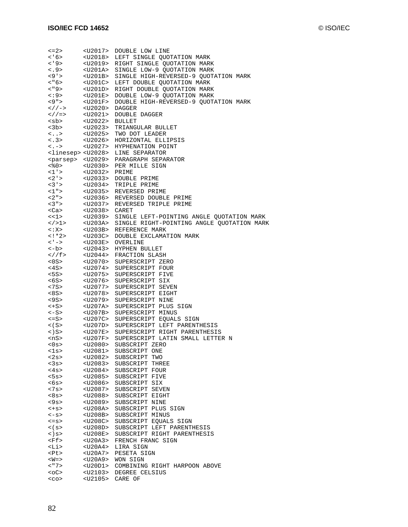|                                     | $U2017>$        |                                               |
|-------------------------------------|-----------------|-----------------------------------------------|
| $\leq$ = 2 >                        |                 | DOUBLE LOW LINE                               |
| < 6                                 | <u2018></u2018> | LEFT SINGLE QUOTATION MARK                    |
| < 9                                 | <u2019></u2019> | RIGHT SINGLE QUOTATION MARK                   |
| 3.9                                 | <u201a></u201a> | SINGLE LOW-9 QUOTATION MARK                   |
| <9'                                 | <u201b></u201b> | SINGLE HIGH-REVERSED-9 QUOTATION MARK         |
| $<$ "6>                             | $U201C>$        | LEFT DOUBLE QUOTATION MARK                    |
|                                     |                 |                                               |
| $<$ "9>                             | $U201D>$        | RIGHT DOUBLE OUOTATION MARK                   |
| $\lt$ :9>                           | $U201E>$        | DOUBLE LOW-9 QUOTATION MARK                   |
| <9">                                | $U201F>$        | DOUBLE HIGH-REVERSED-9 QUOTATION MARK         |
| $\lt$ / / ->                        | $U2020>$        | DAGGER                                        |
| $\lt$ / / = >                       | $U2021>$        | DOUBLE DAGGER                                 |
| <sb></sb>                           | $U2022>$        | <b>BULLET</b>                                 |
| <3b>                                |                 | TRIANGULAR BULLET                             |
|                                     | $<$ U2023>      |                                               |
| $\langle \ldots \rangle$            |                 | <u2025> TWO DOT LEADER</u2025>                |
| 3 >                                 | <u2026></u2026> | HORIZONTAL ELLIPSIS                           |
| $\langle . - \rangle$               | $U2027>$        | HYPHENATION POINT                             |
| <linesep> <u2028></u2028></linesep> |                 | LINE SEPARATOR                                |
| <parsep> <u2029></u2029></parsep>   |                 | PARAGRAPH SEPARATOR                           |
|                                     | <u2030></u2030> | PER MILLE SIGN                                |
| <%0><br><1'>                        |                 |                                               |
| $1$ '>                              | <u2032></u2032> | PRIME                                         |
| $<2$ ' $>$                          | <u2033></u2033> | DOUBLE PRIME                                  |
| 3'                                  |                 | <u2034> TRIPLE PRIME</u2034>                  |
| 1"                                  |                 | <u2035> REVERSED PRIME</u2035>                |
| 2"                                  |                 | <u2036> REVERSED DOUBLE PRIME</u2036>         |
| $<$ 3 " $>$                         |                 |                                               |
|                                     |                 | <u2037> REVERSED TRIPLE PRIME</u2037>         |
| $Ca$                                | $U2038$ CARET   |                                               |
| <<1>                                | <u2039></u2039> | SINGLE LEFT-POINTING ANGLE QUOTATION MARK     |
| $\langle$ >1>                       | $<$ U203A>      | SINGLE RIGHT-POINTING ANGLE QUOTATION MARK    |
| < : X >                             |                 | <u203b> REFERENCE MARK</u203b>                |
| $\lt$ ! * 2 >                       | $U203C>$        | DOUBLE EXCLAMATION MARK                       |
| < ' ->                              | $<$ U203E>      | OVERLINE                                      |
|                                     |                 |                                               |
| <-b>                                |                 | <u2043> HYPHEN BULLET</u2043>                 |
| /f                                  |                 | <u2044> FRACTION SLASH</u2044>                |
| $<$ 0 $\text{S}$ $>$                |                 | <u2070> SUPERSCRIPT ZERO</u2070>              |
| <4S>                                | <u2074></u2074> | SUPERSCRIPT FOUR                              |
| <5S>                                | <u2075></u2075> | SUPERSCRIPT FIVE                              |
| <6S>                                | <u2076></u2076> | SUPERSCRIPT SIX                               |
| <7S>                                | <u2077></u2077> | SUPERSCRIPT SEVEN                             |
| <8S>                                | <u2078></u2078> | SUPERSCRIPT EIGHT                             |
| <9S>                                | $U2079>$        | SUPERSCRIPT NINE                              |
|                                     |                 | SUPERSCRIPT PLUS SIGN                         |
| $\left\langle +S\right\rangle$      | <u207a></u207a> |                                               |
| <-S>                                | <u207b></u207b> | SUPERSCRIPT MINUS                             |
| $\leq$ = S >                        | $<$ U207C>      | SUPERSCRIPT EQUALS SIGN                       |
| $\lt$ ( S $>$                       |                 | <u207d> SUPERSCRIPT LEFT PARENTHESIS</u207d>  |
| $\langle$ ) S>                      |                 | <u207e> SUPERSCRIPT RIGHT PARENTHESIS</u207e> |
| <ns></ns>                           | $U207F>$        | SUPERSCRIPT LATIN SMALL LETTER N              |
| < 0s                                |                 | <u2080> SUBSCRIPT ZERO</u2080>                |
|                                     |                 |                                               |
| $<$ ls>                             | <u2081></u2081> | SUBSCRIPT ONE                                 |
| <2s>                                | $U2082>$        | SUBSCRIPT TWO                                 |
| <3s>                                | $U2083>$        | SUBSCRIPT THREE                               |
| <4s>                                | <u2084></u2084> | SUBSCRIPT FOUR                                |
| <5s>                                | $U2085>$        | SUBSCRIPT FIVE                                |
| <6s>                                | <u2086></u2086> | SUBSCRIPT SIX                                 |
| <7s>                                | <u2087></u2087> | SUBSCRIPT SEVEN                               |
|                                     |                 |                                               |
| <8s>                                | $U2088>$        | SUBSCRIPT EIGHT                               |
| <9s>                                | $U2089>$        | SUBSCRIPT NINE                                |
| $< +S$                              | $<$ U208A>      | SUBSCRIPT PLUS SIGN                           |
| $<-s>$                              | <u208b></u208b> | SUBSCRIPT MINUS                               |
| $\leq$ =S>                          | <u208c></u208c> | SUBSCRIPT EQUALS SIGN                         |
| $<$ (s>                             | $<$ U208D>      | SUBSCRIPT LEFT PARENTHESIS                    |
| $\langle$ ) s>                      | <u208e></u208e> | SUBSCRIPT RIGHT PARENTHESIS                   |
|                                     |                 |                                               |
| <ff></ff>                           | $U20A3>$        | FRENCH FRANC SIGN                             |
| <li></li>                           | <u20a4></u20a4> | LIRA SIGN                                     |
| <pt></pt>                           | <u20a7></u20a7> | PESETA SIGN                                   |
| $<\!\!\overline{W}$ =>              | $U20A9>$        | WON SIGN                                      |
| $<$ "7>                             | <u20d1></u20d1> | COMBINING RIGHT HARPOON ABOVE                 |
| $<$ 0C $>$                          | $U2103>$        | DEGREE CELSIUS                                |
| $<$ CO $>$                          | $U2105>$        | CARE OF                                       |
|                                     |                 |                                               |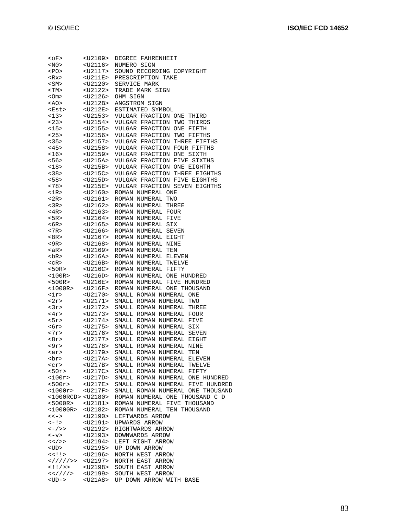| <of></of>                 | <u2109></u2109> | DEGREE FAHRENHEIT                |
|---------------------------|-----------------|----------------------------------|
| $<$ N $0$ >               | <u2116></u2116> | NUMERO SIGN                      |
| <po></po>                 | <u2117></u2117> | SOUND RECORDING COPYRIGHT        |
| <rx></rx>                 | <u211e></u211e> | PRESCRIPTION TAKE                |
| <sm></sm>                 | <u2120></u2120> | SERVICE MARK                     |
| <tm></tm>                 | <u2122></u2122> | TRADE MARK SIGN                  |
| <om></om>                 | <u2126></u2126> | OHM SIGN                         |
| <ao></ao>                 | $<$ U212B>      | ANGSTROM SIGN                    |
|                           | $<$ U212E>      | ESTIMATED SYMBOL                 |
| <est></est>               |                 |                                  |
| <13>                      | <u2153></u2153> | VULGAR FRACTION ONE THIRD        |
| <23>                      | <u2154></u2154> | VULGAR FRACTION TWO THIRDS       |
| <15>                      | $U2155>$        | VULGAR FRACTION ONE FIFTH        |
| <25>                      | $U2156>$        | VULGAR FRACTION TWO FIFTHS       |
| <35>                      | $U2157>$        | VULGAR FRACTION THREE FIFTHS     |
| <45>                      | $U2158>$        | VULGAR FRACTION FOUR FIFTHS      |
| <16>                      | <u2159></u2159> | VULGAR FRACTION ONE SIXTH        |
| <56>                      | $<$ U215A>      | VULGAR FRACTION FIVE SIXTHS      |
| <18>                      | $<$ U215B>      | VULGAR FRACTION ONE EIGHTH       |
| < 38                      | $U215C>$        | VULGAR FRACTION THREE EIGHTHS    |
| < 58                      | $<$ U215D>      | VULGAR FRACTION FIVE EIGHTHS     |
| <78>                      | <u215e></u215e> | VULGAR FRACTION SEVEN EIGHTHS    |
| $<$ 1 $R$ >               | <u2160></u2160> | ROMAN NUMERAL ONE                |
| <2R>                      | $U2161>$        | ROMAN NUMERAL TWO                |
| $3R$                      | $U2162>$        | ROMAN NUMERAL THREE              |
| $<$ 4R>                   | $U2163>$        | ROMAN NUMERAL FOUR               |
| <5R>                      | <u2164></u2164> | ROMAN NUMERAL FIVE               |
|                           |                 |                                  |
| $6R>$                     | <u2165></u2165> | ROMAN NUMERAL SIX                |
| <7R                       | $U2166>$        | ROMAN NUMERAL SEVEN              |
| <8R>                      | $U2167>$        | ROMAN NUMERAL EIGHT              |
| $9R$                      | $U2168>$        | ROMAN NUMERAL NINE               |
| <ar></ar>                 | <u2169></u2169> | ROMAN NUMERAL TEN                |
| $Br$                      | <u216a></u216a> | ROMAN NUMERAL ELEVEN             |
| $<$ $cR$ >                | $<$ U216B>      | ROMAN NUMERAL TWELVE             |
| $50R>$                    | $U216C>$        | ROMAN NUMERAL FIFTY              |
| <100R>                    | <u216d></u216d> | ROMAN NUMERAL ONE HUNDRED        |
| <500R>                    | <u216e></u216e> | ROMAN NUMERAL FIVE HUNDRED       |
| $<$ 1000R>                | $<$ U216F>      | ROMAN NUMERAL ONE THOUSAND       |
| $\texttt{1r}$             | $U2170>$        | SMALL ROMAN NUMERAL ONE          |
| <2r>                      | $U2171$         | SMALL ROMAN NUMERAL TWO          |
| 3r                        | $U2172>$        | SMALL ROMAN NUMERAL THREE        |
| <4r>                      | <u2173></u2173> | SMALL ROMAN NUMERAL FOUR         |
| <5r>                      | <u2174></u2174> | SMALL ROMAN NUMERAL FIVE         |
| <6r>                      | $U2175>$        | SMALL ROMAN NUMERAL SIX          |
| <7r>                      | $U2176>$        | SMALL ROMAN NUMERAL SEVEN        |
| $-8r$                     | <u2177></u2177> | SMALL ROMAN NUMERAL EIGHT        |
| <9r>                      | <u2178></u2178> | SMALL ROMAN NUMERAL NINE         |
| <ar></ar>                 | <u2179></u2179> | SMALL ROMAN NUMERAL TEN          |
|                           | $U217A>$        | SMALL ROMAN NUMERAL ELEVEN       |
| <br>                      |                 |                                  |
| $<$ $cr$ $>$              | $<$ U217B>      | SMALL ROMAN NUMERAL TWELVE       |
| <50r>                     | $<$ U217C>      | SMALL ROMAN NUMERAL FIFTY        |
| <100r                     | $<$ U217D>      | SMALL ROMAN NUMERAL ONE HUNDRED  |
| < 500r                    | $<$ U217E>      | SMALL ROMAN NUMERAL FIVE HUNDRED |
| $<$ 1000r>                | $<$ U217F>      | SMALL ROMAN NUMERAL ONE THOUSAND |
| <1000RCD> <u2180></u2180> |                 | ROMAN NUMERAL ONE THOUSAND C D   |
| < 5000R                   | $<$ U2181>      | ROMAN NUMERAL FIVE THOUSAND      |
| $<$ 10000R>               | $U2182>$        | ROMAN NUMERAL TEN THOUSAND       |
| $<<->$                    | $U2190>$        | LEFTWARDS ARROW                  |
| $\lt -$ ! >               | $U2191$         | UPWARDS ARROW                    |
| <-/>>                     | $U2192$         | RIGHTWARDS ARROW                 |
| $<$ v $>$                 | <u2193></u2193> | DOWNWARDS ARROW                  |
| $<<$ / >>                 | $U2194>$        | LEFT RIGHT ARROW                 |
| <ud></ud>                 | $U2195>$        | UP DOWN ARROW                    |
| $<<$ !!>                  | $U2196>$        | NORTH WEST ARROW                 |
| //// >                    | $U2197>$        | NORTH EAST ARROW                 |
| $<$ !!/>>                 | <u2198></u2198> | SOUTH EAST ARROW                 |
| $< < U2199>$              |                 | SOUTH WEST ARROW                 |
| $<$ UD $-$ >              | $<$ U $21A8>$   | UP DOWN ARROW WITH BASE          |
|                           |                 |                                  |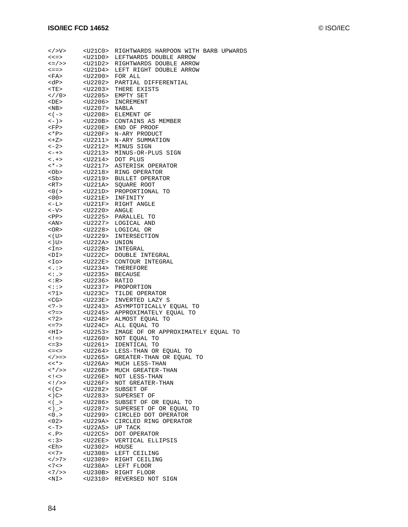| $\langle$ >V>                               | $U21CO>$                | RIGHTWARDS HARPOON WITH BARB UPWARDS                         |
|---------------------------------------------|-------------------------|--------------------------------------------------------------|
| $<<=>$                                      | <u21d0></u21d0>         | LEFTWARDS DOUBLE ARROW                                       |
| $\lt =$ / > >                               | <u21d2></u21d2>         | RIGHTWARDS DOUBLE ARROW                                      |
| $\leq$ = = >                                | <u21d4></u21d4>         | LEFT RIGHT DOUBLE ARROW                                      |
| $<$ FA>                                     | <u2200> FOR ALL</u2200> |                                                              |
| <dp></dp>                                   |                         | <u2202> PARTIAL DIFFERENTIAL</u2202>                         |
| $<$ TE>                                     |                         | <u2203> THERE EXISTS</u2203>                                 |
| 2/10>                                       |                         | <u2205> EMPTY SET</u2205>                                    |
| <br>DE>                                     |                         | <u2206> INCREMENT</u2206>                                    |
| $<$ NB $>$                                  | <u2207> NABLA</u2207>   |                                                              |
| $<$ ( $->$                                  |                         | <u2208> ELEMENT OF</u2208>                                   |
| $\left\langle -\right\rangle >$             |                         | <u220b> CONTAINS AS MEMBER</u220b>                           |
| $<$ FP>                                     |                         | <u220e> END OF PROOF</u220e>                                 |
| <*P>                                        |                         | <u220f> N-ARY PRODUCT</u220f>                                |
| $<+Z>$                                      |                         | <u2211> N-ARY SUMMATION</u2211>                              |
| $\left\langle -2 \right\rangle$             |                         | <u2212> MINUS SIGN</u2212>                                   |
| $\lt$ $\gt$ $\gt$                           |                         | <u2213> MINUS-OR-PLUS SIGN</u2213>                           |
| $\langle .+>$                               |                         | <u2214> DOT PLUS</u2214>                                     |
| $\lt$ * $\gt$                               |                         | <u2217> ASTERISK OPERATOR</u2217>                            |
| $<$ Ob>                                     |                         | <u2218> RING OPERATOR</u2218>                                |
| <sb><br/>&lt;פר</sb>                        |                         | <u2219> BULLET OPERATOR</u2219>                              |
| $<$ RT>                                     |                         | <u221a> SQUARE ROOT</u221a>                                  |
| $<$ 0 ( $>$                                 |                         | <u221d> PROPORTIONAL TO</u221d>                              |
| $<$ 00 $>$<br>$<-L$                         |                         | <u221e> INFINITY</u221e>                                     |
|                                             | $U2220>$ ANGLE          | <u221f> RIGHT ANGLE</u221f>                                  |
| $<$ V $-$<br><br>PP>                        |                         | <u2225> PARALLEL TO</u2225>                                  |
| <an></an>                                   |                         | <u2227> LOGICAL AND</u2227>                                  |
| <or></or>                                   |                         | <u2228> LOGICAL OR</u2228>                                   |
| $<$ (U $>$                                  |                         | <u2229> INTERSECTION</u2229>                                 |
|                                             | <u222a> UNION</u222a>   |                                                              |
| $<$ ) U $>$<br><in></in>                    |                         | <u222b> INTEGRAL</u222b>                                     |
| $\left\langle \text{D I} \right\rangle$     |                         | <u222c> DOUBLE INTEGRAL</u222c>                              |
| $<$ Io>                                     |                         | <u222e> CONTOUR INTEGRAL</u222e>                             |
| $\langle . \rangle$                         |                         | <u2234> THEREFORE</u2234>                                    |
| $\langle \cdot, \cdot \rangle$              | <u2235> BECAUSE</u2235> |                                                              |
| <:R>                                        | <u2236> RATIO</u2236>   |                                                              |
| $\langle \cdot : \cdot \rangle$             |                         | <u2237> PROPORTION</u2237>                                   |
| 1                                           |                         | <u223c> TILDE OPERATOR</u223c>                               |
| $<$ CG>                                     |                         | <u223e> INVERTED LAZY S</u223e>                              |
| $< ? ->$                                    |                         | <u2243> ASYMPTOTICALLY EQUAL TO</u2243>                      |
| $\langle ? \rangle$ = >                     |                         | <u2245> APPROXIMATELY EQUAL TO</u2245>                       |
| 2                                           |                         | <u2248> ALMOST EQUAL TO</u2248>                              |
| $\leq$ = ? >                                |                         | <u224c> ALL EQUAL TO</u224c>                                 |
|                                             |                         | <hi> <u2253> IMAGE OF OR APPROXIMATELY EQUAL TO</u2253></hi> |
| $\lt$ ! = >                                 | $U2260>$                | NOT EQUAL TO                                                 |
| $\leq$ = 3 >                                |                         | <u2261> IDENTICAL TO</u2261>                                 |
| $<<$ $>$                                    | <u2264></u2264>         | LESS-THAN OR EQUAL TO                                        |
| $\lt$ / > = >                               | <u2265></u2265>         | GREATER-THAN OR EQUAL TO                                     |
| $<<$ $\star$ $>$<br>$\langle * / > \rangle$ | <u226a></u226a>         | MUCH LESS-THAN<br><u226b> MUCH GREATER-THAN</u226b>          |
| $\lt$ ! $\lt$                               | <u226e></u226e>         | NOT LESS-THAN                                                |
| $<$ ! / >>                                  | <u226f></u226f>         | NOT GREATER-THAN                                             |
| $\lt$ ( C $>$                               | <u2282></u2282>         | SUBSET OF                                                    |
| $\lt$ ) C $>$                               | <u2283></u2283>         | SUPERSET OF                                                  |
| $\lt$ ( $\gt$                               | <u2286></u2286>         | SUBSET OF OR EQUAL TO                                        |
| $\langle \rangle$ >                         | <u2287></u2287>         | SUPERSET OF OR EQUAL TO                                      |
| < 0.5                                       |                         | <u2299> CIRCLED DOT OPERATOR</u2299>                         |
| 02 >                                        | <u229a></u229a>         | CIRCLED RING OPERATOR                                        |
| $<-T>$                                      | <u22a5></u22a5>         | UP TACK                                                      |
| $\langle . \rangle$                         |                         | <u22c5> DOT OPERATOR</u22c5>                                 |
| $\lt$ :3>                                   | <u22ee></u22ee>         | VERTICAL ELLIPSIS                                            |
| <eh></eh>                                   | <u2302> HOUSE</u2302>   |                                                              |
| << 7>                                       |                         | <u2308> LEFT CEILING</u2308>                                 |
| 7>                                          |                         | <u2309> RIGHT CEILING</u2309>                                |
| < 7 <                                       |                         | <u230a> LEFT FLOOR</u230a>                                   |
| <7/>>                                       |                         | <u230b> RIGHT FLOOR</u230b>                                  |
| <ni></ni>                                   |                         | <u2310> REVERSED NOT SIGN</u2310>                            |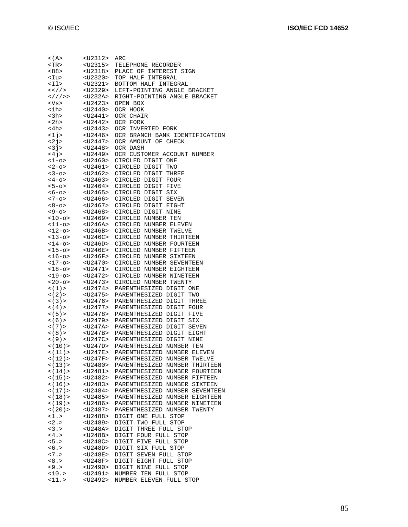| < ( A >                                                                        | <u2312></u2312>                                | ARC                                                                     |
|--------------------------------------------------------------------------------|------------------------------------------------|-------------------------------------------------------------------------|
| $<$ TR $>$                                                                     | $U2315>$                                       | TELEPHONE RECORDER                                                      |
| <88>                                                                           | <u2318></u2318>                                | PLACE OF INTEREST SIGN                                                  |
| <iu></iu>                                                                      | $<$ U2320>                                     | TOP HALF INTEGRAL                                                       |
| <il></il>                                                                      | $U2321>$                                       | BOTTOM HALF INTEGRAL                                                    |
| < / <</td <td><math>U2329&gt;</math></td> <td>LEFT-POINTING ANGLE BRACKET</td> | $U2329>$                                       | LEFT-POINTING ANGLE BRACKET                                             |
| // >                                                                           | $<$ U232A>                                     | RIGHT-POINTING ANGLE BRACKET                                            |
| <vs></vs>                                                                      | $U2423>$                                       | OPEN BOX                                                                |
| <1h>                                                                           | <u2440></u2440>                                | OCR HOOK                                                                |
| $<$ 3h>                                                                        | <u2441></u2441>                                | OCR CHAIR                                                               |
| <2h>                                                                           | <u2442></u2442>                                | OCR FORK                                                                |
| $<$ 4h>                                                                        | $<$ U2443>                                     | OCR INVERTED FORK                                                       |
| 1j                                                                             | <u2446></u2446>                                | OCR BRANCH BANK IDENTIFICATION                                          |
| <2j><br><3j>                                                                   | <u2447><br/><math>&lt;</math>U2448&gt;</u2447> | OCR AMOUNT OF CHECK<br>OCR DASH                                         |
| <4j>                                                                           | <u2449></u2449>                                |                                                                         |
| $1$ -o>                                                                        | $U2460>$                                       | OCR CUSTOMER ACCOUNT NUMBER<br>CIRCLED DIGIT ONE                        |
| $2 - 0>$                                                                       | <u2461></u2461>                                | CIRCLED DIGIT TWO                                                       |
| $3 - 0>$                                                                       | <u2462></u2462>                                | CIRCLED DIGIT THREE                                                     |
| <4-0>                                                                          | <u2463></u2463>                                | CIRCLED DIGIT FOUR                                                      |
| $5 - 0$                                                                        | <u2464></u2464>                                | CIRCLED DIGIT FIVE                                                      |
| $56 - 0 >$                                                                     | $<$ U2465>                                     | CIRCLED DIGIT SIX                                                       |
| $<7 - 0>$                                                                      | <u2466></u2466>                                | CIRCLED DIGIT SEVEN                                                     |
| $8 - 0$                                                                        | <u2467></u2467>                                | CIRCLED DIGIT EIGHT                                                     |
| <9-0>                                                                          | <u2468></u2468>                                | CIRCLED DIGIT NINE                                                      |
| <10-o>                                                                         | <u2469></u2469>                                | CIRCLED NUMBER TEN                                                      |
| <11-o>                                                                         | $<$ U246A>                                     | CIRCLED NUMBER ELEVEN                                                   |
| <12-o>                                                                         | $<$ U246B>                                     | CIRCLED NUMBER TWELVE                                                   |
| $13-0>$                                                                        | $U246C>$                                       | CIRCLED NUMBER THIRTEEN                                                 |
| <14-o>                                                                         | $<$ U246D>                                     | CIRCLED NUMBER FOURTEEN                                                 |
| $<$ 15-o>                                                                      | <u246e></u246e>                                | CIRCLED NUMBER FIFTEEN                                                  |
| $16 - 0$                                                                       | $<$ U246F>                                     | CIRCLED NUMBER SIXTEEN                                                  |
| <17-o><br>$18-0>$                                                              | <u2470><br/><math>U2471</math></u2470>         | CIRCLED NUMBER SEVENTEEN<br>CIRCLED NUMBER EIGHTEEN                     |
| <19-o>                                                                         | <u2472></u2472>                                | CIRCLED NUMBER NINETEEN                                                 |
| <20-o>                                                                         | <u2473></u2473>                                | CIRCLED NUMBER TWENTY                                                   |
| < (1)                                                                          | $<$ U2474>                                     | PARENTHESIZED DIGIT ONE                                                 |
| < (2)                                                                          | <u2475></u2475>                                | PARENTHESIZED DIGIT TWO                                                 |
| < (3)                                                                          | <u2476></u2476>                                | PARENTHESIZED DIGIT THREE                                               |
| $\lt$ (4) >                                                                    | <u2477></u2477>                                | PARENTHESIZED DIGIT FOUR                                                |
| $\lt$ (5) >                                                                    | $U2478>$                                       | PARENTHESIZED DIGIT FIVE                                                |
| < (6)                                                                          | $<$ U2479>                                     | PARENTHESIZED DIGIT SIX                                                 |
| (7)                                                                            | <u247a></u247a>                                | PARENTHESIZED DIGIT SEVEN                                               |
| (8)                                                                            | <u247b></u247b>                                | PARENTHESIZED DIGIT EIGHT                                               |
| < (9)                                                                          | $<$ U247C>                                     | PARENTHESIZED DIGIT NINE                                                |
| $\lt(10)$ ><br>(11)                                                            | <u247d></u247d>                                | PARENTHESIZED NUMBER TEN<br><u247e> PARENTHESIZED NUMBER ELEVEN</u247e> |
| < (12)                                                                         | $<$ U247F>                                     | PARENTHESIZED NUMBER TWELVE                                             |
| $<$ (13) >                                                                     | $U2480>$                                       | PARENTHESIZED NUMBER THIRTEEN                                           |
| < (14)                                                                         | $U2481>$                                       | PARENTHESIZED NUMBER FOURTEEN                                           |
| $<$ (15) >                                                                     | $U2482>$                                       | PARENTHESIZED NUMBER FIFTEEN                                            |
| < (16)                                                                         | $<$ U2483>                                     | PARENTHESIZED NUMBER SIXTEEN                                            |
| $<$ (17) >                                                                     | $<$ U2484>                                     | PARENTHESIZED NUMBER SEVENTEEN                                          |
| $<$ (18) >                                                                     | $U2485>$                                       | PARENTHESIZED NUMBER EIGHTEEN                                           |
| $<$ (19) >                                                                     | $U2486>$                                       | PARENTHESIZED NUMBER NINETEEN                                           |
| < (20)                                                                         | $U2487>$                                       | PARENTHESIZED NUMBER TWENTY                                             |
| <1.>                                                                           | $<$ U2488>                                     | DIGIT ONE FULL STOP                                                     |
| 2.5                                                                            | $U2489>$                                       | DIGIT TWO FULL STOP                                                     |
| 3.5                                                                            | $<$ U248A>                                     | DIGIT THREE FULL STOP                                                   |
| < 4.5<br>5.5                                                                   | <u248b><br/><math>&lt;</math>U248C&gt;</u248b> | DIGIT FOUR FULL STOP<br>DIGIT FIVE FULL STOP                            |
| < 6.5                                                                          | $<$ U248D>                                     | DIGIT SIX FULL STOP                                                     |
| $< 7.5$                                                                        | <u248e></u248e>                                | DIGIT SEVEN FULL STOP                                                   |
| < 8.                                                                           | <u248f></u248f>                                | DIGIT EIGHT FULL STOP                                                   |
| <9.5                                                                           | <u2490></u2490>                                | DIGIT NINE FULL STOP                                                    |
| 10.5                                                                           | <u2491></u2491>                                | NUMBER TEN FULL STOP                                                    |
| <11.>                                                                          | $U2492$                                        | NUMBER ELEVEN FULL STOP                                                 |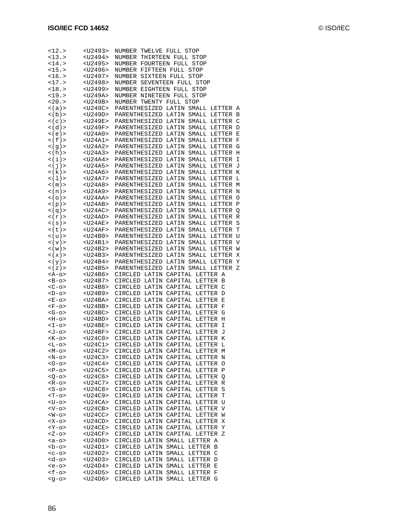| <12.>                        | <u2493></u2493>                                | NUMBER<br>TWELVE FULL STOP                                                          |
|------------------------------|------------------------------------------------|-------------------------------------------------------------------------------------|
| 13.5                         | <u2494></u2494>                                | THIRTEEN FULL<br>STOP<br>NUMBER                                                     |
| $14.>$                       | $U2495>$                                       | NUMBER FOURTEEN FULL<br>STOP                                                        |
| 15.5                         | <u2496></u2496>                                | NUMBER FIFTEEN FULL<br>STOP                                                         |
| 16.5                         | <u2497></u2497>                                | SIXTEEN FULL<br>NUMBER<br>STOP                                                      |
| 17.5                         | $U2498>$                                       | NUMBER SEVENTEEN FULL STOP                                                          |
| $18.>$                       | <u2499></u2499>                                | NUMBER EIGHTEEN FULL<br>STOP                                                        |
| 19.5                         | <u249a></u249a>                                | NUMBER NINETEEN FULL<br>STOP                                                        |
| 20.5                         | <u249b></u249b>                                | NUMBER TWENTY<br>FULL STOP                                                          |
| $<$ (a) >                    | <u249c></u249c>                                | PARENTHESIZED<br>LATIN<br>SMALL LETTER<br>A                                         |
| $\langle$ (b) >              | $<$ U249D>                                     | PARENTHESIZED<br>LATIN<br>SMALL LETTER<br>В                                         |
| $<$ ( $<$ ) $>$              |                                                | C                                                                                   |
| $\langle d \rangle$          | <u249e><br/><math>&lt;</math>U249F&gt;</u249e> | PARENTHESIZED<br>LATIN<br>SMALL<br>LETTER<br>PARENTHESIZED<br>LATIN<br>SMALL LETTER |
|                              |                                                | D                                                                                   |
| $\lt$ (e) >                  | <u24a0></u24a0>                                | PARENTHESIZED LATIN<br>SMALL LETTER<br>E                                            |
| $\lt$ ( f ) $>$              | $U24AI$                                        | PARENTHESIZED<br>LATIN<br>SMALL LETTER<br>F                                         |
| $\lt$ (g) >                  | <u24a2></u24a2>                                | PARENTHESIZED<br>SMALL LETTER<br>G<br>LATIN                                         |
| <(h)                         | <u24a3></u24a3>                                | PARENTHESIZED<br>LATIN<br>SMALL<br>LETTER<br>Η                                      |
| $\langle i \rangle$          | <u24a4></u24a4>                                | PARENTHESIZED<br>LATIN<br>SMALL LETTER<br>Ι                                         |
| $\lt$ ( $\dot{J}$ ) >        | <u24a5></u24a5>                                | PARENTHESIZED<br>LATIN<br>SMALL LETTER<br>J                                         |
| $\langle k \rangle$          | $<$ U24A6>                                     | PARENTHESIZED<br>LATIN<br>SMALL LETTER<br>K                                         |
| < (1)                        | <u24a7></u24a7>                                | PARENTHESIZED<br>SMALL LETTER<br>LATIN<br>L                                         |
| $<$ ( m ) $>$                | <u24a8></u24a8>                                | PARENTHESIZED<br>LATIN<br>SMALL<br>LETTER<br>M                                      |
| $\langle n \rangle$          | <u24a9></u24a9>                                | PARENTHESIZED<br>LATIN<br>SMALL LETTER<br>N                                         |
| $\lt$ ( $\circ$ ) $>$        | <u24aa></u24aa>                                | PARENTHESIZED<br>LATIN<br>SMALL LETTER<br>$\circ$                                   |
| $<$ (p) >                    | $<$ U24AB>                                     | PARENTHESIZED<br>LATIN<br>SMALL LETTER<br>P                                         |
| $<$ ( $q$ ) >                | $<$ U24AC>                                     | PARENTHESIZED<br>SMALL LETTER<br>LATIN<br>Q                                         |
| $\langle r \rangle$          | <u24ad></u24ad>                                | PARENTHESIZED<br>LATIN<br>SMALL<br>LETTER<br>R                                      |
| $\lt$ ( $\texttt{s}$ ) $\gt$ | $<$ U24AE>                                     | S<br>PARENTHESIZED<br>LATIN<br>SMALL LETTER                                         |
| <(t)>                        | <u24af></u24af>                                | PARENTHESIZED<br>LATIN<br>SMALL LETTER<br>Т                                         |
| $\langle u \rangle$          | $<$ U24B0>                                     | PARENTHESIZED<br>LATIN<br>SMALL LETTER<br>U                                         |
| $\langle v \rangle$          | <u24b1></u24b1>                                | PARENTHESIZED<br>SMALL LETTER<br>V<br>LATIN                                         |
| $\lt$ ( w ) $>$              | <u24b2></u24b2>                                | PARENTHESIZED<br>LATIN<br>SMALL<br>LETTER<br>W                                      |
| $\lt$ ( $\ge$ ) $>$          | <u24b3></u24b3>                                | PARENTHESIZED<br>LATIN<br>SMALL LETTER<br>X                                         |
| $\langle y \rangle$          | <u24b4></u24b4>                                | PARENTHESIZED<br>LATIN<br>SMALL LETTER<br>Y                                         |
| $\lt$ ( $\ge$ ) $>$          | $<$ U24B5>                                     | PARENTHESIZED<br>LATIN<br>SMALL LETTER<br>Ζ                                         |
| <a-o></a-o>                  | <u24b6></u24b6>                                | LATIN CAPITAL<br>LETTER A<br>CIRCLED                                                |
| $-B-0>$                      | <u24b7></u24b7>                                | LATIN CAPITAL<br>CIRCLED<br>LETTER<br>В                                             |
| $<$ C-o>                     | <u24b8></u24b8>                                | CIRCLED<br>LATIN<br>CAPITAL<br>LETTER<br>C                                          |
| $-D$ -0>                     | <u24b9></u24b9>                                | CIRCLED<br>LATIN CAPITAL<br>LETTER<br>D                                             |
| $E$ -0>                      | $<$ U24BA>                                     | CIRCLED<br>LATIN<br>CAPITAL<br>LETTER<br>Ε                                          |
| $-F$ -0>                     | <u24bb></u24bb>                                | LETTER<br>CIRCLED<br>LATIN CAPITAL<br>F                                             |
|                              | $<$ U24BC>                                     | LATIN CAPITAL<br>CIRCLED<br>G                                                       |
| <g-o></g-o>                  |                                                | LETTER<br>LATIN                                                                     |
| <h-0></h-0>                  | <u24bd></u24bd>                                | CIRCLED<br>CAPITAL<br>LETTER<br>Η<br>LATIN CAPITAL                                  |
| $<1-0>$                      | $<$ U24BE>                                     | LETTER<br>Ι<br>CIRCLED                                                              |
| $< J - O >$                  | $<$ U24BF>                                     | LATIN CAPITAL<br>LETTER<br>J<br>CIRCLED                                             |
| $K - O$                      | $<$ U24C0>                                     | LATIN CAPITAL LETTER<br>К<br>CIRCLED                                                |
| $<$ L-0>                     | <u24c1></u24c1>                                | CIRCLED<br>LATIN CAPITAL<br>LETTER<br>L                                             |
| <m-0></m-0>                  | <u24c2></u24c2>                                | CIRCLED LATIN CAPITAL LETTER M                                                      |
| <n-0></n-0>                  | <u24c3></u24c3>                                | CIRCLED LATIN CAPITAL LETTER N                                                      |
| $<0-0>$                      | <u24c4></u24c4>                                | CIRCLED LATIN CAPITAL LETTER<br>$\circ$                                             |
| $P$ -0>                      | <u24c5></u24c5>                                | CIRCLED LATIN CAPITAL LETTER<br>$\mathbf P$                                         |
| <q-o></q-o>                  | <u24c6></u24c6>                                | CIRCLED LATIN CAPITAL LETTER Q                                                      |
| <r-0></r-0>                  | $<$ U24C7>                                     | CIRCLED LATIN CAPITAL LETTER R                                                      |
| $S-0$                        | <u24c8></u24c8>                                | CIRCLED LATIN CAPITAL LETTER<br>S                                                   |
| <t-0></t-0>                  | <u24c9></u24c9>                                | CIRCLED LATIN CAPITAL LETTER<br>Т                                                   |
| $<$ U $-$ O $>$              | <u24ca></u24ca>                                | CIRCLED LATIN CAPITAL LETTER U                                                      |
| <v-0></v-0>                  | $<$ U24CB>                                     | CIRCLED LATIN CAPITAL LETTER V                                                      |
| <w-0></w-0>                  | $<$ U24CC>                                     | CIRCLED LATIN CAPITAL LETTER W                                                      |
| $<$ X-0>                     | $<$ U24CD>                                     | CIRCLED LATIN CAPITAL LETTER X                                                      |
| <y-0></y-0>                  | <u24ce></u24ce>                                | CIRCLED LATIN CAPITAL LETTER<br>Y                                                   |
| $<$ Z-o>                     | <u24cf></u24cf>                                | CIRCLED LATIN CAPITAL LETTER<br>- Z                                                 |
| $-o>$                        | <u24d0></u24d0>                                | CIRCLED LATIN SMALL LETTER A                                                        |
| <b-o></b-o>                  | <u24d1></u24d1>                                | CIRCLED LATIN SMALL LETTER<br>В                                                     |
| $c-o$                        | <u24d2></u24d2>                                | CIRCLED LATIN SMALL LETTER C                                                        |
| <d-o></d-o>                  | <u24d3></u24d3>                                | CIRCLED LATIN SMALL LETTER<br>D                                                     |
| $e$ -o>                      | <u24d4></u24d4>                                | CIRCLED LATIN<br>SMALL LETTER<br>Е                                                  |
| <f-o></f-o>                  | <u24d5></u24d5>                                | CIRCLED<br>LATIN<br>SMALL LETTER<br>F                                               |
| <g-o></g-o>                  | <u24d6></u24d6>                                | CIRCLED LATIN<br>SMALL LETTER G                                                     |
|                              |                                                |                                                                                     |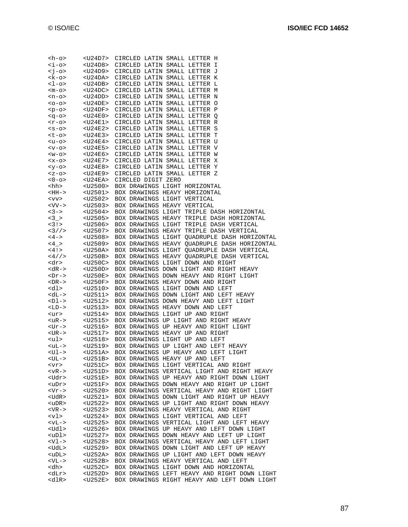| <h-o></h-o>               | $<$ U24D7>                          | CIRCLED LATIN SMALL LETTER H                 |
|---------------------------|-------------------------------------|----------------------------------------------|
| $\langle i-$              | $U24D8>$                            | CIRCLED LATIN SMALL LETTER I                 |
| <j-o></j-o>               | <u24d9></u24d9>                     | CIRCLED LATIN SMALL LETTER J                 |
| <k-o></k-o>               | <u24da></u24da>                     | CIRCLED LATIN SMALL LETTER K                 |
|                           |                                     |                                              |
| <1-0>                     | <u24db></u24db>                     | CIRCLED LATIN SMALL LETTER L                 |
| <m-o></m-o>               | <u24dc></u24dc>                     | CIRCLED LATIN SMALL LETTER M                 |
| <n-o></n-o>               | $<$ U24DD>                          | CIRCLED LATIN SMALL LETTER N                 |
| $0 - 0$                   | <u24de></u24de>                     | CIRCLED LATIN SMALL LETTER O                 |
| $-p-o$                    | <u24df></u24df>                     | CIRCLED LATIN SMALL LETTER P                 |
| <q-o></q-o>               | <u24e0></u24e0>                     | CIRCLED LATIN SMALL LETTER Q                 |
| <r-0></r-0>               | <u24e1></u24e1>                     | CIRCLED LATIN SMALL LETTER R                 |
| $<$ s-o>                  | $<$ U24E2>                          | CIRCLED LATIN SMALL LETTER S                 |
| <t-o></t-o>               | <u24e3></u24e3>                     | CIRCLED LATIN SMALL LETTER T                 |
|                           |                                     |                                              |
| <u-o></u-o>               | <u24e4></u24e4>                     | CIRCLED LATIN SMALL LETTER U                 |
| <v-o></v-o>               | <u24e5></u24e5>                     | CIRCLED LATIN SMALL LETTER V                 |
| $<$ w $-$ o $>$           | <u24e6></u24e6>                     | CIRCLED LATIN SMALL LETTER W                 |
| $-0>$                     |                                     | CIRCLED LATIN SMALL LETTER X                 |
| <y-o></y-o>               | <u24e7><br/><u24e8></u24e8></u24e7> | CIRCLED LATIN SMALL LETTER Y                 |
| $-0>$                     | <u24e9></u24e9>                     | CIRCLED LATIN SMALL LETTER Z                 |
| $0 - 0$                   | <u24ea></u24ea>                     | CIRCLED DIGIT ZERO                           |
| <hh></hh>                 | <u2500></u2500>                     | BOX DRAWINGS LIGHT HORIZONTAL                |
|                           |                                     |                                              |
| <hh-></hh->               | $U2501>$                            | BOX DRAWINGS HEAVY HORIZONTAL                |
| $<$ vv>                   | $<$ U2502>                          | BOX DRAWINGS LIGHT VERTICAL                  |
| $<$ VV- $>$               | <u2503></u2503>                     | BOX DRAWINGS HEAVY VERTICAL                  |
| $3 - 5$                   | $U2504>$                            | BOX DRAWINGS LIGHT TRIPLE DASH HORIZONTAL    |
| 3 >                       | <u2505></u2505>                     | BOX DRAWINGS HEAVY TRIPLE DASH HORIZONTAL    |
| 3!                        | $U2506>$                            | BOX DRAWINGS LIGHT TRIPLE DASH VERTICAL      |
| $<\frac{3}{1}$            | $U2507>$                            | BOX DRAWINGS HEAVY TRIPLE DASH VERTICAL      |
| $<4->$                    | <u2508></u2508>                     | BOX DRAWINGS LIGHT OUADRUPLE DASH HORIZONTAL |
| 4 >                       | $U2509>$                            | BOX DRAWINGS HEAVY QUADRUPLE DASH HORIZONTAL |
| < 4!                      |                                     |                                              |
|                           | <u250a></u250a>                     | BOX DRAWINGS LIGHT QUADRUPLE DASH VERTICAL   |
| $<\frac{4}{1}$            | $U250B>$                            | BOX DRAWINGS HEAVY QUADRUPLE DASH VERTICAL   |
| <dr></dr>                 | $U250C>$                            | BOX DRAWINGS LIGHT DOWN AND RIGHT            |
| $<\text{dR}-\text{d}$     | $U250D>$                            | BOX DRAWINGS DOWN LIGHT AND RIGHT HEAVY      |
|                           |                                     |                                              |
| <dr-></dr->               | $<$ U250E>                          | BOX DRAWINGS DOWN HEAVY AND RIGHT LIGHT      |
| $DR->$                    | <u250f></u250f>                     | BOX DRAWINGS HEAVY DOWN AND RIGHT            |
|                           |                                     |                                              |
| <dl></dl>                 | $U2510>$                            | BOX DRAWINGS LIGHT DOWN AND LEFT             |
| <dl−></dl−>               | $U2511>$                            | BOX DRAWINGS DOWN LIGHT AND LEFT HEAVY       |
| $-Dl$ ->                  | $U2512>$                            | BOX DRAWINGS DOWN HEAVY AND LEFT LIGHT       |
| <ld-></ld->               | <u2513></u2513>                     | BOX DRAWINGS HEAVY DOWN AND LEFT             |
| <ur></ur>                 | <u2514></u2514>                     | BOX DRAWINGS LIGHT UP AND RIGHT              |
| <ur-></ur->               | <u2515></u2515>                     | BOX DRAWINGS UP LIGHT AND RIGHT HEAVY        |
| <ur-></ur->               | $U2516>$                            | BOX DRAWINGS UP HEAVY AND RIGHT LIGHT        |
|                           | <u2517></u2517>                     | BOX DRAWINGS HEAVY UP AND RIGHT              |
| $<$ UR $-$ ><br><ul></ul> | <u2518></u2518>                     | BOX DRAWINGS LIGHT UP AND LEFT               |
| $uL->$                    | <u2519></u2519>                     | BOX DRAWINGS UP LIGHT AND LEFT HEAVY         |
| <ul-></ul->               | $U251A>$                            | BOX DRAWINGS UP HEAVY AND LEFT LIGHT         |
| <ul−></ul−>               | $U251B>$                            | BOX DRAWINGS HEAVY UP AND LEFT               |
|                           |                                     |                                              |
| <vr></vr>                 | $U251C>$                            | BOX DRAWINGS LIGHT VERTICAL AND RIGHT        |
| $<$ v $R$ ->              | <u251d></u251d>                     | BOX DRAWINGS VERTICAL LIGHT AND RIGHT HEAVY  |
| <udr></udr>               | $U251E>$                            | BOX DRAWINGS UP HEAVY AND RIGHT DOWN LIGHT   |
| $upr$                     | $<$ U251F>                          | BOX DRAWINGS DOWN HEAVY AND RIGHT UP LIGHT   |
| <vr-></vr->               | $U2520>$                            | BOX DRAWINGS VERTICAL HEAVY AND RIGHT LIGHT  |
| <udr></udr>               | $U2521>$                            | BOX DRAWINGS DOWN LIGHT AND RIGHT UP HEAVY   |
| <udr></udr>               | $U2522>$                            | BOX DRAWINGS UP LIGHT AND RIGHT DOWN HEAVY   |
| $<$ VR->                  | $U2523>$                            | BOX DRAWINGS HEAVY VERTICAL AND RIGHT        |
| <vl></vl>                 | $<$ U2524>                          | BOX DRAWINGS LIGHT VERTICAL AND LEFT         |
| $<$ vL->                  | $<$ U2525>                          | BOX DRAWINGS VERTICAL LIGHT AND LEFT HEAVY   |
|                           |                                     |                                              |
| <udl></udl>               | $<$ U2526>                          | BOX DRAWINGS UP HEAVY AND LEFT DOWN LIGHT    |
| <udl></udl>               | $U2527>$                            | BOX DRAWINGS DOWN HEAVY AND LEFT UP LIGHT    |
| <vl-></vl->               | $U2528>$                            | BOX DRAWINGS VERTICAL HEAVY AND LEFT LIGHT   |
| <udl></udl>               | $U2529>$                            | BOX DRAWINGS DOWN LIGHT AND LEFT UP HEAVY    |
| <udl></udl>               | $<$ U252A>                          | BOX DRAWINGS UP LIGHT AND LEFT DOWN HEAVY    |
| $<$ VL $-$ >              | $<$ U252B>                          | BOX DRAWINGS HEAVY VERTICAL AND LEFT         |
| <dh></dh>                 | $<$ U252C>                          | BOX DRAWINGS LIGHT DOWN AND HORIZONTAL       |
| <dlr></dlr>               | $<$ U252D>                          | BOX DRAWINGS LEFT HEAVY AND RIGHT DOWN LIGHT |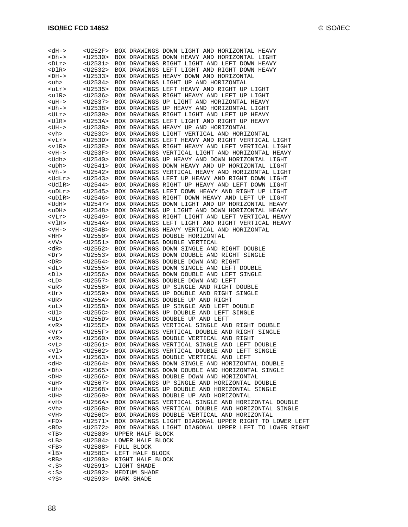| <dh-></dh->              | $<$ U252F>           | BOX DRAWINGS DOWN LIGHT AND HORIZONTAL HEAVY                                                         |
|--------------------------|----------------------|------------------------------------------------------------------------------------------------------|
| $2Dh->$                  | $U2530>$             | BOX DRAWINGS DOWN HEAVY AND HORIZONTAL LIGHT                                                         |
| <dlr></dlr>              | $U2531>$             | BOX DRAWINGS RIGHT LIGHT AND LEFT DOWN HEAVY                                                         |
| <dlr></dlr>              | $U2532>$             | BOX DRAWINGS LEFT LIGHT AND RIGHT DOWN HEAVY                                                         |
| $-DH->$                  | $U2533>$             | BOX DRAWINGS HEAVY DOWN AND HORIZONTAL                                                               |
| <uh></uh>                | $U2534>$             | BOX DRAWINGS LIGHT UP AND HORIZONTAL                                                                 |
| <ulr></ulr>              | $U2535>$             | BOX DRAWINGS LEFT HEAVY AND RIGHT UP LIGHT                                                           |
| <ulr></ulr>              | <u2536></u2536>      | BOX DRAWINGS RIGHT HEAVY AND LEFT UP LIGHT                                                           |
| $<$ uH $-$ >             | $U2537>$             | BOX DRAWINGS UP LIGHT AND HORIZONTAL HEAVY                                                           |
| <uh-></uh->              | $U2538>$             | BOX DRAWINGS UP HEAVY AND HORIZONTAL LIGHT                                                           |
| <ulr></ulr>              | $U2539>$             | BOX DRAWINGS RIGHT LIGHT AND LEFT UP HEAVY                                                           |
| <ulr></ulr>              | $<$ U253A>           | BOX DRAWINGS LEFT LIGHT AND RIGHT UP HEAVY                                                           |
| $<$ UH $-$ >             | $<$ U253B>           | BOX DRAWINGS HEAVY UP AND HORIZONTAL                                                                 |
| <vh></vh>                | $U253C>$             | BOX DRAWINGS LIGHT VERTICAL AND HORIZONTAL                                                           |
| <vlr></vlr>              | $U253D>$             | BOX DRAWINGS LEFT HEAVY AND RIGHT VERTICAL LIGHT                                                     |
| <vlr></vlr>              | $<$ U253E>           | BOX DRAWINGS RIGHT HEAVY AND LEFT VERTICAL LIGHT                                                     |
| $<$ vH $-$ >             | $<$ U253F>           | BOX DRAWINGS VERTICAL LIGHT AND HORIZONTAL HEAVY                                                     |
| <udh></udh>              | $U2540>$             | BOX DRAWINGS UP HEAVY AND DOWN HORIZONTAL LIGHT                                                      |
| <udh></udh>              | $U2541>$             | BOX DRAWINGS DOWN HEAVY AND UP HORIZONTAL LIGHT                                                      |
| <vh−></vh−>              | $U2542>$             | BOX DRAWINGS VERTICAL HEAVY AND HORIZONTAL LIGHT                                                     |
| <udlr></udlr>            | $<$ U2543>           | BOX DRAWINGS LEFT UP HEAVY AND RIGHT DOWN LIGHT                                                      |
| <udlr></udlr>            | $U2544>$             | BOX DRAWINGS RIGHT UP HEAVY AND LEFT DOWN LIGHT                                                      |
| $\langle$ uDLr $\rangle$ | $<$ U2545>           | BOX DRAWINGS LEFT DOWN HEAVY AND RIGHT UP LIGHT                                                      |
| <udlr></udlr>            | $<$ U2546>           | BOX DRAWINGS RIGHT DOWN HEAVY AND LEFT UP LIGHT                                                      |
| <udh></udh>              | $U2547>$             | BOX DRAWINGS DOWN LIGHT AND UP HORIZONTAL HEAVY                                                      |
| <udh></udh>              | $<$ U2548>           | BOX DRAWINGS UP LIGHT AND DOWN HORIZONTAL HEAVY                                                      |
| $<$ V $Lr$ >             | $U2549>$             | BOX DRAWINGS RIGHT LIGHT AND LEFT VERTICAL HEAVY<br>BOX DRAWINGS LEFT LIGHT AND RIGHT VERTICAL HEAVY |
| <vlr></vlr>              | $<$ U254A>           |                                                                                                      |
| $<$ VH $-$ >             | $<$ U254B>           | BOX DRAWINGS HEAVY VERTICAL AND HORIZONTAL                                                           |
| <hh></hh>                | $U2550>$             | BOX DRAWINGS DOUBLE HORIZONTAL                                                                       |
| <vv><br/><dr></dr></vv>  | $U2551>$             | BOX DRAWINGS DOUBLE VERTICAL                                                                         |
| <dr></dr>                | $U2552>$<br>$U2553>$ | BOX DRAWINGS DOWN SINGLE AND RIGHT DOUBLE<br>BOX DRAWINGS DOWN DOUBLE AND RIGHT SINGLE               |
| $<$ DR $>$               | $U2554>$             | BOX DRAWINGS DOUBLE DOWN AND RIGHT                                                                   |
| <dl></dl>                | $U2555>$             | BOX DRAWINGS DOWN SINGLE AND LEFT DOUBLE                                                             |
| <dl></dl>                | $U2556>$             | BOX DRAWINGS DOWN DOUBLE AND LEFT SINGLE                                                             |
| <ld></ld>                | $U2557>$             | BOX DRAWINGS DOUBLE DOWN AND LEFT                                                                    |
| <ur></ur>                | $U2558>$             | BOX DRAWINGS UP SINGLE AND RIGHT DOUBLE                                                              |
| <ur></ur>                | $U2559>$             | BOX DRAWINGS UP DOUBLE AND RIGHT SINGLE                                                              |
| $<$ UR $>$               | $U255A>$             | BOX DRAWINGS DOUBLE UP AND RIGHT                                                                     |
| <ul></ul>                | $U255B>$             | BOX DRAWINGS UP SINGLE AND LEFT DOUBLE                                                               |
| <ul></ul>                | $U255C>$             | BOX DRAWINGS UP DOUBLE AND LEFT SINGLE                                                               |
| <ul></ul>                | $U255D>$             | BOX DRAWINGS DOUBLE UP AND LEFT                                                                      |
| $<$ v $R$ >              | $U255E>$             | BOX DRAWINGS VERTICAL SINGLE AND RIGHT DOUBLE                                                        |
| <vr></vr>                | $U255F>$             | BOX DRAWINGS VERTICAL DOUBLE AND RIGHT SINGLE                                                        |
| $<$ VR $>$               | $U2560>$             | BOX DRAWINGS DOUBLE VERTICAL AND RIGHT                                                               |
| <vl></vl>                | <u2561></u2561>      | BOX DRAWINGS VERTICAL SINGLE AND LEFT DOUBLE                                                         |
| <vl></vl>                | $<$ U2562>           | BOX DRAWINGS VERTICAL DOUBLE AND LEFT SINGLE                                                         |
| <vl></vl>                | <u2563></u2563>      | BOX DRAWINGS DOUBLE VERTICAL AND LEFT                                                                |
| <dh></dh>                | $U2564>$             | BOX DRAWINGS DOWN SINGLE AND HORIZONTAL DOUBLE                                                       |
| <dh></dh>                | $U2565>$             | BOX DRAWINGS DOWN DOUBLE AND HORIZONTAL SINGLE                                                       |
| $ _{\rm DH}$             | $U2566>$             | BOX DRAWINGS DOUBLE DOWN AND HORIZONTAL                                                              |
| <uh></uh>                | $U2567>$             | BOX DRAWINGS UP SINGLE AND HORIZONTAL DOUBLE                                                         |
| <uh></uh>                | $U2568>$             | BOX DRAWINGS UP DOUBLE AND HORIZONTAL SINGLE                                                         |
| $<$ UH $>$               | $U2569>$             | BOX DRAWINGS DOUBLE UP AND HORIZONTAL                                                                |
| $<$ Hv $>$               | <u256a></u256a>      | BOX DRAWINGS VERTICAL SINGLE AND HORIZONTAL DOUBLE                                                   |
| <vh></vh>                | $U256B>$             | BOX DRAWINGS VERTICAL DOUBLE AND HORIZONTAL SINGLE                                                   |
| <vh></vh>                | $U256C>$             | BOX DRAWINGS DOUBLE VERTICAL AND HORIZONTAL                                                          |
| <fd></fd>                | <u2571></u2571>      | BOX DRAWINGS LIGHT DIAGONAL UPPER RIGHT TO LOWER LEFT                                                |
| $<$ BD $>$               | $U2572>$             | BOX DRAWINGS LIGHT DIAGONAL UPPER LEFT TO LOWER RIGHT                                                |
| $<$ TB>                  | $U2580>$             | UPPER HALF BLOCK                                                                                     |
| <lb></lb>                | <u2584></u2584>      | LOWER HALF BLOCK                                                                                     |
| <fb></fb>                | $U2588>$             | FULL BLOCK                                                                                           |
| $1B>$                    | $<$ U258C>           | LEFT HALF BLOCK                                                                                      |
| $<$ RB $>$               | $U2590>$             | RIGHT HALF BLOCK                                                                                     |
| $\langle$ . S>           | <u2591></u2591>      | LIGHT SHADE                                                                                          |
| $\lt$ : S>               | $U2592>$             | MEDIUM SHADE                                                                                         |
| S                        | <u2593></u2593>      | DARK SHADE                                                                                           |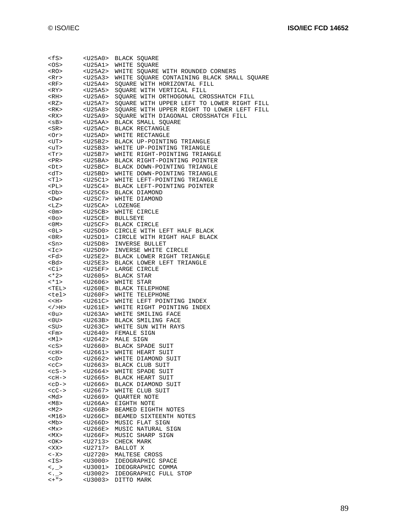| <fs></fs>               | $U25A0>$        | <b>BLACK SQUARE</b>                        |
|-------------------------|-----------------|--------------------------------------------|
| <os></os>               | $U25A1>$        | WHITE SQUARE                               |
| <ro></ro>               | <u25a2></u25a2> | WHITE SQUARE WITH ROUNDED CORNERS          |
| <rr></rr>               | <u25a3></u25a3> | WHITE SQUARE CONTAINING BLACK SMALL SQUARE |
| <rf></rf>               | <u25a4></u25a4> | SQUARE WITH HORIZONTAL FILL                |
|                         |                 |                                            |
| <ry></ry>               | <u25a5></u25a5> | SQUARE WITH VERTICAL FILL                  |
| <rh></rh>               | $U25A6>$        | SQUARE WITH ORTHOGONAL CROSSHATCH FILL     |
| <rz></rz>               | <u25a7></u25a7> | SQUARE WITH UPPER LEFT TO LOWER RIGHT FILL |
| <rk></rk>               | $U25A8>$        | SQUARE WITH UPPER RIGHT TO LOWER LEFT FILL |
| <rx></rx>               | <u25a9></u25a9> | SQUARE WITH DIAGONAL CROSSHATCH FILL       |
| $<$ s $B$ >             | <u25aa></u25aa> | BLACK SMALL SQUARE                         |
| <sr></sr>               | $<$ U25AC>      | BLACK RECTANGLE                            |
| <or></or>               | <u25ad></u25ad> | WHITE RECTANGLE                            |
| <ut></ut>               | $U25B2>$        | BLACK UP-POINTING TRIANGLE                 |
| <ut></ut>               | <u25b3></u25b3> | WHITE UP-POINTING TRIANGLE                 |
|                         |                 |                                            |
| <tr></tr>               | <u25b7></u25b7> | WHITE RIGHT-POINTING TRIANGLE              |
|                         |                 |                                            |
| $<$ PR>                 | <u25ba></u25ba> | BLACK RIGHT-POINTING POINTER               |
| <dt></dt>               | <u25bc></u25bc> | BLACK DOWN-POINTING TRIANGLE               |
| <dt></dt>               | $<$ U25BD>      | WHITE DOWN-POINTING TRIANGLE               |
| <tl></tl>               | <u25c1></u25c1> | WHITE LEFT-POINTING TRIANGLE               |
| <pl></pl>               | $U25C4>$        | BLACK LEFT-POINTING POINTER                |
| <db></db>               |                 | <u25c6> BLACK DIAMOND</u25c6>              |
| <dw></dw>               | <u25c7></u25c7> | WHITE DIAMOND                              |
| $<$ LZ>                 | $<$ U25CA>      | LOZENGE                                    |
| $<$ 0 m $>$             | <u25cb></u25cb> | WHITE CIRCLE                               |
|                         |                 |                                            |
| $<$ 0 $\circ$           |                 | <u25ce> BULLSEYE</u25ce>                   |
| $<$ 0M $>$              |                 | <u25cf> BLACK CIRCLE</u25cf>               |
| $0L>$                   | <u25d0></u25d0> | CIRCLE WITH LEFT HALF BLACK                |
| $<$ OR $>$              | $U25D1>$        | CIRCLE WITH RIGHT HALF BLACK               |
| <sn></sn>               | <u25d8></u25d8> | INVERSE BULLET                             |
| $<$ I $<$ $>$           | <u25d9></u25d9> | INVERSE WHITE CIRCLE                       |
| <fd></fd>               | <u25e2></u25e2> | BLACK LOWER RIGHT TRIANGLE                 |
| <bd></bd>               | <u25e3></u25e3> | BLACK LOWER LEFT TRIANGLE                  |
| <ci></ci>               | $<$ U $25$ EF>  | LARGE CIRCLE                               |
| $~<$ *2>                | <u2605></u2605> | BLACK STAR                                 |
| <*1>                    | $U2606>$        | WHITE STAR                                 |
|                         |                 |                                            |
| <tel></tel>             | $U260E>$        | <b>BLACK TELEPHONE</b>                     |
| <tel></tel>             | <u260f></u260f> | WHITE TELEPHONE                            |
| < <h></h>               | $U261C>$        | WHITE LEFT POINTING INDEX                  |
| >H>                     | <u261e></u261e> | WHITE RIGHT POINTING INDEX                 |
| <0u>                    | $<$ U263A>      | WHITE SMILING FACE                         |
| $<$ OU $>$              | <u263b></u263b> | BLACK SMILING FACE                         |
| $<$ SU $>$              | $<$ U263C>      | WHITE SUN WITH RAYS                        |
| <fm></fm>               |                 | <u2640> FEMALE SIGN</u2640>                |
| <ml></ml>               |                 | <u2642> MALE SIGN</u2642>                  |
| $<$ c $S$ >             | $U2660>$        | BLACK SPADE SUIT                           |
|                         |                 | <u2661> WHITE HEART SUIT</u2661>           |
| $<$ c $_{\rm H}>$       |                 |                                            |
| <cd></cd>               | $U2662>$        | WHITE DIAMOND SUIT                         |
| $<$ $<$ $<$ $<$ $>$     | <u2663></u2663> | <b>BLACK CLUB SUIT</b>                     |
| $<$ c $S-$ >            | <u2664></u2664> | WHITE SPADE SUIT                           |
| $<$ c $H$ - $>$         | <u2665></u2665> | BLACK HEART SUIT                           |
| $$                      | <u2666></u2666> | BLACK DIAMOND SUIT                         |
| $<$ $<$ $<$ $<$ $>$     | <u2667></u2667> | WHITE CLUB SUIT                            |
| <md></md>               | <u2669></u2669> | <b>QUARTER NOTE</b>                        |
| <m8></m8>               | <u266a></u266a> | EIGHTH NOTE                                |
| $<$ M2>                 | <u266b></u266b> | BEAMED EIGHTH NOTES                        |
| <m16></m16>             | $<$ U266C>      | BEAMED SIXTEENTH NOTES                     |
| <mb></mb>               | $U266D>$        | MUSIC FLAT SIGN                            |
| $<$ M $\times$          | $<$ U266E>      | MUSIC NATURAL SIGN                         |
|                         |                 |                                            |
| <mx></mx>               | <u266f></u266f> | MUSIC SHARP SIGN                           |
| $<$ OK $>$              | <u2713></u2713> | CHECK MARK                                 |
| <xx></xx>               | $U2717>$        | BALLOT X                                   |
| <-X>                    | <u2720></u2720> | MALTESE CROSS                              |
| <is></is>               | $U3000$         | IDEOGRAPHIC SPACE                          |
| $<$ $\sim$ $\sim$       |                 | <u3001> IDEOGRAPHIC COMMA</u3001>          |
| $\langle \cdot \rangle$ |                 | <u3002> IDEOGRAPHIC FULL STOP</u3002>      |
| $< +$ " >               |                 | <u3003> DITTO MARK</u3003>                 |
|                         |                 |                                            |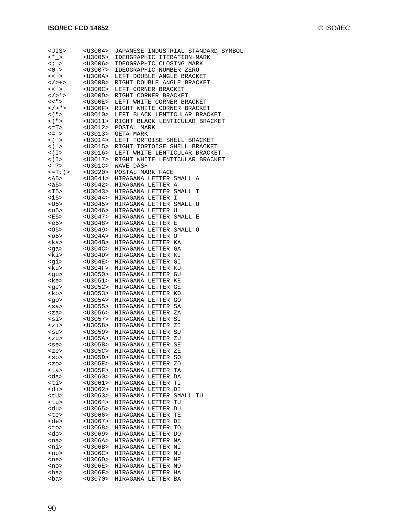| <jis></jis>                                                                                                                                                                                                                                                                                                                                                                                                                                               | $U3004>$        | JAPANESE INDUSTRIAL STANDARD SYMBOL |  |  |  |  |
|-----------------------------------------------------------------------------------------------------------------------------------------------------------------------------------------------------------------------------------------------------------------------------------------------------------------------------------------------------------------------------------------------------------------------------------------------------------|-----------------|-------------------------------------|--|--|--|--|
| $~<$ *_>                                                                                                                                                                                                                                                                                                                                                                                                                                                  | <u3005></u3005> | IDEOGRAPHIC ITERATION MARK          |  |  |  |  |
|                                                                                                                                                                                                                                                                                                                                                                                                                                                           | <u3006></u3006> | IDEOGRAPHIC CLOSING MARK            |  |  |  |  |
| $\langle i \rangle >$<br>$\langle 0 \rangle >$                                                                                                                                                                                                                                                                                                                                                                                                            |                 |                                     |  |  |  |  |
|                                                                                                                                                                                                                                                                                                                                                                                                                                                           | $U3007>$        | IDEOGRAPHIC NUMBER ZERO             |  |  |  |  |
| $<< +>$                                                                                                                                                                                                                                                                                                                                                                                                                                                   | <u300a></u300a> | LEFT DOUBLE ANGLE BRACKET           |  |  |  |  |
| >                                                                                                                                                                                                                                                                                                                                                                                                                                                         | $<$ U300B>      | RIGHT DOUBLE ANGLE BRACKET          |  |  |  |  |
| $<<$ ' $>$                                                                                                                                                                                                                                                                                                                                                                                                                                                | $U300C>$        | LEFT CORNER BRACKET                 |  |  |  |  |
| $\langle$ / > $\rangle$ >                                                                                                                                                                                                                                                                                                                                                                                                                                 | $<$ U300D>      | RIGHT CORNER BRACKET                |  |  |  |  |
|                                                                                                                                                                                                                                                                                                                                                                                                                                                           |                 |                                     |  |  |  |  |
| << " >                                                                                                                                                                                                                                                                                                                                                                                                                                                    | $<$ U300E>      | LEFT WHITE CORNER BRACKET           |  |  |  |  |
| < / > " ><br>< ( " >                                                                                                                                                                                                                                                                                                                                                                                                                                      | $<$ U300F>      | RIGHT WHITE CORNER BRACKET          |  |  |  |  |
| $<$ ( " $>$                                                                                                                                                                                                                                                                                                                                                                                                                                               | <u3010></u3010> | LEFT BLACK LENTICULAR BRACKET       |  |  |  |  |
| $($ $)$ " $>$                                                                                                                                                                                                                                                                                                                                                                                                                                             | $U3011>$        | RIGHT BLACK LENTICULAR BRACKET      |  |  |  |  |
|                                                                                                                                                                                                                                                                                                                                                                                                                                                           |                 | POSTAL MARK                         |  |  |  |  |
| $\langle 2T \rangle$ $\langle 03012 \rangle$<br>$\langle 0401 \rangle$ $\langle 03013 \rangle$                                                                                                                                                                                                                                                                                                                                                            |                 |                                     |  |  |  |  |
|                                                                                                                                                                                                                                                                                                                                                                                                                                                           |                 | GETA MARK                           |  |  |  |  |
| $<$ ( $\frac{1}{2}$ >                                                                                                                                                                                                                                                                                                                                                                                                                                     | $U3014>$        | LEFT TORTOISE SHELL BRACKET         |  |  |  |  |
| $\langle \ \rangle$ ' >                                                                                                                                                                                                                                                                                                                                                                                                                                   | <u3015></u3015> | RIGHT TORTOISE SHELL BRACKET        |  |  |  |  |
| $<$ ( I $>$                                                                                                                                                                                                                                                                                                                                                                                                                                               | $U3016>$        | LEFT WHITE LENTICULAR BRACKET       |  |  |  |  |
| $\lt$ ) I $>$                                                                                                                                                                                                                                                                                                                                                                                                                                             | <u3017></u3017> | RIGHT WHITE LENTICULAR BRACKET      |  |  |  |  |
| $\langle -? \rangle$ $\langle 0.301 \rangle$                                                                                                                                                                                                                                                                                                                                                                                                              |                 | WAVE DASH                           |  |  |  |  |
|                                                                                                                                                                                                                                                                                                                                                                                                                                                           |                 |                                     |  |  |  |  |
| $\langle =T: \rangle$ $\langle$ $\langle$ $\langle$ $\rangle$ $\langle$ $\langle$ $\langle$ $\rangle$ $\langle$ $\langle$ $\langle$ $\rangle$ $\langle$ $\langle$ $\rangle$ $\langle$ $\langle$ $\rangle$ $\langle$ $\rangle$ $\langle$ $\rangle$ $\langle$ $\rangle$ $\langle$ $\rangle$ $\langle$ $\rangle$ $\langle$ $\rangle$ $\langle$ $\rangle$ $\langle$ $\rangle$ $\langle$ $\rangle$ $\langle$ $\rangle$ $\langle$ $\rangle$ $\langle$ $\rangle$ |                 | POSTAL MARK FACE                    |  |  |  |  |
| $<$ A5>                                                                                                                                                                                                                                                                                                                                                                                                                                                   | <u3041></u3041> | HIRAGANA LETTER SMALL A             |  |  |  |  |
| <a5></a5>                                                                                                                                                                                                                                                                                                                                                                                                                                                 | <u3042></u3042> | HIRAGANA LETTER A                   |  |  |  |  |
|                                                                                                                                                                                                                                                                                                                                                                                                                                                           |                 | HIRAGANA LETTER SMALL I             |  |  |  |  |
| $\langle$ I5> $\langle$ U3043><br>$\langle$ i5> $\langle$ U3044>                                                                                                                                                                                                                                                                                                                                                                                          |                 | HIRAGANA LETTER I                   |  |  |  |  |
|                                                                                                                                                                                                                                                                                                                                                                                                                                                           |                 |                                     |  |  |  |  |
| <u5><br/>&lt;115&gt;</u5>                                                                                                                                                                                                                                                                                                                                                                                                                                 | $U3045>$        | HIRAGANA LETTER SMALL U             |  |  |  |  |
| <u5></u5>                                                                                                                                                                                                                                                                                                                                                                                                                                                 | <u3046></u3046> | HIRAGANA LETTER U                   |  |  |  |  |
| E5                                                                                                                                                                                                                                                                                                                                                                                                                                                        | <u3047></u3047> | HIRAGANA LETTER SMALL E             |  |  |  |  |
|                                                                                                                                                                                                                                                                                                                                                                                                                                                           |                 | HIRAGANA LETTER E                   |  |  |  |  |
| <e5> <u3048><br/><o5> <u3049></u3049></o5></u3048></e5>                                                                                                                                                                                                                                                                                                                                                                                                   |                 | HIRAGANA LETTER SMALL O             |  |  |  |  |
|                                                                                                                                                                                                                                                                                                                                                                                                                                                           |                 |                                     |  |  |  |  |
| <05><br><ka></ka>                                                                                                                                                                                                                                                                                                                                                                                                                                         | $<$ U304A>      | HIRAGANA LETTER O                   |  |  |  |  |
| <ka></ka>                                                                                                                                                                                                                                                                                                                                                                                                                                                 | $<$ U304B>      | HIRAGANA LETTER KA                  |  |  |  |  |
| $<$ ga>                                                                                                                                                                                                                                                                                                                                                                                                                                                   | $<$ U304C>      | HIRAGANA LETTER GA                  |  |  |  |  |
| <ki> <u304d><br/><gi> <u304e></u304e></gi></u304d></ki>                                                                                                                                                                                                                                                                                                                                                                                                   |                 | HIRAGANA LETTER KI                  |  |  |  |  |
|                                                                                                                                                                                                                                                                                                                                                                                                                                                           |                 | HIRAGANA LETTER GI                  |  |  |  |  |
|                                                                                                                                                                                                                                                                                                                                                                                                                                                           | $<$ U304F>      |                                     |  |  |  |  |
| <ku></ku>                                                                                                                                                                                                                                                                                                                                                                                                                                                 |                 | HIRAGANA LETTER KU                  |  |  |  |  |
| <qu></qu>                                                                                                                                                                                                                                                                                                                                                                                                                                                 | $U3050>$        | HIRAGANA LETTER GU                  |  |  |  |  |
| <ke></ke>                                                                                                                                                                                                                                                                                                                                                                                                                                                 | <u3051></u3051> | HIRAGANA LETTER KE                  |  |  |  |  |
| <ge> <u3052><br/><ko> <u3053></u3053></ko></u3052></ge>                                                                                                                                                                                                                                                                                                                                                                                                   |                 | HIRAGANA LETTER GE                  |  |  |  |  |
|                                                                                                                                                                                                                                                                                                                                                                                                                                                           |                 | HIRAGANA LETTER KO                  |  |  |  |  |
| $<$ go>                                                                                                                                                                                                                                                                                                                                                                                                                                                   | $U3054>$        | HIRAGANA LETTER GO                  |  |  |  |  |
| <sa></sa>                                                                                                                                                                                                                                                                                                                                                                                                                                                 |                 | HIRAGANA LETTER SA                  |  |  |  |  |
|                                                                                                                                                                                                                                                                                                                                                                                                                                                           | $U3055>$        |                                     |  |  |  |  |
| $<$ za>                                                                                                                                                                                                                                                                                                                                                                                                                                                   | $U3056>$        | HIRAGANA LETTER ZA                  |  |  |  |  |
| <si></si>                                                                                                                                                                                                                                                                                                                                                                                                                                                 | $<$ U3057>      | HIRAGANA LETTER SI                  |  |  |  |  |
| <zi></zi>                                                                                                                                                                                                                                                                                                                                                                                                                                                 | $<$ U3058>      | HIRAGANA LETTER ZI                  |  |  |  |  |
| $sys 80$                                                                                                                                                                                                                                                                                                                                                                                                                                                  |                 | HIRAGANA LETTER SU                  |  |  |  |  |
| $<$ zu>                                                                                                                                                                                                                                                                                                                                                                                                                                                   | <u305a></u305a> | HIRAGANA LETTER ZU                  |  |  |  |  |
|                                                                                                                                                                                                                                                                                                                                                                                                                                                           |                 |                                     |  |  |  |  |
| <se></se>                                                                                                                                                                                                                                                                                                                                                                                                                                                 | $<$ U305B>      | HIRAGANA LETTER<br>SЕ               |  |  |  |  |
| $<$ ze>                                                                                                                                                                                                                                                                                                                                                                                                                                                   | <u305c></u305c> | HIRAGANA LETTER<br>ZΕ               |  |  |  |  |
| $<$ so $>$                                                                                                                                                                                                                                                                                                                                                                                                                                                | $<$ U305D>      | HIRAGANA LETTER<br>SO               |  |  |  |  |
| <z0< td=""><td><u305e></u305e></td><td>HIRAGANA LETTER<br/>ZΟ</td></z0<>                                                                                                                                                                                                                                                                                                                                                                                  | <u305e></u305e> | HIRAGANA LETTER<br>ZΟ               |  |  |  |  |
| <ta></ta>                                                                                                                                                                                                                                                                                                                                                                                                                                                 | <u305f></u305f> | HIRAGANA LETTER<br>ТA               |  |  |  |  |
|                                                                                                                                                                                                                                                                                                                                                                                                                                                           |                 |                                     |  |  |  |  |
| <da></da>                                                                                                                                                                                                                                                                                                                                                                                                                                                 | <u3060></u3060> | HIRAGANA LETTER DA                  |  |  |  |  |
| <ti></ti>                                                                                                                                                                                                                                                                                                                                                                                                                                                 | <u3061></u3061> | HIRAGANA LETTER<br>TΙ               |  |  |  |  |
| <di></di>                                                                                                                                                                                                                                                                                                                                                                                                                                                 | <u3062></u3062> | HIRAGANA LETTER DI                  |  |  |  |  |
| <tu></tu>                                                                                                                                                                                                                                                                                                                                                                                                                                                 | $<$ U3063>      | HIRAGANA LETTER<br>SMALL TU         |  |  |  |  |
| <tu></tu>                                                                                                                                                                                                                                                                                                                                                                                                                                                 | $<$ U3064>      | HIRAGANA LETTER<br>TU               |  |  |  |  |
| <du></du>                                                                                                                                                                                                                                                                                                                                                                                                                                                 | <u3065></u3065> | HIRAGANA LETTER DU                  |  |  |  |  |
|                                                                                                                                                                                                                                                                                                                                                                                                                                                           |                 |                                     |  |  |  |  |
| <te></te>                                                                                                                                                                                                                                                                                                                                                                                                                                                 | <u3066></u3066> | HIRAGANA LETTER<br>TЕ               |  |  |  |  |
| <de></de>                                                                                                                                                                                                                                                                                                                                                                                                                                                 | $U3067>$        | HIRAGANA LETTER DE                  |  |  |  |  |
| $<$ to>                                                                                                                                                                                                                                                                                                                                                                                                                                                   | $<$ U3068>      | HIRAGANA LETTER<br>TO               |  |  |  |  |
| <do></do>                                                                                                                                                                                                                                                                                                                                                                                                                                                 | <u3069></u3069> | HIRAGANA LETTER DO                  |  |  |  |  |
| $na$                                                                                                                                                                                                                                                                                                                                                                                                                                                      | <u306a></u306a> | HIRAGANA LETTER NA                  |  |  |  |  |
|                                                                                                                                                                                                                                                                                                                                                                                                                                                           |                 |                                     |  |  |  |  |
| <ni></ni>                                                                                                                                                                                                                                                                                                                                                                                                                                                 | <u306b></u306b> | HIRAGANA LETTER NI                  |  |  |  |  |
| <nu></nu>                                                                                                                                                                                                                                                                                                                                                                                                                                                 | <u306c></u306c> | HIRAGANA LETTER NU                  |  |  |  |  |
| <ne></ne>                                                                                                                                                                                                                                                                                                                                                                                                                                                 | <u306d></u306d> | HIRAGANA LETTER NE                  |  |  |  |  |
| <no></no>                                                                                                                                                                                                                                                                                                                                                                                                                                                 | <u306e></u306e> | HIRAGANA LETTER NO                  |  |  |  |  |
| <ha></ha>                                                                                                                                                                                                                                                                                                                                                                                                                                                 | <u306f></u306f> | HIRAGANA LETTER HA                  |  |  |  |  |
| <ba></ba>                                                                                                                                                                                                                                                                                                                                                                                                                                                 | <u3070></u3070> | HIRAGANA LETTER BA                  |  |  |  |  |
|                                                                                                                                                                                                                                                                                                                                                                                                                                                           |                 |                                     |  |  |  |  |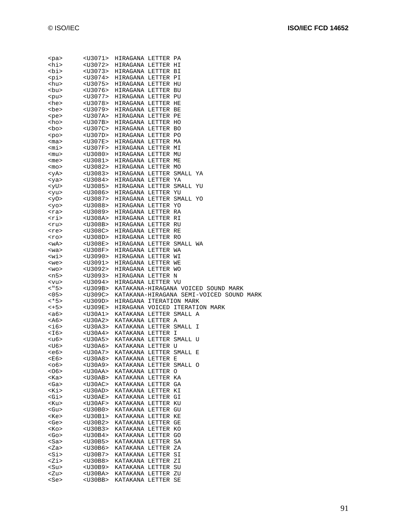| <pa></pa>                                           | <u3071></u3071>                                | HIRAGANA LETTER PA                       |  |                                          |  |
|-----------------------------------------------------|------------------------------------------------|------------------------------------------|--|------------------------------------------|--|
| <hi></hi>                                           | <u3072></u3072>                                | HIRAGANA LETTER HI                       |  |                                          |  |
| <bi></bi>                                           | $U3073>$                                       | HIRAGANA LETTER BI                       |  |                                          |  |
| <pi></pi>                                           | $<$ U3074>                                     | HIRAGANA LETTER PI                       |  |                                          |  |
| <hu></hu>                                           | <u3075></u3075>                                | HIRAGANA LETTER HU                       |  |                                          |  |
| <bu></bu>                                           | <u3076></u3076>                                | HIRAGANA LETTER BU                       |  |                                          |  |
|                                                     | $U3077>$                                       |                                          |  |                                          |  |
| <pu></pu>                                           |                                                | HIRAGANA LETTER PU                       |  |                                          |  |
| <he></he>                                           | $U3078>$                                       | HIRAGANA LETTER HE                       |  |                                          |  |
| <be></be>                                           | <u3079></u3079>                                | HIRAGANA LETTER BE                       |  |                                          |  |
| <pe></pe>                                           | <u307a></u307a>                                | HIRAGANA LETTER PE                       |  |                                          |  |
| <ho></ho>                                           | $<$ U307B>                                     | HIRAGANA LETTER HO                       |  |                                          |  |
| <bo></bo>                                           | $U307C>$                                       | HIRAGANA LETTER BO                       |  |                                          |  |
| $po$                                                | $<$ U307D>                                     | HIRAGANA LETTER PO                       |  |                                          |  |
| $<$ ma $>$                                          | $<$ U307E>                                     | HIRAGANA LETTER MA                       |  |                                          |  |
| <mi></mi>                                           | $<$ U307F>                                     | HIRAGANA LETTER MI                       |  |                                          |  |
| <mu></mu>                                           | $U3080>$                                       | HIRAGANA LETTER MU                       |  |                                          |  |
|                                                     | <u3081></u3081>                                | HIRAGANA LETTER ME                       |  |                                          |  |
| <me></me>                                           |                                                |                                          |  |                                          |  |
| <mo></mo>                                           | $<$ U3082>                                     | HIRAGANA LETTER MO                       |  |                                          |  |
| <ya></ya>                                           | $U3083>$                                       | HIRAGANA LETTER SMALL YA                 |  |                                          |  |
| <ya></ya>                                           | $<$ U3084>                                     | HIRAGANA LETTER YA                       |  |                                          |  |
| <yu></yu>                                           | $<$ U3085>                                     | HIRAGANA LETTER SMALL YU                 |  |                                          |  |
| <yu></yu>                                           | <u3086></u3086>                                | HIRAGANA LETTER YU                       |  |                                          |  |
| <y0></y0>                                           | $U3087>$                                       | HIRAGANA LETTER SMALL YO                 |  |                                          |  |
| <yo></yo>                                           | $U3088>$                                       | HIRAGANA LETTER YO                       |  |                                          |  |
| <ra></ra>                                           | $U3089>$                                       | HIRAGANA LETTER RA                       |  |                                          |  |
| <ri></ri>                                           | $<$ U308A>                                     | HIRAGANA LETTER RI                       |  |                                          |  |
| <ru></ru>                                           | $<$ U308B>                                     | HIRAGANA LETTER RU                       |  |                                          |  |
|                                                     | $<$ U308C>                                     | HIRAGANA LETTER RE                       |  |                                          |  |
| <re></re>                                           |                                                |                                          |  |                                          |  |
| <ro></ro>                                           | $<$ U308D>                                     | HIRAGANA LETTER RO                       |  |                                          |  |
| <wa></wa>                                           | $<$ U308E>                                     | HIRAGANA LETTER SMALL WA                 |  |                                          |  |
| $wa$                                                | $<$ U308F>                                     | HIRAGANA LETTER WA                       |  |                                          |  |
| <wi></wi>                                           | $U3090>$                                       | HIRAGANA LETTER WI                       |  |                                          |  |
| <we></we>                                           | <u3091></u3091>                                | HIRAGANA LETTER WE                       |  |                                          |  |
|                                                     |                                                |                                          |  |                                          |  |
| $<$ wo>                                             | $U3092>$                                       | HIRAGANA LETTER WO                       |  |                                          |  |
| <n5></n5>                                           | <u3093></u3093>                                | HIRAGANA LETTER N                        |  |                                          |  |
|                                                     | <u3094></u3094>                                | HIRAGANA LETTER VU                       |  |                                          |  |
| $<$ vu><br><"5>                                     | $<$ U309B>                                     |                                          |  | KATAKANA-HIRAGANA VOICED SOUND MARK      |  |
|                                                     | $U309C>$                                       |                                          |  | KATAKANA-HIRAGANA SEMI-VOICED SOUND MARK |  |
|                                                     |                                                |                                          |  |                                          |  |
|                                                     | <u309d></u309d>                                | HIRAGANA ITERATION MARK                  |  |                                          |  |
|                                                     | <u309e></u309e>                                | HIRAGANA VOICED ITERATION MARK           |  |                                          |  |
|                                                     | <u30a1></u30a1>                                | KATAKANA LETTER SMALL A                  |  |                                          |  |
| < 05<br><*5><br><+5><br><a6><br/><a6></a6></a6>     | $<$ U30A2>                                     | KATAKANA LETTER A                        |  |                                          |  |
|                                                     | $<$ U30A3>                                     | KATAKANA LETTER SMALL I                  |  |                                          |  |
|                                                     | <u30a4></u30a4>                                | KATAKANA LETTER I                        |  |                                          |  |
|                                                     |                                                | <u30a5> KATAKANA LETTER SMALL U</u30a5>  |  |                                          |  |
| <i6><br/><i6><br/><u6><br/><u6></u6></u6></i6></i6> | <u30a6></u30a6>                                | KATAKANA LETTER U                        |  |                                          |  |
| <e6></e6>                                           | <u30a7></u30a7>                                | KATAKANA LETTER SMALL E                  |  |                                          |  |
| <e6></e6>                                           | <u30a8></u30a8>                                | KATAKANA LETTER E                        |  |                                          |  |
|                                                     | <u30a9></u30a9>                                | KATAKANA LETTER SMALL O                  |  |                                          |  |
|                                                     | <u30aa></u30aa>                                |                                          |  |                                          |  |
| $06>$<br><06>                                       |                                                | KATAKANA LETTER O                        |  |                                          |  |
| <ka></ka>                                           | $<$ U30AB>                                     | KATAKANA LETTER KA                       |  |                                          |  |
|                                                     | $<$ U30AC>                                     | KATAKANA LETTER GA                       |  |                                          |  |
| <ga><br/><ki></ki></ga>                             | $<$ U30AD>                                     | KATAKANA LETTER KI                       |  |                                          |  |
| <gi></gi>                                           | $<$ U30AE>                                     | KATAKANA LETTER GI                       |  |                                          |  |
| <ku></ku>                                           | $<$ U30AF>                                     | KATAKANA LETTER KU                       |  |                                          |  |
| <gu></gu>                                           | $U30B0>$                                       | KATAKANA LETTER GU                       |  |                                          |  |
| <ke></ke>                                           | <u30b1></u30b1>                                | KATAKANA LETTER KE                       |  |                                          |  |
| <ge></ge>                                           | $U30B2>$                                       | KATAKANA LETTER GE                       |  |                                          |  |
|                                                     | $U30B3>$                                       | KATAKANA LETTER KO                       |  |                                          |  |
|                                                     | <u30b4></u30b4>                                | KATAKANA LETTER GO                       |  |                                          |  |
|                                                     | $<$ U30B5>                                     | KATAKANA LETTER SA                       |  |                                          |  |
| <ko><br/><go><br/><sa><br/><za></za></sa></go></ko> | $U30B6>$                                       | KATAKANA LETTER ZA                       |  |                                          |  |
| <si></si>                                           | $<$ U30B7>                                     | KATAKANA LETTER SI                       |  |                                          |  |
|                                                     | $U30B8>$                                       | KATAKANA LETTER ZI                       |  |                                          |  |
| <zi></zi>                                           |                                                |                                          |  |                                          |  |
| <su></su>                                           | <u30b9></u30b9>                                | KATAKANA LETTER SU                       |  |                                          |  |
| <zu><br/><se></se></zu>                             | <u30ba><br/><math>&lt;</math>U30BB&gt;</u30ba> | KATAKANA LETTER ZU<br>KATAKANA LETTER SE |  |                                          |  |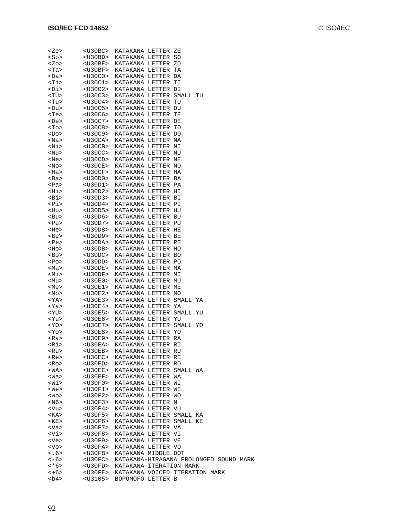| <ze></ze> | $<$ U30BC>      | KATAKANA LETTER ZE                     |  |  |  |
|-----------|-----------------|----------------------------------------|--|--|--|
| $<$ So>   | $<$ U30BD>      | KATAKANA LETTER SO                     |  |  |  |
| <zo></zo> | $<$ U30BE>      | KATAKANA LETTER ZO                     |  |  |  |
| <ta></ta> | $<$ U30BF>      | KATAKANA LETTER TA                     |  |  |  |
| <da></da> | $U30CO$         | KATAKANA LETTER DA                     |  |  |  |
| <ti></ti> | $U30C1>$        | KATAKANA LETTER TI                     |  |  |  |
|           |                 |                                        |  |  |  |
| <di></di> | $<$ U30C2>      | KATAKANA LETTER DI                     |  |  |  |
| <tu></tu> | $U30C3>$        | KATAKANA LETTER SMALL TU               |  |  |  |
| <tu></tu> | $U30C4>$        | KATAKANA LETTER TU                     |  |  |  |
| <du></du> | $U30C5>$        | KATAKANA LETTER DU                     |  |  |  |
| <te></te> | $<$ U30C6>      | KATAKANA LETTER TE                     |  |  |  |
| <de></de> | $U30C7>$        | KATAKANA LETTER DE                     |  |  |  |
| <to></to> | $U30C8>$        | KATAKANA LETTER TO                     |  |  |  |
| <do></do> | $U30C9>$        | KATAKANA LETTER DO                     |  |  |  |
| <na></na> | $<$ U30CA>      | KATAKANA LETTER NA                     |  |  |  |
| <ni></ni> | $<$ U30CB>      | KATAKANA LETTER NI                     |  |  |  |
| <nu></nu> | $U30CC>$        | KATAKANA LETTER NU                     |  |  |  |
| <ne></ne> | $<$ U30CD>      | KATAKANA LETTER NE                     |  |  |  |
| <no></no> | $<$ U30CE>      | KATAKANA LETTER NO                     |  |  |  |
| <ha></ha> | $US0CF$         | KATAKANA LETTER HA                     |  |  |  |
| <ba></ba> | $U30D0>$        | KATAKANA LETTER BA                     |  |  |  |
| <pa></pa> | $U30D1>$        | KATAKANA LETTER PA                     |  |  |  |
| <hi></hi> | $U30D2>$        | KATAKANA LETTER HI                     |  |  |  |
| <bi></bi> | $U30D3>$        | KATAKANA LETTER BI                     |  |  |  |
| <pi></pi> | $U30D4>$        | KATAKANA LETTER PI                     |  |  |  |
| <hu></hu> | $<$ U30D5>      | KATAKANA LETTER HU                     |  |  |  |
| <bu></bu> | $U30D6>$        | KATAKANA LETTER BU                     |  |  |  |
| <pu></pu> | $<$ U30D7>      | KATAKANA LETTER PU                     |  |  |  |
| <he></he> | $U30D8>$        | KATAKANA LETTER HE                     |  |  |  |
|           | $<$ U30D9>      |                                        |  |  |  |
| <be></be> |                 | KATAKANA LETTER BE                     |  |  |  |
| <pe></pe> | $<$ U30DA>      | KATAKANA LETTER PE                     |  |  |  |
| <ho></ho> | $<$ U30DB $>$   | KATAKANA LETTER HO                     |  |  |  |
| <bo></bo> | $<$ U30DC>      | KATAKANA LETTER BO                     |  |  |  |
| <po></po> | $<$ U30DD>      | KATAKANA LETTER PO                     |  |  |  |
| <ma></ma> | $<$ U30DE>      | KATAKANA LETTER MA                     |  |  |  |
| <mi></mi> | $<$ U30DF>      | KATAKANA LETTER MI                     |  |  |  |
| <mu></mu> | $<$ U30E0>      | KATAKANA LETTER MU                     |  |  |  |
| <me></me> | $US0E1>$        | KATAKANA LETTER ME                     |  |  |  |
| <mo></mo> | $U30E2>$        | KATAKANA LETTER MO                     |  |  |  |
| <ya></ya> | $US0E3>$        | KATAKANA LETTER SMALL YA               |  |  |  |
| <ya></ya> | <u30e4></u30e4> | KATAKANA LETTER YA                     |  |  |  |
| <yu></yu> | $<$ U30E5>      | KATAKANA LETTER SMALL YU               |  |  |  |
| <yu></yu> | $U30E6>$        | KATAKANA LETTER YU                     |  |  |  |
| $<$ YO>   | $<$ U30E7>      | KATAKANA LETTER SMALL YO               |  |  |  |
| $<$ Yo>   | $U30E8>$        | KATAKANA LETTER YO                     |  |  |  |
| <ra></ra> | <u30e9></u30e9> | KATAKANA LETTER RA                     |  |  |  |
| <ri></ri> |                 | <u30ea> KATAKANA LETTER RI</u30ea>     |  |  |  |
| <ru></ru> | <u30eb></u30eb> | KATAKANA LETTER RU                     |  |  |  |
| <re></re> |                 | <u30ec> KATAKANA LETTER RE</u30ec>     |  |  |  |
| <ro></ro> | $<$ U30ED>      | KATAKANA LETTER RO                     |  |  |  |
| <wa></wa> | $<$ U30EE>      | KATAKANA LETTER SMALL WA               |  |  |  |
| <wa></wa> | $<$ U30EF>      | KATAKANA LETTER WA                     |  |  |  |
| <wi></wi> | <u30f0></u30f0> | KATAKANA LETTER WI                     |  |  |  |
| <we></we> | $<$ U30F1>      | KATAKANA LETTER WE                     |  |  |  |
| <wo></wo> | <u30f2></u30f2> | KATAKANA LETTER WO                     |  |  |  |
| <n6></n6> | <u30f3></u30f3> | KATAKANA LETTER N                      |  |  |  |
| <vu></vu> | <u30f4></u30f4> | KATAKANA LETTER VU                     |  |  |  |
| <ka></ka> | <u30f5></u30f5> | KATAKANA LETTER SMALL KA               |  |  |  |
| <ke></ke> | <u30f6></u30f6> | KATAKANA LETTER SMALL KE               |  |  |  |
|           |                 |                                        |  |  |  |
| <va></va> | <u30f7></u30f7> | KATAKANA LETTER VA                     |  |  |  |
| <vi></vi> | <u30f8></u30f8> | KATAKANA LETTER VI                     |  |  |  |
| <ve></ve> | <u30f9></u30f9> | KATAKANA LETTER VE                     |  |  |  |
| <vo></vo> | <u30fa></u30fa> | KATAKANA LETTER VO                     |  |  |  |
| < .6 >    | $<$ U30FB>      | KATAKANA MIDDLE DOT                    |  |  |  |
| $<-6>$    | $<$ U30FC>      | KATAKANA-HIRAGANA PROLONGED SOUND MARK |  |  |  |
| <*6>      | <u30fd></u30fd> | KATAKANA ITERATION MARK                |  |  |  |
| $<+6>$    | $<$ U30FE>      | KATAKANA VOICED ITERATION MARK         |  |  |  |
| <b4></b4> | <u3105></u3105> | BOPOMOFO LETTER B                      |  |  |  |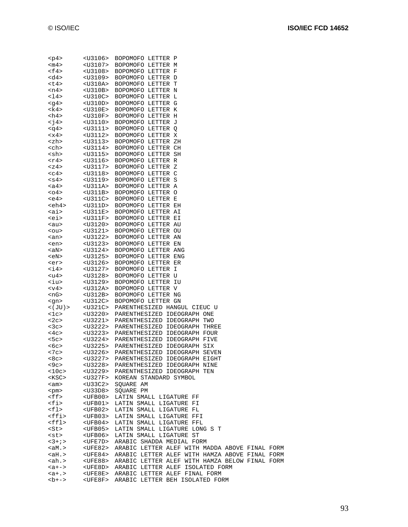| <p4></p4>     | $U3106>$        | BOPOMOFO LETTER P                                              |
|---------------|-----------------|----------------------------------------------------------------|
| $<$ m $4>$    |                 | <u3107> BOPOMOFO LETTER M</u3107>                              |
| <f4></f4>     |                 | <u3108> BOPOMOFO LETTER F</u3108>                              |
| <d4></d4>     |                 | <u3109> BOPOMOFO LETTER D</u3109>                              |
| <t4></t4>     |                 | <u310a> BOPOMOFO LETTER T</u310a>                              |
| <n4></n4>     | <u310b></u310b> | BOPOMOFO LETTER N                                              |
| <14>          | <u310c></u310c> | BOPOMOFO LETTER L                                              |
| <g4></g4>     |                 | <u310d> BOPOMOFO LETTER G</u310d>                              |
| <k4></k4>     |                 | <u310e> BOPOMOFO LETTER K</u310e>                              |
| <h4></h4>     |                 | <u310f> BOPOMOFO LETTER H</u310f>                              |
| $\leq$ 74 $>$ |                 | <u3110> BOPOMOFO LETTER J</u3110>                              |
| <q4></q4>     |                 | <u3111> BOPOMOFO LETTER O</u3111>                              |
| < x4          |                 | <u3112> BOPOMOFO LETTER X</u3112>                              |
| <zh></zh>     |                 | <u3113> BOPOMOFO LETTER ZH</u3113>                             |
|               |                 |                                                                |
| <ch></ch>     |                 | <u3114> BOPOMOFO LETTER CH</u3114>                             |
| <sh></sh>     |                 | <u3115> BOPOMOFO LETTER SH</u3115>                             |
| $<$ r4>       |                 | <u3116> BOPOMOFO LETTER R</u3116>                              |
| $<$ z4>       |                 | <u3117> BOPOMOFO LETTER Z</u3117>                              |
| $c4>$         |                 | <u3118> BOPOMOFO LETTER C</u3118>                              |
| $<$ s4>       |                 | <u3119> BOPOMOFO LETTER S</u3119>                              |
| <a4></a4>     |                 | <u311a> BOPOMOFO LETTER A</u311a>                              |
| $04>$         |                 | <u311b> BOPOMOFO LETTER O</u311b>                              |
| ke4>          |                 | <u311c> BOPOMOFO LETTER E</u311c>                              |
| <eh4></eh4>   |                 | <u311d> BOPOMOFO LETTER EH</u311d>                             |
| <ai></ai>     |                 | <u311e> BOPOMOFO LETTER AI</u311e>                             |
| <ei></ei>     |                 | <u311f> BOPOMOFO LETTER EI</u311f>                             |
| $aux$         |                 | <u3120> BOPOMOFO LETTER AU</u3120>                             |
| $ou$          |                 | <u3121> BOPOMOFO LETTER OU</u3121>                             |
| <an></an>     |                 | <u3122> BOPOMOFO LETTER AN</u3122>                             |
| <en></en>     |                 | <u3123> BOPOMOFO LETTER EN</u3123>                             |
| <an></an>     |                 | <u3124> BOPOMOFO LETTER ANG</u3124>                            |
| <en></en>     |                 | <u3125> BOPOMOFO LETTER ENG</u3125>                            |
|               |                 | <u3126> BOPOMOFO LETTER ER</u3126>                             |
| <er></er>     |                 |                                                                |
| $<$ i $4>$    |                 | <u3127> BOPOMOFO LETTER I</u3127>                              |
| <u4></u4>     |                 | <u3128> BOPOMOFO LETTER U</u3128>                              |
| <iu></iu>     |                 | <u3129> BOPOMOFO LETTER IU</u3129>                             |
| < v4          |                 | <u312a> BOPOMOFO LETTER V</u312a>                              |
| <ng></ng>     |                 | <u312b> BOPOMOFO LETTER NG</u312b>                             |
| <gn></gn>     |                 | <u312c> BOPOMOFO LETTER GN</u312c>                             |
| $<$ ( JU ) >  |                 | <u321c> PARENTHESIZED HANGUL CIEUC U</u321c>                   |
| 1c            |                 | <u3220> PARENTHESIZED IDEOGRAPH ONE</u3220>                    |
| <2c>          |                 | <u3221> PARENTHESIZED IDEOGRAPH TWO</u3221>                    |
| $<$ 3 $<$ >   |                 | <u3222> PARENTHESIZED IDEOGRAPH THREE</u3222>                  |
| $<$ 4 $<$ >   |                 | <u3223> PARENTHESIZED IDEOGRAPH FOUR</u3223>                   |
| 5c            |                 | <u3224> PARENTHESIZED IDEOGRAPH FIVE</u3224>                   |
| $<$ 6 $<$ >   |                 | <u3225> PARENTHESIZED IDEOGRAPH SIX</u3225>                    |
| <7c>          |                 | <u3226> PARENTHESIZED IDEOGRAPH SEVEN</u3226>                  |
| <8c>          |                 | <u3227> PARENTHESIZED IDEOGRAPH EIGHT</u3227>                  |
| $<$ 9 $c$ >   |                 | <u3228> PARENTHESIZED IDEOGRAPH NINE</u3228>                   |
| <10c>         |                 | <u3229> PARENTHESIZED IDEOGRAPH TEN</u3229>                    |
| $<$ KSC $>$   |                 | <u327f> KOREAN STANDARD SYMBOL</u327f>                         |
| <am></am>     | <u33c2></u33c2> | SQUARE AM                                                      |
| <pm></pm>     | $U33D8>$        | SOUARE PM                                                      |
| $<$ ff>       | $<$ UFB00 $>$   | LATIN SMALL LIGATURE FF                                        |
| <fi></fi>     | $<$ UFB $01$ >  | LATIN SMALL LIGATURE FI                                        |
| <fl></fl>     | $<$ UFB02>      | LATIN SMALL LIGATURE FL                                        |
|               |                 |                                                                |
| <ffi></ffi>   | <ufb03></ufb03> | LATIN SMALL LIGATURE FFI                                       |
| <ffl></ffl>   | $<$ UFB04>      | LATIN SMALL LIGATURE FFL                                       |
| <st></st>     | <ufb05></ufb05> | LATIN SMALL LIGATURE LONG S T                                  |
| <st></st>     | <ufb06></ufb06> | LATIN SMALL LIGATURE ST                                        |
| $3 + i >$     |                 | <ufe7d> ARABIC SHADDA MEDIAL FORM</ufe7d>                      |
| $<\alpha M.$  |                 | <ufe82> ARABIC LETTER ALEF WITH MADDA ABOVE FINAL FORM</ufe82> |
| <ah.></ah.>   |                 | <ufe84> ARABIC LETTER ALEF WITH HAMZA ABOVE FINAL FORM</ufe84> |

<ah.> <UFE88> ARABIC LETTER ALEF WITH HAMZA BELOW FINAL FORM

<a+-> <UFE8D> ARABIC LETTER ALEF ISOLATED FORM <a+.> <UFE8E> ARABIC LETTER ALEF FINAL FORM <b+-> <UFE8F> ARABIC LETTER BEH ISOLATED FORM

93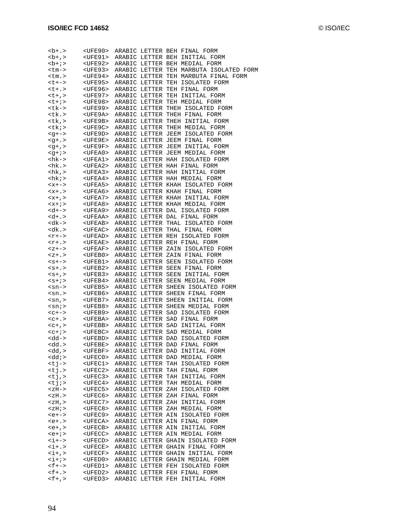| $-b+ . >$                                 | <ufe90></ufe90>                                             |  | ARABIC LETTER BEH FINAL FORM<br>ARABIC LETTER BEH INITIAL FORM    |
|-------------------------------------------|-------------------------------------------------------------|--|-------------------------------------------------------------------|
| $+b+$<br>$1+i$                            | <ufe91></ufe91>                                             |  | <ufe92> ARABIC LETTER BEH MEDIAL FORM</ufe92>                     |
| <tm-></tm->                               | <ufe93></ufe93>                                             |  | ARABIC LETTER TEH MARBUTA ISOLATED FORM                           |
| $<$ tm.>                                  | <ufe94></ufe94>                                             |  | ARABIC LETTER TEH MARBUTA FINAL FORM                              |
| <t+-></t+->                               | <ufe95></ufe95>                                             |  | ARABIC LETTER TEH ISOLATED FORM                                   |
| $< t + . >$                               | <ufe96></ufe96>                                             |  | ARABIC LETTER TEH FINAL FORM                                      |
| $< t + 1$                                 | <ufe97></ufe97>                                             |  | ARABIC LETTER TEH INITIAL FORM                                    |
| $< t + i >$                               | <ufe98></ufe98>                                             |  | ARABIC LETTER TEH MEDIAL FORM                                     |
| <tk-></tk->                               | <ufe99></ufe99>                                             |  | ARABIC LETTER THEH ISOLATED FORM                                  |
| <tk.></tk.>                               | <ufe9a></ufe9a>                                             |  | ARABIC LETTER THEH FINAL FORM                                     |
| <tk,></tk,>                               | <ufe9b></ufe9b>                                             |  | ARABIC LETTER THEH INITIAL FORM                                   |
| $<$ t $k$ ; >                             | <ufe9c></ufe9c>                                             |  | ARABIC LETTER THEH MEDIAL FORM                                    |
| $-1$                                      | <ufe9d></ufe9d>                                             |  | ARABIC LETTER JEEM ISOLATED FORM                                  |
| $-4 + 1$                                  | <ufe9e></ufe9e>                                             |  | ARABIC LETTER JEEM FINAL FORM                                     |
| $<$ q+, >                                 |                                                             |  | <ufe9f> ARABIC LETTER JEEM INITIAL FORM</ufe9f>                   |
| $\leq q + i >$                            | <ufea0></ufea0>                                             |  | ARABIC LETTER JEEM MEDIAL FORM                                    |
| <hk-></hk->                               | <ufea1></ufea1>                                             |  | ARABIC LETTER HAH ISOLATED FORM                                   |
| $<$ hk.>                                  | $<$ UFEA2>                                                  |  | ARABIC LETTER HAH FINAL FORM                                      |
| hk , >                                    | <ufea3></ufea3>                                             |  | ARABIC LETTER HAH INITIAL FORM                                    |
| <hk;></hk;>                               |                                                             |  | <ufea4> ARABIC LETTER HAH MEDIAL FORM</ufea4>                     |
| $<x+->$                                   | <ufea5></ufea5>                                             |  | ARABIC LETTER KHAH ISOLATED FORM                                  |
| $< x + . >$                               | <ufea6></ufea6>                                             |  | ARABIC LETTER KHAH FINAL FORM                                     |
| $, >$                                     | $<$ UFEA $7$ >                                              |  | ARABIC LETTER KHAH INITIAL FORM                                   |
| $<x + i>$                                 |                                                             |  | <ufea8> ARABIC LETTER KHAH MEDIAL FORM</ufea8>                    |
| $d+-$                                     |                                                             |  | <ufea9> ARABIC LETTER DAL ISOLATED FORM</ufea9>                   |
| $d+1$<br><dk-></dk->                      | <ufeaa></ufeaa>                                             |  | ARABIC LETTER DAL FINAL FORM                                      |
| $<$ dk.>                                  | <ufeab><br/><math>&lt;</math>UFEAC<math>&gt;</math></ufeab> |  | ARABIC LETTER THAL ISOLATED FORM<br>ARABIC LETTER THAL FINAL FORM |
| $<$ r+->                                  |                                                             |  | <ufead> ARABIC LETTER REH ISOLATED FORM</ufead>                   |
| $<$ r+.>                                  |                                                             |  | <ufeae> ARABIC LETTER REH FINAL FORM</ufeae>                      |
| $Z+->$                                    | <ufeaf></ufeaf>                                             |  | ARABIC LETTER ZAIN ISOLATED FORM                                  |
| $Z+$                                      | <ufeb0></ufeb0>                                             |  | ARABIC LETTER ZAIN FINAL FORM                                     |
| $< s + - >$                               | <ufeb1></ufeb1>                                             |  | ARABIC LETTER SEEN ISOLATED FORM                                  |
| $< s + . >$                               | <ufeb2></ufeb2>                                             |  | ARABIC LETTER SEEN FINAL FORM                                     |
| $<$ s+, >                                 | <ufeb3></ufeb3>                                             |  | ARABIC LETTER SEEN INITIAL FORM                                   |
| $< s + i >$                               | <ufeb4></ufeb4>                                             |  | ARABIC LETTER SEEN MEDIAL FORM                                    |
| $<$ sn->                                  | <ufeb5></ufeb5>                                             |  | ARABIC LETTER SHEEN ISOLATED FORM                                 |
| $<$ sn.>                                  | <ufeb6></ufeb6>                                             |  | ARABIC LETTER SHEEN FINAL FORM                                    |
| $\sin$ , $>$                              | <ufeb7></ufeb7>                                             |  | ARABIC LETTER SHEEN INITIAL FORM                                  |
| $\sin$ : $>$                              | <ufeb8></ufeb8>                                             |  | ARABIC LETTER SHEEN MEDIAL FORM                                   |
| $c + - >$                                 | <ufeb9></ufeb9>                                             |  | ARABIC LETTER SAD ISOLATED FORM                                   |
| $c+$                                      | <ufeba></ufeba>                                             |  | ARABIC LETTER SAD FINAL FORM                                      |
| $c+$ , >                                  |                                                             |  | <ufebb> ARABIC LETTER SAD INITIAL FORM</ufebb>                    |
| $c+1>$                                    |                                                             |  | <ufebc> ARABIC LETTER SAD MEDIAL FORM</ufebc>                     |
| <dd-></dd->                               |                                                             |  | <ufebd> ARABIC LETTER DAD ISOLATED FORM</ufebd>                   |
| <dd.></dd.>                               | <ufebe></ufebe>                                             |  | ARABIC LETTER DAD FINAL FORM                                      |
| <dd,><br/><math>&lt;</math>dd; &gt;</dd,> | <ufebf><br/><ufec0></ufec0></ufebf>                         |  | ARABIC LETTER DAD INITIAL FORM<br>ARABIC LETTER DAD MEDIAL FORM   |
|                                           | $<$ UFEC1>                                                  |  |                                                                   |
| <tj-><br/><math>&lt;</math>tj.&gt;</tj->  | <ufec2></ufec2>                                             |  | ARABIC LETTER TAH ISOLATED FORM<br>ARABIC LETTER TAH FINAL FORM   |
| $<$ tj, >                                 | <ufec3></ufec3>                                             |  | ARABIC LETTER TAH INITIAL FORM                                    |
| $< i j$ ;                                 | $<$ UFEC4>                                                  |  | ARABIC LETTER TAH MEDIAL FORM                                     |
| $$                                        | $<$ UFEC5>                                                  |  | ARABIC LETTER ZAH ISOLATED FORM                                   |
| $<$ z $H.$                                | $<$ UFEC6>                                                  |  | ARABIC LETTER ZAH FINAL FORM                                      |
| $Z/H$ , $>$                               | $<$ UFEC7>                                                  |  | ARABIC LETTER ZAH INITIAL FORM                                    |
| $<$ z $H$ ; >                             | <ufec8></ufec8>                                             |  | ARABIC LETTER ZAH MEDIAL FORM                                     |
| $e+-->$                                   | <ufec9></ufec9>                                             |  | ARABIC LETTER AIN ISOLATED FORM                                   |
| $e+.$                                     | <ufeca></ufeca>                                             |  | ARABIC LETTER AIN FINAL FORM                                      |
| $e+$ , >                                  | <ufecb></ufecb>                                             |  | ARABIC LETTER AIN INITIAL FORM                                    |
| $e+i$                                     | <ufecc></ufecc>                                             |  | ARABIC LETTER AIN MEDIAL FORM                                     |
| $\langle i+->$                            | <ufecd></ufecd>                                             |  | ARABIC LETTER GHAIN ISOLATED FORM                                 |
| $\langle i+1 \rangle$                     | $<$ UFECE>                                                  |  | ARABIC LETTER GHAIN FINAL FORM                                    |
| $\langle i+1 \rangle$                     | $<$ UFECF>                                                  |  | ARABIC LETTER GHAIN INITIAL FORM                                  |
| $\langle i+i \rangle$                     | <ufed0></ufed0>                                             |  | ARABIC LETTER GHAIN MEDIAL FORM                                   |
| $<$ f+->                                  | <ufed1></ufed1>                                             |  | ARABIC LETTER FEH ISOLATED FORM                                   |
| $<$ $\uparrow$ + . $>$<br>$<$ f+,>        | <ufed2><br/><ufed3></ufed3></ufed2>                         |  | ARABIC LETTER FEH FINAL FORM                                      |
|                                           |                                                             |  | ARABIC LETTER FEH INITIAL FORM                                    |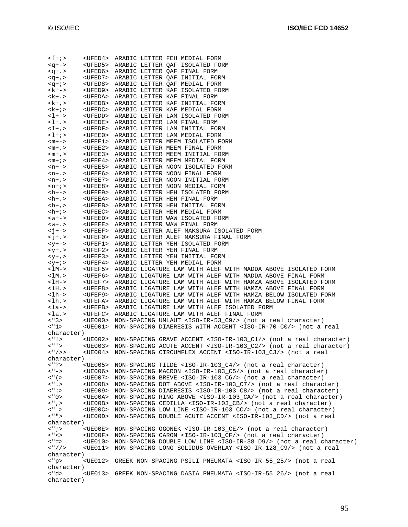| $<$ f+;>                                                | <ufed4> ARABIC LETTER FEH MEDIAL FORM</ufed4>                                                             |
|---------------------------------------------------------|-----------------------------------------------------------------------------------------------------------|
| $-+->$                                                  | <ufed5> ARABIC LETTER QAF ISOLATED FORM</ufed5>                                                           |
|                                                         |                                                                                                           |
| $<$ $+$ $>$                                             | <ufed6> ARABIC LETTER QAF FINAL FORM</ufed6>                                                              |
| $<$ q+, >                                               | <ufed7> ARABIC LETTER QAF INITIAL FORM</ufed7>                                                            |
|                                                         |                                                                                                           |
| $\leq q + i \geq$                                       | <ufed8> ARABIC LETTER QAF MEDIAL FORM</ufed8>                                                             |
| <k+-></k+->                                             | <ufed9> ARABIC LETTER KAF ISOLATED FORM</ufed9>                                                           |
| $<$ k+.>                                                | <ufeda> ARABIC LETTER KAF FINAL FORM</ufeda>                                                              |
|                                                         |                                                                                                           |
| $<$ k+, >                                               | <ufedb> ARABIC LETTER KAF INITIAL FORM</ufedb>                                                            |
| $<\mathbf{k}+i>$                                        | <ufedc> ARABIC LETTER KAF MEDIAL FORM</ufedc>                                                             |
|                                                         |                                                                                                           |
| $1 + -$                                                 | <ufedd> ARABIC LETTER LAM ISOLATED FORM</ufedd>                                                           |
| $-1+1>$                                                 | <ufede> ARABIC LETTER LAM FINAL FORM</ufede>                                                              |
| $<$ l+,>                                                | <ufedf> ARABIC LETTER LAM INITIAL FORM</ufedf>                                                            |
|                                                         |                                                                                                           |
| $<$ l+;>                                                | <ufee0> ARABIC LETTER LAM MEDIAL FORM</ufee0>                                                             |
| $<$ m+ $-$ >                                            | <ufee1> ARABIC LETTER MEEM ISOLATED FORM</ufee1>                                                          |
|                                                         |                                                                                                           |
| $<$ m+. $>$                                             | <ufee2> ARABIC LETTER MEEM FINAL FORM</ufee2>                                                             |
| $<$ m+, >                                               | <ufee3> ARABIC LETTER MEEM INITIAL FORM</ufee3>                                                           |
|                                                         | <ufee4> ARABIC LETTER MEEM MEDIAL FORM</ufee4>                                                            |
| $<$ m+ ; >                                              |                                                                                                           |
| $<$ n+->                                                | <ufee5> ARABIC LETTER NOON ISOLATED FORM</ufee5>                                                          |
| $\langle n+1 \rangle$                                   | <ufee6> ARABIC LETTER NOON FINAL FORM</ufee6>                                                             |
|                                                         |                                                                                                           |
| $<$ n+, $>$                                             | <ufee7> ARABIC LETTER NOON INITIAL FORM</ufee7>                                                           |
| $<$ n+;>                                                | <ufee8> ARABIC LETTER NOON MEDIAL FORM</ufee8>                                                            |
| $\hbox{{\small -}-}>$                                   | <ufee9> ARABIC LETTER HEH ISOLATED FORM</ufee9>                                                           |
|                                                         |                                                                                                           |
| $\hbox{\small -}$ $\hbox{\small +}$ . $\hbox{\small -}$ | <ufeea> ARABIC LETTER HEH FINAL FORM</ufeea>                                                              |
| $\mathsf{h+1}$                                          | <ufeeb> ARABIC LETTER HEH INITIAL FORM</ufeeb>                                                            |
|                                                         |                                                                                                           |
| $\hbox{\small -}$ h+; >                                 | <ufeec> ARABIC LETTER HEH MEDIAL FORM</ufeec>                                                             |
| $< w + - >$                                             | <ufeed> ARABIC LETTER WAW ISOLATED FORM</ufeed>                                                           |
|                                                         |                                                                                                           |
|                                                         |                                                                                                           |
|                                                         |                                                                                                           |
| $\langle j+ . \rangle$                                  |                                                                                                           |
|                                                         | <ufef0> ARABIC LETTER ALEF MAKSURA FINAL FORM<br/><ufef1> ARABIC LETTER YEH ISOLATED FORM</ufef1></ufef0> |
| $<$ y+->                                                |                                                                                                           |
| $<$ y+.>                                                | <ufef2> ARABIC LETTER YEH FINAL FORM</ufef2>                                                              |
| $<$ y+, >                                               |                                                                                                           |
|                                                         |                                                                                                           |
| $<$ y+;>                                                | <ufef3> ARABIC LETTER YEH INITIAL FORM<br/><ufef4> ARABIC LETTER YEH MEDIAL FORM</ufef4></ufef3>          |
| $<$ lM- $>$                                             | <ufef5> ARABIC LIGATURE LAM WITH ALEF WITH MADDA ABOVE ISOLATED FORM</ufef5>                              |
|                                                         |                                                                                                           |
| $<$ lM.>                                                | <ufef6> ARABIC LIGATURE LAM WITH ALEF WITH MADDA ABOVE FINAL FORM</ufef6>                                 |
| $$\rm+1H->$$                                            | <ufef7> ARABIC LIGATURE LAM WITH ALEF WITH HAMZA ABOVE ISOLATED FORM</ufef7>                              |
| $<$ l $_{\rm H.}>$                                      | <ufef8> ARABIC LIGATURE LAM WITH ALEF WITH HAMZA ABOVE FINAL FORM</ufef8>                                 |
|                                                         |                                                                                                           |
| <lh-></lh->                                             | <ufef9> ARABIC LIGATURE LAM WITH ALEF WITH HAMZA BELOW ISOLATED FORM</ufef9>                              |
| $\texttt{}$                                             | <ufefa> ARABIC LIGATURE LAM WITH ALEF WITH HAMZA BELOW FINAL FORM</ufefa>                                 |
|                                                         |                                                                                                           |
| <la-></la->                                             | <ufefb> ARABIC LIGATURE LAM WITH ALEF ISOLATED FORM</ufefb>                                               |
| <la.></la.>                                             | <ufefc> ARABIC LIGATURE LAM WITH ALEF FINAL FORM</ufefc>                                                  |
| $<$ "3>                                                 | <ue000> NON-SPACING UMLAUT <iso-ir-53 c9=""></iso-ir-53> (not a real character)</ue000>                   |
|                                                         |                                                                                                           |
| $<$ "1>                                                 | <ue001> NON-SPACING DIAERESIS WITH ACCENT <iso-ir-70 c0=""></iso-ir-70> (not a real</ue001>               |
| character)                                              |                                                                                                           |
|                                                         |                                                                                                           |
| $<$ " ! >                                               | <ue002> NON-SPACING GRAVE ACCENT <iso-ir-103_c1></iso-ir-103_c1> (not a real character)</ue002>           |
| $<$ " ' >                                               | <ue003> NON-SPACING ACUTE ACCENT <iso-ir-103_c2></iso-ir-103_c2> (not a real character)</ue003>           |
| $<$ " $/$ > >                                           | <ue004> NON-SPACING CIRCUMFLEX ACCENT <iso-ir-103_c3></iso-ir-103_c3> (not a real</ue004>                 |
|                                                         |                                                                                                           |
| character)                                              |                                                                                                           |
| $<$ " ? >                                               | <ue005> NON-SPACING TILDE <iso-ir-103_c4></iso-ir-103_c4> (not a real character)</ue005>                  |
| $\lt"$ ->                                               | <ue006> NON-SPACING MACRON <iso-ir-103 c5=""></iso-ir-103> (not a real character)</ue006>                 |
|                                                         |                                                                                                           |
| $<$ " ( $>$                                             | <ue007> NON-SPACING BREVE <iso-ir-103_c6></iso-ir-103_c6> (not a real character)</ue007>                  |
| $<$ " $>$                                               | <ue008> NON-SPACING DOT ABOVE <iso-ir-103_c7></iso-ir-103_c7> (not a real character)</ue008>              |
|                                                         |                                                                                                           |
| $\langle$ " : $>$                                       | <ue009> NON-SPACING DIAERESIS <iso-ir-103_c8></iso-ir-103_c8> (not a real character)</ue009>              |
| $<$ " 0 >                                               | <ue00a> NON-SPACING RING ABOVE <iso-ir-103_ca></iso-ir-103_ca> (not a real character)</ue00a>             |
| $<$ ", $>$                                              | <ue00b> NON-SPACING CEDILLA <iso-ir-103_cb></iso-ir-103_cb> (not a real character)</ue00b>                |
|                                                         |                                                                                                           |
| $\langle$ " $>$                                         | <ue00c> NON-SPACING LOW LINE <iso-ir-103 cc=""></iso-ir-103> (not a real character)</ue00c>               |
| $\lt"$ " $\gt$                                          | <ue00d> NON-SPACING DOUBLE ACUTE ACCENT <iso-ir-103_cd></iso-ir-103_cd> (not a real</ue00d>               |
|                                                         |                                                                                                           |
| character)                                              |                                                                                                           |
| $<$ " ; $>$                                             | <ue00e> NON-SPACING OGONEK <iso-ir-103 ce=""></iso-ir-103> (not a real character)</ue00e>                 |
| $<$ " $<$ $>$                                           | <ue00f> NON-SPACING CARON <iso-ir-103 cf=""></iso-ir-103> (not a real character)</ue00f>                  |
|                                                         |                                                                                                           |
| $\langle$ " = >                                         | <ue010> NON-SPACING DOUBLE LOW LINE <iso-ir-38 d9=""></iso-ir-38> (not a real character)</ue010>          |
| $<$ " $/$ / >                                           | <ue011> NON-SPACING LONG SOLIDUS OVERLAY <iso-ir-128 c9=""></iso-ir-128> (not a real</ue011>              |
| character)                                              |                                                                                                           |
|                                                         |                                                                                                           |
| $<$ "p>                                                 | <ue012> GREEK NON-SPACING PSILI PNEUMATA <iso-ir-55_25></iso-ir-55_25> (not a real</ue012>                |
| character)                                              |                                                                                                           |
| <"d>                                                    | <ue013> GREEK NON-SPACING DASIA PNEUMATA <iso-ir-55_26></iso-ir-55_26> (not a real</ue013>                |
|                                                         |                                                                                                           |
| character)                                              |                                                                                                           |
|                                                         |                                                                                                           |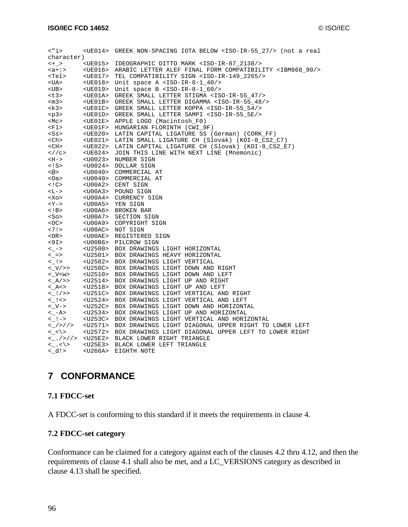| $\langle$ "i>                             |                 | <ue014> GREEK NON-SPACING IOTA BELOW <iso-ir-55_27></iso-ir-55_27> (not a real</ue014> |
|-------------------------------------------|-----------------|----------------------------------------------------------------------------------------|
| character)                                |                 |                                                                                        |
| $  +$ $>$                                 |                 | <ue015> IDEOGRAPHIC DITTO MARK <iso-ir-87 2138=""></iso-ir-87></ue015>                 |
| <a+:></a+:>                               |                 | <ue016> ARABIC LETTER ALEF FINAL FORM COMPATIBILITY <ibm868_90></ibm868_90></ue016>    |
| <tel></tel>                               |                 | <ue017> TEL COMPATIBILITY SIGN <iso-ir-149_2265></iso-ir-149_2265></ue017>             |
| <ua></ua>                                 | $<$ UE $018$ >  | Unit space A <iso-ir-8-1_40></iso-ir-8-1_40>                                           |
| <ub></ub>                                 | <ue019></ue019> | Unit space B <iso-ir-8-1_60></iso-ir-8-1_60>                                           |
| <t3></t3>                                 |                 | <ue01a> GREEK SMALL LETTER STIGMA <iso-ir-55_47></iso-ir-55_47></ue01a>                |
| $<$ m3>                                   |                 | <ue01b> GREEK SMALL LETTER DIGAMMA <iso-ir-55_48></iso-ir-55_48></ue01b>               |
| <k3></k3>                                 |                 | <ue01c> GREEK SMALL LETTER KOPPA <iso-ir-55_54></iso-ir-55_54></ue01c>                 |
| $<$ p3>                                   |                 | <ue01d> GREEK SMALL LETTER SAMPI <iso-ir-55_5e></iso-ir-55_5e></ue01d>                 |
| <mc></mc>                                 |                 | <ue01e> APPLE LOGO (Macintosh_F0)</ue01e>                                              |
| <fl></fl>                                 |                 | <ue01f> HUNGARIAN FLORINTH (CWI_9F)</ue01f>                                            |
| <ss></ss>                                 |                 | <ue020> LATIN CAPITAL LIGATURE SS (German) (CORK FF)</ue020>                           |
| <ch></ch>                                 |                 | <ue021> LATIN SMALL LIGATURE CH (Slovak) (KOI-8 CS2 C7)</ue021>                        |
| $<$ CH $>$                                |                 | <ue022> LATIN CAPITAL LIGATURE CH (Slovak) (KOI-8_CS2_E7)</ue022>                      |
| $\langle$ / $\rangle$ $\langle$ $\rangle$ |                 | <ue024> JOIN THIS LINE WITH NEXT LINE (Mnemonic)</ue024>                               |
| <h-></h->                                 |                 | <u0023> NUMBER SIGN</u0023>                                                            |
| $\lt$ ! S $>$                             |                 | <u0024> DOLLAR SIGN</u0024>                                                            |
| $<\text{@}>$                              |                 | <u0040> COMMERCIAL AT</u0040>                                                          |
| <0a>                                      |                 | <u0040> COMMERCIAL AT</u0040>                                                          |
| $\lt$ ! C $>$                             |                 | <u00a2> CENT SIGN</u00a2>                                                              |
| <l-></l->                                 |                 | <u00a3> POUND SIGN</u00a3>                                                             |
| <xo></xo>                                 |                 | <u00a4> CURRENCY SIGN</u00a4>                                                          |
| $$                                        |                 | <u00a5> YEN SIGN</u00a5>                                                               |
| $\lt!!$ B>                                |                 | <u00a6> BROKEN BAR</u00a6>                                                             |
| $<$ So $>$                                |                 | <u00a7> SECTION SIGN</u00a7>                                                           |
| $<$ OC $>$                                |                 | <u00a9> COPYRIGHT SIGN</u00a9>                                                         |
| <7!>                                      |                 | <u00ac> NOT SIGN</u00ac>                                                               |
| $<$ OR $>$                                |                 | <u00ae> REGISTERED SIGN</u00ae>                                                        |
| <9I>                                      |                 | <u00b6> PILCROW SIGN</u00b6>                                                           |
| $\lt$ ->                                  |                 | <u2500> BOX DRAWINGS LIGHT HORIZONTAL</u2500>                                          |
| $<-=>$                                    |                 | <u2501> BOX DRAWINGS HEAVY HORIZONTAL</u2501>                                          |
| $<$ $ $ >                                 |                 | <u2502> BOX DRAWINGS LIGHT VERTICAL</u2502>                                            |
| $\langle V \rangle$                       |                 | <u250c> BOX DRAWINGS LIGHT DOWN AND RIGHT</u250c>                                      |
| $<$ V $<$ w $>$                           |                 | <u2510> BOX DRAWINGS LIGHT DOWN AND LEFT</u2510>                                       |
| $<$ A/ $>$                                |                 | <u2514> BOX DRAWINGS LIGHT UP AND RIGHT</u2514>                                        |
| < A<>                                     |                 | <u2518> BOX DRAWINGS LIGHT UP AND LEFT</u2518>                                         |
| $\langle$ $ $ / >>                        |                 | <u251c> BOX DRAWINGS LIGHT VERTICAL AND RIGHT</u251c>                                  |
| $\lt$ $\lt$ $\lt$                         |                 | <u2524> BOX DRAWINGS LIGHT VERTICAL AND LEFT</u2524>                                   |
| $&<$ V- $&>$                              |                 | <u252c> BOX DRAWINGS LIGHT DOWN AND HORIZONTAL</u252c>                                 |
| $<-A>$                                    |                 | <u2534> BOX DRAWINGS LIGHT UP AND HORIZONTAL</u2534>                                   |
| $<$ $ $ ->                                |                 | <u253c> BOX DRAWINGS LIGHT VERTICAL AND HORIZONTAL</u253c>                             |
| $<$ />//>                                 |                 | <u2571> BOX DRAWINGS LIGHT DIAGONAL UPPER RIGHT TO LOWER LEFT</u2571>                  |
| $\langle \_ \langle \rangle$              |                 | <u2572> BOX DRAWINGS LIGHT DIAGONAL UPPER LEFT TO LOWER RIGHT</u2572>                  |
| $<$ $\_$ . />//>                          |                 | <u25e2> BLACK LOWER RIGHT TRIANGLE</u25e2>                                             |
| $\langle \_ \ \rangle$                    |                 | <u25e3> BLACK LOWER LEFT TRIANGLE</u25e3>                                              |
| d>                                        | <u266a></u266a> | EIGHTH NOTE                                                                            |

## **7 CONFORMANCE**

#### **7.1 FDCC-set**

A FDCC-set is conforming to this standard if it meets the requirements in clause 4.

## **7.2 FDCC-set category**

Conformance can be claimed for a category against each of the clauses 4.2 thru 4.12, and then the requirements of clause 4.1 shall also be met, and a LC\_VERSIONS category as described in clause 4.13 shall be specified.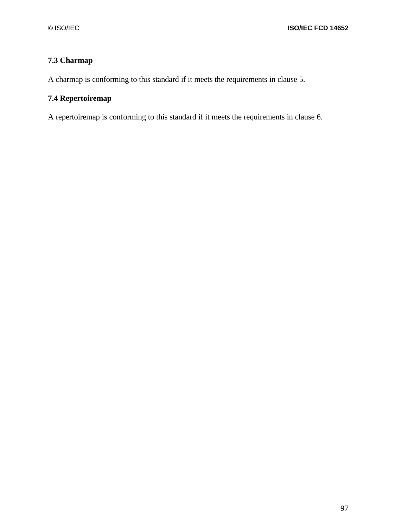## **7.3 Charmap**

A charmap is conforming to this standard if it meets the requirements in clause 5.

## **7.4 Repertoiremap**

A repertoiremap is conforming to this standard if it meets the requirements in clause 6.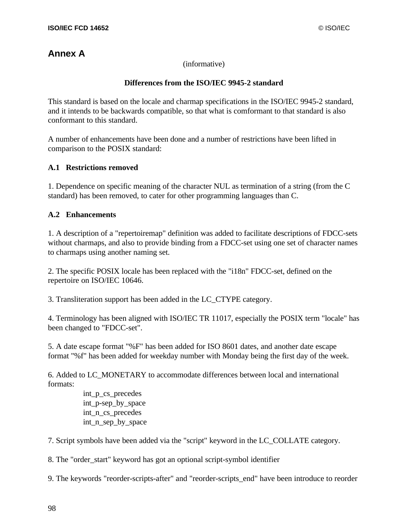# **Annex A**

(informative)

#### **Differences from the ISO/IEC 9945-2 standard**

This standard is based on the locale and charmap specifications in the ISO/IEC 9945-2 standard, and it intends to be backwards compatible, so that what is comformant to that standard is also conformant to this standard.

A number of enhancements have been done and a number of restrictions have been lifted in comparison to the POSIX standard:

#### **A.1 Restrictions removed**

1. Dependence on specific meaning of the character NUL as termination of a string (from the C standard) has been removed, to cater for other programming languages than C.

#### **A.2 Enhancements**

1. A description of a "repertoiremap" definition was added to facilitate descriptions of FDCC-sets without charmaps, and also to provide binding from a FDCC-set using one set of character names to charmaps using another naming set.

2. The specific POSIX locale has been replaced with the "i18n" FDCC-set, defined on the repertoire on ISO/IEC 10646.

3. Transliteration support has been added in the LC\_CTYPE category.

4. Terminology has been aligned with ISO/IEC TR 11017, especially the POSIX term "locale" has been changed to "FDCC-set".

5. A date escape format "%F" has been added for ISO 8601 dates, and another date escape format "%f" has been added for weekday number with Monday being the first day of the week.

6. Added to LC\_MONETARY to accommodate differences between local and international formats:

> int\_p\_cs\_precedes int p-sep by space int\_n\_cs\_precedes int\_n\_sep\_by\_space

7. Script symbols have been added via the "script" keyword in the LC\_COLLATE category.

8. The "order\_start" keyword has got an optional script-symbol identifier

9. The keywords "reorder-scripts-after" and "reorder-scripts\_end" have been introduce to reorder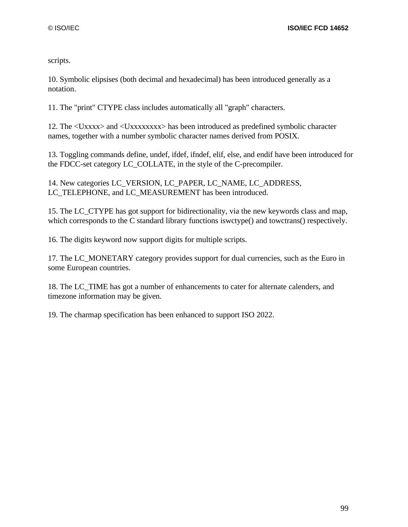scripts.

10. Symbolic elipsises (both decimal and hexadecimal) has been introduced generally as a notation.

11. The "print" CTYPE class includes automatically all "graph" characters.

12. The <Uxxxx> and <Uxxxxxxxx> has been introduced as predefined symbolic character names, together with a number symbolic character names derived from POSIX.

13. Toggling commands define, undef, ifdef, ifndef, elif, else, and endif have been introduced for the FDCC-set category LC\_COLLATE, in the style of the C-precompiler.

14. New categories LC\_VERSION, LC\_PAPER, LC\_NAME, LC\_ADDRESS, LC\_TELEPHONE, and LC\_MEASUREMENT has been introduced.

15. The LC\_CTYPE has got support for bidirectionality, via the new keywords class and map, which corresponds to the C standard library functions iswctype() and towctrans() respectively.

16. The digits keyword now support digits for multiple scripts.

17. The LC\_MONETARY category provides support for dual currencies, such as the Euro in some European countries.

18. The LC\_TIME has got a number of enhancements to cater for alternate calenders, and timezone information may be given.

19. The charmap specification has been enhanced to support ISO 2022.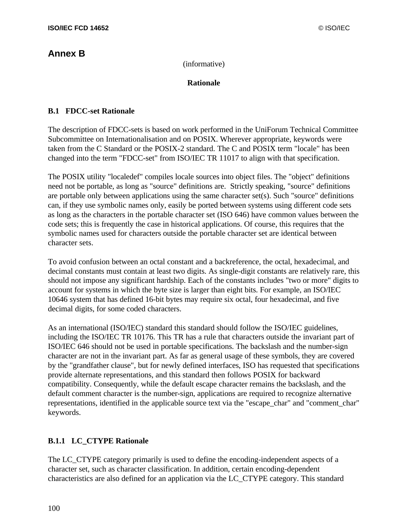## **Annex B**

(informative)

#### **Rationale**

#### **B.1 FDCC-set Rationale**

The description of FDCC-sets is based on work performed in the UniForum Technical Committee Subcommittee on Internationalisation and on POSIX. Wherever appropriate, keywords were taken from the C Standard or the POSIX-2 standard. The C and POSIX term "locale" has been changed into the term "FDCC-set" from ISO/IEC TR 11017 to align with that specification.

The POSIX utility "localedef" compiles locale sources into object files. The "object" definitions need not be portable, as long as "source" definitions are. Strictly speaking, "source" definitions are portable only between applications using the same character set(s). Such "source" definitions can, if they use symbolic names only, easily be ported between systems using different code sets as long as the characters in the portable character set (ISO 646) have common values between the code sets; this is frequently the case in historical applications. Of course, this requires that the symbolic names used for characters outside the portable character set are identical between character sets.

To avoid confusion between an octal constant and a backreference, the octal, hexadecimal, and decimal constants must contain at least two digits. As single-digit constants are relatively rare, this should not impose any significant hardship. Each of the constants includes "two or more" digits to account for systems in which the byte size is larger than eight bits. For example, an ISO/IEC 10646 system that has defined 16-bit bytes may require six octal, four hexadecimal, and five decimal digits, for some coded characters.

As an international (ISO/IEC) standard this standard should follow the ISO/IEC guidelines, including the ISO/IEC TR 10176. This TR has a rule that characters outside the invariant part of ISO/IEC 646 should not be used in portable specifications. The backslash and the number-sign character are not in the invariant part. As far as general usage of these symbols, they are covered by the "grandfather clause", but for newly defined interfaces, ISO has requested that specifications provide alternate representations, and this standard then follows POSIX for backward compatibility. Consequently, while the default escape character remains the backslash, and the default comment character is the number-sign, applications are required to recognize alternative representations, identified in the applicable source text via the "escape\_char" and "comment\_char" keywords.

## **B.1.1 LC\_CTYPE Rationale**

The LC\_CTYPE category primarily is used to define the encoding-independent aspects of a character set, such as character classification. In addition, certain encoding-dependent characteristics are also defined for an application via the LC\_CTYPE category. This standard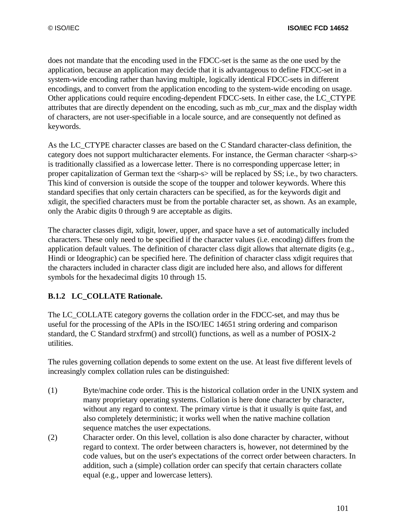does not mandate that the encoding used in the FDCC-set is the same as the one used by the application, because an application may decide that it is advantageous to define FDCC-set in a system-wide encoding rather than having multiple, logically identical FDCC-sets in different encodings, and to convert from the application encoding to the system-wide encoding on usage. Other applications could require encoding-dependent FDCC-sets. In either case, the LC\_CTYPE attributes that are directly dependent on the encoding, such as mb\_cur\_max and the display width of characters, are not user-specifiable in a locale source, and are consequently not defined as keywords.

As the LC\_CTYPE character classes are based on the C Standard character-class definition, the category does not support multicharacter elements. For instance, the German character <sharp-s> is traditionally classified as a lowercase letter. There is no corresponding uppercase letter; in proper capitalization of German text the <sharp-s> will be replaced by SS; i.e., by two characters. This kind of conversion is outside the scope of the toupper and tolower keywords. Where this standard specifies that only certain characters can be specified, as for the keywords digit and xdigit, the specified characters must be from the portable character set, as shown. As an example, only the Arabic digits 0 through 9 are acceptable as digits.

The character classes digit, xdigit, lower, upper, and space have a set of automatically included characters. These only need to be specified if the character values (i.e. encoding) differs from the application default values. The definition of character class digit allows that alternate digits (e.g., Hindi or Ideographic) can be specified here. The definition of character class xdigit requires that the characters included in character class digit are included here also, and allows for different symbols for the hexadecimal digits 10 through 15.

## **B.1.2 LC\_COLLATE Rationale.**

The LC\_COLLATE category governs the collation order in the FDCC-set, and may thus be useful for the processing of the APIs in the ISO/IEC 14651 string ordering and comparison standard, the C Standard strxfrm() and strcoll() functions, as well as a number of POSIX-2 utilities.

The rules governing collation depends to some extent on the use. At least five different levels of increasingly complex collation rules can be distinguished:

- (1) Byte/machine code order. This is the historical collation order in the UNIX system and many proprietary operating systems. Collation is here done character by character, without any regard to context. The primary virtue is that it usually is quite fast, and also completely deterministic; it works well when the native machine collation sequence matches the user expectations.
- (2) Character order. On this level, collation is also done character by character, without regard to context. The order between characters is, however, not determined by the code values, but on the user's expectations of the correct order between characters. In addition, such a (simple) collation order can specify that certain characters collate equal (e.g., upper and lowercase letters).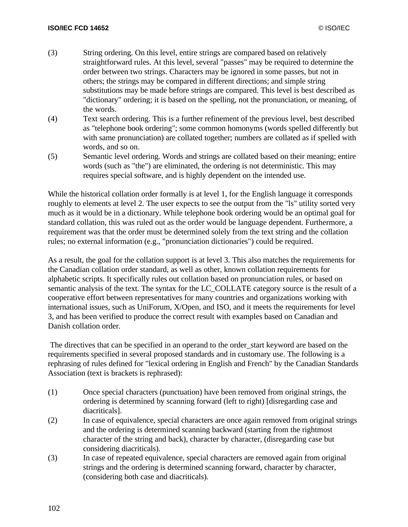- (3) String ordering. On this level, entire strings are compared based on relatively straightforward rules. At this level, several "passes" may be required to determine the order between two strings. Characters may be ignored in some passes, but not in others; the strings may be compared in different directions; and simple string substitutions may be made before strings are compared. This level is best described as "dictionary" ordering; it is based on the spelling, not the pronunciation, or meaning, of the words.
- (4) Text search ordering. This is a further refinement of the previous level, best described as "telephone book ordering"; some common homonyms (words spelled differently but with same pronunciation) are collated together; numbers are collated as if spelled with words, and so on.
- (5) Semantic level ordering. Words and strings are collated based on their meaning; entire words (such as "the") are eliminated, the ordering is not deterministic. This may requires special software, and is highly dependent on the intended use.

While the historical collation order formally is at level 1, for the English language it corresponds roughly to elements at level 2. The user expects to see the output from the "ls" utility sorted very much as it would be in a dictionary. While telephone book ordering would be an optimal goal for standard collation, this was ruled out as the order would be language dependent. Furthermore, a requirement was that the order must be determined solely from the text string and the collation rules; no external information (e.g., "pronunciation dictionaries") could be required.

As a result, the goal for the collation support is at level 3. This also matches the requirements for the Canadian collation order standard, as well as other, known collation requirements for alphabetic scripts. It specifically rules out collation based on pronunciation rules, or based on semantic analysis of the text. The syntax for the LC\_COLLATE category source is the result of a cooperative effort between representatives for many countries and organizations working with international issues, such as UniForum, X/Open, and ISO, and it meets the requirements for level 3, and has been verified to produce the correct result with examples based on Canadian and Danish collation order.

The directives that can be specified in an operand to the order start keyword are based on the requirements specified in several proposed standards and in customary use. The following is a rephrasing of rules defined for "lexical ordering in English and French" by the Canadian Standards Association (text is brackets is rephrased):

- (1) Once special characters (punctuation) have been removed from original strings, the ordering is determined by scanning forward (left to right) [disregarding case and diacriticals].
- (2) In case of equivalence, special characters are once again removed from original strings and the ordering is determined scanning backward (starting from the rightmost character of the string and back), character by character, (disregarding case but considering diacriticals).
- (3) In case of repeated equivalence, special characters are removed again from original strings and the ordering is determined scanning forward, character by character, (considering both case and diacriticals).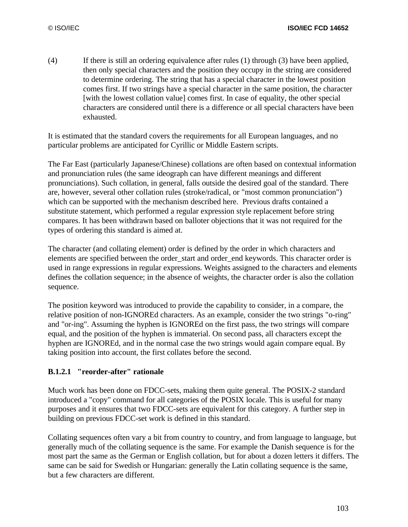(4) If there is still an ordering equivalence after rules (1) through (3) have been applied, then only special characters and the position they occupy in the string are considered to determine ordering. The string that has a special character in the lowest position comes first. If two strings have a special character in the same position, the character [with the lowest collation value] comes first. In case of equality, the other special characters are considered until there is a difference or all special characters have been exhausted.

It is estimated that the standard covers the requirements for all European languages, and no particular problems are anticipated for Cyrillic or Middle Eastern scripts.

The Far East (particularly Japanese/Chinese) collations are often based on contextual information and pronunciation rules (the same ideograph can have different meanings and different pronunciations). Such collation, in general, falls outside the desired goal of the standard. There are, however, several other collation rules (stroke/radical, or "most common pronunciation") which can be supported with the mechanism described here. Previous drafts contained a substitute statement, which performed a regular expression style replacement before string compares. It has been withdrawn based on balloter objections that it was not required for the types of ordering this standard is aimed at.

The character (and collating element) order is defined by the order in which characters and elements are specified between the order\_start and order\_end keywords. This character order is used in range expressions in regular expressions. Weights assigned to the characters and elements defines the collation sequence; in the absence of weights, the character order is also the collation sequence.

The position keyword was introduced to provide the capability to consider, in a compare, the relative position of non-IGNOREd characters. As an example, consider the two strings "o-ring" and "or-ing". Assuming the hyphen is IGNOREd on the first pass, the two strings will compare equal, and the position of the hyphen is immaterial. On second pass, all characters except the hyphen are IGNOREd, and in the normal case the two strings would again compare equal. By taking position into account, the first collates before the second.

#### **B.1.2.1 "reorder-after" rationale**

Much work has been done on FDCC-sets, making them quite general. The POSIX-2 standard introduced a "copy" command for all categories of the POSIX locale. This is useful for many purposes and it ensures that two FDCC-sets are equivalent for this category. A further step in building on previous FDCC-set work is defined in this standard.

Collating sequences often vary a bit from country to country, and from language to language, but generally much of the collating sequence is the same. For example the Danish sequence is for the most part the same as the German or English collation, but for about a dozen letters it differs. The same can be said for Swedish or Hungarian: generally the Latin collating sequence is the same, but a few characters are different.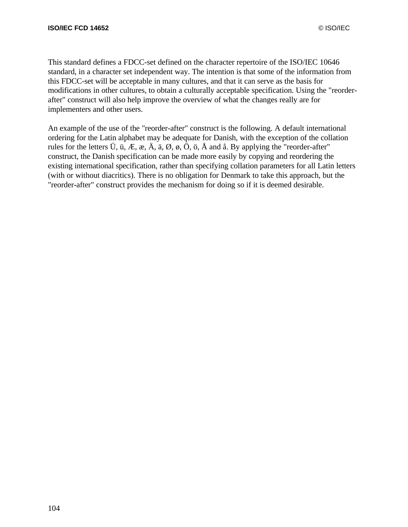This standard defines a FDCC-set defined on the character repertoire of the ISO/IEC 10646 standard, in a character set independent way. The intention is that some of the information from this FDCC-set will be acceptable in many cultures, and that it can serve as the basis for modifications in other cultures, to obtain a culturally acceptable specification. Using the "reorderafter" construct will also help improve the overview of what the changes really are for implementers and other users.

An example of the use of the "reorder-after" construct is the following. A default international ordering for the Latin alphabet may be adequate for Danish, with the exception of the collation rules for the letters  $\ddot{U}$ ,  $\ddot{u}$ ,  $\ddot{E}$ ,  $\ddot{e}$ ,  $\ddot{A}$ ,  $\ddot{a}$ ,  $\ddot{Q}$ ,  $\ddot{Q}$ ,  $\ddot{Q}$ ,  $\ddot{O}$ ,  $\ddot{O}$ ,  $\ddot{A}$  and  $\ddot{a}$ . By applying the "reorder-after" construct, the Danish specification can be made more easily by copying and reordering the existing international specification, rather than specifying collation parameters for all Latin letters (with or without diacritics). There is no obligation for Denmark to take this approach, but the "reorder-after" construct provides the mechanism for doing so if it is deemed desirable.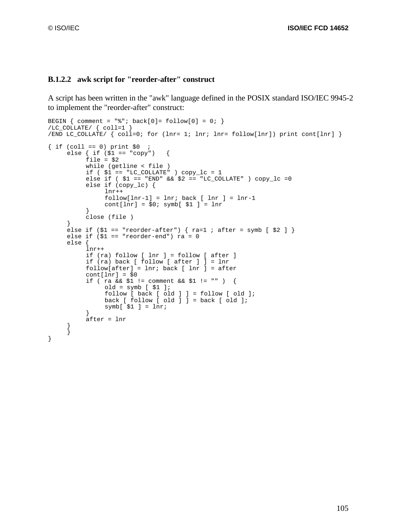}

#### **B.1.2.2 awk script for "reorder-after" construct**

A script has been written in the "awk" language defined in the POSIX standard ISO/IEC 9945-2 to implement the "reorder-after" construct:

```
BEGIN { comment = "%"; back[0]= follow[0] = 0; }
/LC_COLLATE/ { coll=1 }
/END LC_COLLATE/ { coll=0; for (lnr= 1; lnr; lnr= follow[lnr]) print cont[lnr] }
\{ if (coll == 0) print $0 ;else { if (s_1 == "copy") {
          file = $2while (getline < file ) 
          if ($1 == "LC_COLLATE" ) copy_lc = 1
          else if ( $1 == "END" && $2 == "LC_COLLATE" ) copy_lc =0
          else if (copy_lc) {
               lnr++
               follow[lnr-1] = lnr; back [lnr] = lnr-1cont[lnr] = $0; symbol $1] = lnr}
          close (file )
     }
     else if (\$1 == "reorder-after") \{ ra=1 ; after = symbol [ \$2 ] \}else if (51 == "reorder-end") ra = 0
     else {
          lnr++
          if (ra) follow [ lnr ] = follow [ after ]
          if (ra) back [ follow [ after ] ] = lnr
          follow[after] = lnr; back [ lnr ] = after
          cont[lnr] = $0if ( ra && $1 != comment && $1 != "" ) {
               old = symb [ $1 ];
               follow [back [old] ] = follow [old];
               back [ follow [ old ] ] = back [ old ];
               symbol[ $1 ] = \text{ln}r;}
          after = lnr
     }
     }
```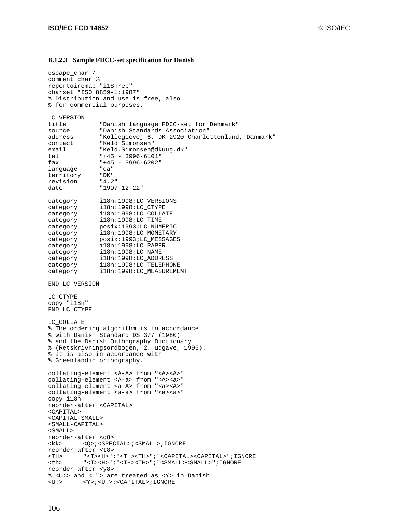#### **B.1.2.3 Sample FDCC-set specification for Danish**

```
escape_char /
comment_char %
repertoiremap "i18nrep"
charset "ISO_8859-1:1987"
% Distribution and use is free, also
% for commercial purposes.
LC_VERSION
title "Danish language FDCC-set for Denmark"
source "Danish Standards Association"
address "Kollegievej 6, DK-2920 Charlottenlund, Danmark"
contact "Keld Simonsen"
email "Keld.Simonsen@dkuug.dk"
tel "+45 - 3996-6101"
fax "+45 - 3996-6202"
language "da"<br>territory "DK"
territory "DK"
revision "4.2"
date "1997-12-22"
category i18n:1998;LC_VERSIONS
category i18n:1998;LC_CTYPE
category i18n:1998;LC_COLLATE
category i18n:1998;LC_TIME
category posix:1993;LC_NUMERIC
category i18n:1998;LC_MONETARY
category posix:1993;LC_MESSAGES
category i18n:1998;LC_PAPER
category i18n:1998;LC_NAME<br>category i18n:1998;LC_NAME
category i18n:1998;LC_ADDRESS<br>category i18n:1998;LC_ADDRESS
category i18n:1998;LC_TELEPHONE
category i18n:1998;LC_MEASUREMENT
END LC_VERSION
LC_CTYPE
copy "i18n"
END LC_CTYPE
LC_COLLATE
% The ordering algorithm is in accordance
% with Danish Standard DS 377 (1980)
% and the Danish Orthography Dictionary
% (Retskrivningsordbogen, 2. udgave, 1996).
% It is also in accordance with
% Greenlandic orthography.
collating-element <A-A> from "<A><A>"
collating-element <A-a> from "<A><a>"
collating-element <a-A> from "<a><A>"
collating-element <a-a> from "<a><a>"
copy i18n
reorder-after <CAPITAL>
<CAPITAL>
<CAPITAL-SMALL>
<SMALL-CAPITAL>
<SMALL>
reorder-after <q8>
<kk> <Q>;<SPECIAL>;<SMALL>;IGNORE
reorder-after <t8>
<TH> "<T><H>";"<TH><TH>";"<CAPITAL><CAPITAL>";IGNORE
<th> "<T><H>";"<TH><TH>";"<SMALL><SMALL>";IGNORE
reorder-after <y8>
% <U:> and <U"> are treated as <Y> in Danish
<U:> <Y>;<U:>;<CAPITAL>;IGNORE
```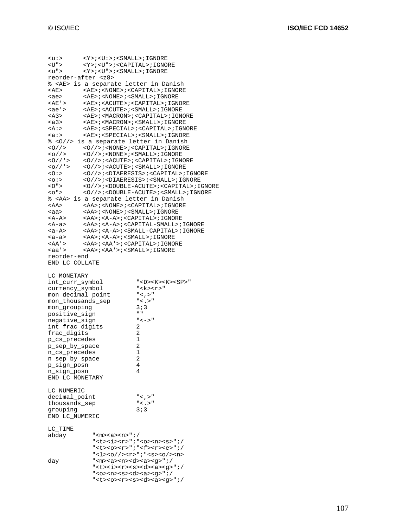| $\langle u: \rangle$                                       | <y>;<u:>;<small>;IGNORE</small></u:></y>                                                  |                                                                                                                                 |
|------------------------------------------------------------|-------------------------------------------------------------------------------------------|---------------------------------------------------------------------------------------------------------------------------------|
| <u"><br/><math>\langle u" \rangle</math></u">              | <y>;<u">;<capital>;IGNORE<br/><y>;<u">;<small>;IGNORE</small></u"></y></capital></u"></y> |                                                                                                                                 |
| reorder-after <z8></z8>                                    |                                                                                           |                                                                                                                                 |
|                                                            |                                                                                           | % <ae> is a separate letter in Danish</ae>                                                                                      |
| $<$ $AE$                                                   |                                                                                           | <ae>;<none>;<capital>;IGNORE</capital></none></ae>                                                                              |
| <ae></ae>                                                  | $<$ AE> $i$ <none> <math>i</math> <small><math>i</math> IGNORE</small></none>             |                                                                                                                                 |
| <ae'></ae'>                                                |                                                                                           | <ae>;<acute>;<capital>;IGNORE</capital></acute></ae>                                                                            |
| <ae'></ae'>                                                |                                                                                           | <ae>;<acute>;<small>;IGNORE</small></acute></ae>                                                                                |
| <a3><br/><a3></a3></a3>                                    |                                                                                           | <ae>;<macron>;<capital>;IGNORE<br/><ae>;<macron>;<small>;IGNORE</small></macron></ae></capital></macron></ae>                   |
| $<\mathbb{A}$ :                                            |                                                                                           | <ae>;<special>;<capital>;IGNORE</capital></special></ae>                                                                        |
| a:                                                         |                                                                                           | <ae>;<special>;<small>;IGNORE</small></special></ae>                                                                            |
|                                                            |                                                                                           | % <0//> is a separate letter in Danish                                                                                          |
| 0/2                                                        |                                                                                           |                                                                                                                                 |
| $<$ 0 $/$ $>$                                              |                                                                                           | <0//>/>/ <none>/<small>/IGNORE</small></none>                                                                                   |
| <0//'>                                                     |                                                                                           | <0//>/>/ <acute>/<capital>/IGNORE</capital></acute>                                                                             |
| <o '=""></o>                                               |                                                                                           | <0//>/>/ <acute>/<small>/IGNORE</small></acute>                                                                                 |
| <0:><br>$\langle$ 0:2                                      |                                                                                           | <0//>/>/ <diaeresis>/<capital>/IGNORE<br/>&lt;0//&gt;/&gt;/<diaeresis>/<small>/IGNORE</small></diaeresis></capital></diaeresis> |
| 0"                                                         |                                                                                           |                                                                                                                                 |
| $<$ $\circ$ " $>$                                          |                                                                                           | <0//>/>; <double-acute>;<small>;IGNORE</small></double-acute>                                                                   |
|                                                            |                                                                                           | % <aa> is a separate letter in Danish</aa>                                                                                      |
| <aa></aa>                                                  |                                                                                           | <aa>; <none>; <capital>; IGNORE</capital></none></aa>                                                                           |
| <aa></aa>                                                  | <aa>;<none>;<small>;IGNORE</small></none></aa>                                            |                                                                                                                                 |
| <a−a></a−a>                                                |                                                                                           | <aa>;<a-a>;<capital>;IGNORE</capital></a-a></aa>                                                                                |
| <a-a></a-a>                                                |                                                                                           | <aa>;<a-a>;<capital-small>;IGNORE</capital-small></a-a></aa>                                                                    |
| <a-a><br/><math><a-a&gt;< math=""></a-a&gt;<></math></a-a> | <aa>; <a-a>; <small>; IGNORE</small></a-a></aa>                                           | <aa>;<a-a>;<small-capital>;IGNORE</small-capital></a-a></aa>                                                                    |
| <aa'></aa'>                                                | <aa>;<aa'>;<capital>;IGNORE</capital></aa'></aa>                                          |                                                                                                                                 |
| <aa'></aa'>                                                | $<$ AA>; $<$ AA'>; $<$ SMALL>;IGNORE                                                      |                                                                                                                                 |
| reorder-end                                                |                                                                                           |                                                                                                                                 |
| END LC_COLLATE                                             |                                                                                           |                                                                                                                                 |
| LC MONETARY                                                |                                                                                           |                                                                                                                                 |
| int_curr_symbol                                            |                                                                                           | " <d><k><k><sp>"</sp></k></k></d>                                                                                               |
| currency_symbol                                            |                                                                                           | $"$ < k > < r > $"$                                                                                                             |
| mon_decimal_point                                          |                                                                                           | $"$ < , >"                                                                                                                      |
| mon_thousands_sep                                          |                                                                                           | $"$ < . > $"$                                                                                                                   |
| mon_grouping                                               |                                                                                           | 3:3                                                                                                                             |
| positive_sign                                              |                                                                                           | $\mathbf{u}$<br>$" < - > "$                                                                                                     |
| negative sign<br>int_frac_digits                           |                                                                                           | 2                                                                                                                               |
| frac_digits                                                |                                                                                           | 2                                                                                                                               |
| p_cs_precedes                                              |                                                                                           | 1                                                                                                                               |
| p_sep_by_space                                             |                                                                                           | 2                                                                                                                               |
| n_cs_precedes                                              |                                                                                           | 1                                                                                                                               |
| n_sep_by_space                                             |                                                                                           | 2                                                                                                                               |
| p_sign_posn                                                |                                                                                           | 4                                                                                                                               |
| n_sign_posn                                                |                                                                                           | 4                                                                                                                               |
| END LC MONETARY                                            |                                                                                           |                                                                                                                                 |
| LC NUMERIC                                                 |                                                                                           |                                                                                                                                 |
| decimal_point                                              |                                                                                           | $"$ < , >"                                                                                                                      |
| thousands_sep                                              |                                                                                           | $"$ < . > $"$                                                                                                                   |
| grouping                                                   |                                                                                           | 3;3                                                                                                                             |
| END LC_NUMERIC                                             |                                                                                           |                                                                                                                                 |
|                                                            |                                                                                           |                                                                                                                                 |
| LC_TIME                                                    |                                                                                           |                                                                                                                                 |
| abday                                                      | " <m><a><n>";/</n></a></m>                                                                |                                                                                                                                 |
|                                                            |                                                                                           | " <t><i><r>&gt;<r>";"<o><n><s>";/</s></n></o></r></r></i></t>                                                                   |
|                                                            |                                                                                           | " <t><o><r>&gt;&gt; "; "<f><r>&gt;&gt;<e>";/<br/>"<l><o></o><r>";"<s><o></o></s></r></l></e></r></f></r></o></t>                |
| day                                                        |                                                                                           | " <m><a><n><d><a><g>";/</g></a></d></n></a></m>                                                                                 |
|                                                            |                                                                                           | " <t><i><r>&gt;<s><d><a><q>";/</q></a></d></s></r></i></t>                                                                      |
|                                                            |                                                                                           | " <o><n><s><d><a><g>";/</g></a></d></s></n></o>                                                                                 |
|                                                            |                                                                                           | " <t><o><r>&gt;<s><d><a><q>";/</q></a></d></s></r></o></t>                                                                      |
|                                                            |                                                                                           |                                                                                                                                 |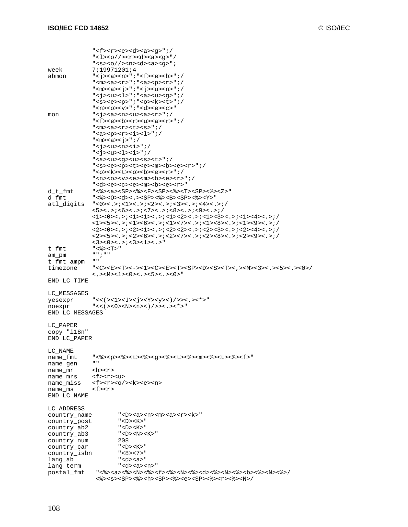|                         | " <f><r>&gt;<e><d><a><q>";/</q></a></d></e></r></f>                                                                                                                                                                      |
|-------------------------|--------------------------------------------------------------------------------------------------------------------------------------------------------------------------------------------------------------------------|
|                         | " <l><o></o><cr><d><a><q>"/</q></a></d></cr></l>                                                                                                                                                                         |
|                         | " <s><o></o><o></o>&gt;<a><a><q></q></a></a></s>                                                                                                                                                                         |
| week                    | 7;19971201;4                                                                                                                                                                                                             |
| abmon                   | " <j><a><n>";"<f><e><b>";/</b></e></f></n></a></j>                                                                                                                                                                       |
|                         | " <m><a><r>";"<a><p><r>";/</r></p></a></r></a></m>                                                                                                                                                                       |
|                         | " <m><a><j>";"<j><u><n>";/</n></u></j></j></a></m>                                                                                                                                                                       |
|                         | " <j><u><l>";"<a><u><g>";/</g></u></a></l></u></j>                                                                                                                                                                       |
|                         | " <s><e><p>";"<o><k><t>";/</t></k></o></p></e></s>                                                                                                                                                                       |
|                         | " <n><o><v>";"<d><e><c>"</c></e></d></v></o></n>                                                                                                                                                                         |
| mon                     | " <j><a><n><u><a><r>";/</r></a></u></n></a></j>                                                                                                                                                                          |
|                         | " <f><e><b><r>&gt;<u><a><r>";/</r></a></u></r></b></e></f>                                                                                                                                                               |
|                         | " <m><a><r>&gt;<t><s>";/</s></t></r></a></m>                                                                                                                                                                             |
|                         | " <a><p><r>&gt;&gt;&gt;<i><l>";/</l></i></r></p></a>                                                                                                                                                                     |
|                         | " < $m$ >< $a$ >< $j$ >";/                                                                                                                                                                                               |
|                         | " <j><u><n><i>";/</i></n></u></j>                                                                                                                                                                                        |
|                         | " <j><u><l><i>";/</i></l></u></j>                                                                                                                                                                                        |
|                         | " <a><u><g><u><s><t>";/</t></s></u></g></u></a>                                                                                                                                                                          |
|                         | " <s><e><p><t><e><m><b><e><r>";/</r></e></b></m></e></t></p></e></s>                                                                                                                                                     |
|                         | " <o><k><t><o><b><e><r>";/</r></e></b></o></t></k></o>                                                                                                                                                                   |
|                         | " <n><o><v><e><m><b><e><r>&gt;&lt;</r></e></b></m></e></v></o></n>                                                                                                                                                       |
|                         | " <d><e><c><e><m><b><e><r></r></e></b></m></e></c></e></d>                                                                                                                                                               |
| d t fmt                 | "<%> <a><sp>&lt;%&gt;&gt;<f><sp>&lt;%&gt;<t><sp>&lt;%&gt;&gt;<z>"</z></sp></t></sp></f></sp></a>                                                                                                                         |
| d fmt                   | "<%><0> <d>&lt;.&gt;&gt;<sp>&lt;%&gt;&gt;<sp>&lt;%&gt;<y>"</y></sp></sp></d>                                                                                                                                             |
| atl_digits              | $"$ <0><.>;<1><.>;<2><.>;<3><.>;<4><.>;/                                                                                                                                                                                 |
|                         | $55< . >$ ; <6><.>;<7><.>;<8><.>;<9><.>;/                                                                                                                                                                                |
|                         | <1><0><.>;<1><1><1><.>;<1><.>;<1><2><.>;<1><2><.>;<1><3><.>;<1><4><.>;                                                                                                                                                   |
|                         | <1><5><.>;<1><6><.>;<1><6><.>;<1><7><.>;<1><8><.>;<1><9><.>;<1><9><.>;                                                                                                                                                   |
|                         | <2><0><.>;<2><1><.>;>>>>>>>>>:>;<2><2><.>;<2><-3><.>;<2><4><.>;                                                                                                                                                          |
|                         | $<2$ >< $5$ ><.>;< $2$ >< $6$ >< $6$ ><.>;< $2$ < $6$ - $<$ .>;< $2$ >< $7$ ><.>;< $2$ >< $8$ >< $8$ - $<$ .>;< $2$ >< $9$ ><.>;/                                                                                        |
|                         | $<\!\!3\!\!><\!\!0\!\!><\!\! .\!\! .\!\! >\!\! i\!\! <\!\!3\!\!><\!\!1\!\!><\!\! .\!\! >"$                                                                                                                               |
| t_fmt                   | "<%> <t>"</t>                                                                                                                                                                                                            |
| am_pm                   | " " ; " "                                                                                                                                                                                                                |
| t_fmt_ampm              | H H                                                                                                                                                                                                                      |
| timezone                | " <c><e><t>&lt;-&gt;&gt;&lt;1&gt;<c><e><t>&lt;-&gt;&lt;1&gt;<c><e><t><sp><d><s><t>&lt; ,&gt;<m>&lt;3&gt;&lt;.&gt;&lt;5&gt;&lt;.&gt;&lt;5&gt;&lt;.&gt;&lt;0&gt;/</m></t></s></d></sp></t></e></c></t></e></c></t></e></c> |
|                         | <,> <m><l>&lt;0&gt;&lt;.&gt;&lt;5&gt;&lt;.&gt;&lt;0&gt;"</l></m>                                                                                                                                                         |
| END LC_TIME             |                                                                                                                                                                                                                          |
|                         |                                                                                                                                                                                                                          |
| LC MESSAGES             |                                                                                                                                                                                                                          |
|                         |                                                                                                                                                                                                                          |
| yesexpr                 | "<<(><1> <j><j><y><y>&lt;)/&gt;&gt;&lt;&lt;.&gt;&lt;*&gt;"</y></y></j></j>                                                                                                                                               |
| noexpr                  | "<<(>><0> <n><n>&lt;)/&gt;&gt;&gt;&lt;.&gt;&lt;*&gt;"</n></n>                                                                                                                                                            |
| END LC_MESSAGES         |                                                                                                                                                                                                                          |
|                         |                                                                                                                                                                                                                          |
| LC PAPER                |                                                                                                                                                                                                                          |
| copy "il8n"             |                                                                                                                                                                                                                          |
| END LC_PAPER            |                                                                                                                                                                                                                          |
|                         |                                                                                                                                                                                                                          |
| LC NAME                 |                                                                                                                                                                                                                          |
| name_fmt                | "<%> <p>&lt;%&gt;<t>&gt;&gt;&gt;<t>&lt;%&gt;<q>&lt;&lt;&gt;&gt;<t>&lt;%&gt;<m>&lt;%&gt;<t>&lt;%&gt;<f></f></t></m></t></q></t></t></p>                                                                                   |
| name_gen                | H H                                                                                                                                                                                                                      |
| name_mr                 | <h><r></r></h>                                                                                                                                                                                                           |
| name_mrs                | <f><r><u></u></r></f>                                                                                                                                                                                                    |
| name_miss               | <f><r>&gt;<o></o><k><e><n></n></e></k></r></f>                                                                                                                                                                           |
|                         | $<$ f> $<$ r>                                                                                                                                                                                                            |
| name_ms                 |                                                                                                                                                                                                                          |
| END LC_NAME             |                                                                                                                                                                                                                          |
| LC ADDRESS              |                                                                                                                                                                                                                          |
| country_name            | " <d><a><n><m><a><r><k>"</k></r></a></m></n></a></d>                                                                                                                                                                     |
| country_post            | " <d><k>"</k></d>                                                                                                                                                                                                        |
| country_ab2             | " <d><k>"</k></d>                                                                                                                                                                                                        |
|                         | " <d><n><k>"</k></n></d>                                                                                                                                                                                                 |
| country_ab3             | 208                                                                                                                                                                                                                      |
| country_num             | " <d> <k>"</k></d>                                                                                                                                                                                                       |
| country_car             |                                                                                                                                                                                                                          |
| country_isbn            | "<8><7>"<br>" <d><a>"</a></d>                                                                                                                                                                                            |
| lang_ab                 | " <d><a><n>"</n></a></d>                                                                                                                                                                                                 |
| lang_term<br>postal_fmt |                                                                                                                                                                                                                          |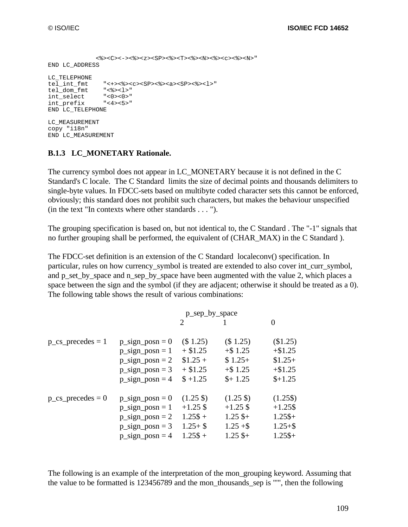```
 <%><C><-><%><z><SP><%><T><%><N><%><c><%><N>"
END LC_ADDRESS
LC_TELEPHONE<br>tel_int_fmt
              "<+><%><c><SP><%><s>>><sP><%>
tel_dom_fmt "<%><l>"
int_select "<0><0>"
int_prefix "<4><5>"
END LC_TELEPHONE
LC_MEASUREMENT
copy "i18n"
END LC_MEASUREMENT
```
#### **B.1.3 LC\_MONETARY Rationale.**

The currency symbol does not appear in LC\_MONETARY because it is not defined in the C Standard's C locale. The C Standard limits the size of decimal points and thousands delimiters to single-byte values. In FDCC-sets based on multibyte coded character sets this cannot be enforced, obviously; this standard does not prohibit such characters, but makes the behaviour unspecified (in the text "In contexts where other standards . . . ").

The grouping specification is based on, but not identical to, the C Standard . The "-1" signals that no further grouping shall be performed, the equivalent of (CHAR\_MAX) in the C Standard ).

The FDCC-set definition is an extension of the C Standard localeconv() specification. In particular, rules on how currency\_symbol is treated are extended to also cover int\_curr\_symbol, and p\_set\_by\_space and n\_sep\_by\_space have been augmented with the value 2, which places a space between the sign and the symbol (if they are adjacent; otherwise it should be treated as a 0). The following table shows the result of various combinations:

| 2 |                                                                                                                                                                                                                          | $\theta$                                                                                                                                                                           |
|---|--------------------------------------------------------------------------------------------------------------------------------------------------------------------------------------------------------------------------|------------------------------------------------------------------------------------------------------------------------------------------------------------------------------------|
|   | (\$ 1.25)                                                                                                                                                                                                                | (\$1.25)                                                                                                                                                                           |
|   | $+$ \$1.25                                                                                                                                                                                                               | $+ $1.25$                                                                                                                                                                          |
|   | $$1.25+$                                                                                                                                                                                                                 | $$1.25+$                                                                                                                                                                           |
|   | $+$ \$1.25                                                                                                                                                                                                               | $+ $1.25$                                                                                                                                                                          |
|   | $$+1.25$                                                                                                                                                                                                                 | $$+1.25$                                                                                                                                                                           |
|   | $(1.25 \text{ } \text{\textsterling})$                                                                                                                                                                                   | $(1.25\$                                                                                                                                                                           |
|   | $+1.25$ \$                                                                                                                                                                                                               | $+1.25$ \$                                                                                                                                                                         |
|   | $1.25$ \$+                                                                                                                                                                                                               | $1.25\$ +                                                                                                                                                                          |
|   | $1.25 + $$                                                                                                                                                                                                               | $1.25 + $$                                                                                                                                                                         |
|   | $1.25$ \$+                                                                                                                                                                                                               | $1.25\text{S}+$                                                                                                                                                                    |
|   | $p$ _sign_posn = 0<br>$p$ _sign_posn = 1<br>$p$ _sign_posn = 2<br>$p$ _sign_posn = 3<br>$p$ _sign_posn = 4<br>$p$ _sign_posn = 0<br>$p$ _sign_posn = 1<br>$p$ _sign_posn = 2<br>$p$ _sign_posn = 3<br>$p$ _sign_posn = 4 | p_sep_by_space<br>(\$ 1.25)<br>$+$ \$1.25<br>$$1.25 +$<br>$+$ \$1.25<br>$$+1.25$<br>$(1.25 \text{ } \text{\textsterling})$<br>$+1.25$ \$<br>$1.25\% +$<br>$1.25 + $$<br>$1.25\% +$ |

The following is an example of the interpretation of the mon\_grouping keyword. Assuming that the value to be formatted is 123456789 and the mon\_thousands\_sep is "'", then the following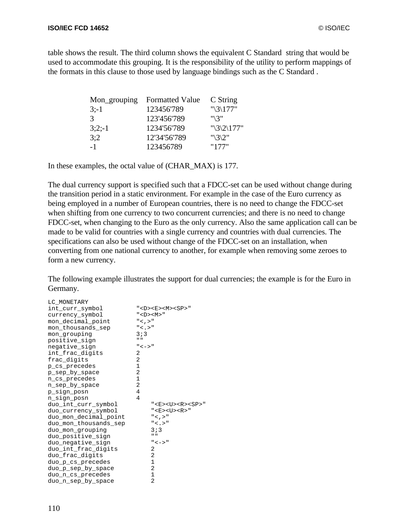table shows the result. The third column shows the equivalent C Standard string that would be used to accommodate this grouping. It is the responsibility of the utility to perform mappings of the formats in this clause to those used by language bindings such as the C Standard .

| Mon_grouping | <b>Formatted Value</b> | C String             |
|--------------|------------------------|----------------------|
| $3: -1$      | 123456'789             | " $\frac{3}{177}$ "  |
| 3            | 123'456'789            | $" \S$               |
| $3;2;-1$     | 1234'56'789            | " $\frac{3}{2}177$ " |
| 3:2          | 12'34'56'789           | "\3\2"               |
| $-1$         | 123456789              | "177"                |

In these examples, the octal value of (CHAR\_MAX) is 177.

The dual currency support is specified such that a FDCC-set can be used without change during the transition period in a static environment. For example in the case of the Euro currency as being employed in a number of European countries, there is no need to change the FDCC-set when shifting from one currency to two concurrent currencies; and there is no need to change FDCC-set, when changing to the Euro as the only currency. Also the same application call can be made to be valid for countries with a single currency and countries with dual currencies. The specifications can also be used without change of the FDCC-set on an installation, when converting from one national currency to another, for example when removing some zeroes to form a new currency.

The following example illustrates the support for dual currencies; the example is for the Euro in Germany.

| LC MONETARY<br>int curr symbol<br>currency_symbol<br>mon decimal point<br>mon thousands sep<br>mon grouping<br>positive_sign<br>negative_sign<br>int_frac_digits<br>frac_digits<br>p_cs_precedes<br>p_sep_by_space<br>n_cs_precedes<br>n_sep_by_space<br>p_sign_posn<br>n_sign_posn<br>duo_int_curr_symbol<br>duo_currency_symbol<br>duo_mon_decimal_point<br>duo_mon_thousands_sep<br>duo_mon_grouping<br>duo_positive_sign<br>duo_negative_sign<br>duo_int_frac_digits<br>duo_frac_digits<br>duo_p_cs_precedes<br>duo_p_sep_by_space<br>duo_n_cs_precedes | " <d><e><m><sp>"<br/><math>"</math> <d><m><math>"</math><br/><math>"</math> &lt; , &gt;"<br/><math>"</math> &lt; . &gt;"<br/>3:3<br/><math>\mathbf{u}</math><br/><math>" &lt; - &gt; "</math><br/>2<br/>2<br/>1<br/>2<br/>1<br/>2<br/>4<br/>4<br/><math>"</math><e><u><r><sp>"<br/><math>"</math> <e> <u> <r>"<br/><math>"</math> &lt; , &gt; "<br/>" &lt; . &gt; "<br/>3:3<br/><math>\mathbf{u}</math><br/><math>" &lt; - &gt; "</math><br/>2<br/>2<br/>1<br/><math>\overline{2}</math><br/><math>\mathbf 1</math></r></u></e></sp></r></u></e></m></d></sp></m></e></d> |
|-------------------------------------------------------------------------------------------------------------------------------------------------------------------------------------------------------------------------------------------------------------------------------------------------------------------------------------------------------------------------------------------------------------------------------------------------------------------------------------------------------------------------------------------------------------|---------------------------------------------------------------------------------------------------------------------------------------------------------------------------------------------------------------------------------------------------------------------------------------------------------------------------------------------------------------------------------------------------------------------------------------------------------------------------------------------------------------------------------------------------------------------------|
| duo_n_sep_by_space                                                                                                                                                                                                                                                                                                                                                                                                                                                                                                                                          | 2                                                                                                                                                                                                                                                                                                                                                                                                                                                                                                                                                                         |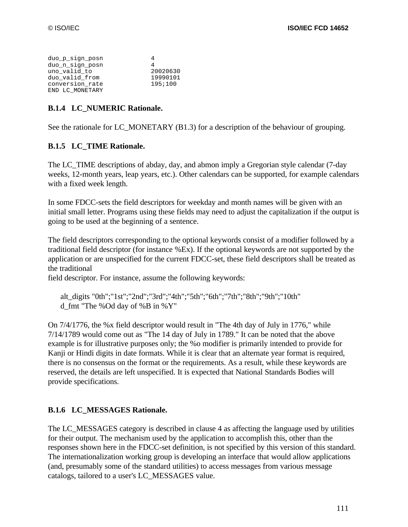| duo p sign posn | 4        |
|-----------------|----------|
| duo n sign posn |          |
| uno valid to    | 20020630 |
| duo valid from  | 19990101 |
| conversion rate | 195;100  |
| END LC MONETARY |          |

#### **B.1.4 LC\_NUMERIC Rationale.**

See the rationale for LC\_MONETARY (B1.3) for a description of the behaviour of grouping.

#### **B.1.5 LC\_TIME Rationale.**

The LC\_TIME descriptions of abday, day, and abmon imply a Gregorian style calendar (7-day weeks, 12-month years, leap years, etc.). Other calendars can be supported, for example calendars with a fixed week length.

In some FDCC-sets the field descriptors for weekday and month names will be given with an initial small letter. Programs using these fields may need to adjust the capitalization if the output is going to be used at the beginning of a sentence.

The field descriptors corresponding to the optional keywords consist of a modifier followed by a traditional field descriptor (for instance %Ex). If the optional keywords are not supported by the application or are unspecified for the current FDCC-set, these field descriptors shall be treated as the traditional

field descriptor. For instance, assume the following keywords:

 alt\_digits "0th";"1st";"2nd";"3rd";"4th";"5th";"6th";"7th";"8th";"9th";"10th" d\_fmt "The %Od day of %B in %Y"

On 7/4/1776, the %x field descriptor would result in "The 4th day of July in 1776," while 7/14/1789 would come out as "The 14 day of July in 1789." It can be noted that the above example is for illustrative purposes only; the %o modifier is primarily intended to provide for Kanji or Hindi digits in date formats. While it is clear that an alternate year format is required, there is no consensus on the format or the requirements. As a result, while these keywords are reserved, the details are left unspecified. It is expected that National Standards Bodies will provide specifications.

#### **B.1.6 LC\_MESSAGES Rationale.**

The LC\_MESSAGES category is described in clause 4 as affecting the language used by utilities for their output. The mechanism used by the application to accomplish this, other than the responses shown here in the FDCC-set definition, is not specified by this version of this standard. The internationalization working group is developing an interface that would allow applications (and, presumably some of the standard utilities) to access messages from various message catalogs, tailored to a user's LC\_MESSAGES value.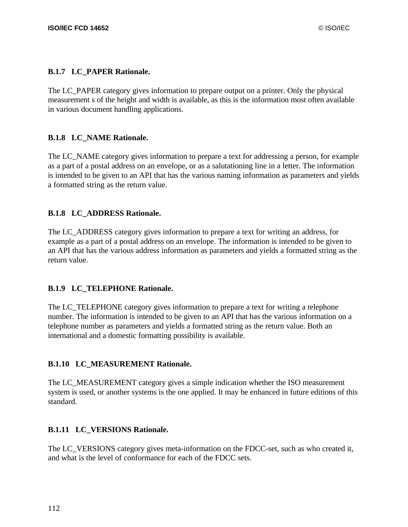#### **B.1.7 LC\_PAPER Rationale.**

The LC\_PAPER category gives information to prepare output on a printer. Only the physical measurement s of the height and width is available, as this is the information most often available in various document handling applications.

#### **B.1.8 LC\_NAME Rationale.**

The LC\_NAME category gives information to prepare a text for addressing a person, for example as a part of a postal address on an envelope, or as a salutationing line in a letter. The information is intended to be given to an API that has the various naming information as parameters and yields a formatted string as the return value.

#### **B.1.8 LC\_ADDRESS Rationale.**

The LC\_ADDRESS category gives information to prepare a text for writing an address, for example as a part of a postal address on an envelope. The information is intended to be given to an API that has the various address information as parameters and yields a formatted string as the return value.

#### **B.1.9 LC\_TELEPHONE Rationale.**

The LC\_TELEPHONE category gives information to prepare a text for writing a telephone number. The information is intended to be given to an API that has the various information on a telephone number as parameters and yields a formatted string as the return value. Both an international and a domestic formatting possibility is available.

#### **B.1.10 LC\_MEASUREMENT Rationale.**

The LC\_MEASUREMENT category gives a simple indication whether the ISO measurement system is used, or another systems is the one applied. It may be enhanced in future editions of this standard.

### **B.1.11 LC\_VERSIONS Rationale.**

The LC\_VERSIONS category gives meta-information on the FDCC-set, such as who created it, and what is the level of conformance for each of the FDCC sets.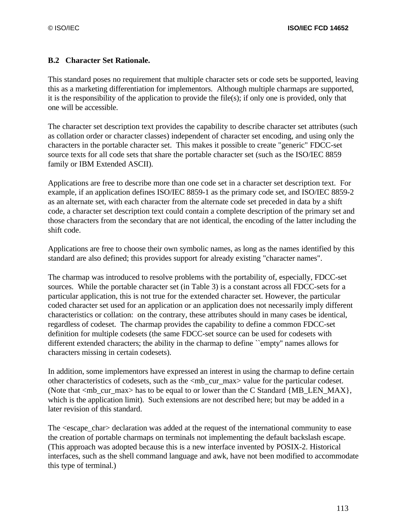#### **B.2 Character Set Rationale.**

This standard poses no requirement that multiple character sets or code sets be supported, leaving this as a marketing differentiation for implementors. Although multiple charmaps are supported, it is the responsibility of the application to provide the file(s); if only one is provided, only that one will be accessible.

The character set description text provides the capability to describe character set attributes (such as collation order or character classes) independent of character set encoding, and using only the characters in the portable character set. This makes it possible to create "generic" FDCC-set source texts for all code sets that share the portable character set (such as the ISO/IEC 8859 family or IBM Extended ASCII).

Applications are free to describe more than one code set in a character set description text. For example, if an application defines ISO/IEC 8859-1 as the primary code set, and ISO/IEC 8859-2 as an alternate set, with each character from the alternate code set preceded in data by a shift code, a character set description text could contain a complete description of the primary set and those characters from the secondary that are not identical, the encoding of the latter including the shift code.

Applications are free to choose their own symbolic names, as long as the names identified by this standard are also defined; this provides support for already existing "character names".

The charmap was introduced to resolve problems with the portability of, especially, FDCC-set sources. While the portable character set (in Table 3) is a constant across all FDCC-sets for a particular application, this is not true for the extended character set. However, the particular coded character set used for an application or an application does not necessarily imply different characteristics or collation: on the contrary, these attributes should in many cases be identical, regardless of codeset. The charmap provides the capability to define a common FDCC-set definition for multiple codesets (the same FDCC-set source can be used for codesets with different extended characters; the ability in the charmap to define ``empty'' names allows for characters missing in certain codesets).

In addition, some implementors have expressed an interest in using the charmap to define certain other characteristics of codesets, such as the <mb\_cur\_max> value for the particular codeset. (Note that  $\langle mb \rangle$  curamax has to be equal to or lower than the C Standard {MB LEN MAX}, which is the application limit). Such extensions are not described here; but may be added in a later revision of this standard.

The <escape\_char> declaration was added at the request of the international community to ease the creation of portable charmaps on terminals not implementing the default backslash escape. (This approach was adopted because this is a new interface invented by POSIX-2. Historical interfaces, such as the shell command language and awk, have not been modified to accommodate this type of terminal.)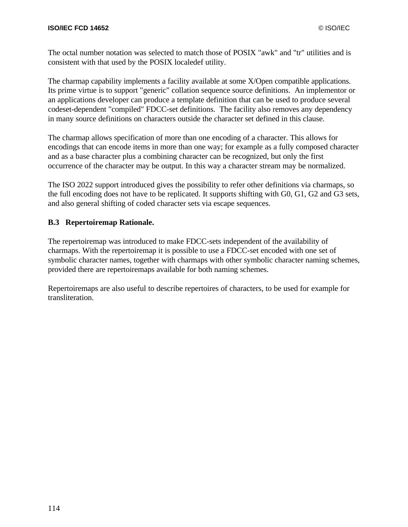The octal number notation was selected to match those of POSIX "awk" and "tr" utilities and is consistent with that used by the POSIX localedef utility.

The charmap capability implements a facility available at some X/Open compatible applications. Its prime virtue is to support "generic" collation sequence source definitions. An implementor or an applications developer can produce a template definition that can be used to produce several codeset-dependent "compiled" FDCC-set definitions. The facility also removes any dependency in many source definitions on characters outside the character set defined in this clause.

The charmap allows specification of more than one encoding of a character. This allows for encodings that can encode items in more than one way; for example as a fully composed character and as a base character plus a combining character can be recognized, but only the first occurrence of the character may be output. In this way a character stream may be normalized.

The ISO 2022 support introduced gives the possibility to refer other definitions via charmaps, so the full encoding does not have to be replicated. It supports shifting with G0, G1, G2 and G3 sets, and also general shifting of coded character sets via escape sequences.

#### **B.3 Repertoiremap Rationale.**

The repertoiremap was introduced to make FDCC-sets independent of the availability of charmaps. With the repertoiremap it is possible to use a FDCC-set encoded with one set of symbolic character names, together with charmaps with other symbolic character naming schemes, provided there are repertoiremaps available for both naming schemes.

Repertoiremaps are also useful to describe repertoires of characters, to be used for example for transliteration.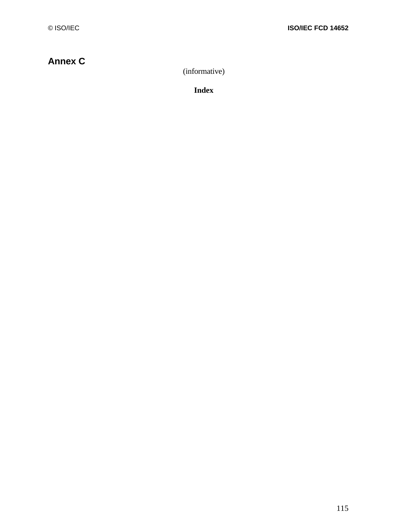# **Annex C**

(informative)

**Index**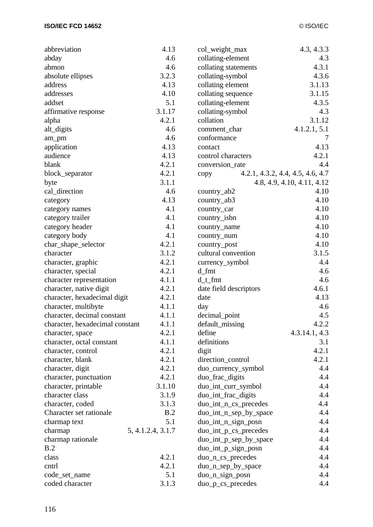| abbreviation                    | 4.13              | col_weight_max         | 4.3, 4.3.3                       |
|---------------------------------|-------------------|------------------------|----------------------------------|
| abday                           | 4.6               | collating-element      | 4.3                              |
| abmon                           | 4.6               | collating statements   | 4.3.1                            |
| absolute ellipses               | 3.2.3             | collating-symbol       | 4.3.6                            |
| address                         | 4.13              | collating element      | 3.1.13                           |
| addresses                       | 4.10              | collating sequence     | 3.1.15                           |
| addset                          | 5.1               | collating-element      | 4.3.5                            |
| affirmative response            | 3.1.17            | collating-symbol       | 4.3                              |
| alpha                           | 4.2.1             | collation              | 3.1.12                           |
| alt_digits                      | 4.6               | comment_char           | 4.1.2.1, 5.1                     |
| am_pm                           | 4.6               | conformance            | 7                                |
| application                     | 4.13              | contact                | 4.13                             |
| audience                        | 4.13              | control characters     | 4.2.1                            |
| blank                           | 4.2.1             | conversion_rate        | 4.4                              |
| block_separator                 | 4.2.1             | copy                   | 4.2.1, 4.3.2, 4.4, 4.5, 4.6, 4.7 |
| byte                            | 3.1.1             |                        | 4.8, 4.9, 4.10, 4.11, 4.12       |
| cal_direction                   | 4.6               | $country_abb2$         | 4.10                             |
| category                        | 4.13              | country_ab3            | 4.10                             |
| category names                  | 4.1               | country_car            | 4.10                             |
| category trailer                | 4.1               | country_isbn           | 4.10                             |
| category header                 | 4.1               | country_name           | 4.10                             |
| category body                   | 4.1               | country_num            | 4.10                             |
| char_shape_selector             | 4.2.1             | country_post           | 4.10                             |
| character                       | 3.1.2             | cultural convention    | 3.1.5                            |
| character, graphic              | 4.2.1             | currency_symbol        | 4.4                              |
| character, special              | 4.2.1             | d_fmt                  | 4.6                              |
| character representation        | 4.1.1             | $d_t$ fmt              | 4.6                              |
| character, native digit         | 4.2.1             | date field descriptors | 4.6.1                            |
| character, hexadecimal digit    | 4.2.1             | date                   | 4.13                             |
| character, multibyte            | 4.1.1             | day                    | 4.6                              |
| character, decimal constant     | 4.1.1             | decimal_point          | 4.5                              |
| character, hexadecimal constant | 4.1.1             | default_missing        | 4.2.2                            |
| character, space                | 4.2.1             | define                 | 4.3.14.1, 4.3                    |
| character, octal constant       | 4.1.1             | definitions            | 3.1                              |
| character, control              | 4.2.1             | digit                  | 4.2.1                            |
| character, blank                | 4.2.1             | direction_control      | 4.2.1                            |
| character, digit                | 4.2.1             | duo_currency_symbol    | 4.4                              |
| character, punctuation          | 4.2.1             | duo_frac_digits        | 4.4                              |
| character, printable            | 3.1.10            | duo_int_curr_symbol    | 4.4                              |
| character class                 | 3.1.9             | duo_int_frac_digits    | 4.4                              |
| character, coded                | 3.1.3             | duo_int_n_cs_precedes  | 4.4                              |
| Character set rationale         | B.2               | duo_int_n_sep_by_space | 4.4                              |
| charmap text                    | 5.1               | duo_int_n_sign_posn    | 4.4                              |
| charmap                         | 5, 4.1.2.4, 3.1.7 | duo_int_p_cs_precedes  | 4.4                              |
| charmap rationale               |                   | duo_int_p_sep_by_space | 4.4                              |
| B.2                             |                   | duo_int_p_sign_posn    | 4.4                              |
| class                           | 4.2.1             | duo_n_cs_precedes      | 4.4                              |
| cntrl                           | 4.2.1             | duo_n_sep_by_space     | 4.4                              |
| code_set_name                   | 5.1               | duo_n_sign_posn        | 4.4                              |
| coded character                 | 3.1.3             | duo_p_cs_precedes      | 4.4                              |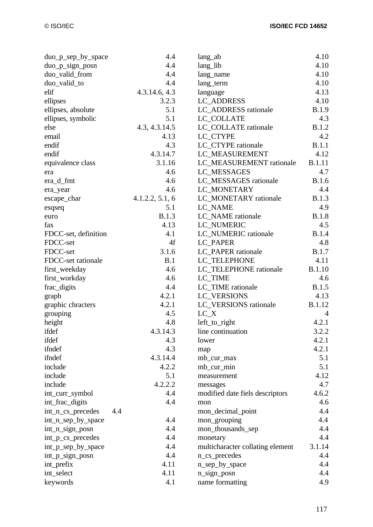| duo_p_sep_by_space   | 4.4             | lang_ab                          | 4.10          |
|----------------------|-----------------|----------------------------------|---------------|
| $duo_p_sign_posn$    | 4.4             | lang_lib                         | 4.10          |
| duo_valid_from       | 4.4             | lang_name                        | 4.10          |
| duo_valid_to         | 4.4             | lang_term                        | 4.10          |
| elif                 | 4.3.14.6, 4.3   | language                         | 4.13          |
| ellipses             | 3.2.3           | <b>LC_ADDRESS</b>                | 4.10          |
| ellipses, absolute   | 5.1             | LC_ADDRESS rationale             | <b>B.1.9</b>  |
| ellipses, symbolic   | 5.1             | LC_COLLATE                       | 4.3           |
| else                 | 4.3, 4.3.14.5   | LC COLLATE rationale             | <b>B.1.2</b>  |
| email                | 4.13            | LC CTYPE                         | 4.2           |
| endif                | 4.3             | LC_CTYPE rationale               | B.1.1         |
| endif                | 4.3.14.7        | LC_MEASUREMENT                   | 4.12          |
| equivalence class    | 3.1.16          | LC_MEASUREMENT rationale         | <b>B.1.11</b> |
| era                  | 4.6             | LC_MESSAGES                      | 4.7           |
| era_d_fmt            | 4.6             | LC_MESSAGES rationale            | <b>B.1.6</b>  |
| era_year             | 4.6             | LC_MONETARY                      | 4.4           |
| escape_char          | 4.1.2.2, 5.1, 6 | LC_MONETARY rationale            | <b>B.1.3</b>  |
| esqseq               | 5.1             | LC_NAME                          | 4.9           |
| euro                 | <b>B.1.3</b>    | LC_NAME rationale                | <b>B.1.8</b>  |
| fax                  | 4.13            | LC_NUMERIC                       | 4.5           |
| FDCC-set, definition | 4.1             | LC_NUMERIC rationale             | <b>B.1.4</b>  |
| FDCC-set             | 4f              | LC_PAPER                         | 4.8           |
| FDCC-set             | 3.1.6           | LC_PAPER rationale               | <b>B.1.7</b>  |
| FDCC-set rationale   | B.1             | LC_TELEPHONE                     | 4.11          |
| first_weekday        | 4.6             | LC_TELEPHONE rationale           | <b>B.1.10</b> |
| first_workday        | 4.6             | LC_TIME                          | 4.6           |
| frac_digits          | 4.4             | LC_TIME rationale                | <b>B.1.5</b>  |
| graph                | 4.2.1           | LC_VERSIONS                      | 4.13          |
| graphic chracters    | 4.2.1           | LC_VERSIONS rationale            | <b>B.1.12</b> |
| grouping             | 4.5             | $LC_X$                           | 4             |
| height               | 4.8             | left_to_right                    | 4.2.1         |
| ifdef                | 4.3.14.3        | line continuation                | 3.2.2         |
| ifdef                | 4.3             | lower                            | 4.2.1         |
| ifndef               | 4.3             | map                              | 4.2.1         |
| ifndef               | 4.3.14.4        | mb_cur_max                       | 5.1           |
| include              | 4.2.2           | mb_cur_min                       | 5.1           |
| include              | 5.1             | measurement                      | 4.12          |
| include              | 4.2.2.2         | messages                         | 4.7           |
| int_curr_symbol      | 4.4             | modified date fiels descriptors  | 4.6.2         |
| int_frac_digits      | 4.4             | mon                              | 4.6           |
| int_n_cs_precedes    | 4.4             | mon_decimal_point                | 4.4           |
| int_n_sep_by_space   | 4.4             | mon_grouping                     | 4.4           |
| int_n_sign_posn      | 4.4             | mon_thousands_sep                | 4.4           |
| int_p_cs_precedes    | 4.4             | monetary                         | 4.4           |
| int_p_sep_by_space   | 4.4             | multicharacter collating element | 3.1.14        |
| int_p_sign_posn      | 4.4             | n_cs_precedes                    | 4.4           |
| int_prefix           | 4.11            | n_sep_by_space                   | 4.4           |
| int_select           | 4.11            | n_sign_posn                      | 4.4           |
| keywords             | 4.1             | name formatting                  | 4.9           |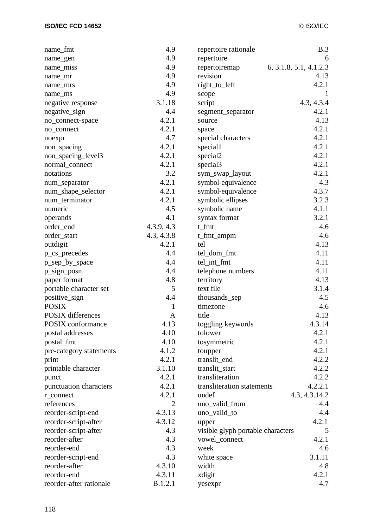| name_fmt                 | 4.9          | repertoire rationale              | B.3                    |
|--------------------------|--------------|-----------------------------------|------------------------|
| name_gen                 | 4.9          | repertoire                        | 6                      |
| name_miss                | 4.9          | repertoiremap                     | 6, 3.1.8, 5.1, 4.1.2.3 |
| name_mr                  | 4.9          | revision                          | 4.13                   |
| name_mrs                 | 4.9          | right_to_left                     | 4.2.1                  |
| name_ms                  | 4.9          | scope                             | -1                     |
| negative response        | 3.1.18       | script                            | 4.3, 4.3.4             |
| negative_sign            | 4.4          | segment_separator                 | 4.2.1                  |
| no_connect-space         | 4.2.1        | source                            | 4.13                   |
| no_connect               | 4.2.1        | space                             | 4.2.1                  |
| noexpr                   | 4.7          | special characters                | 4.2.1                  |
| non_spacing              | 4.2.1        | special1                          | 4.2.1                  |
| non_spacing_level3       | 4.2.1        | special2                          | 4.2.1                  |
| normal_connect           | 4.2.1        | special3                          | 4.2.1                  |
| notations                | 3.2          | sym_swap_layout                   | 4.2.1                  |
| num_separator            | 4.2.1        | symbol-equivalence                | 4.3                    |
| num_shape_selector       | 4.2.1        | symbol-equivalence                | 4.3.7                  |
| num_terminator           | 4.2.1        | symbolic ellipses                 | 3.2.3                  |
| numeric                  | 4.5          | symbolic name                     | 4.1.1                  |
| operands                 | 4.1          | syntax format                     | 3.2.1                  |
| order_end                | 4.3.9, 4.3   | t_fmt                             | 4.6                    |
| order_start              | 4.3, 4.3.8   | t_fmt_ampm                        | 4.6                    |
| outdigit                 | 4.2.1        | tel                               | 4.13                   |
| p_cs_precedes            | 4.4          | tel_dom_fmt                       | 4.11                   |
| p_sep_by_space           | 4.4          | tel_int_fmt                       | 4.11                   |
| p_sign_posn              | 4.4          | telephone numbers                 | 4.11                   |
| paper format             | 4.8          | territory                         | 4.13                   |
| portable character set   | 5            | text file                         | 3.1.4                  |
| positive_sign            | 4.4          | thousands_sep                     | 4.5                    |
| <b>POSIX</b>             | 1            | timezone                          | 4.6                    |
| <b>POSIX</b> differences | $\mathbf{A}$ | title                             | 4.13                   |
| POSIX conformance        | 4.13         |                                   | 4.3.14                 |
|                          | 4.10         | toggling keywords                 | 4.2.1                  |
| postal addresses         |              | tolower                           |                        |
| postal_fmt               | 4.10         | tosymmetric                       | 4.2.1                  |
| pre-category statements  | 4.1.2        | toupper                           | 4.2.1                  |
| print                    | 4.2.1        | translit_end                      | 4.2.2                  |
| printable character      | 3.1.10       | translit_start                    | 4.2.2                  |
| punct                    | 4.2.1        | transliteration                   | 4.2.2                  |
| punctuation characters   | 4.2.1        | transliteration statements        | 4.2.2.1                |
| r_connect                | 4.2.1        | undef                             | 4.3, 4.3.14.2          |
| references               | 2            | uno_valid_from                    | 4.4                    |
| reorder-script-end       | 4.3.13       | uno_valid_to                      | 4.4                    |
| reorder-script-after     | 4.3.12       | upper                             | 4.2.1                  |
| reorder-script-after     | 4.3          | visible glyph portable characters | 5                      |
| reorder-after            | 4.3          | vowel_connect                     | 4.2.1                  |
| reorder-end              | 4.3          | week                              | 4.6                    |
| reorder-script-end       | 4.3          | white space                       | 3.1.11                 |
| reorder-after            | 4.3.10       | width                             | 4.8                    |
| reorder-end              | 4.3.11       | xdigit                            | 4.2.1                  |
| reorder-after rationale  | B.1.2.1      | yesexpr                           | 4.7                    |